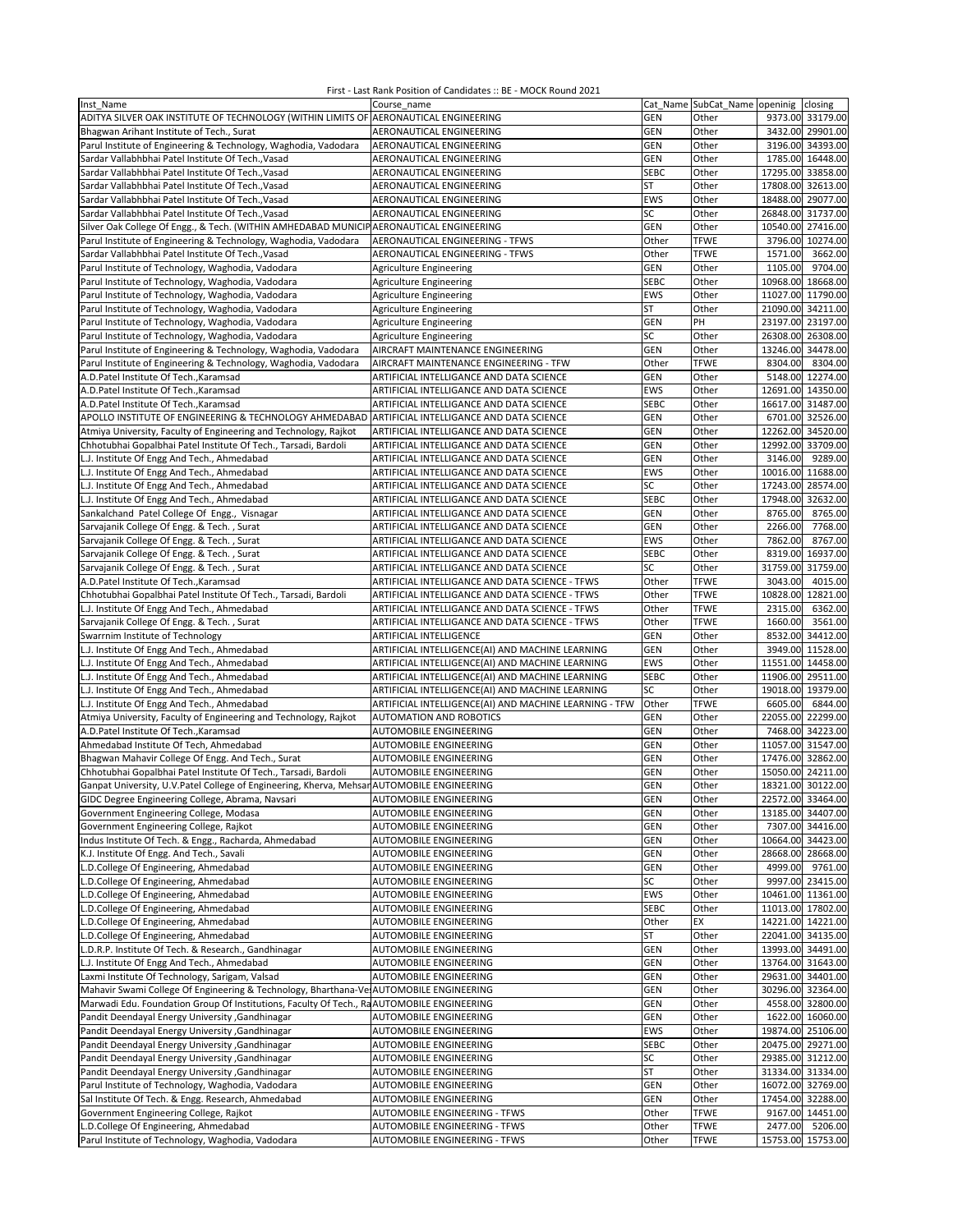| Inst Name                                                                                       | Course name                                            |             | Cat_Name SubCat_Name openinig closing |                   |                   |
|-------------------------------------------------------------------------------------------------|--------------------------------------------------------|-------------|---------------------------------------|-------------------|-------------------|
| ADITYA SILVER OAK INSTITUTE OF TECHNOLOGY (WITHIN LIMITS OF AERONAUTICAL ENGINEERING            |                                                        | <b>GEN</b>  | Other                                 |                   | 9373.00 33179.00  |
| Bhagwan Arihant Institute of Tech., Surat                                                       | AERONAUTICAL ENGINEERING                               | <b>GEN</b>  | Other                                 |                   | 3432.00 29901.00  |
| Parul Institute of Engineering & Technology, Waghodia, Vadodara                                 | AERONAUTICAL ENGINEERING                               | <b>GEN</b>  | Other                                 |                   | 3196.00 34393.00  |
| Sardar Vallabhbhai Patel Institute Of Tech., Vasad                                              | AERONAUTICAL ENGINEERING                               | <b>GEN</b>  | Other                                 |                   | 1785.00 16448.00  |
| Sardar Vallabhbhai Patel Institute Of Tech., Vasad                                              | AERONAUTICAL ENGINEERING                               | <b>SEBC</b> | Other                                 | 17295.00 33858.00 |                   |
| Sardar Vallabhbhai Patel Institute Of Tech., Vasad                                              | AERONAUTICAL ENGINEERING                               | <b>ST</b>   | Other                                 | 17808.00          | 32613.00          |
| Sardar Vallabhbhai Patel Institute Of Tech., Vasad                                              | AERONAUTICAL ENGINEERING                               | <b>EWS</b>  | Other                                 | 18488.00 29077.00 |                   |
| Sardar Vallabhbhai Patel Institute Of Tech., Vasad                                              | AERONAUTICAL ENGINEERING                               | SC          | Other                                 | 26848.00 31737.00 |                   |
| Silver Oak College Of Engg., & Tech. (WITHIN AMHEDABAD MUNICIP AERONAUTICAL ENGINEERING         |                                                        | <b>GEN</b>  | Other                                 | 10540.00 27416.00 |                   |
| Parul Institute of Engineering & Technology, Waghodia, Vadodara                                 | AERONAUTICAL ENGINEERING - TFWS                        | Other       | <b>TFWE</b>                           | 3796.00           | 10274.00          |
| Sardar Vallabhbhai Patel Institute Of Tech., Vasad                                              | AERONAUTICAL ENGINEERING - TFWS                        | Other       | <b>TFWE</b>                           | 1571.00           | 3662.00           |
|                                                                                                 |                                                        | <b>GEN</b>  | Other                                 | 1105.00           | 9704.00           |
| Parul Institute of Technology, Waghodia, Vadodara                                               | Agriculture Engineering                                | <b>SEBC</b> |                                       | 10968.00 18668.00 |                   |
| Parul Institute of Technology, Waghodia, Vadodara                                               | <b>Agriculture Engineering</b>                         |             | Other                                 |                   |                   |
| Parul Institute of Technology, Waghodia, Vadodara                                               | Agriculture Engineering                                | EWS         | Other                                 | 11027.00 11790.00 |                   |
| Parul Institute of Technology, Waghodia, Vadodara                                               | <b>Agriculture Engineering</b>                         | <b>ST</b>   | Other                                 | 21090.00 34211.00 |                   |
| Parul Institute of Technology, Waghodia, Vadodara                                               | <b>Agriculture Engineering</b>                         | <b>GEN</b>  | PH                                    | 23197.00 23197.00 |                   |
| Parul Institute of Technology, Waghodia, Vadodara                                               | Agriculture Engineering                                | SC          | Other                                 | 26308.00 26308.00 |                   |
| Parul Institute of Engineering & Technology, Waghodia, Vadodara                                 | AIRCRAFT MAINTENANCE ENGINEERING                       | <b>GEN</b>  | Other                                 | 13246.00          | 34478.00          |
| Parul Institute of Engineering & Technology, Waghodia, Vadodara                                 | AIRCRAFT MAINTENANCE ENGINEERING - TFW                 | Other       | <b>TFWE</b>                           | 8304.00           | 8304.00           |
| A.D.Patel Institute Of Tech., Karamsad                                                          | ARTIFICIAL INTELLIGANCE AND DATA SCIENCE               | GEN         | Other                                 |                   | 5148.00 12274.00  |
| A.D.Patel Institute Of Tech., Karamsad                                                          | ARTIFICIAL INTELLIGANCE AND DATA SCIENCE               | EWS         | Other                                 | 12691.00 14350.00 |                   |
| A.D.Patel Institute Of Tech., Karamsad                                                          | ARTIFICIAL INTELLIGANCE AND DATA SCIENCE               | <b>SEBC</b> | Other                                 | 16617.00 31487.00 |                   |
| APOLLO INSTITUTE OF ENGINEERING & TECHNOLOGY AHMEDABAD ARTIFICIAL INTELLIGANCE AND DATA SCIENCE |                                                        | <b>GEN</b>  | Other                                 |                   | 6701.00 32526.00  |
| Atmiya University, Faculty of Engineering and Technology, Rajkot                                | ARTIFICIAL INTELLIGANCE AND DATA SCIENCE               | <b>GEN</b>  | Other                                 | 12262.00 34520.00 |                   |
| Chhotubhai Gopalbhai Patel Institute Of Tech., Tarsadi, Bardoli                                 | ARTIFICIAL INTELLIGANCE AND DATA SCIENCE               | GEN         | Other                                 | 12992.00 33709.00 |                   |
| L.J. Institute Of Engg And Tech., Ahmedabad                                                     | ARTIFICIAL INTELLIGANCE AND DATA SCIENCE               | <b>GEN</b>  | Other                                 | 3146.00           | 9289.00           |
| L.J. Institute Of Engg And Tech., Ahmedabad                                                     | ARTIFICIAL INTELLIGANCE AND DATA SCIENCE               | <b>EWS</b>  | Other                                 | 10016.00 11688.00 |                   |
| L.J. Institute Of Engg And Tech., Ahmedabad                                                     | ARTIFICIAL INTELLIGANCE AND DATA SCIENCE               | SC          | Other                                 | 17243.00 28574.00 |                   |
| L.J. Institute Of Engg And Tech., Ahmedabad                                                     | ARTIFICIAL INTELLIGANCE AND DATA SCIENCE               | <b>SEBC</b> | Other                                 | 17948.00          | 32632.00          |
| Sankalchand Patel College Of Engg., Visnagar                                                    | ARTIFICIAL INTELLIGANCE AND DATA SCIENCE               | <b>GEN</b>  | Other                                 | 8765.00           | 8765.00           |
| Sarvajanik College Of Engg. & Tech., Surat                                                      | ARTIFICIAL INTELLIGANCE AND DATA SCIENCE               | <b>GEN</b>  | Other                                 | 2266.00           | 7768.00           |
| Sarvajanik College Of Engg. & Tech., Surat                                                      | ARTIFICIAL INTELLIGANCE AND DATA SCIENCE               | EWS         | Other                                 | 7862.00           | 8767.00           |
| Sarvajanik College Of Engg. & Tech., Surat                                                      | ARTIFICIAL INTELLIGANCE AND DATA SCIENCE               | <b>SEBC</b> | Other                                 | 8319.00           | 16937.00          |
| Sarvajanik College Of Engg. & Tech., Surat                                                      | ARTIFICIAL INTELLIGANCE AND DATA SCIENCE               | SC          | Other                                 | 31759.00 31759.00 |                   |
| A.D.Patel Institute Of Tech., Karamsad                                                          | ARTIFICIAL INTELLIGANCE AND DATA SCIENCE - TFWS        | Other       | <b>TFWE</b>                           | 3043.00           | 4015.00           |
| Chhotubhai Gopalbhai Patel Institute Of Tech., Tarsadi, Bardoli                                 | ARTIFICIAL INTELLIGANCE AND DATA SCIENCE - TFWS        | Other       | <b>TFWE</b>                           | 10828.00          | 12821.00          |
| L.J. Institute Of Engg And Tech., Ahmedabad                                                     | ARTIFICIAL INTELLIGANCE AND DATA SCIENCE - TFWS        | Other       | <b>TFWE</b>                           | 2315.00           | 6362.00           |
| Sarvajanik College Of Engg. & Tech., Surat                                                      | ARTIFICIAL INTELLIGANCE AND DATA SCIENCE - TFWS        | Other       | <b>TFWE</b>                           | 1660.00           | 3561.00           |
| Swarrnim Institute of Technology                                                                | ARTIFICIAL INTELLIGENCE                                | <b>GEN</b>  | Other                                 |                   | 8532.00 34412.00  |
| L.J. Institute Of Engg And Tech., Ahmedabad                                                     | ARTIFICIAL INTELLIGENCE(AI) AND MACHINE LEARNING       | <b>GEN</b>  | Other                                 |                   | 3949.00 11528.00  |
| L.J. Institute Of Engg And Tech., Ahmedabad                                                     | ARTIFICIAL INTELLIGENCE(AI) AND MACHINE LEARNING       | EWS         | Other                                 | 11551.00 14458.00 |                   |
| L.J. Institute Of Engg And Tech., Ahmedabad                                                     | ARTIFICIAL INTELLIGENCE(AI) AND MACHINE LEARNING       | <b>SEBC</b> | Other                                 | 11906.00          | 29511.00          |
| L.J. Institute Of Engg And Tech., Ahmedabad                                                     | ARTIFICIAL INTELLIGENCE(AI) AND MACHINE LEARNING       | SC          | Other                                 | 19018.00          | 19379.00          |
| L.J. Institute Of Engg And Tech., Ahmedabad                                                     | ARTIFICIAL INTELLIGENCE(AI) AND MACHINE LEARNING - TFW | Other       | <b>TFWE</b>                           | 6605.00           | 6844.00           |
| Atmiya University, Faculty of Engineering and Technology, Rajkot                                | AUTOMATION AND ROBOTICS                                | <b>GEN</b>  | Other                                 | 22055.00          | 22299.00          |
| A.D.Patel Institute Of Tech., Karamsad                                                          | AUTOMOBILE ENGINEERING                                 | GEN         | Other                                 |                   | 7468.00 34223.00  |
| Ahmedabad Institute Of Tech, Ahmedabad                                                          | AUTOMOBILE ENGINEERING                                 | GEN         | Other                                 | 11057.00 31547.00 |                   |
| Bhagwan Mahavir College Of Engg. And Tech., Surat                                               | AUTOMOBILE ENGINEERING                                 | GEN         | Other                                 | 17476.00 32862.00 |                   |
| Chhotubhai Gopalbhai Patel Institute Of Tech., Tarsadi, Bardoli                                 | AUTOMOBILE ENGINEERING                                 | GEN         | Other                                 | 15050.00 24211.00 |                   |
| Ganpat University, U.V.Patel College of Engineering, Kherva, Mehsar AUTOMOBILE ENGINEERING      |                                                        | <b>GEN</b>  | Other                                 | 18321.00 30122.00 |                   |
| GIDC Degree Engineering College, Abrama, Navsari                                                | <b>AUTOMOBILE ENGINEERING</b>                          | GEN         | Other                                 | 22572.00 33464.00 |                   |
| Government Engineering College, Modasa                                                          | AUTOMOBILE ENGINEERING                                 | <b>GEN</b>  | Other                                 | 13185.00 34407.00 |                   |
| Government Engineering College, Rajkot                                                          | AUTOMOBILE ENGINEERING                                 | <b>GEN</b>  | Other                                 |                   | 7307.00 34416.00  |
| Indus Institute Of Tech. & Engg., Racharda, Ahmedabad                                           | AUTOMOBILE ENGINEERING                                 | <b>GEN</b>  | Other                                 | 10664.00 34423.00 |                   |
| K.J. Institute Of Engg. And Tech., Savali                                                       | AUTOMOBILE ENGINEERING                                 | <b>GEN</b>  | Other                                 |                   | 28668.00 28668.00 |
| L.D.College Of Engineering, Ahmedabad                                                           | AUTOMOBILE ENGINEERING                                 | <b>GEN</b>  | Other                                 | 4999.00           | 9761.00           |
| L.D.College Of Engineering, Ahmedabad                                                           | AUTOMOBILE ENGINEERING                                 | SC          | Other                                 |                   | 9997.00 23415.00  |
| L.D.College Of Engineering, Ahmedabad                                                           | <b>AUTOMOBILE ENGINEERING</b>                          | EWS         | Other                                 | 10461.00 11361.00 |                   |
| L.D.College Of Engineering, Ahmedabad                                                           | <b>AUTOMOBILE ENGINEERING</b>                          | <b>SEBC</b> | Other                                 | 11013.00 17802.00 |                   |
| L.D.College Of Engineering, Ahmedabad                                                           | AUTOMOBILE ENGINEERING                                 | Other       | EX                                    | 14221.00 14221.00 |                   |
| L.D.College Of Engineering, Ahmedabad                                                           | AUTOMOBILE ENGINEERING                                 | ST          | Other                                 | 22041.00 34135.00 |                   |
| L.D.R.P. Institute Of Tech. & Research., Gandhinagar                                            | AUTOMOBILE ENGINEERING                                 | <b>GEN</b>  | Other                                 | 13993.00 34491.00 |                   |
| L.J. Institute Of Engg And Tech., Ahmedabad                                                     | AUTOMOBILE ENGINEERING                                 | <b>GEN</b>  | Other                                 | 13764.00 31643.00 |                   |
| Laxmi Institute Of Technology, Sarigam, Valsad                                                  | AUTOMOBILE ENGINEERING                                 | <b>GEN</b>  | Other                                 | 29631.00 34401.00 |                   |
| Mahavir Swami College Of Engineering & Technology, Bharthana-Ve AUTOMOBILE ENGINEERING          |                                                        | GEN         | Other                                 | 30296.00 32364.00 |                   |
| Marwadi Edu. Foundation Group Of Institutions, Faculty Of Tech., RaAUTOMOBILE ENGINEERING       |                                                        | GEN         | Other                                 |                   | 4558.00 32800.00  |
| Pandit Deendayal Energy University , Gandhinagar                                                | AUTOMOBILE ENGINEERING                                 | <b>GEN</b>  | Other                                 |                   | 1622.00 16060.00  |
| Pandit Deendayal Energy University , Gandhinagar                                                | AUTOMOBILE ENGINEERING                                 | EWS         | Other                                 | 19874.00 25106.00 |                   |
| Pandit Deendayal Energy University , Gandhinagar                                                | AUTOMOBILE ENGINEERING                                 | SEBC        | Other                                 |                   | 20475.00 29271.00 |
| Pandit Deendayal Energy University , Gandhinagar                                                | AUTOMOBILE ENGINEERING                                 | SC          | Other                                 | 29385.00 31212.00 |                   |
| Pandit Deendayal Energy University , Gandhinagar                                                | AUTOMOBILE ENGINEERING                                 | <b>ST</b>   | Other                                 | 31334.00 31334.00 |                   |
| Parul Institute of Technology, Waghodia, Vadodara                                               | AUTOMOBILE ENGINEERING                                 | <b>GEN</b>  | Other                                 | 16072.00 32769.00 |                   |
| Sal Institute Of Tech. & Engg. Research, Ahmedabad                                              | AUTOMOBILE ENGINEERING                                 | <b>GEN</b>  | Other                                 | 17454.00 32288.00 |                   |
| Government Engineering College, Rajkot                                                          | AUTOMOBILE ENGINEERING - TFWS                          | Other       | <b>TFWE</b>                           |                   | 9167.00 14451.00  |
| L.D.College Of Engineering, Ahmedabad                                                           | AUTOMOBILE ENGINEERING - TFWS                          | Other       | <b>TFWE</b>                           | 2477.00           | 5206.00           |
| Parul Institute of Technology, Waghodia, Vadodara                                               | AUTOMOBILE ENGINEERING - TFWS                          | Other       | <b>TFWE</b>                           | 15753.00 15753.00 |                   |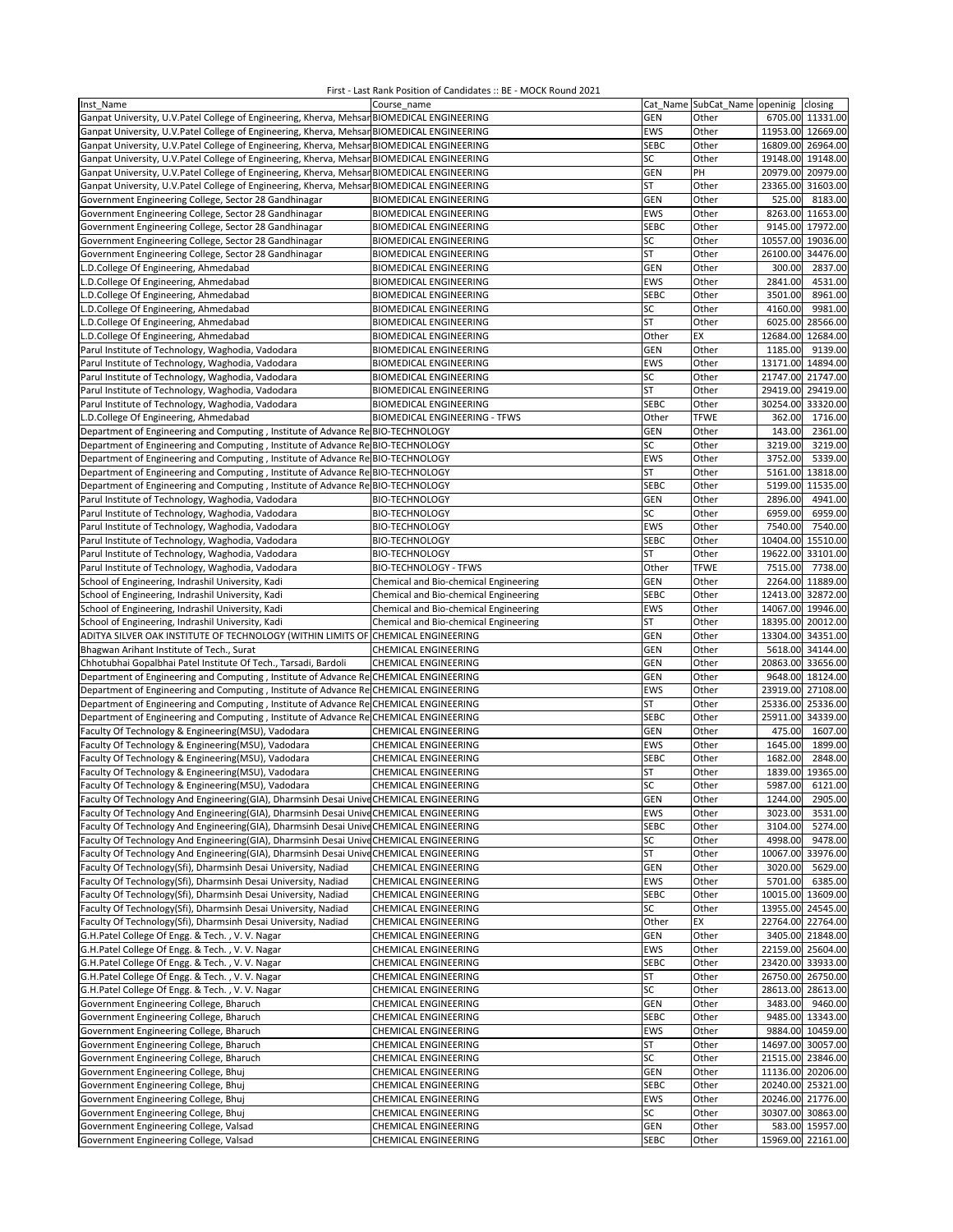| Inst Name                                                                                  | Course name                           |              | Cat_Name SubCat_Name openinig closing |                   |                  |
|--------------------------------------------------------------------------------------------|---------------------------------------|--------------|---------------------------------------|-------------------|------------------|
| Ganpat University, U.V.Patel College of Engineering, Kherva, Mehsar BIOMEDICAL ENGINEERING |                                       | <b>GEN</b>   | Other                                 |                   | 6705.00 11331.00 |
| Ganpat University, U.V.Patel College of Engineering, Kherva, Mehsar BIOMEDICAL ENGINEERING |                                       | EWS          | Other                                 | 11953.00 12669.00 |                  |
| Ganpat University, U.V.Patel College of Engineering, Kherva, Mehsar BIOMEDICAL ENGINEERING |                                       | <b>SEBC</b>  | Other                                 | 16809.00 26964.00 |                  |
| Ganpat University, U.V.Patel College of Engineering, Kherva, Mehsar BIOMEDICAL ENGINEERING |                                       | SC           | Other                                 | 19148.00 19148.00 |                  |
| Ganpat University, U.V.Patel College of Engineering, Kherva, Mehsar BIOMEDICAL ENGINEERING |                                       | <b>GEN</b>   | PH                                    | 20979.00 20979.00 |                  |
| Ganpat University, U.V.Patel College of Engineering, Kherva, Mehsar BIOMEDICAL ENGINEERING |                                       | <b>ST</b>    | Other                                 | 23365.00          | 31603.00         |
| Government Engineering College, Sector 28 Gandhinagar                                      | <b>BIOMEDICAL ENGINEERING</b>         | GEN          | Other                                 | 525.00            | 8183.00          |
| Government Engineering College, Sector 28 Gandhinagar                                      | <b>BIOMEDICAL ENGINEERING</b>         | EWS          | Other                                 | 8263.00           | 11653.00         |
| Government Engineering College, Sector 28 Gandhinagar                                      | <b>BIOMEDICAL ENGINEERING</b>         | <b>SEBC</b>  | Other                                 |                   | 9145.00 17972.00 |
| Government Engineering College, Sector 28 Gandhinagar                                      | <b>BIOMEDICAL ENGINEERING</b>         | SC           | Other                                 | 10557.00          | 19036.00         |
| Government Engineering College, Sector 28 Gandhinagar                                      | <b>BIOMEDICAL ENGINEERING</b>         | <b>ST</b>    | Other                                 | 26100.00          | 34476.00         |
| L.D.College Of Engineering, Ahmedabad                                                      | <b>BIOMEDICAL ENGINEERING</b>         | GEN          | Other                                 | 300.00            | 2837.00          |
| L.D.College Of Engineering, Ahmedabad                                                      | <b>BIOMEDICAL ENGINEERING</b>         | EWS          | Other                                 | 2841.00           | 4531.00          |
| L.D.College Of Engineering, Ahmedabad                                                      | <b>BIOMEDICAL ENGINEERING</b>         | <b>SEBC</b>  | Other                                 | 3501.00           | 8961.00          |
| L.D.College Of Engineering, Ahmedabad                                                      | <b>BIOMEDICAL ENGINEERING</b>         | SC           | Other                                 | 4160.00           | 9981.00          |
| L.D.College Of Engineering, Ahmedabad                                                      | <b>BIOMEDICAL ENGINEERING</b>         | <b>ST</b>    | Other                                 |                   | 6025.00 28566.00 |
|                                                                                            |                                       |              | EX                                    | 12684.00          | 12684.00         |
| L.D.College Of Engineering, Ahmedabad                                                      | <b>BIOMEDICAL ENGINEERING</b>         | Other<br>GEN |                                       |                   |                  |
| Parul Institute of Technology, Waghodia, Vadodara                                          | <b>BIOMEDICAL ENGINEERING</b>         |              | Other                                 | 1185.00           | 9139.00          |
| Parul Institute of Technology, Waghodia, Vadodara                                          | <b>BIOMEDICAL ENGINEERING</b>         | EWS          | Other                                 | 13171.00          | 14894.00         |
| Parul Institute of Technology, Waghodia, Vadodara                                          | <b>BIOMEDICAL ENGINEERING</b>         | SC           | Other                                 | 21747.00 21747.00 |                  |
| Parul Institute of Technology, Waghodia, Vadodara                                          | <b>BIOMEDICAL ENGINEERING</b>         | <b>ST</b>    | Other                                 | 29419.00          | 29419.00         |
| Parul Institute of Technology, Waghodia, Vadodara                                          | <b>BIOMEDICAL ENGINEERING</b>         | <b>SEBC</b>  | Other                                 | 30254.00 33320.00 |                  |
| L.D.College Of Engineering, Ahmedabad                                                      | <b>BIOMEDICAL ENGINEERING - TFWS</b>  | Other        | <b>TFWE</b>                           | 362.00            | 1716.00          |
| Department of Engineering and Computing, Institute of Advance Re BIO-TECHNOLOGY            |                                       | GEN          | Other                                 | 143.00            | 2361.00          |
| Department of Engineering and Computing, Institute of Advance Re BIO-TECHNOLOGY            |                                       | SC           | Other                                 | 3219.00           | 3219.00          |
| Department of Engineering and Computing, Institute of Advance Re BIO-TECHNOLOGY            |                                       | EWS          | Other                                 | 3752.00           | 5339.00          |
| Department of Engineering and Computing, Institute of Advance Re BIO-TECHNOLOGY            |                                       | ST           | Other                                 | 5161.00           | 13818.00         |
| Department of Engineering and Computing, Institute of Advance Re BIO-TECHNOLOGY            |                                       | <b>SEBC</b>  | Other                                 |                   | 5199.00 11535.00 |
| Parul Institute of Technology, Waghodia, Vadodara                                          | <b>BIO-TECHNOLOGY</b>                 | <b>GEN</b>   | Other                                 | 2896.00           | 4941.00          |
| Parul Institute of Technology, Waghodia, Vadodara                                          | <b>BIO-TECHNOLOGY</b>                 | SC           | Other                                 | 6959.00           | 6959.00          |
| Parul Institute of Technology, Waghodia, Vadodara                                          | <b>BIO-TECHNOLOGY</b>                 | <b>EWS</b>   | Other                                 | 7540.00           | 7540.00          |
| Parul Institute of Technology, Waghodia, Vadodara                                          | <b>BIO-TECHNOLOGY</b>                 | <b>SEBC</b>  | Other                                 | 10404.00          | 15510.00         |
| Parul Institute of Technology, Waghodia, Vadodara                                          | <b>BIO-TECHNOLOGY</b>                 | <b>ST</b>    | Other                                 | 19622.00          | 33101.00         |
| Parul Institute of Technology, Waghodia, Vadodara                                          | <b>BIO-TECHNOLOGY - TFWS</b>          | Other        | <b>TFWE</b>                           | 7515.00           | 7738.00          |
| School of Engineering, Indrashil University, Kadi                                          | Chemical and Bio-chemical Engineering | GEN          | Other                                 |                   | 2264.00 11889.00 |
| School of Engineering, Indrashil University, Kadi                                          | Chemical and Bio-chemical Engineering | <b>SEBC</b>  | Other                                 | 12413.00 32872.00 |                  |
| School of Engineering, Indrashil University, Kadi                                          | Chemical and Bio-chemical Engineering | EWS          | Other                                 | 14067.00 19946.00 |                  |
| School of Engineering, Indrashil University, Kadi                                          | Chemical and Bio-chemical Engineering | <b>ST</b>    | Other                                 | 18395.00 20012.00 |                  |
| ADITYA SILVER OAK INSTITUTE OF TECHNOLOGY (WITHIN LIMITS OF CHEMICAL ENGINEERING           |                                       | GEN          | Other                                 | 13304.00          | 34351.00         |
| Bhagwan Arihant Institute of Tech., Surat                                                  | CHEMICAL ENGINEERING                  | GEN          | Other                                 |                   | 5618.00 34144.00 |
| Chhotubhai Gopalbhai Patel Institute Of Tech., Tarsadi, Bardoli                            | <b>CHEMICAL ENGINEERING</b>           | GEN          | Other                                 | 20863.00 33656.00 |                  |
| Department of Engineering and Computing, Institute of Advance Re CHEMICAL ENGINEERING      |                                       | GEN          | Other                                 |                   | 9648.00 18124.00 |
| Department of Engineering and Computing, Institute of Advance Re CHEMICAL ENGINEERING      |                                       | EWS          | Other                                 | 23919.00          | 27108.00         |
| Department of Engineering and Computing, Institute of Advance Re CHEMICAL ENGINEERING      |                                       | <b>ST</b>    | Other                                 | 25336.00          | 25336.00         |
| Department of Engineering and Computing, Institute of Advance Re CHEMICAL ENGINEERING      |                                       | <b>SEBC</b>  | Other                                 | 25911.00          | 34339.00         |
| Faculty Of Technology & Engineering(MSU), Vadodara                                         | <b>CHEMICAL ENGINEERING</b>           | GEN          | Other                                 | 475.00            | 1607.00          |
| Faculty Of Technology & Engineering(MSU), Vadodara                                         | <b>CHEMICAL ENGINEERING</b>           | <b>EWS</b>   | Other                                 | 1645.00           | 1899.00          |
| Faculty Of Technology & Engineering(MSU), Vadodara                                         | CHEMICAL ENGINEERING                  | <b>SEBC</b>  | Other                                 | 1682.00           | 2848.00          |
| Faculty Of Technology & Engineering(MSU), Vadodara                                         | CHEMICAL ENGINEERING                  | ST           | Other                                 | 1839.00           | 19365.00         |
| Faculty Of Technology & Engineering(MSU), Vadodara                                         | <b>CHEMICAL ENGINEERING</b>           | SC           | Other                                 | 5987.00           | 6121.00          |
| Faculty Of Technology And Engineering(GIA), Dharmsinh Desai UniveCHEMICAL ENGINEERING      |                                       | GEN          | Other                                 | 1244.00           | 2905.00          |
| Faculty Of Technology And Engineering(GIA), Dharmsinh Desai Unive CHEMICAL ENGINEERING     |                                       | EWS          | Other                                 | 3023.00           | 3531.00          |
| Faculty Of Technology And Engineering(GIA), Dharmsinh Desai Unive CHEMICAL ENGINEERING     |                                       | SEBC         | Other                                 | 3104.00           | 5274.00          |
| Faculty Of Technology And Engineering(GIA), Dharmsinh Desai Unive CHEMICAL ENGINEERING     |                                       | SC           | Other                                 | 4998.00           | 9478.00          |
| Faculty Of Technology And Engineering(GIA), Dharmsinh Desai Unive CHEMICAL ENGINEERING     |                                       | ST           | Other                                 | 10067.00 33976.00 |                  |
| Faculty Of Technology(Sfi), Dharmsinh Desai University, Nadiad                             | CHEMICAL ENGINEERING                  | GEN          | Other                                 | 3020.00           | 5629.00          |
| Faculty Of Technology(Sfi), Dharmsinh Desai University, Nadiad                             | CHEMICAL ENGINEERING                  | EWS          | Other                                 | 5701.00           | 6385.00          |
| Faculty Of Technology(Sfi), Dharmsinh Desai University, Nadiad                             | <b>CHEMICAL ENGINEERING</b>           | <b>SEBC</b>  | Other                                 | 10015.00          | 13609.00         |
| Faculty Of Technology(Sfi), Dharmsinh Desai University, Nadiad                             | CHEMICAL ENGINEERING                  | SC           | Other                                 | 13955.00 24545.00 |                  |
| Faculty Of Technology(Sfi), Dharmsinh Desai University, Nadiad                             | CHEMICAL ENGINEERING                  | Other        | EX                                    | 22764.00 22764.00 |                  |
| G.H.Patel College Of Engg. & Tech., V.V. Nagar                                             | CHEMICAL ENGINEERING                  | <b>GEN</b>   | Other                                 |                   | 3405.00 21848.00 |
| G.H.Patel College Of Engg. & Tech., V.V. Nagar                                             | <b>CHEMICAL ENGINEERING</b>           | EWS          | Other                                 | 22159.00 25604.00 |                  |
| G.H.Patel College Of Engg. & Tech., V. V. Nagar                                            | CHEMICAL ENGINEERING                  | <b>SEBC</b>  | Other                                 | 23420.00 33933.00 |                  |
| G.H.Patel College Of Engg. & Tech., V.V. Nagar                                             | CHEMICAL ENGINEERING                  | ST           | Other                                 | 26750.00 26750.00 |                  |
| G.H.Patel College Of Engg. & Tech., V.V. Nagar                                             | <b>CHEMICAL ENGINEERING</b>           | SC           | Other                                 | 28613.00 28613.00 |                  |
| Government Engineering College, Bharuch                                                    | CHEMICAL ENGINEERING                  | GEN          | Other                                 |                   | 3483.00 9460.00  |
| Government Engineering College, Bharuch                                                    | CHEMICAL ENGINEERING                  | <b>SEBC</b>  | Other                                 |                   | 9485.00 13343.00 |
| Government Engineering College, Bharuch                                                    | CHEMICAL ENGINEERING                  | EWS          | Other                                 |                   | 9884.00 10459.00 |
| Government Engineering College, Bharuch                                                    | CHEMICAL ENGINEERING                  | ST           | Other                                 | 14697.00 30057.00 |                  |
| Government Engineering College, Bharuch                                                    | CHEMICAL ENGINEERING                  | SC           | Other                                 | 21515.00 23846.00 |                  |
| Government Engineering College, Bhuj                                                       | CHEMICAL ENGINEERING                  | GEN          | Other                                 | 11136.00 20206.00 |                  |
| Government Engineering College, Bhuj                                                       | CHEMICAL ENGINEERING                  | <b>SEBC</b>  | Other                                 | 20240.00 25321.00 |                  |
| Government Engineering College, Bhuj                                                       | CHEMICAL ENGINEERING                  | EWS          | Other                                 | 20246.00 21776.00 |                  |
| Government Engineering College, Bhuj                                                       | CHEMICAL ENGINEERING                  | SC           | Other                                 | 30307.00 30863.00 |                  |
| Government Engineering College, Valsad                                                     | CHEMICAL ENGINEERING                  | <b>GEN</b>   | Other                                 |                   | 583.00 15957.00  |
| Government Engineering College, Valsad                                                     | CHEMICAL ENGINEERING                  | <b>SEBC</b>  | Other                                 | 15969.00 22161.00 |                  |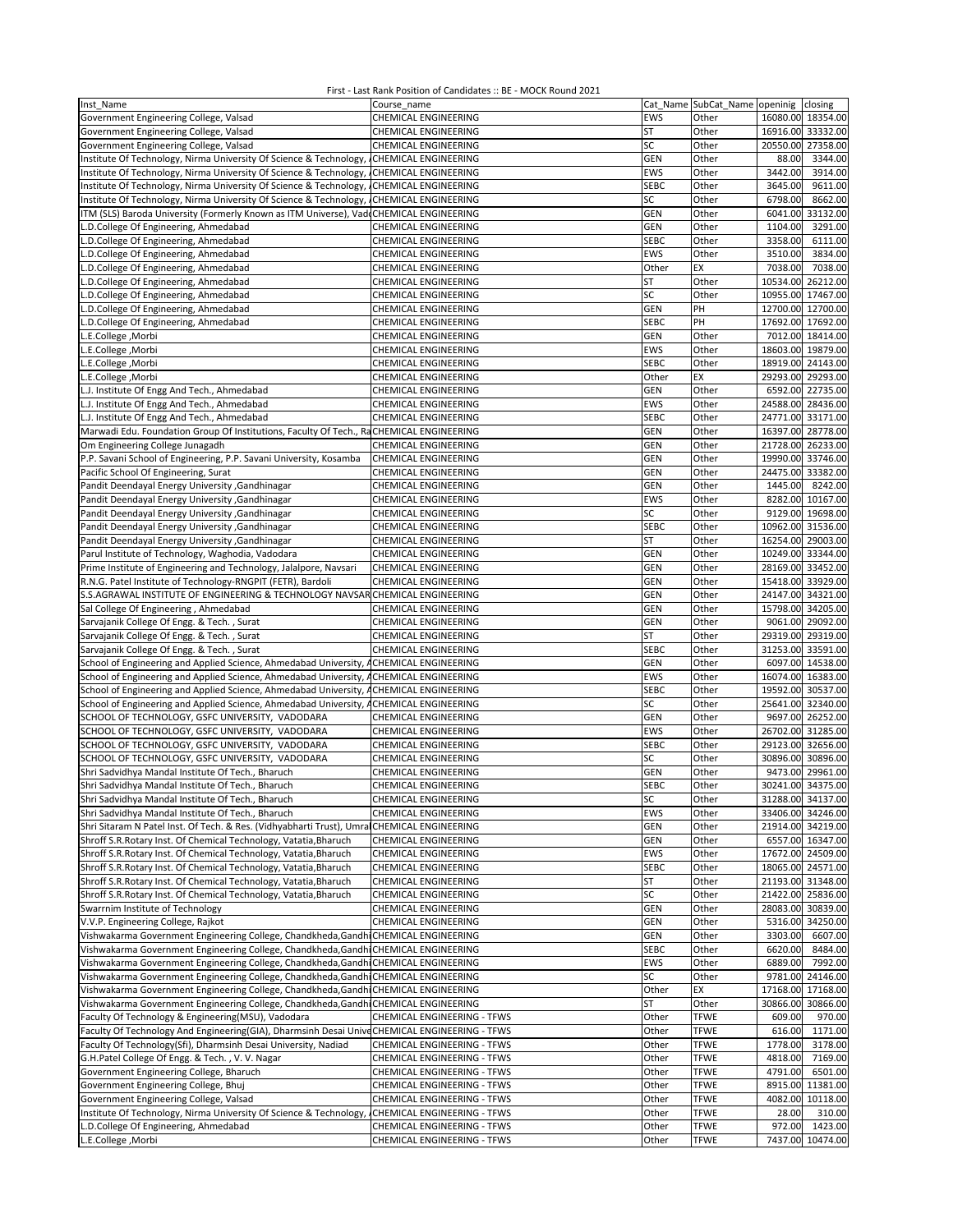| Inst Name                                                                                     | Course name                        |             | Cat Name SubCat Name openinig | closing              |
|-----------------------------------------------------------------------------------------------|------------------------------------|-------------|-------------------------------|----------------------|
| Government Engineering College, Valsad                                                        | CHEMICAL ENGINEERING               | <b>EWS</b>  | Other                         | 16080.00 18354.00    |
|                                                                                               |                                    |             | Other                         |                      |
| Government Engineering College, Valsad                                                        | CHEMICAL ENGINEERING               | ST          |                               | 16916.00 33332.00    |
| Government Engineering College, Valsad                                                        | CHEMICAL ENGINEERING               | SC          | Other                         | 20550.00<br>27358.00 |
| Institute Of Technology, Nirma University Of Science & Technology, CHEMICAL ENGINEERING       |                                    | GEN         | Other                         | 88.00<br>3344.00     |
| Institute Of Technology, Nirma University Of Science & Technology, CHEMICAL ENGINEERING       |                                    | <b>EWS</b>  | Other                         | 3914.00<br>3442.00   |
| Institute Of Technology, Nirma University Of Science & Technology, CHEMICAL ENGINEERING       |                                    | <b>SEBC</b> | Other                         | 9611.00<br>3645.00   |
| Institute Of Technology, Nirma University Of Science & Technology, CHEMICAL ENGINEERING       |                                    | SC          | Other                         | 6798.00<br>8662.00   |
|                                                                                               |                                    |             |                               |                      |
| ITM (SLS) Baroda University (Formerly Known as ITM Universe), Vad CHEMICAL ENGINEERING        |                                    | <b>GEN</b>  | Other                         | 33132.00<br>6041.00  |
| L.D.College Of Engineering, Ahmedabad                                                         | CHEMICAL ENGINEERING               | GEN         | Other                         | 3291.00<br>1104.00   |
| L.D.College Of Engineering, Ahmedabad                                                         | CHEMICAL ENGINEERING               | <b>SEBC</b> | Other                         | 3358.00<br>6111.00   |
| L.D.College Of Engineering, Ahmedabad                                                         | CHEMICAL ENGINEERING               | EWS         | Other                         | 3834.00<br>3510.00   |
|                                                                                               |                                    | Other       | EX                            | 7038.00<br>7038.00   |
| L.D.College Of Engineering, Ahmedabad                                                         | CHEMICAL ENGINEERING               |             |                               |                      |
| L.D.College Of Engineering, Ahmedabad                                                         | CHEMICAL ENGINEERING               | <b>ST</b>   | Other                         | 10534.00 26212.00    |
| L.D.College Of Engineering, Ahmedabad                                                         | CHEMICAL ENGINEERING               | SC          | Other                         | 10955.00<br>17467.00 |
| L.D.College Of Engineering, Ahmedabad                                                         | CHEMICAL ENGINEERING               | GEN         | PH                            | 12700.00 12700.00    |
| L.D.College Of Engineering, Ahmedabad                                                         | <b>CHEMICAL ENGINEERING</b>        | <b>SEBC</b> | PH                            | 17692.00 17692.00    |
|                                                                                               |                                    |             |                               |                      |
| L.E.College, Morbi                                                                            | CHEMICAL ENGINEERING               | GEN         | Other                         | 7012.00 18414.00     |
| L.E.College, Morbi                                                                            | CHEMICAL ENGINEERING               | EWS         | Other                         | 18603.00 19879.00    |
| L.E.College, Morbi                                                                            | CHEMICAL ENGINEERING               | <b>SEBC</b> | Other                         | 18919.00 24143.00    |
| L.E.College, Morbi                                                                            | CHEMICAL ENGINEERING               | Other       | EX                            | 29293.00 29293.00    |
|                                                                                               | CHEMICAL ENGINEERING               | <b>GEN</b>  | Other                         | 6592.00 22735.00     |
| L.J. Institute Of Engg And Tech., Ahmedabad                                                   |                                    |             |                               |                      |
| L.J. Institute Of Engg And Tech., Ahmedabad                                                   | CHEMICAL ENGINEERING               | EWS         | Other                         | 24588.00 28436.00    |
| L.J. Institute Of Engg And Tech., Ahmedabad                                                   | CHEMICAL ENGINEERING               | <b>SEBC</b> | Other                         | 24771.00 33171.00    |
| Marwadi Edu. Foundation Group Of Institutions, Faculty Of Tech., RaCHEMICAL ENGINEERING       |                                    | GEN         | Other                         | 16397.00 28778.00    |
| Om Engineering College Junagadh                                                               | CHEMICAL ENGINEERING               | GEN         | Other                         | 21728.00 26233.00    |
|                                                                                               | <b>CHEMICAL ENGINEERING</b>        | GEN         | Other                         | 19990.00 33746.00    |
| P.P. Savani School of Engineering, P.P. Savani University, Kosamba                            |                                    |             |                               |                      |
| Pacific School Of Engineering, Surat                                                          | CHEMICAL ENGINEERING               | GEN         | Other                         | 24475.00 33382.00    |
| Pandit Deendayal Energy University , Gandhinagar                                              | <b>CHEMICAL ENGINEERING</b>        | GEN         | Other                         | 1445.00<br>8242.00   |
| Pandit Deendayal Energy University , Gandhinagar                                              | CHEMICAL ENGINEERING               | <b>EWS</b>  | Other                         | 8282.00 10167.00     |
| Pandit Deendayal Energy University , Gandhinagar                                              | CHEMICAL ENGINEERING               | SC          | Other                         | 9129.00 19698.00     |
|                                                                                               |                                    | <b>SEBC</b> |                               | 10962.00 31536.00    |
| Pandit Deendayal Energy University , Gandhinagar                                              | CHEMICAL ENGINEERING               |             | Other                         |                      |
| Pandit Deendayal Energy University , Gandhinagar                                              | CHEMICAL ENGINEERING               | ST          | Other                         | 16254.00 29003.00    |
| Parul Institute of Technology, Waghodia, Vadodara                                             | CHEMICAL ENGINEERING               | <b>GEN</b>  | Other                         | 10249.00 33344.00    |
| Prime Institute of Engineering and Technology, Jalalpore, Navsari                             | CHEMICAL ENGINEERING               | GEN         | Other                         | 28169.00 33452.00    |
| R.N.G. Patel Institute of Technology-RNGPIT (FETR), Bardoli                                   | CHEMICAL ENGINEERING               | GEN         | Other                         | 15418.00 33929.00    |
|                                                                                               |                                    |             |                               |                      |
| S.S.AGRAWAL INSTITUTE OF ENGINEERING & TECHNOLOGY NAVSAR CHEMICAL ENGINEERING                 |                                    | GEN         | Other                         | 24147.00 34321.00    |
| Sal College Of Engineering, Ahmedabad                                                         | CHEMICAL ENGINEERING               | GEN         | Other                         | 15798.00 34205.00    |
| Sarvajanik College Of Engg. & Tech., Surat                                                    | <b>CHEMICAL ENGINEERING</b>        | GEN         | Other                         | 9061.00 29092.00     |
| Sarvajanik College Of Engg. & Tech., Surat                                                    | CHEMICAL ENGINEERING               | ST          | Other                         | 29319.00 29319.00    |
| Sarvajanik College Of Engg. & Tech., Surat                                                    | CHEMICAL ENGINEERING               | <b>SEBC</b> | Other                         | 31253.00 33591.00    |
| School of Engineering and Applied Science, Ahmedabad University, ACHEMICAL ENGINEERING        |                                    | GEN         | Other                         | 6097.00 14538.00     |
|                                                                                               |                                    |             |                               |                      |
| School of Engineering and Applied Science, Ahmedabad University, ACHEMICAL ENGINEERING        |                                    | <b>EWS</b>  | Other                         | 16074.00 16383.00    |
| School of Engineering and Applied Science, Ahmedabad University, ACHEMICAL ENGINEERING        |                                    | <b>SEBC</b> | Other                         | 19592.00 30537.00    |
| School of Engineering and Applied Science, Ahmedabad University, ACHEMICAL ENGINEERING        |                                    | SC          | Other                         | 25641.00 32340.00    |
| SCHOOL OF TECHNOLOGY, GSFC UNIVERSITY, VADODARA                                               | <b>CHEMICAL ENGINEERING</b>        | <b>GEN</b>  | Other                         | 9697.00 26252.00     |
|                                                                                               |                                    |             |                               |                      |
| SCHOOL OF TECHNOLOGY, GSFC UNIVERSITY, VADODARA                                               | CHEMICAL ENGINEERING               | EWS         | Other                         | 26702.00 31285.00    |
| SCHOOL OF TECHNOLOGY, GSFC UNIVERSITY, VADODARA                                               | <b>CHEMICAL ENGINEERING</b>        | <b>SEBC</b> | Other                         | 29123.00 32656.00    |
| SCHOOL OF TECHNOLOGY, GSFC UNIVERSITY, VADODARA                                               | CHEMICAL ENGINEERING               | SC          | Other                         | 30896.00 30896.00    |
| Shri Sadvidhya Mandal Institute Of Tech., Bharuch                                             | <b>CHEMICAL ENGINEERING</b>        | GEN         | Other                         | 9473.00 29961.00     |
| Shri Sadvidhya Mandal Institute Of Tech., Bharuch                                             | CHEMICAL ENGINEERING               | <b>SEBC</b> | Other                         | 30241.00 34375.00    |
|                                                                                               |                                    |             |                               |                      |
| Shri Sadvidhya Mandal Institute Of Tech., Bharuch                                             | CHEMICAL ENGINEERING               | SC          | Other                         | 31288.00 34137.00    |
| Shri Sadvidhya Mandal Institute Of Tech., Bharuch                                             | <b>CHEMICAL ENGINEERING</b>        | EWS         | Other                         | 33406.00 34246.00    |
| Shri Sitaram N Patel Inst. Of Tech. & Res. (Vidhyabharti Trust), Umral CHEMICAL ENGINEERING   |                                    | <b>GEN</b>  | Other                         | 21914.00 34219.00    |
| Shroff S.R.Rotary Inst. Of Chemical Technology, Vatatia, Bharuch                              | CHEMICAL ENGINEERING               | <b>GEN</b>  | Other                         | 6557.00 16347.00     |
| Shroff S.R.Rotary Inst. Of Chemical Technology, Vatatia, Bharuch                              | CHEMICAL ENGINEERING               | EWS         | Other                         | 17672.00 24509.00    |
| Shroff S.R.Rotary Inst. Of Chemical Technology, Vatatia, Bharuch                              | <b>CHEMICAL ENGINEERING</b>        |             |                               | 18065.00 24571.00    |
|                                                                                               |                                    | <b>SEBC</b> | Other                         |                      |
| Shroff S.R.Rotary Inst. Of Chemical Technology, Vatatia, Bharuch                              | CHEMICAL ENGINEERING               | ST          | Other                         | 21193.00 31348.00    |
| Shroff S.R.Rotary Inst. Of Chemical Technology, Vatatia, Bharuch                              | CHEMICAL ENGINEERING               | SC          | Other                         | 21422.00 25836.00    |
| Swarrnim Institute of Technology                                                              | CHEMICAL ENGINEERING               | <b>GEN</b>  | Other                         | 28083.00 30839.00    |
| V.V.P. Engineering College, Rajkot                                                            | CHEMICAL ENGINEERING               | <b>GEN</b>  | Other                         | 5316.00<br>34250.00  |
|                                                                                               |                                    |             |                               |                      |
| Vishwakarma Government Engineering College, Chandkheda, Gandhi CHEMICAL ENGINEERING           |                                    | GEN         | Other                         | 3303.00<br>6607.00   |
| Vishwakarma Government Engineering College, Chandkheda, Gandhi CHEMICAL ENGINEERING           |                                    | <b>SEBC</b> | Other                         | 6620.00<br>8484.00   |
| Vishwakarma Government Engineering College, Chandkheda, Gandhi CHEMICAL ENGINEERING           |                                    | EWS         | Other                         | 7992.00<br>6889.00   |
| Vishwakarma Government Engineering College, Chandkheda, Gandhi CHEMICAL ENGINEERING           |                                    | SC          | Other                         | 9781.00<br>24146.00  |
| Vishwakarma Government Engineering College, Chandkheda, Gandhi CHEMICAL ENGINEERING           |                                    | Other       | EX                            | 17168.00<br>17168.00 |
|                                                                                               |                                    |             |                               |                      |
| Vishwakarma Government Engineering College, Chandkheda, Gandhi CHEMICAL ENGINEERING           |                                    | <b>ST</b>   | Other                         | 30866.00<br>30866.00 |
| Faculty Of Technology & Engineering(MSU), Vadodara                                            | CHEMICAL ENGINEERING - TFWS        | Other       | <b>TFWE</b>                   | 609.00<br>970.00     |
| Faculty Of Technology And Engineering(GIA), Dharmsinh Desai Unive CHEMICAL ENGINEERING - TFWS |                                    | Other       | <b>TFWE</b>                   | 1171.00<br>616.00    |
| Faculty Of Technology(Sfi), Dharmsinh Desai University, Nadiad                                | CHEMICAL ENGINEERING - TFWS        | Other       | <b>TFWE</b>                   | 1778.00<br>3178.00   |
| G.H.Patel College Of Engg. & Tech., V. V. Nagar                                               | CHEMICAL ENGINEERING - TFWS        | Other       | <b>TFWE</b>                   | 7169.00<br>4818.00   |
|                                                                                               |                                    |             |                               |                      |
| Government Engineering College, Bharuch                                                       | CHEMICAL ENGINEERING - TFWS        | Other       | <b>TFWE</b>                   | 4791.00<br>6501.00   |
| Government Engineering College, Bhuj                                                          | CHEMICAL ENGINEERING - TFWS        | Other       | <b>TFWE</b>                   | 8915.00<br>11381.00  |
| Government Engineering College, Valsad                                                        | CHEMICAL ENGINEERING - TFWS        | Other       | <b>TFWE</b>                   | 4082.00 10118.00     |
| Institute Of Technology, Nirma University Of Science & Technology,                            | CHEMICAL ENGINEERING - TFWS        | Other       | <b>TFWE</b>                   | 28.00<br>310.00      |
|                                                                                               |                                    |             |                               |                      |
| L.D.College Of Engineering, Ahmedabad                                                         | <b>CHEMICAL ENGINEERING - TFWS</b> | Other       | <b>TFWE</b>                   | 972.00<br>1423.00    |
| L.E.College, Morbi                                                                            | CHEMICAL ENGINEERING - TFWS        | Other       | <b>TFWE</b>                   | 10474.00<br>7437.00  |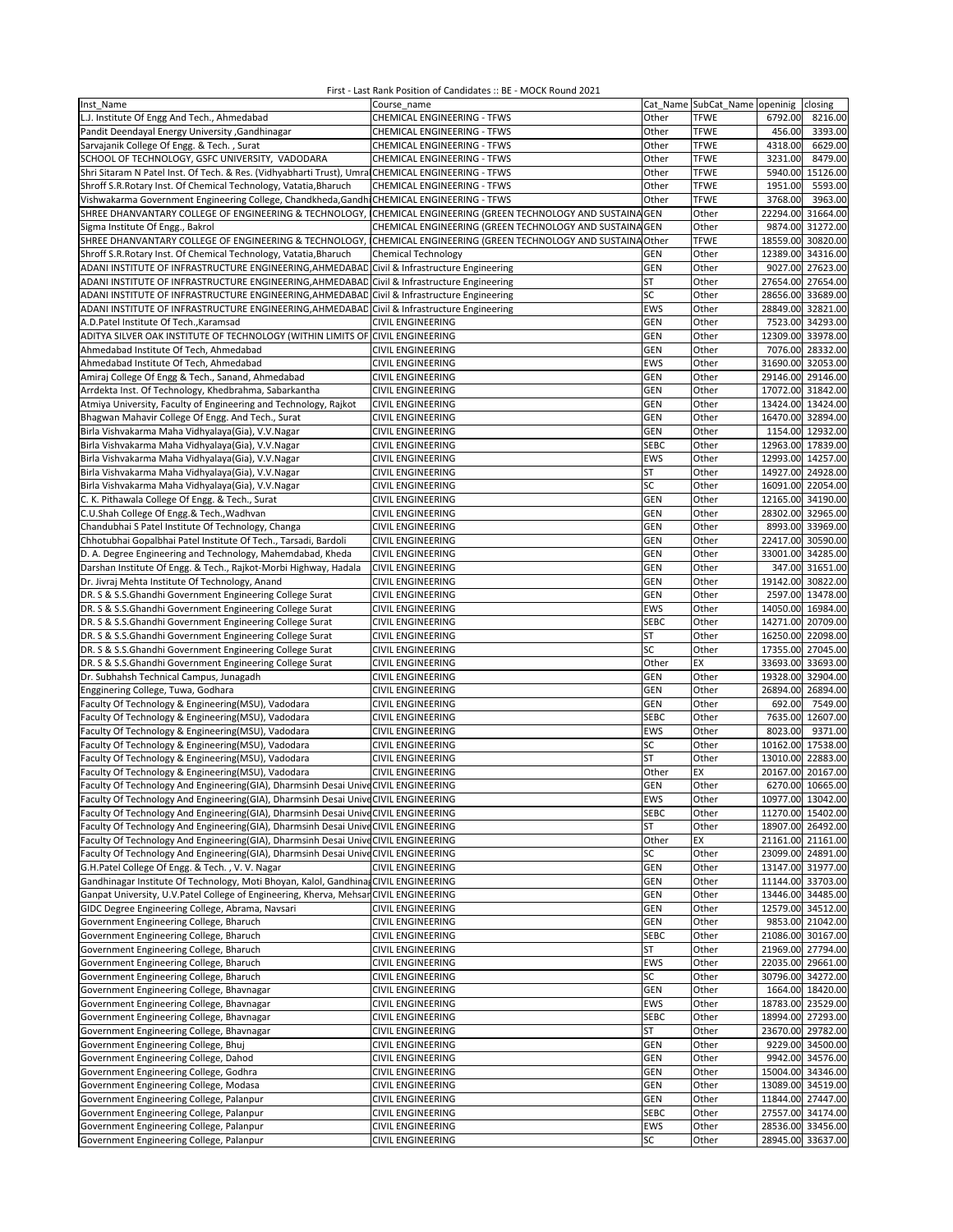| Inst Name                                                                                         | Course name                                               |             | Cat Name SubCat Name openinig | closing              |
|---------------------------------------------------------------------------------------------------|-----------------------------------------------------------|-------------|-------------------------------|----------------------|
| L.J. Institute Of Engg And Tech., Ahmedabad                                                       | CHEMICAL ENGINEERING - TFWS                               | Other       | <b>TFWE</b>                   | 6792.00<br>8216.00   |
|                                                                                                   |                                                           |             |                               |                      |
| Pandit Deendayal Energy University , Gandhinagar                                                  | CHEMICAL ENGINEERING - TFWS                               | Other       | <b>TFWE</b>                   | 456.00<br>3393.00    |
| Sarvajanik College Of Engg. & Tech., Surat                                                        | CHEMICAL ENGINEERING - TFWS                               | Other       | <b>TFWE</b>                   | 4318.00<br>6629.00   |
| SCHOOL OF TECHNOLOGY, GSFC UNIVERSITY, VADODARA                                                   | CHEMICAL ENGINEERING - TFWS                               | Other       | <b>TFWE</b>                   | 8479.00<br>3231.00   |
| Shri Sitaram N Patel Inst. Of Tech. & Res. (Vidhyabharti Trust), Umra CHEMICAL ENGINEERING - TFWS |                                                           | Other       | <b>TFWE</b>                   | 15126.00<br>5940.00  |
| Shroff S.R.Rotary Inst. Of Chemical Technology, Vatatia, Bharuch                                  | <b>CHEMICAL ENGINEERING - TFWS</b>                        | Other       | <b>TFWE</b>                   | 5593.00<br>1951.00   |
| Vishwakarma Government Engineering College, Chandkheda, Gandhi CHEMICAL ENGINEERING - TFWS        |                                                           | Other       | <b>TFWE</b>                   | 3768.00<br>3963.00   |
|                                                                                                   |                                                           |             |                               |                      |
| SHREE DHANVANTARY COLLEGE OF ENGINEERING & TECHNOLOGY,                                            | CHEMICAL ENGINEERING (GREEN TECHNOLOGY AND SUSTAINA GEN   |             | Other                         | 22294.00 31664.00    |
| Sigma Institute Of Engg., Bakrol                                                                  | CHEMICAL ENGINEERING (GREEN TECHNOLOGY AND SUSTAINA GEN   |             | Other                         | 9874.00 31272.00     |
| SHREE DHANVANTARY COLLEGE OF ENGINEERING & TECHNOLOGY,                                            | CHEMICAL ENGINEERING (GREEN TECHNOLOGY AND SUSTAINA Other |             | <b>TFWE</b>                   | 18559.00<br>30820.00 |
| Shroff S.R.Rotary Inst. Of Chemical Technology, Vatatia, Bharuch                                  | <b>Chemical Technology</b>                                | GEN         | Other                         | 12389.00 34316.00    |
| ADANI INSTITUTE OF INFRASTRUCTURE ENGINEERING, AHMEDABAD Civil & Infrastructure Engineering       |                                                           | GEN         | Other                         | 9027.00 27623.00     |
|                                                                                                   |                                                           |             |                               |                      |
| ADANI INSTITUTE OF INFRASTRUCTURE ENGINEERING, AHMEDABAD Civil & Infrastructure Engineering       |                                                           | <b>ST</b>   | Other                         | 27654.00 27654.00    |
| ADANI INSTITUTE OF INFRASTRUCTURE ENGINEERING, AHMEDABAD                                          | Civil & Infrastructure Engineering                        | SC          | Other                         | 28656.00 33689.00    |
| ADANI INSTITUTE OF INFRASTRUCTURE ENGINEERING, AHMEDABAD                                          | Civil & Infrastructure Engineering                        | EWS         | Other                         | 28849.00 32821.00    |
| A.D.Patel Institute Of Tech., Karamsad                                                            | CIVIL ENGINEERING                                         | GEN         | Other                         | 7523.00 34293.00     |
|                                                                                                   |                                                           |             |                               |                      |
| ADITYA SILVER OAK INSTITUTE OF TECHNOLOGY (WITHIN LIMITS OF CIVIL ENGINEERING                     |                                                           | GEN         | Other                         | 12309.00 33978.00    |
| Ahmedabad Institute Of Tech, Ahmedabad                                                            | <b>CIVIL ENGINEERING</b>                                  | <b>GEN</b>  | Other                         | 7076.00 28332.00     |
| Ahmedabad Institute Of Tech, Ahmedabad                                                            | <b>CIVIL ENGINEERING</b>                                  | EWS         | Other                         | 31690.00 32053.00    |
| Amiraj College Of Engg & Tech., Sanand, Ahmedabad                                                 | <b>CIVIL ENGINEERING</b>                                  | GEN         | Other                         | 29146.00 29146.00    |
| Arrdekta Inst. Of Technology, Khedbrahma, Sabarkantha                                             | <b>CIVIL ENGINEERING</b>                                  | <b>GEN</b>  | Other                         | 17072.00 31842.00    |
|                                                                                                   |                                                           |             |                               |                      |
| Atmiya University, Faculty of Engineering and Technology, Rajkot                                  | CIVIL ENGINEERING                                         | GEN         | Other                         | 13424.00 13424.00    |
| Bhagwan Mahavir College Of Engg. And Tech., Surat                                                 | CIVIL ENGINEERING                                         | GEN         | Other                         | 16470.00 32894.00    |
| Birla Vishvakarma Maha Vidhyalaya(Gia), V.V.Nagar                                                 | CIVIL ENGINEERING                                         | GEN         | Other                         | 1154.00 12932.00     |
| Birla Vishvakarma Maha Vidhyalaya(Gia), V.V.Nagar                                                 | <b>CIVIL ENGINEERING</b>                                  | <b>SEBC</b> | Other                         | 12963.00 17839.00    |
| Birla Vishvakarma Maha Vidhyalaya(Gia), V.V.Nagar                                                 | <b>CIVIL ENGINEERING</b>                                  | EWS         | Other                         | 12993.00 14257.00    |
|                                                                                                   |                                                           |             |                               |                      |
| Birla Vishvakarma Maha Vidhyalaya(Gia), V.V.Nagar                                                 | CIVIL ENGINEERING                                         | ST          | Other                         | 14927.00 24928.00    |
| Birla Vishvakarma Maha Vidhyalaya(Gia), V.V.Nagar                                                 | <b>CIVIL ENGINEERING</b>                                  | SC          | Other                         | 16091.00 22054.00    |
| C. K. Pithawala College Of Engg. & Tech., Surat                                                   | CIVIL ENGINEERING                                         | GEN         | Other                         | 12165.00 34190.00    |
| C.U.Shah College Of Engg.& Tech., Wadhvan                                                         | CIVIL ENGINEERING                                         | GEN         | Other                         | 28302.00 32965.00    |
|                                                                                                   |                                                           |             |                               |                      |
| Chandubhai S Patel Institute Of Technology, Changa                                                | <b>CIVIL ENGINEERING</b>                                  | <b>GEN</b>  | Other                         | 8993.00 33969.00     |
| Chhotubhai Gopalbhai Patel Institute Of Tech., Tarsadi, Bardoli                                   | <b>CIVIL ENGINEERING</b>                                  | <b>GEN</b>  | Other                         | 22417.00 30590.00    |
| D. A. Degree Engineering and Technology, Mahemdabad, Kheda                                        | CIVIL ENGINEERING                                         | GEN         | Other                         | 33001.00 34285.00    |
| Darshan Institute Of Engg. & Tech., Rajkot-Morbi Highway, Hadala                                  | CIVIL ENGINEERING                                         | GEN         | Other                         | 347.00 31651.00      |
| Dr. Jivraj Mehta Institute Of Technology, Anand                                                   | CIVIL ENGINEERING                                         | GEN         | Other                         | 19142.00 30822.00    |
|                                                                                                   |                                                           |             |                               | 2597.00 13478.00     |
| DR. S & S.S.Ghandhi Government Engineering College Surat                                          | CIVIL ENGINEERING                                         | GEN         | Other                         |                      |
| DR. S & S.S.Ghandhi Government Engineering College Surat                                          | <b>CIVIL ENGINEERING</b>                                  | EWS         | Other                         | 14050.00 16984.00    |
| DR. S & S.S.Ghandhi Government Engineering College Surat                                          | <b>CIVIL ENGINEERING</b>                                  | <b>SEBC</b> | Other                         | 14271.00 20709.00    |
| DR. S & S.S.Ghandhi Government Engineering College Surat                                          | <b>CIVIL ENGINEERING</b>                                  | ST          | Other                         | 16250.00 22098.00    |
| DR. S & S.S.Ghandhi Government Engineering College Surat                                          | <b>CIVIL ENGINEERING</b>                                  | SC          | Other                         | 17355.00 27045.00    |
|                                                                                                   |                                                           | Other       | EX                            | 33693.00 33693.00    |
| DR. S & S.S.Ghandhi Government Engineering College Surat                                          | <b>CIVIL ENGINEERING</b>                                  |             |                               |                      |
| Dr. Subhahsh Technical Campus, Junagadh                                                           | CIVIL ENGINEERING                                         | GEN         | Other                         | 19328.00 32904.00    |
| Engginering College, Tuwa, Godhara                                                                | <b>CIVIL ENGINEERING</b>                                  | GEN         | Other                         | 26894.00 26894.00    |
| Faculty Of Technology & Engineering(MSU), Vadodara                                                | CIVIL ENGINEERING                                         | <b>GEN</b>  | Other                         | 692.00<br>7549.00    |
| Faculty Of Technology & Engineering(MSU), Vadodara                                                | CIVIL ENGINEERING                                         | <b>SEBC</b> | Other                         | 7635.00 12607.00     |
| Faculty Of Technology & Engineering(MSU), Vadodara                                                | <b>CIVIL ENGINEERING</b>                                  | EWS         | Other                         | 8023.00<br>9371.00   |
|                                                                                                   |                                                           |             |                               |                      |
| Faculty Of Technology & Engineering(MSU), Vadodara                                                | CIVIL ENGINEERING                                         | SC          | Other                         | 10162.00 17538.00    |
| Faculty Of Technology & Engineering(MSU), Vadodara                                                | CIVIL ENGINEERING                                         | <b>ST</b>   | Other                         | 13010.00 22883.00    |
| Faculty Of Technology & Engineering(MSU), Vadodara                                                | <b>CIVIL ENGINEERING</b>                                  | Other       | EX                            | 20167.00 20167.00    |
| Faculty Of Technology And Engineering(GIA), Dharmsinh Desai UniveCIVIL ENGINEERING                |                                                           | GEN         | Other                         | 6270.00 10665.00     |
|                                                                                                   |                                                           |             |                               |                      |
| Faculty Of Technology And Engineering(GIA), Dharmsinh Desai Unive CIVIL ENGINEERING               |                                                           | EWS         | Other                         | 10977.00 13042.00    |
| Faculty Of Technology And Engineering(GIA), Dharmsinh Desai Unive CIVIL ENGINEERING               |                                                           | <b>SEBC</b> | Other                         | 11270.00 15402.00    |
| Faculty Of Technology And Engineering(GIA), Dharmsinh Desai Unive CIVIL ENGINEERING               |                                                           | <b>ST</b>   | Other                         | 18907.00 26492.00    |
| Faculty Of Technology And Engineering(GIA), Dharmsinh Desai UniveCIVIL ENGINEERING                |                                                           | Other       | EX                            | 21161.00 21161.00    |
| Faculty Of Technology And Engineering(GIA), Dharmsinh Desai UniveCIVIL ENGINEERING                |                                                           | SC          | Other                         | 23099.00 24891.00    |
| G.H.Patel College Of Engg. & Tech., V. V. Nagar                                                   | CIVIL ENGINEERING                                         | <b>GEN</b>  | Other                         | 13147.00 31977.00    |
|                                                                                                   |                                                           |             |                               |                      |
| Gandhinagar Institute Of Technology, Moti Bhoyan, Kalol, Gandhina CIVIL ENGINEERING               |                                                           | <b>GEN</b>  | Other                         | 11144.00 33703.00    |
| Ganpat University, U.V.Patel College of Engineering, Kherva, Mehsan CIVIL ENGINEERING             |                                                           | <b>GEN</b>  | Other                         | 13446.00 34485.00    |
| GIDC Degree Engineering College, Abrama, Navsari                                                  | CIVIL ENGINEERING                                         | GEN         | Other                         | 12579.00 34512.00    |
| Government Engineering College, Bharuch                                                           | CIVIL ENGINEERING                                         | <b>GEN</b>  | Other                         | 9853.00 21042.00     |
| Government Engineering College, Bharuch                                                           |                                                           | <b>SEBC</b> | Other                         | 21086.00 30167.00    |
|                                                                                                   | CIVIL ENGINEERING                                         |             |                               |                      |
| Government Engineering College, Bharuch                                                           | CIVIL ENGINEERING                                         | ST          | Other                         | 21969.00 27794.00    |
| Government Engineering College, Bharuch                                                           | <b>CIVIL ENGINEERING</b>                                  | EWS         | Other                         | 22035.00 29661.00    |
| Government Engineering College, Bharuch                                                           | CIVIL ENGINEERING                                         | SC          | Other                         | 30796.00 34272.00    |
| Government Engineering College, Bhavnagar                                                         | <b>CIVIL ENGINEERING</b>                                  | <b>GEN</b>  | Other                         | 1664.00 18420.00     |
|                                                                                                   |                                                           |             |                               |                      |
| Government Engineering College, Bhavnagar                                                         | <b>CIVIL ENGINEERING</b>                                  | EWS         | Other                         | 18783.00 23529.00    |
| Government Engineering College, Bhavnagar                                                         | <b>CIVIL ENGINEERING</b>                                  | <b>SEBC</b> | Other                         | 18994.00 27293.00    |
| Government Engineering College, Bhavnagar                                                         | <b>CIVIL ENGINEERING</b>                                  | ST          | Other                         | 23670.00 29782.00    |
| Government Engineering College, Bhuj                                                              | CIVIL ENGINEERING                                         | <b>GEN</b>  | Other                         | 9229.00 34500.00     |
| Government Engineering College, Dahod                                                             | <b>CIVIL ENGINEERING</b>                                  | <b>GEN</b>  | Other                         | 9942.00 34576.00     |
|                                                                                                   |                                                           |             |                               |                      |
| Government Engineering College, Godhra                                                            | CIVIL ENGINEERING                                         | <b>GEN</b>  | Other                         | 15004.00 34346.00    |
| Government Engineering College, Modasa                                                            | CIVIL ENGINEERING                                         | GEN         | Other                         | 13089.00 34519.00    |
| Government Engineering College, Palanpur                                                          | CIVIL ENGINEERING                                         | <b>GEN</b>  | Other                         | 11844.00 27447.00    |
| Government Engineering College, Palanpur                                                          | <b>CIVIL ENGINEERING</b>                                  | <b>SEBC</b> | Other                         | 27557.00 34174.00    |
| Government Engineering College, Palanpur                                                          | CIVIL ENGINEERING                                         | EWS         | Other                         | 28536.00 33456.00    |
|                                                                                                   |                                                           |             |                               |                      |
| Government Engineering College, Palanpur                                                          | CIVIL ENGINEERING                                         | SC          | Other                         | 28945.00 33637.00    |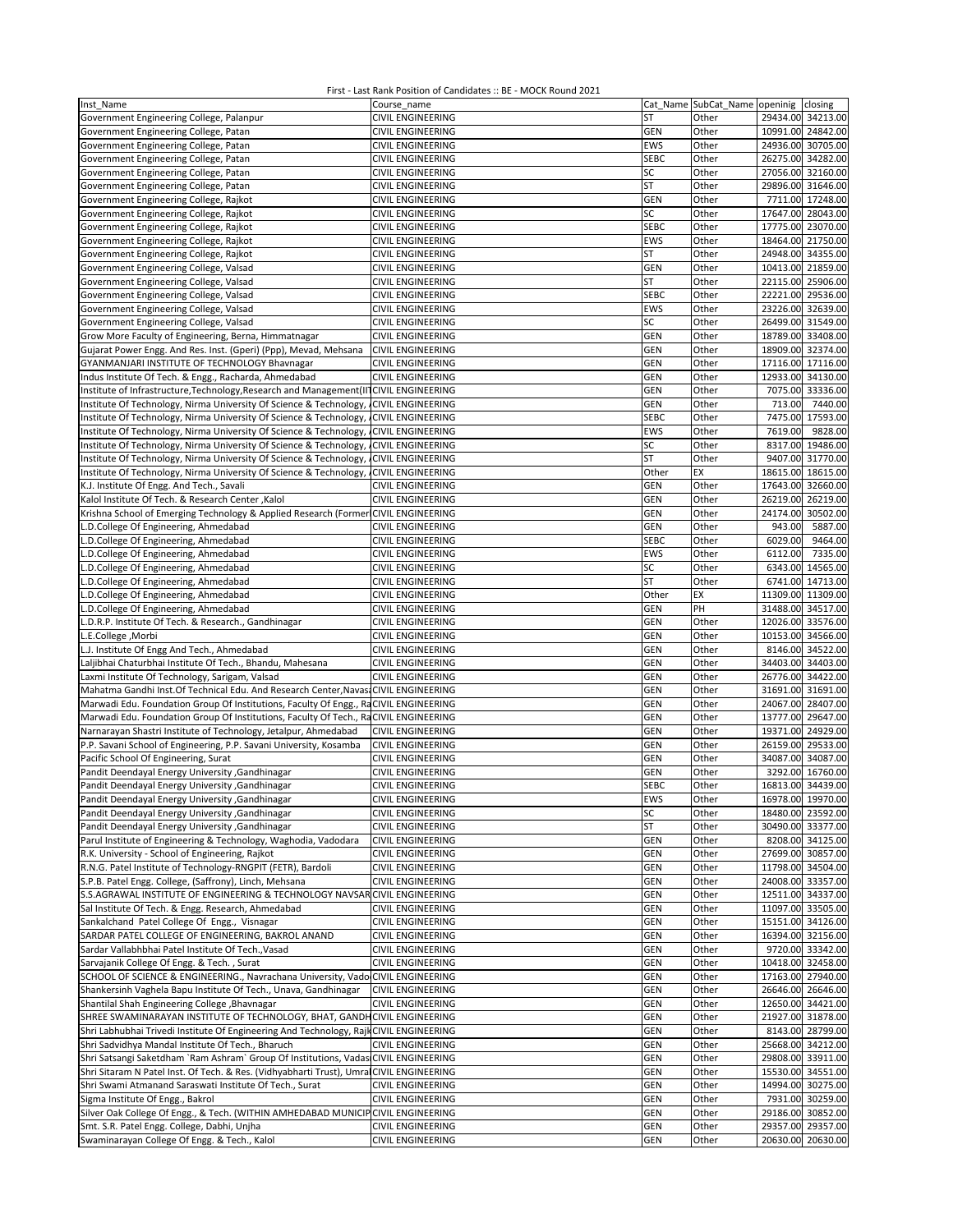| Inst Name                                                                               | Course_name              |             |       | Cat_Name SubCat_Name openinig closing |
|-----------------------------------------------------------------------------------------|--------------------------|-------------|-------|---------------------------------------|
| Government Engineering College, Palanpur                                                | CIVIL ENGINEERING        | ST          | Other | 29434.00 34213.00                     |
| Government Engineering College, Patan                                                   | <b>CIVIL ENGINEERING</b> | GEN         | Other | 10991.00 24842.00                     |
| Government Engineering College, Patan                                                   | CIVIL ENGINEERING        | <b>EWS</b>  | Other | 24936.00 30705.00                     |
| Government Engineering College, Patan                                                   | CIVIL ENGINEERING        | <b>SEBC</b> | Other | 26275.00 34282.00                     |
|                                                                                         |                          |             |       |                                       |
| Government Engineering College, Patan                                                   | <b>CIVIL ENGINEERING</b> | SC          | Other | 27056.00 32160.00                     |
| Government Engineering College, Patan                                                   | <b>CIVIL ENGINEERING</b> | <b>ST</b>   | Other | 29896.00 31646.00                     |
| Government Engineering College, Rajkot                                                  | <b>CIVIL ENGINEERING</b> | GEN         | Other | 7711.00 17248.00                      |
| Government Engineering College, Rajkot                                                  | <b>CIVIL ENGINEERING</b> | SC          | Other | 17647.00 28043.00                     |
| Government Engineering College, Rajkot                                                  | <b>CIVIL ENGINEERING</b> | <b>SEBC</b> | Other | 17775.00 23070.00                     |
| Government Engineering College, Rajkot                                                  | <b>CIVIL ENGINEERING</b> | EWS         | Other | 18464.00 21750.00                     |
| Government Engineering College, Rajkot                                                  | CIVIL ENGINEERING        | ST          | Other | 24948.00 34355.00                     |
| Government Engineering College, Valsad                                                  | CIVIL ENGINEERING        | GEN         | Other | 10413.00 21859.00                     |
| Government Engineering College, Valsad                                                  | CIVIL ENGINEERING        | ST          | Other | 22115.00 25906.00                     |
| Government Engineering College, Valsad                                                  | <b>CIVIL ENGINEERING</b> | <b>SEBC</b> | Other | 22221.00 29536.00                     |
| Government Engineering College, Valsad                                                  | <b>CIVIL ENGINEERING</b> | <b>EWS</b>  | Other | 23226.00 32639.00                     |
| Government Engineering College, Valsad                                                  | <b>CIVIL ENGINEERING</b> | SC          | Other | 26499.00 31549.00                     |
| Grow More Faculty of Engineering, Berna, Himmatnagar                                    | <b>CIVIL ENGINEERING</b> | GEN         | Other | 18789.00 33408.00                     |
|                                                                                         |                          |             |       |                                       |
| Gujarat Power Engg. And Res. Inst. (Gperi) (Ppp), Mevad, Mehsana                        | <b>CIVIL ENGINEERING</b> | <b>GEN</b>  | Other | 18909.00 32374.00                     |
| GYANMANJARI INSTITUTE OF TECHNOLOGY Bhavnagar                                           | <b>CIVIL ENGINEERING</b> | GEN         | Other | 17116.00 17116.00                     |
| Indus Institute Of Tech. & Engg., Racharda, Ahmedabad                                   | <b>CIVIL ENGINEERING</b> | <b>GEN</b>  | Other | 12933.00 34130.00                     |
| Institute of Infrastructure, Technology, Research and Management (II CIVIL ENGINEERING  |                          | GEN         | Other | 7075.00 33336.00                      |
| Institute Of Technology, Nirma University Of Science & Technology, CIVIL ENGINEERING    |                          | GEN         | Other | 713.00<br>7440.00                     |
| Institute Of Technology, Nirma University Of Science & Technology,                      | <b>CIVIL ENGINEERING</b> | <b>SEBC</b> | Other | 7475.00 17593.00                      |
| Institute Of Technology, Nirma University Of Science & Technology, CIVIL ENGINEERING    |                          | <b>EWS</b>  | Other | 7619.00<br>9828.00                    |
| Institute Of Technology, Nirma University Of Science & Technology,                      | <b>CIVIL ENGINEERING</b> | SC          | Other | 19486.00<br>8317.00                   |
| Institute Of Technology, Nirma University Of Science & Technology,                      | <b>CIVIL ENGINEERING</b> | ST          | Other | 9407.00 31770.00                      |
| Institute Of Technology, Nirma University Of Science & Technology,                      | <b>CIVIL ENGINEERING</b> | Other       | EX    | 18615.00 18615.00                     |
| K.J. Institute Of Engg. And Tech., Savali                                               | <b>CIVIL ENGINEERING</b> | GEN         | Other | 17643.00 32660.00                     |
| Kalol Institute Of Tech. & Research Center, Kalol                                       | <b>CIVIL ENGINEERING</b> | GEN         | Other | 26219.00<br>26219.00                  |
|                                                                                         |                          |             |       | 30502.00                              |
| Krishna School of Emerging Technology & Applied Research (Former CIVIL ENGINEERING      |                          | GEN         | Other | 24174.00                              |
| L.D.College Of Engineering, Ahmedabad                                                   | <b>CIVIL ENGINEERING</b> | <b>GEN</b>  | Other | 943.00<br>5887.00                     |
| L.D.College Of Engineering, Ahmedabad                                                   | <b>CIVIL ENGINEERING</b> | <b>SEBC</b> | Other | 6029.00<br>9464.00                    |
| L.D.College Of Engineering, Ahmedabad                                                   | <b>CIVIL ENGINEERING</b> | EWS         | Other | 6112.00<br>7335.00                    |
| L.D.College Of Engineering, Ahmedabad                                                   | <b>CIVIL ENGINEERING</b> | SC          | Other | 6343.00 14565.00                      |
| L.D.College Of Engineering, Ahmedabad                                                   | <b>CIVIL ENGINEERING</b> | ST          | Other | 6741.00 14713.00                      |
| L.D.College Of Engineering, Ahmedabad                                                   | CIVIL ENGINEERING        | Other       | EX    | 11309.00 11309.00                     |
| L.D.College Of Engineering, Ahmedabad                                                   | CIVIL ENGINEERING        | GEN         | PH    | 31488.00 34517.00                     |
| L.D.R.P. Institute Of Tech. & Research., Gandhinagar                                    | CIVIL ENGINEERING        | GEN         | Other | 12026.00<br>33576.00                  |
| L.E.College, Morbi                                                                      | <b>CIVIL ENGINEERING</b> | GEN         | Other | 10153.00 34566.00                     |
| L.J. Institute Of Engg And Tech., Ahmedabad                                             | <b>CIVIL ENGINEERING</b> | GEN         | Other | 8146.00<br>34522.00                   |
| Laljibhai Chaturbhai Institute Of Tech., Bhandu, Mahesana                               |                          | GEN         | Other | 34403.00 34403.00                     |
|                                                                                         | <b>CIVIL ENGINEERING</b> |             |       |                                       |
| Laxmi Institute Of Technology, Sarigam, Valsad                                          | <b>CIVIL ENGINEERING</b> | GEN         | Other | 26776.00 34422.00                     |
| Mahatma Gandhi Inst.Of Technical Edu. And Research Center, Navasi CIVIL ENGINEERING     |                          | GEN         | Other | 31691.00 31691.00                     |
| Marwadi Edu. Foundation Group Of Institutions, Faculty Of Engg., RaCIVIL ENGINEERING    |                          | GEN         | Other | 24067.00 28407.00                     |
| Marwadi Edu. Foundation Group Of Institutions, Faculty Of Tech., RaCIVIL ENGINEERING    |                          | GEN         | Other | 13777.00 29647.00                     |
| Narnarayan Shastri Institute of Technology, Jetalpur, Ahmedabad                         | CIVIL ENGINEERING        | GEN         | Other | 19371.00 24929.00                     |
| P.P. Savani School of Engineering, P.P. Savani University, Kosamba                      | <b>CIVIL ENGINEERING</b> | <b>GEN</b>  | Other | 26159.00 29533.00                     |
| Pacific School Of Engineering, Surat                                                    | CIVIL ENGINEERING        | GEN         | Other | 34087.00 34087.00                     |
| Pandit Deendayal Energy University , Gandhinagar                                        | CIVIL ENGINEERING        | GEN         | Other | 3292.00 16760.00                      |
| Pandit Deendayal Energy University , Gandhinagar                                        | CIVIL ENGINEERING        | <b>SEBC</b> | Other | 16813.00 34439.00                     |
| Pandit Deendayal Energy University , Gandhinagar                                        | <b>CIVIL ENGINEERING</b> | EWS         | Other | 16978.00 19970.00                     |
| Pandit Deendayal Energy University , Gandhinagar                                        | <b>CIVIL ENGINEERING</b> | SC          | Other | 18480.00 23592.00                     |
| Pandit Deendayal Energy University , Gandhinagar                                        | <b>CIVIL ENGINEERING</b> | ST          | Other | 30490.00 33377.00                     |
| Parul Institute of Engineering & Technology, Waghodia, Vadodara                         |                          | GEN         | Other | 8208.00 34125.00                      |
|                                                                                         | <b>CIVIL ENGINEERING</b> |             |       |                                       |
| R.K. University - School of Engineering, Rajkot                                         | <b>CIVIL ENGINEERING</b> | <b>GEN</b>  | Other | 27699.00 30857.00                     |
| R.N.G. Patel Institute of Technology-RNGPIT (FETR), Bardoli                             | <b>CIVIL ENGINEERING</b> | GEN         | Other | 11798.00 34504.00                     |
| S.P.B. Patel Engg. College, (Saffrony), Linch, Mehsana                                  | <b>CIVIL ENGINEERING</b> | <b>GEN</b>  | Other | 24008.00 33357.00                     |
| S.S.AGRAWAL INSTITUTE OF ENGINEERING & TECHNOLOGY NAVSAR CIVIL ENGINEERING              |                          | <b>GEN</b>  | Other | 12511.00 34337.00                     |
| Sal Institute Of Tech. & Engg. Research, Ahmedabad                                      | <b>CIVIL ENGINEERING</b> | GEN         | Other | 11097.00 33505.00                     |
| Sankalchand Patel College Of Engg., Visnagar                                            | <b>CIVIL ENGINEERING</b> | GEN         | Other | 15151.00 34126.00                     |
| SARDAR PATEL COLLEGE OF ENGINEERING, BAKROL ANAND                                       | <b>CIVIL ENGINEERING</b> | <b>GEN</b>  | Other | 16394.00 32156.00                     |
| Sardar Vallabhbhai Patel Institute Of Tech., Vasad                                      | <b>CIVIL ENGINEERING</b> | <b>GEN</b>  | Other | 9720.00 33342.00                      |
| Sarvajanik College Of Engg. & Tech., Surat                                              | <b>CIVIL ENGINEERING</b> | GEN         | Other | 10418.00 32458.00                     |
| SCHOOL OF SCIENCE & ENGINEERING., Navrachana University, Vado CIVIL ENGINEERING         |                          | GEN         | Other | 17163.00 27940.00                     |
| Shankersinh Vaghela Bapu Institute Of Tech., Unava, Gandhinagar                         | <b>CIVIL ENGINEERING</b> | GEN         | Other | 26646.00 26646.00                     |
| Shantilal Shah Engineering College, Bhavnagar                                           | <b>CIVIL ENGINEERING</b> | <b>GEN</b>  | Other | 12650.00 34421.00                     |
|                                                                                         |                          |             |       |                                       |
| SHREE SWAMINARAYAN INSTITUTE OF TECHNOLOGY, BHAT, GANDHCIVIL ENGINEERING                |                          | GEN         | Other | 21927.00 31878.00                     |
| Shri Labhubhai Trivedi Institute Of Engineering And Technology, Rajk CIVIL ENGINEERING  |                          | <b>GEN</b>  | Other | 8143.00 28799.00                      |
| Shri Sadvidhya Mandal Institute Of Tech., Bharuch                                       | <b>CIVIL ENGINEERING</b> | GEN         | Other | 25668.00 34212.00                     |
| Shri Satsangi Saketdham `Ram Ashram` Group Of Institutions, Vadas CIVIL ENGINEERING     |                          | <b>GEN</b>  | Other | 29808.00 33911.00                     |
| Shri Sitaram N Patel Inst. Of Tech. & Res. (Vidhyabharti Trust), Umra CIVIL ENGINEERING |                          | GEN         | Other | 15530.00 34551.00                     |
| Shri Swami Atmanand Saraswati Institute Of Tech., Surat                                 | <b>CIVIL ENGINEERING</b> | GEN         | Other | 14994.00 30275.00                     |
| Sigma Institute Of Engg., Bakrol                                                        | CIVIL ENGINEERING        | GEN         | Other | 7931.00 30259.00                      |
| Silver Oak College Of Engg., & Tech. (WITHIN AMHEDABAD MUNICIP CIVIL ENGINEERING        |                          | <b>GEN</b>  | Other | 29186.00 30852.00                     |
| Smt. S.R. Patel Engg. College, Dabhi, Unjha                                             | CIVIL ENGINEERING        | GEN         | Other | 29357.00 29357.00                     |
| Swaminarayan College Of Engg. & Tech., Kalol                                            | CIVIL ENGINEERING        | GEN         | Other | 20630.00 20630.00                     |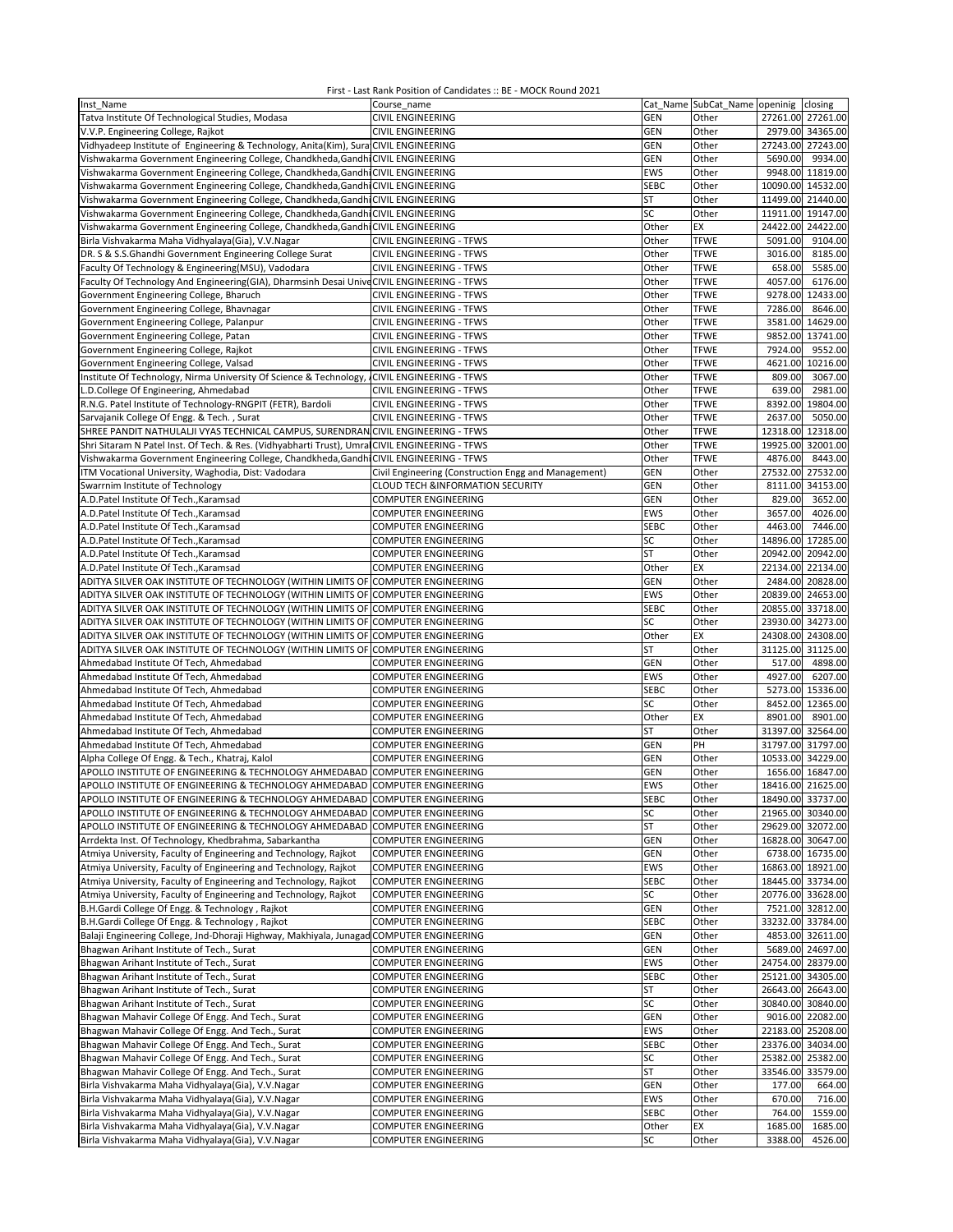| Inst Name                                                                                                                                                  | Course name                                                |                    | Cat Name SubCat_Name openinig closing |                                        |          |
|------------------------------------------------------------------------------------------------------------------------------------------------------------|------------------------------------------------------------|--------------------|---------------------------------------|----------------------------------------|----------|
| Tatva Institute Of Technological Studies, Modasa                                                                                                           | <b>CIVIL ENGINEERING</b>                                   | <b>GEN</b>         | Other                                 | 27261.00 27261.00                      |          |
| V.V.P. Engineering College, Rajkot                                                                                                                         | <b>CIVIL ENGINEERING</b>                                   | GEN                | Other                                 | 2979.00 34365.00                       |          |
| Vidhyadeep Institute of Engineering & Technology, Anita(Kim), Sura CIVIL ENGINEERING                                                                       |                                                            | GEN                | Other                                 | 27243.00 27243.00                      |          |
| Vishwakarma Government Engineering College, Chandkheda, Gandhi CIVIL ENGINEERING                                                                           |                                                            | GEN                | Other                                 | 5690.00                                | 9934.00  |
| Vishwakarma Government Engineering College, Chandkheda, Gandhi CIVIL ENGINEERING                                                                           |                                                            | EWS                | Other                                 | 9948.00 11819.00                       |          |
| Vishwakarma Government Engineering College, Chandkheda, Gandhi CIVIL ENGINEERING                                                                           |                                                            | <b>SEBC</b>        | Other                                 | 10090.00 14532.00                      |          |
| Vishwakarma Government Engineering College, Chandkheda, Gandhi CIVIL ENGINEERING                                                                           |                                                            | ST                 | Other                                 | 11499.00                               | 21440.00 |
| Vishwakarma Government Engineering College, Chandkheda, Gandhi CIVIL ENGINEERING                                                                           |                                                            | SC                 | Other                                 | 11911.00                               | 19147.00 |
| Vishwakarma Government Engineering College, Chandkheda, Gandhi CIVIL ENGINEERING                                                                           |                                                            | Other              | EX                                    | 24422.00 24422.00                      |          |
| Birla Vishvakarma Maha Vidhyalaya(Gia), V.V.Nagar                                                                                                          | CIVIL ENGINEERING - TFWS                                   | Other              | <b>TFWE</b>                           | 5091.00                                | 9104.00  |
| DR. S & S.S.Ghandhi Government Engineering College Surat                                                                                                   | CIVIL ENGINEERING - TFWS                                   | Other              | <b>TFWE</b>                           | 3016.00                                | 8185.00  |
| Faculty Of Technology & Engineering(MSU), Vadodara                                                                                                         | <b>CIVIL ENGINEERING - TFWS</b>                            | Other              | <b>TFWE</b>                           | 658.00                                 | 5585.00  |
| Faculty Of Technology And Engineering(GIA), Dharmsinh Desai Unive CIVIL ENGINEERING - TFWS                                                                 |                                                            | Other              | <b>TFWE</b>                           | 4057.00                                | 6176.00  |
| Government Engineering College, Bharuch                                                                                                                    | CIVIL ENGINEERING - TFWS                                   | Other              | <b>TFWE</b>                           | 9278.00                                | 12433.00 |
| Government Engineering College, Bhavnagar                                                                                                                  | CIVIL ENGINEERING - TFWS                                   | Other              | <b>TFWE</b>                           | 7286.00                                | 8646.00  |
| Government Engineering College, Palanpur                                                                                                                   | CIVIL ENGINEERING - TFWS                                   | Other              | <b>TFWE</b>                           | 3581.00                                | 14629.00 |
| Government Engineering College, Patan                                                                                                                      | CIVIL ENGINEERING - TFWS                                   | Other              | <b>TFWE</b>                           | 9852.00 13741.00                       |          |
| Government Engineering College, Rajkot                                                                                                                     | CIVIL ENGINEERING - TFWS                                   | Other              | <b>TFWE</b>                           | 7924.00                                | 9552.00  |
| Government Engineering College, Valsad                                                                                                                     | CIVIL ENGINEERING - TFWS                                   | Other              | <b>TFWE</b>                           | 4621.00                                | 10216.00 |
| Institute Of Technology, Nirma University Of Science & Technology, ICIVIL ENGINEERING - TFWS                                                               |                                                            | Other              | <b>TFWE</b>                           | 809.00                                 | 3067.00  |
| L.D.College Of Engineering, Ahmedabad                                                                                                                      | CIVIL ENGINEERING - TFWS                                   | Other              | <b>TFWE</b>                           | 639.00                                 | 2981.00  |
| R.N.G. Patel Institute of Technology-RNGPIT (FETR), Bardoli                                                                                                | CIVIL ENGINEERING - TFWS                                   | Other              | <b>TFWE</b>                           | 8392.00                                | 19804.00 |
| Sarvajanik College Of Engg. & Tech., Surat                                                                                                                 | CIVIL ENGINEERING - TFWS                                   | Other              | <b>TFWE</b>                           | 2637.00                                | 5050.00  |
| SHREE PANDIT NATHULALJI VYAS TECHNICAL CAMPUS, SURENDRAN CIVIL ENGINEERING - TFWS                                                                          |                                                            | Other              | <b>TFWE</b>                           | 12318.00                               | 12318.00 |
| Shri Sitaram N Patel Inst. Of Tech. & Res. (Vidhyabharti Trust), Umra CIVIL ENGINEERING - TFWS                                                             |                                                            | Other              | <b>TFWE</b>                           | 19925.00                               | 32001.00 |
| Vishwakarma Government Engineering College, Chandkheda, Gandhi                                                                                             | <b>CIVIL ENGINEERING - TFWS</b>                            | Other              | <b>TFWE</b>                           | 4876.00                                | 8443.00  |
| ITM Vocational University, Waghodia, Dist: Vadodara                                                                                                        | Civil Engineering (Construction Engg and Management)       | GEN                | Other                                 | 27532.00 27532.00                      |          |
| Swarrnim Institute of Technology                                                                                                                           | <b>CLOUD TECH &amp;INFORMATION SECURITY</b>                | GEN                | Other                                 | 8111.00                                | 34153.00 |
| A.D.Patel Institute Of Tech., Karamsad                                                                                                                     | <b>COMPUTER ENGINEERING</b>                                | GEN                | Other                                 | 829.00                                 | 3652.00  |
| A.D.Patel Institute Of Tech., Karamsad                                                                                                                     | <b>COMPUTER ENGINEERING</b>                                | EWS                | Other                                 | 3657.00                                | 4026.00  |
| A.D.Patel Institute Of Tech., Karamsad                                                                                                                     | <b>COMPUTER ENGINEERING</b>                                | <b>SEBC</b>        | Other                                 | 4463.00                                | 7446.00  |
| A.D.Patel Institute Of Tech., Karamsad                                                                                                                     | COMPUTER ENGINEERING                                       | SC                 | Other                                 | 14896.00                               | 17285.00 |
| A.D.Patel Institute Of Tech., Karamsad                                                                                                                     | COMPUTER ENGINEERING                                       | ST                 | Other                                 | 20942.00                               | 20942.00 |
| A.D.Patel Institute Of Tech., Karamsad                                                                                                                     | <b>COMPUTER ENGINEERING</b>                                | Other              | EX                                    | 22134.00                               | 22134.00 |
| ADITYA SILVER OAK INSTITUTE OF TECHNOLOGY (WITHIN LIMITS OF COMPUTER ENGINEERING                                                                           |                                                            | GEN                | Other                                 | 2484.00 20828.00                       |          |
| ADITYA SILVER OAK INSTITUTE OF TECHNOLOGY (WITHIN LIMITS OF COMPUTER ENGINEERING                                                                           |                                                            | <b>EWS</b>         | Other                                 | 20839.00 24653.00                      |          |
| ADITYA SILVER OAK INSTITUTE OF TECHNOLOGY (WITHIN LIMITS OF COMPUTER ENGINEERING                                                                           |                                                            | <b>SEBC</b>        | Other                                 | 20855.00 33718.00                      |          |
| ADITYA SILVER OAK INSTITUTE OF TECHNOLOGY (WITHIN LIMITS OF COMPUTER ENGINEERING                                                                           |                                                            | SC                 | Other                                 | 23930.00                               | 34273.00 |
| ADITYA SILVER OAK INSTITUTE OF TECHNOLOGY (WITHIN LIMITS OF COMPUTER ENGINEERING                                                                           |                                                            | Other              | EX                                    | 24308.00 24308.00                      |          |
| ADITYA SILVER OAK INSTITUTE OF TECHNOLOGY (WITHIN LIMITS OF COMPUTER ENGINEERING                                                                           |                                                            | ST                 | Other                                 | 31125.00 31125.00                      |          |
| Ahmedabad Institute Of Tech, Ahmedabad                                                                                                                     | <b>COMPUTER ENGINEERING</b>                                | GEN                | Other                                 | 517.00                                 | 4898.00  |
| Ahmedabad Institute Of Tech, Ahmedabad                                                                                                                     | <b>COMPUTER ENGINEERING</b>                                | EWS                | Other                                 | 4927.00                                | 6207.00  |
| Ahmedabad Institute Of Tech, Ahmedabad                                                                                                                     | <b>COMPUTER ENGINEERING</b>                                | <b>SEBC</b>        | Other                                 | 5273.00 15336.00                       |          |
| Ahmedabad Institute Of Tech, Ahmedabad                                                                                                                     | <b>COMPUTER ENGINEERING</b>                                | SC                 | Other                                 | 8452.00 12365.00                       |          |
| Ahmedabad Institute Of Tech, Ahmedabad                                                                                                                     | COMPUTER ENGINEERING                                       | Other              | EX                                    | 8901.00                                | 8901.00  |
| Ahmedabad Institute Of Tech, Ahmedabad                                                                                                                     | COMPUTER ENGINEERING                                       | ST                 | Other                                 | 31397.00                               | 32564.00 |
| Ahmedabad Institute Of Tech, Ahmedabad                                                                                                                     | <b>COMPUTER ENGINEERING</b>                                | GEN                | PH                                    | 31797.00                               | 31797.00 |
| Alpha College Of Engg. & Tech., Khatraj, Kalol                                                                                                             | <b>COMPUTER ENGINEERING</b>                                | GEN                | Other                                 | 10533.00 34229.00                      |          |
| APOLLO INSTITUTE OF ENGINEERING & TECHNOLOGY AHMEDABAD                                                                                                     | <b>COMPUTER ENGINEERING</b>                                | GEN                | Other                                 | 1656.00 16847.00                       |          |
| APOLLO INSTITUTE OF ENGINEERING & TECHNOLOGY AHMEDABAD COMPUTER ENGINEERING                                                                                |                                                            | EWS                | Other                                 | 18416.00 21625.00                      |          |
|                                                                                                                                                            |                                                            |                    | Other                                 |                                        |          |
| APOLLO INSTITUTE OF ENGINEERING & TECHNOLOGY AHMEDABAD COMPUTER ENGINEERING                                                                                |                                                            | SEBC<br>SC         | Other                                 | 18490.00 33737.00<br>21965.00 30340.00 |          |
| APOLLO INSTITUTE OF ENGINEERING & TECHNOLOGY AHMEDABAD COMPUTER ENGINEERING<br>APOLLO INSTITUTE OF ENGINEERING & TECHNOLOGY AHMEDABAD COMPUTER ENGINEERING |                                                            | ST                 | Other                                 | 29629.00 32072.00                      |          |
| Arrdekta Inst. Of Technology, Khedbrahma, Sabarkantha                                                                                                      | COMPUTER ENGINEERING                                       | <b>GEN</b>         | Other                                 | 16828.00 30647.00                      |          |
| Atmiya University, Faculty of Engineering and Technology, Rajkot                                                                                           | COMPUTER ENGINEERING                                       | <b>GEN</b>         | Other                                 | 6738.00 16735.00                       |          |
| Atmiya University, Faculty of Engineering and Technology, Rajkot                                                                                           | <b>COMPUTER ENGINEERING</b>                                | EWS                | Other                                 | 16863.00 18921.00                      |          |
| Atmiya University, Faculty of Engineering and Technology, Rajkot                                                                                           | COMPUTER ENGINEERING                                       | <b>SEBC</b>        | Other                                 | 18445.00 33734.00                      |          |
| Atmiya University, Faculty of Engineering and Technology, Rajkot                                                                                           | COMPUTER ENGINEERING                                       | SC                 | Other                                 | 20776.00 33628.00                      |          |
| B.H.Gardi College Of Engg. & Technology, Rajkot                                                                                                            |                                                            | <b>GEN</b>         | Other                                 | 7521.00 32812.00                       |          |
|                                                                                                                                                            | <b>COMPUTER ENGINEERING</b><br><b>COMPUTER ENGINEERING</b> |                    |                                       | 33232.00 33784.00                      |          |
| B.H.Gardi College Of Engg. & Technology, Rajkot<br>Balaji Engineering College, Jnd-Dhoraji Highway, Makhiyala, Junagad                                     | <b>COMPUTER ENGINEERING</b>                                | <b>SEBC</b><br>GEN | Other<br>Other                        |                                        |          |
| Bhagwan Arihant Institute of Tech., Surat                                                                                                                  | <b>COMPUTER ENGINEERING</b>                                |                    |                                       | 4853.00 32611.00<br>5689.00 24697.00   |          |
|                                                                                                                                                            |                                                            | <b>GEN</b>         | Other                                 | 24754.00 28379.00                      |          |
| Bhagwan Arihant Institute of Tech., Surat                                                                                                                  | <b>COMPUTER ENGINEERING</b>                                | EWS                | Other                                 |                                        |          |
| Bhagwan Arihant Institute of Tech., Surat                                                                                                                  | COMPUTER ENGINEERING                                       | <b>SEBC</b>        | Other                                 | 25121.00 34305.00<br>26643.00 26643.00 |          |
| Bhagwan Arihant Institute of Tech., Surat                                                                                                                  | COMPUTER ENGINEERING                                       | ST                 | Other                                 |                                        |          |
| Bhagwan Arihant Institute of Tech., Surat                                                                                                                  | COMPUTER ENGINEERING                                       | SC                 | Other                                 | 30840.00 30840.00                      |          |
| Bhagwan Mahavir College Of Engg. And Tech., Surat                                                                                                          | <b>COMPUTER ENGINEERING</b>                                | <b>GEN</b>         | Other                                 | 9016.00 22082.00                       |          |
| Bhagwan Mahavir College Of Engg. And Tech., Surat                                                                                                          | COMPUTER ENGINEERING                                       | EWS                | Other                                 | 22183.00 25208.00                      |          |
| Bhagwan Mahavir College Of Engg. And Tech., Surat                                                                                                          | COMPUTER ENGINEERING                                       | <b>SEBC</b>        | Other                                 | 23376.00 34034.00                      |          |
| Bhagwan Mahavir College Of Engg. And Tech., Surat                                                                                                          | COMPUTER ENGINEERING                                       | SC                 | Other                                 | 25382.00 25382.00                      |          |
| Bhagwan Mahavir College Of Engg. And Tech., Surat                                                                                                          | COMPUTER ENGINEERING                                       | <b>ST</b>          | Other                                 | 33546.00 33579.00                      |          |
| Birla Vishvakarma Maha Vidhyalaya(Gia), V.V.Nagar                                                                                                          | <b>COMPUTER ENGINEERING</b>                                | <b>GEN</b>         | Other                                 | 177.00                                 | 664.00   |
| Birla Vishvakarma Maha Vidhyalaya(Gia), V.V.Nagar                                                                                                          | <b>COMPUTER ENGINEERING</b>                                | EWS                | Other                                 | 670.00                                 | 716.00   |
| Birla Vishvakarma Maha Vidhyalaya(Gia), V.V.Nagar                                                                                                          | <b>COMPUTER ENGINEERING</b>                                | <b>SEBC</b>        | Other                                 | 764.00                                 | 1559.00  |
| Birla Vishvakarma Maha Vidhyalaya(Gia), V.V.Nagar                                                                                                          | <b>COMPUTER ENGINEERING</b>                                | Other              | EX                                    | 1685.00                                | 1685.00  |
| Birla Vishvakarma Maha Vidhyalaya(Gia), V.V.Nagar                                                                                                          | COMPUTER ENGINEERING                                       | SC                 | Other                                 | 3388.00                                | 4526.00  |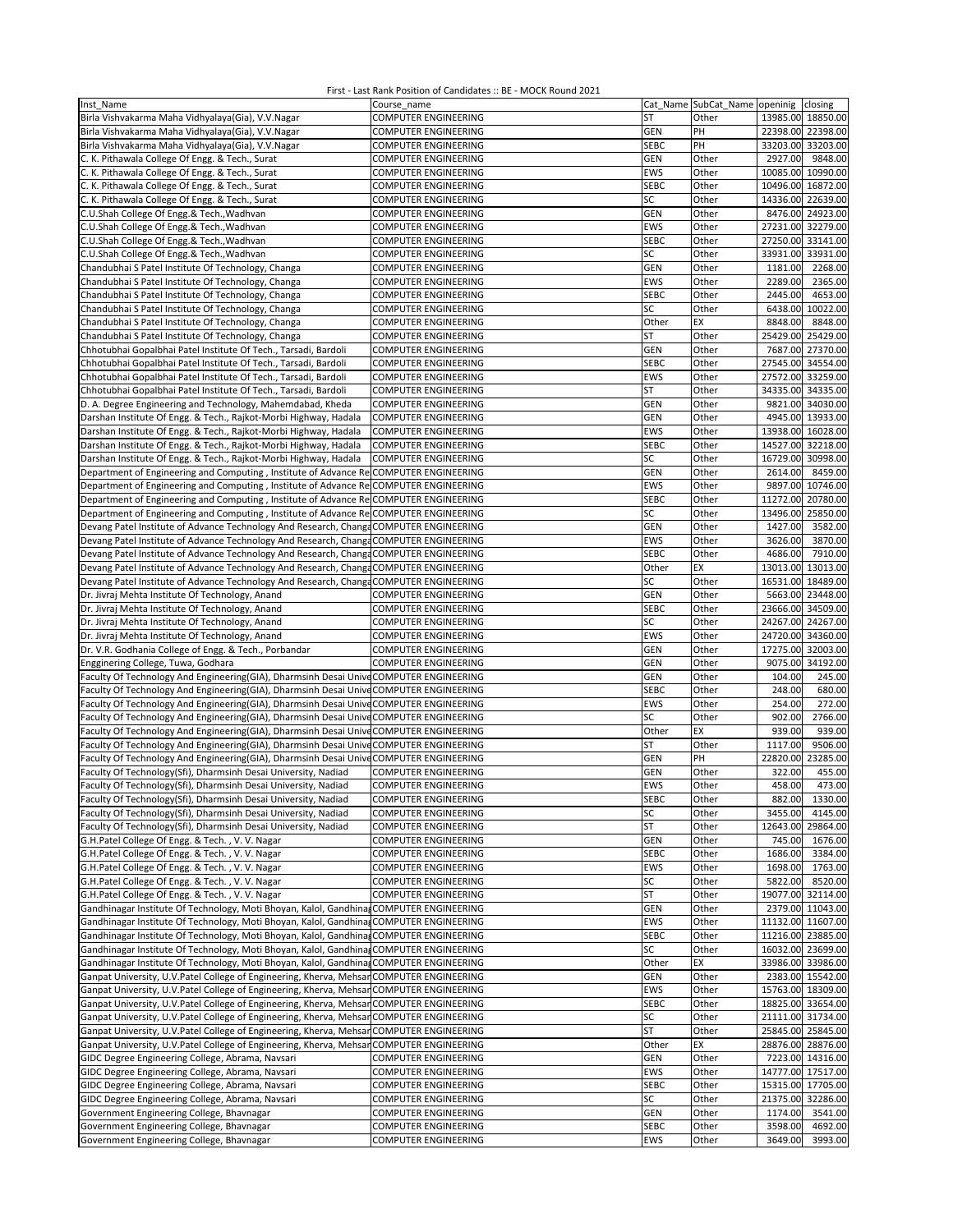| Inst Name                                                                                   | Course name                                                |             | Cat Name SubCat_Name openinig closing |                               |          |
|---------------------------------------------------------------------------------------------|------------------------------------------------------------|-------------|---------------------------------------|-------------------------------|----------|
| Birla Vishvakarma Maha Vidhyalaya(Gia), V.V.Nagar                                           | <b>COMPUTER ENGINEERING</b>                                | <b>ST</b>   | Other                                 | 13985.00 18850.00             |          |
| Birla Vishvakarma Maha Vidhyalaya(Gia), V.V.Nagar                                           | <b>COMPUTER ENGINEERING</b>                                | GEN         | PH                                    | 22398.00 22398.00             |          |
| Birla Vishvakarma Maha Vidhyalaya(Gia), V.V.Nagar                                           | <b>COMPUTER ENGINEERING</b>                                | <b>SEBC</b> | PH                                    | 33203.00 33203.00             |          |
| C. K. Pithawala College Of Engg. & Tech., Surat                                             | <b>COMPUTER ENGINEERING</b>                                | <b>GEN</b>  | Other                                 | 2927.00                       | 9848.00  |
| C. K. Pithawala College Of Engg. & Tech., Surat                                             | <b>COMPUTER ENGINEERING</b>                                | EWS         | Other                                 | 10085.00 10990.00             |          |
| C. K. Pithawala College Of Engg. & Tech., Surat                                             | <b>COMPUTER ENGINEERING</b>                                | <b>SEBC</b> | Other                                 | 10496.00 16872.00             |          |
| C. K. Pithawala College Of Engg. & Tech., Surat                                             | <b>COMPUTER ENGINEERING</b>                                | SC          | Other                                 | 14336.00                      | 22639.00 |
| C.U.Shah College Of Engg.& Tech., Wadhvan                                                   | COMPUTER ENGINEERING                                       | GEN         | Other                                 | 8476.00 24923.00              |          |
| C.U.Shah College Of Engg.& Tech., Wadhvan                                                   | <b>COMPUTER ENGINEERING</b>                                | <b>EWS</b>  | Other                                 | 27231.00 32279.00             |          |
| C.U.Shah College Of Engg.& Tech., Wadhvan                                                   | <b>COMPUTER ENGINEERING</b>                                | <b>SEBC</b> | Other                                 | 27250.00 33141.00             |          |
| C.U.Shah College Of Engg.& Tech., Wadhvan                                                   | <b>COMPUTER ENGINEERING</b>                                | SC          | Other                                 | 33931.00 33931.00             |          |
| Chandubhai S Patel Institute Of Technology, Changa                                          | <b>COMPUTER ENGINEERING</b>                                | GEN         | Other                                 | 1181.00                       | 2268.00  |
| Chandubhai S Patel Institute Of Technology, Changa                                          | <b>COMPUTER ENGINEERING</b>                                | <b>EWS</b>  | Other                                 | 2289.00                       | 2365.00  |
| Chandubhai S Patel Institute Of Technology, Changa                                          | COMPUTER ENGINEERING                                       | <b>SEBC</b> | Other                                 | 2445.00                       | 4653.00  |
| Chandubhai S Patel Institute Of Technology, Changa                                          | <b>COMPUTER ENGINEERING</b>                                | SC          | Other                                 | 6438.00 10022.00              |          |
| Chandubhai S Patel Institute Of Technology, Changa                                          | <b>COMPUTER ENGINEERING</b>                                | Other       | EX                                    | 8848.00                       | 8848.00  |
| Chandubhai S Patel Institute Of Technology, Changa                                          | <b>COMPUTER ENGINEERING</b>                                | ST          | Other                                 | 25429.00 25429.00             |          |
| Chhotubhai Gopalbhai Patel Institute Of Tech., Tarsadi, Bardoli                             | <b>COMPUTER ENGINEERING</b>                                | GEN         | Other                                 | 7687.00 27370.00              |          |
| Chhotubhai Gopalbhai Patel Institute Of Tech., Tarsadi, Bardoli                             | <b>COMPUTER ENGINEERING</b>                                | <b>SEBC</b> | Other                                 | 27545.00 34554.00             |          |
| Chhotubhai Gopalbhai Patel Institute Of Tech., Tarsadi, Bardoli                             | <b>COMPUTER ENGINEERING</b>                                | EWS         | Other                                 | 27572.00 33259.00             |          |
| Chhotubhai Gopalbhai Patel Institute Of Tech., Tarsadi, Bardoli                             | <b>COMPUTER ENGINEERING</b>                                | <b>ST</b>   | Other                                 | 34335.00 34335.00             |          |
| D. A. Degree Engineering and Technology, Mahemdabad, Kheda                                  | <b>COMPUTER ENGINEERING</b>                                | GEN         | Other                                 | 9821.00 34030.00              |          |
| Darshan Institute Of Engg. & Tech., Rajkot-Morbi Highway, Hadala                            | <b>COMPUTER ENGINEERING</b>                                | GEN         | Other                                 | 4945.00 13933.00              |          |
| Darshan Institute Of Engg. & Tech., Rajkot-Morbi Highway, Hadala                            | <b>COMPUTER ENGINEERING</b>                                | <b>EWS</b>  | Other                                 | 13938.00 16028.00             |          |
| Darshan Institute Of Engg. & Tech., Rajkot-Morbi Highway, Hadala                            | <b>COMPUTER ENGINEERING</b>                                | <b>SEBC</b> | Other                                 | 14527.00 32218.00             |          |
| Darshan Institute Of Engg. & Tech., Rajkot-Morbi Highway, Hadala                            | <b>COMPUTER ENGINEERING</b>                                | SC          | Other                                 | 16729.00 30998.00             |          |
| Department of Engineering and Computing, Institute of Advance Re                            | <b>COMPUTER ENGINEERING</b>                                | GEN         | Other                                 | 2614.00                       | 8459.00  |
| Department of Engineering and Computing, Institute of Advance Re COMPUTER ENGINEERING       |                                                            | <b>EWS</b>  | Other                                 | 9897.00 10746.00              |          |
| Department of Engineering and Computing, Institute of Advance ReCOMPUTER ENGINEERING        |                                                            | <b>SEBC</b> | Other                                 | 11272.00 20780.00             |          |
| Department of Engineering and Computing, Institute of Advance ReCOMPUTER ENGINEERING        |                                                            | SC          | Other                                 | 13496.00 25850.00             |          |
| Devang Patel Institute of Advance Technology And Research, Changa COMPUTER ENGINEERING      |                                                            | GEN         | Other                                 | 1427.00                       | 3582.00  |
| Devang Patel Institute of Advance Technology And Research, Changa COMPUTER ENGINEERING      |                                                            | EWS         | Other                                 | 3626.00                       | 3870.00  |
| Devang Patel Institute of Advance Technology And Research, Changa COMPUTER ENGINEERING      |                                                            | <b>SEBC</b> | Other                                 | 4686.00                       | 7910.00  |
| Devang Patel Institute of Advance Technology And Research, Changa COMPUTER ENGINEERING      |                                                            | Other       | EX                                    | 13013.00                      | 13013.00 |
| Devang Patel Institute of Advance Technology And Research, Changa COMPUTER ENGINEERING      |                                                            | SC          | Other                                 | 16531.00 18489.00             |          |
| Dr. Jivraj Mehta Institute Of Technology, Anand                                             | <b>COMPUTER ENGINEERING</b>                                | GEN         | Other                                 | 5663.00 23448.00              |          |
| Dr. Jivraj Mehta Institute Of Technology, Anand                                             | <b>COMPUTER ENGINEERING</b>                                | <b>SEBC</b> | Other                                 | 23666.00 34509.00             |          |
| Dr. Jivraj Mehta Institute Of Technology, Anand                                             | <b>COMPUTER ENGINEERING</b><br><b>COMPUTER ENGINEERING</b> | SC<br>EWS   | Other<br>Other                        | 24267.00<br>24720.00 34360.00 | 24267.00 |
| Dr. Jivraj Mehta Institute Of Technology, Anand                                             | <b>COMPUTER ENGINEERING</b>                                | GEN         | Other                                 | 17275.00 32003.00             |          |
| Dr. V.R. Godhania College of Engg. & Tech., Porbandar<br>Engginering College, Tuwa, Godhara | <b>COMPUTER ENGINEERING</b>                                | GEN         | Other                                 | 9075.00 34192.00              |          |
| Faculty Of Technology And Engineering(GIA), Dharmsinh Desai Unive COMPUTER ENGINEERING      |                                                            | GEN         | Other                                 | 104.00                        | 245.00   |
| Faculty Of Technology And Engineering(GIA), Dharmsinh Desai Unive COMPUTER ENGINEERING      |                                                            | <b>SEBC</b> | Other                                 | 248.00                        | 680.00   |
| Faculty Of Technology And Engineering(GIA), Dharmsinh Desai Unive COMPUTER ENGINEERING      |                                                            | EWS         | Other                                 | 254.00                        | 272.00   |
| Faculty Of Technology And Engineering(GIA), Dharmsinh Desai Unive COMPUTER ENGINEERING      |                                                            | SC          | Other                                 | 902.00                        | 2766.00  |
| Faculty Of Technology And Engineering(GIA), Dharmsinh Desai Unive COMPUTER ENGINEERING      |                                                            | Other       | EX                                    | 939.00                        | 939.00   |
| Faculty Of Technology And Engineering(GIA), Dharmsinh Desai Unive COMPUTER ENGINEERING      |                                                            | ST          | Other                                 | 1117.00                       | 9506.00  |
| Faculty Of Technology And Engineering(GIA), Dharmsinh Desai Unive COMPUTER ENGINEERING      |                                                            | GEN         | PH                                    | 22820.00                      | 23285.00 |
| Faculty Of Technology(Sfi), Dharmsinh Desai University, Nadiad                              | <b>COMPUTER ENGINEERING</b>                                | GEN         | Other                                 | 322.00                        | 455.00   |
| Faculty Of Technology(Sfi), Dharmsinh Desai University, Nadiad                              | <b>COMPUTER ENGINEERING</b>                                | EWS         | Other                                 | 458.00                        | 473.00   |
| Faculty Of Technology(Sfi), Dharmsinh Desai University, Nadiad                              | <b>COMPUTER ENGINEERING</b>                                | SEBC        | Other                                 | 882.00 1330.00                |          |
| Faculty Of Technology(Sfi), Dharmsinh Desai University, Nadiad                              | <b>COMPUTER ENGINEERING</b>                                | SC          | Other                                 | 3455.00                       | 4145.00  |
| Faculty Of Technology(Sfi), Dharmsinh Desai University, Nadiad                              | <b>COMPUTER ENGINEERING</b>                                | ST          | Other                                 | 12643.00                      | 29864.00 |
| G.H.Patel College Of Engg. & Tech., V.V. Nagar                                              | <b>COMPUTER ENGINEERING</b>                                | GEN         | Other                                 | 745.00                        | 1676.00  |
| G.H.Patel College Of Engg. & Tech., V. V. Nagar                                             | COMPUTER ENGINEERING                                       | <b>SEBC</b> | Other                                 | 1686.00                       | 3384.00  |
| G.H.Patel College Of Engg. & Tech., V. V. Nagar                                             | COMPUTER ENGINEERING                                       | EWS         | Other                                 | 1698.00                       | 1763.00  |
| G.H.Patel College Of Engg. & Tech., V. V. Nagar                                             | <b>COMPUTER ENGINEERING</b>                                | SC          | Other                                 | 5822.00                       | 8520.00  |
| G.H.Patel College Of Engg. & Tech., V. V. Nagar                                             | <b>COMPUTER ENGINEERING</b>                                | <b>ST</b>   | Other                                 | 19077.00                      | 32114.00 |
| Gandhinagar Institute Of Technology, Moti Bhoyan, Kalol, Gandhina, COMPUTER ENGINEERING     |                                                            | <b>GEN</b>  | Other                                 | 2379.00 11043.00              |          |
| Gandhinagar Institute Of Technology, Moti Bhoyan, Kalol, Gandhina, COMPUTER ENGINEERING     |                                                            | EWS         | Other                                 | 11132.00 11607.00             |          |
| Gandhinagar Institute Of Technology, Moti Bhoyan, Kalol, Gandhina, COMPUTER ENGINEERING     |                                                            | <b>SEBC</b> | Other                                 | 11216.00 23885.00             |          |
| Gandhinagar Institute Of Technology, Moti Bhoyan, Kalol, Gandhina, COMPUTER ENGINEERING     |                                                            | SC          | Other                                 | 16032.00 23699.00             |          |
| Gandhinagar Institute Of Technology, Moti Bhoyan, Kalol, Gandhina, COMPUTER ENGINEERING     |                                                            | Other       | EX                                    | 33986.00 33986.00             |          |
| Ganpat University, U.V.Patel College of Engineering, Kherva, Mehsan COMPUTER ENGINEERING    |                                                            | <b>GEN</b>  | Other                                 | 2383.00 15542.00              |          |
| Ganpat University, U.V.Patel College of Engineering, Kherva, Mehsar COMPUTER ENGINEERING    |                                                            | EWS         | Other                                 | 15763.00 18309.00             |          |
| Ganpat University, U.V.Patel College of Engineering, Kherva, Mehsar COMPUTER ENGINEERING    |                                                            | <b>SEBC</b> | Other                                 | 18825.00 33654.00             |          |
| Ganpat University, U.V.Patel College of Engineering, Kherva, Mehsar COMPUTER ENGINEERING    |                                                            | SC          | Other                                 | 21111.00 31734.00             |          |
| Ganpat University, U.V.Patel College of Engineering, Kherva, Mehsar COMPUTER ENGINEERING    |                                                            | ST          | Other                                 | 25845.00 25845.00             |          |
| Ganpat University, U.V.Patel College of Engineering, Kherva, Mehsar COMPUTER ENGINEERING    |                                                            | Other       | EX                                    | 28876.00 28876.00             |          |
| GIDC Degree Engineering College, Abrama, Navsari                                            | COMPUTER ENGINEERING                                       | <b>GEN</b>  | Other                                 | 7223.00 14316.00              |          |
| GIDC Degree Engineering College, Abrama, Navsari                                            | COMPUTER ENGINEERING                                       | EWS         | Other                                 | 14777.00 17517.00             |          |
| GIDC Degree Engineering College, Abrama, Navsari                                            | <b>COMPUTER ENGINEERING</b>                                | <b>SEBC</b> | Other                                 | 15315.00 17705.00             |          |
| GIDC Degree Engineering College, Abrama, Navsari                                            | <b>COMPUTER ENGINEERING</b>                                | SC          | Other                                 | 21375.00 32286.00             |          |
| Government Engineering College, Bhavnagar                                                   | <b>COMPUTER ENGINEERING</b>                                | <b>GEN</b>  | Other                                 | 1174.00                       | 3541.00  |
| Government Engineering College, Bhavnagar                                                   | <b>COMPUTER ENGINEERING</b>                                | <b>SEBC</b> | Other                                 | 3598.00                       | 4692.00  |
| Government Engineering College, Bhavnagar                                                   | <b>COMPUTER ENGINEERING</b>                                | EWS         | Other                                 | 3649.00                       | 3993.00  |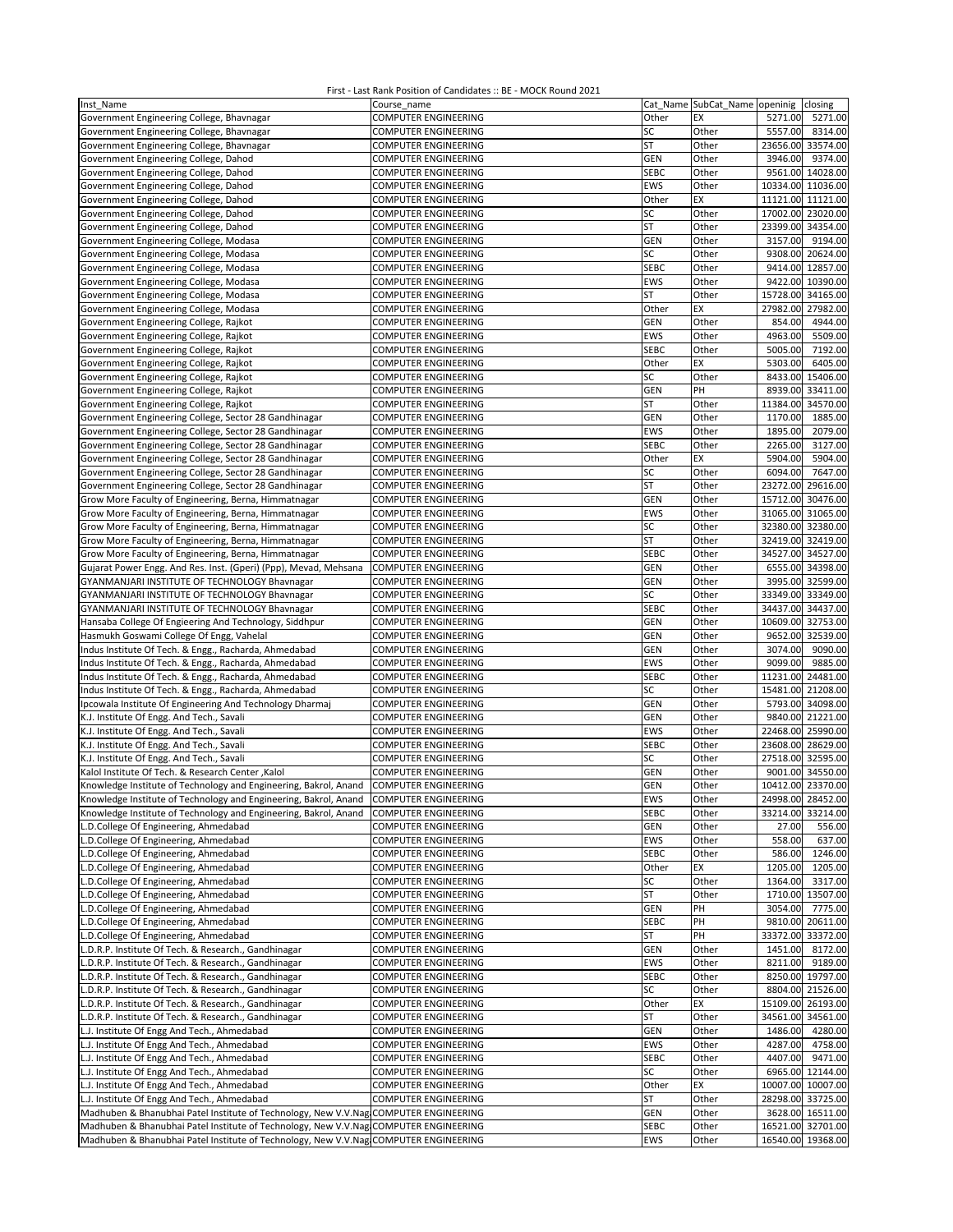| Inst Name                                                                            | Course_name                 |             | Cat Name SubCat_Name openinig | closing              |
|--------------------------------------------------------------------------------------|-----------------------------|-------------|-------------------------------|----------------------|
| Government Engineering College, Bhavnagar                                            | <b>COMPUTER ENGINEERING</b> | Other       | EX                            | 5271.00<br>5271.00   |
| Government Engineering College, Bhavnagar                                            | <b>COMPUTER ENGINEERING</b> | SC          | Other                         | 5557.00<br>8314.00   |
| Government Engineering College, Bhavnagar                                            | COMPUTER ENGINEERING        | <b>ST</b>   | Other                         | 23656.00<br>33574.00 |
| Government Engineering College, Dahod                                                | COMPUTER ENGINEERING        | GEN         | Other                         | 3946.00<br>9374.00   |
| Government Engineering College, Dahod                                                | COMPUTER ENGINEERING        | <b>SEBC</b> | Other                         | 9561.00 14028.00     |
| Government Engineering College, Dahod                                                | <b>COMPUTER ENGINEERING</b> | EWS         | Other                         | 10334.00 11036.00    |
| Government Engineering College, Dahod                                                | <b>COMPUTER ENGINEERING</b> | Other       | EX                            | 11121.00 11121.00    |
|                                                                                      |                             | SC          |                               | 17002.00 23020.00    |
| Government Engineering College, Dahod                                                | <b>COMPUTER ENGINEERING</b> |             | Other                         |                      |
| Government Engineering College, Dahod                                                | COMPUTER ENGINEERING        | ST          | Other                         | 23399.00 34354.00    |
| Government Engineering College, Modasa                                               | <b>COMPUTER ENGINEERING</b> | <b>GEN</b>  | Other                         | 3157.00<br>9194.00   |
| Government Engineering College, Modasa                                               | <b>COMPUTER ENGINEERING</b> | SC          | Other                         | 20624.00<br>9308.00  |
| Government Engineering College, Modasa                                               | COMPUTER ENGINEERING        | <b>SEBC</b> | Other                         | 9414.00 12857.00     |
| Government Engineering College, Modasa                                               | COMPUTER ENGINEERING        | EWS         | Other                         | 9422.00 10390.00     |
| Government Engineering College, Modasa                                               | COMPUTER ENGINEERING        | <b>ST</b>   | Other                         | 15728.00<br>34165.00 |
| Government Engineering College, Modasa                                               | <b>COMPUTER ENGINEERING</b> | Other       | EX                            | 27982.00 27982.00    |
| Government Engineering College, Rajkot                                               | COMPUTER ENGINEERING        | GEN         | Other                         | 854.00<br>4944.00    |
| Government Engineering College, Rajkot                                               | COMPUTER ENGINEERING        | EWS         | Other                         | 4963.00<br>5509.00   |
| Government Engineering College, Rajkot                                               | COMPUTER ENGINEERING        | <b>SEBC</b> | Other                         | 5005.00<br>7192.00   |
| Government Engineering College, Rajkot                                               | <b>COMPUTER ENGINEERING</b> | Other       | EX                            | 5303.00<br>6405.00   |
| Government Engineering College, Rajkot                                               | COMPUTER ENGINEERING        | SC          | Other                         | 8433.00 15406.00     |
| Government Engineering College, Rajkot                                               | COMPUTER ENGINEERING        | <b>GEN</b>  | PH                            | 8939.00<br>33411.00  |
| Government Engineering College, Rajkot                                               | COMPUTER ENGINEERING        | ST          | Other                         | 11384.00<br>34570.00 |
| Government Engineering College, Sector 28 Gandhinagar                                | COMPUTER ENGINEERING        | GEN         | Other                         | 1170.00<br>1885.00   |
|                                                                                      |                             | EWS         |                               |                      |
| Government Engineering College, Sector 28 Gandhinagar                                | COMPUTER ENGINEERING        |             | Other                         | 1895.00<br>2079.00   |
| Government Engineering College, Sector 28 Gandhinagar                                | COMPUTER ENGINEERING        | <b>SEBC</b> | Other                         | 3127.00<br>2265.00   |
| Government Engineering College, Sector 28 Gandhinagar                                | <b>COMPUTER ENGINEERING</b> | Other       | EX                            | 5904.00<br>5904.00   |
| Government Engineering College, Sector 28 Gandhinagar                                | <b>COMPUTER ENGINEERING</b> | SC          | Other                         | 6094.00<br>7647.00   |
| Government Engineering College, Sector 28 Gandhinagar                                | <b>COMPUTER ENGINEERING</b> | <b>ST</b>   | Other                         | 23272.00<br>29616.00 |
| Grow More Faculty of Engineering, Berna, Himmatnagar                                 | COMPUTER ENGINEERING        | GEN         | Other                         | 15712.00<br>30476.00 |
| Grow More Faculty of Engineering, Berna, Himmatnagar                                 | <b>COMPUTER ENGINEERING</b> | EWS         | Other                         | 31065.00 31065.00    |
| Grow More Faculty of Engineering, Berna, Himmatnagar                                 | COMPUTER ENGINEERING        | SC          | Other                         | 32380.00 32380.00    |
| Grow More Faculty of Engineering, Berna, Himmatnagar                                 | <b>COMPUTER ENGINEERING</b> | <b>ST</b>   | Other                         | 32419.00 32419.00    |
| Grow More Faculty of Engineering, Berna, Himmatnagar                                 | COMPUTER ENGINEERING        | <b>SEBC</b> | Other                         | 34527.00 34527.00    |
| Gujarat Power Engg. And Res. Inst. (Gperi) (Ppp), Mevad, Mehsana                     | <b>COMPUTER ENGINEERING</b> | <b>GEN</b>  | Other                         | 6555.00 34398.00     |
| GYANMANJARI INSTITUTE OF TECHNOLOGY Bhavnagar                                        | COMPUTER ENGINEERING        | <b>GEN</b>  | Other                         | 3995.00 32599.00     |
| GYANMANJARI INSTITUTE OF TECHNOLOGY Bhavnagar                                        | COMPUTER ENGINEERING        | SC          | Other                         | 33349.00 33349.00    |
| GYANMANJARI INSTITUTE OF TECHNOLOGY Bhavnagar                                        | COMPUTER ENGINEERING        | <b>SEBC</b> | Other                         | 34437.00<br>34437.00 |
| Hansaba College Of Engieering And Technology, Siddhpur                               | COMPUTER ENGINEERING        | GEN         | Other                         | 32753.00<br>10609.00 |
| Hasmukh Goswami College Of Engg, Vahelal                                             | <b>COMPUTER ENGINEERING</b> | GEN         | Other                         | 9652.00 32539.00     |
| Indus Institute Of Tech. & Engg., Racharda, Ahmedabad                                | COMPUTER ENGINEERING        | GEN         | Other                         | 3074.00<br>9090.00   |
|                                                                                      |                             |             |                               |                      |
| Indus Institute Of Tech. & Engg., Racharda, Ahmedabad                                | COMPUTER ENGINEERING        | EWS         | Other                         | 9099.00<br>9885.00   |
| Indus Institute Of Tech. & Engg., Racharda, Ahmedabad                                | COMPUTER ENGINEERING        | <b>SEBC</b> | Other                         | 24481.00<br>11231.00 |
| Indus Institute Of Tech. & Engg., Racharda, Ahmedabad                                | <b>COMPUTER ENGINEERING</b> | SC          | Other                         | 15481.00 21208.00    |
| Ipcowala Institute Of Engineering And Technology Dharmaj                             | COMPUTER ENGINEERING        | GEN         | Other                         | 5793.00 34098.00     |
| K.J. Institute Of Engg. And Tech., Savali                                            | COMPUTER ENGINEERING        | <b>GEN</b>  | Other                         | 9840.00 21221.00     |
| K.J. Institute Of Engg. And Tech., Savali                                            | <b>COMPUTER ENGINEERING</b> | <b>EWS</b>  | Other                         | 22468.00 25990.00    |
| K.J. Institute Of Engg. And Tech., Savali                                            | COMPUTER ENGINEERING        | <b>SEBC</b> | Other                         | 23608.00<br>28629.00 |
| K.J. Institute Of Engg. And Tech., Savali                                            | COMPUTER ENGINEERING        | SC          | Other                         | 27518.00<br>32595.00 |
| Kalol Institute Of Tech. & Research Center, Kalol                                    | COMPUTER ENGINEERING        | GEN         | Other                         | 9001.00 34550.00     |
| Knowledge Institute of Technology and Engineering, Bakrol, Anand                     | <b>COMPUTER ENGINEERING</b> | GEN         | Other                         | 10412.00 23370.00    |
| Knowledge Institute of Technology and Engineering, Bakrol, Anand                     | <b>COMPUTER ENGINEERING</b> | EWS         | Other                         | 24998.00 28452.00    |
| Knowledge Institute of Technology and Engineering, Bakrol, Anand                     | <b>COMPUTER ENGINEERING</b> | <b>SEBC</b> | Other                         | 33214.00 33214.00    |
| L.D.College Of Engineering, Ahmedabad                                                | COMPUTER ENGINEERING        | <b>GEN</b>  | Other                         | 27.00<br>556.00      |
| L.D.College Of Engineering, Ahmedabad                                                | COMPUTER ENGINEERING        | EWS         | Other                         | 558.00<br>637.00     |
| L.D.College Of Engineering, Ahmedabad                                                | COMPUTER ENGINEERING        | SEBC        | Other                         | 1246.00<br>586.00    |
| L.D.College Of Engineering, Ahmedabad                                                | COMPUTER ENGINEERING        | Other       | EX                            | 1205.00<br>1205.00   |
| L.D.College Of Engineering, Ahmedabad                                                | COMPUTER ENGINEERING        | SC          | Other                         | 3317.00<br>1364.00   |
| L.D.College Of Engineering, Ahmedabad                                                | COMPUTER ENGINEERING        | <b>ST</b>   | Other                         | 1710.00 13507.00     |
| L.D.College Of Engineering, Ahmedabad                                                | COMPUTER ENGINEERING        | <b>GEN</b>  | PH                            | 3054.00<br>7775.00   |
|                                                                                      |                             |             |                               |                      |
| L.D.College Of Engineering, Ahmedabad                                                | COMPUTER ENGINEERING        | <b>SEBC</b> | PH                            | 9810.00<br>20611.00  |
| L.D.College Of Engineering, Ahmedabad                                                | COMPUTER ENGINEERING        | ST          | PH                            | 33372.00<br>33372.00 |
| L.D.R.P. Institute Of Tech. & Research., Gandhinagar                                 | COMPUTER ENGINEERING        | <b>GEN</b>  | Other                         | 1451.00<br>8172.00   |
| L.D.R.P. Institute Of Tech. & Research., Gandhinagar                                 | COMPUTER ENGINEERING        | EWS         | Other                         | 8211.00<br>9189.00   |
| L.D.R.P. Institute Of Tech. & Research., Gandhinagar                                 | <b>COMPUTER ENGINEERING</b> | <b>SEBC</b> | Other                         | 8250.00 19797.00     |
| L.D.R.P. Institute Of Tech. & Research., Gandhinagar                                 | COMPUTER ENGINEERING        | SC          | Other                         | 8804.00 21526.00     |
| L.D.R.P. Institute Of Tech. & Research., Gandhinagar                                 | COMPUTER ENGINEERING        | Other       | EX                            | 15109.00 26193.00    |
| L.D.R.P. Institute Of Tech. & Research., Gandhinagar                                 | COMPUTER ENGINEERING        | ST          | Other                         | 34561.00 34561.00    |
| L.J. Institute Of Engg And Tech., Ahmedabad                                          | COMPUTER ENGINEERING        | <b>GEN</b>  | Other                         | 4280.00<br>1486.00   |
| L.J. Institute Of Engg And Tech., Ahmedabad                                          | COMPUTER ENGINEERING        | EWS         | Other                         | 4758.00<br>4287.00   |
| L.J. Institute Of Engg And Tech., Ahmedabad                                          | COMPUTER ENGINEERING        | <b>SEBC</b> | Other                         | 4407.00<br>9471.00   |
| L.J. Institute Of Engg And Tech., Ahmedabad                                          | COMPUTER ENGINEERING        | SC          | Other                         | 6965.00 12144.00     |
| L.J. Institute Of Engg And Tech., Ahmedabad                                          | COMPUTER ENGINEERING        | Other       | EX                            | 10007.00 10007.00    |
| L.J. Institute Of Engg And Tech., Ahmedabad                                          | COMPUTER ENGINEERING        | ST          | Other                         | 28298.00 33725.00    |
| Madhuben & Bhanubhai Patel Institute of Technology, New V.V.Nag COMPUTER ENGINEERING |                             | <b>GEN</b>  | Other                         | 3628.00 16511.00     |
| Madhuben & Bhanubhai Patel Institute of Technology, New V.V.Nag COMPUTER ENGINEERING |                             | <b>SEBC</b> | Other                         | 16521.00 32701.00    |
| Madhuben & Bhanubhai Patel Institute of Technology, New V.V.Nag COMPUTER ENGINEERING |                             | EWS         | Other                         | 16540.00 19368.00    |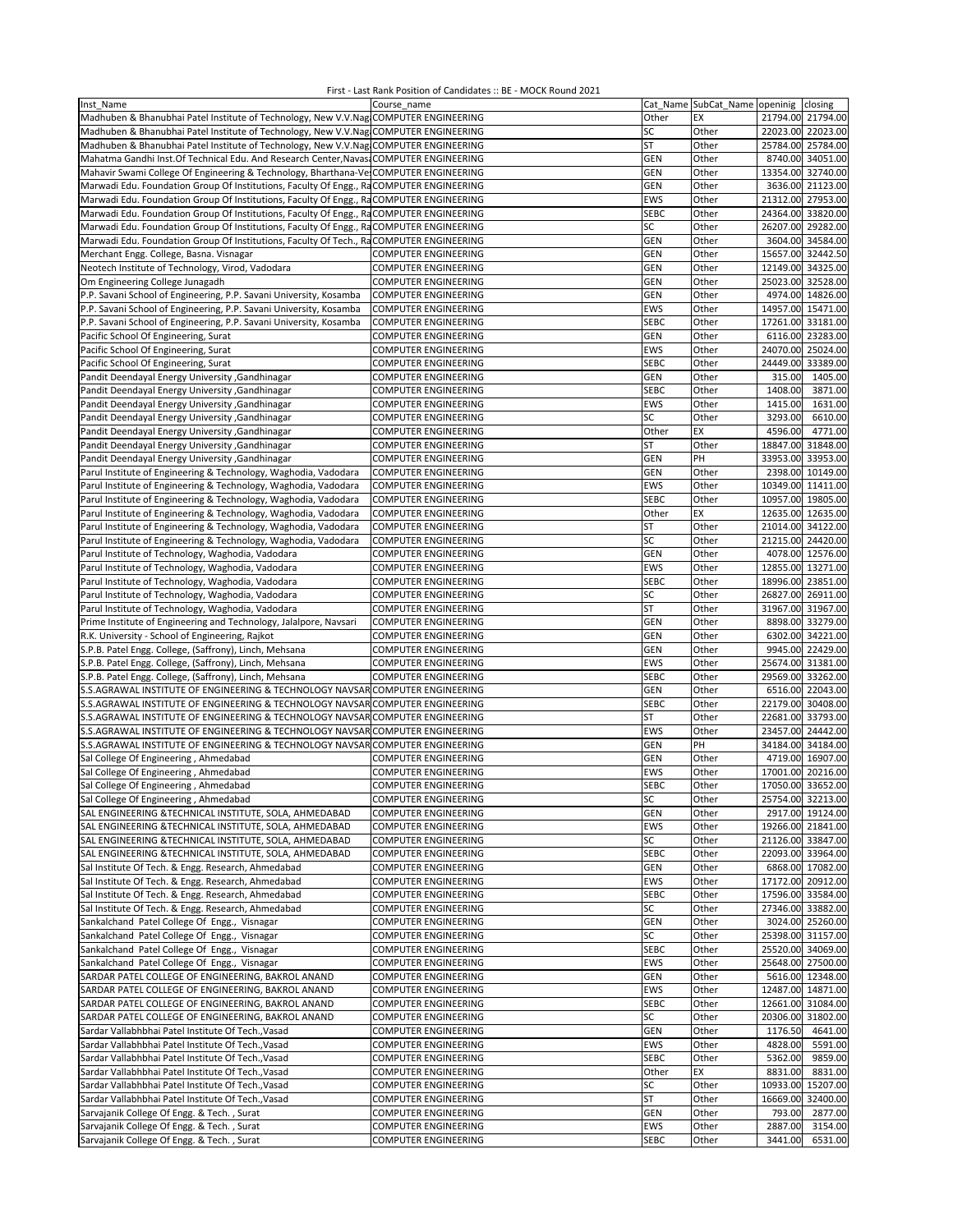| Inst Name                                                                               | Course name                 |             | Cat_Name SubCat_Name openinig closing |                   |                   |
|-----------------------------------------------------------------------------------------|-----------------------------|-------------|---------------------------------------|-------------------|-------------------|
| Madhuben & Bhanubhai Patel Institute of Technology, New V.V.Nag COMPUTER ENGINEERING    |                             | Other       | EX                                    | 21794.00 21794.00 |                   |
| Madhuben & Bhanubhai Patel Institute of Technology, New V.V.Nag COMPUTER ENGINEERING    |                             | SC          | Other                                 |                   | 22023.00 22023.00 |
|                                                                                         |                             |             |                                       |                   |                   |
| Madhuben & Bhanubhai Patel Institute of Technology, New V.V.Nag COMPUTER ENGINEERING    |                             | <b>ST</b>   | Other                                 |                   | 25784.00 25784.00 |
| Mahatma Gandhi Inst. Of Technical Edu. And Research Center, Navas: COMPUTER ENGINEERING |                             | GEN         | Other                                 |                   | 8740.00 34051.00  |
| Mahavir Swami College Of Engineering & Technology, Bharthana-Ve COMPUTER ENGINEERING    |                             | <b>GEN</b>  | Other                                 |                   | 13354.00 32740.00 |
| Marwadi Edu. Foundation Group Of Institutions, Faculty Of Engg., RaCOMPUTER ENGINEERING |                             | GEN         | Other                                 |                   | 3636.00 21123.00  |
| Marwadi Edu. Foundation Group Of Institutions, Faculty Of Engg., RaCOMPUTER ENGINEERING |                             | EWS         | Other                                 |                   | 21312.00 27953.00 |
| Marwadi Edu. Foundation Group Of Institutions, Faculty Of Engg., RaCOMPUTER ENGINEERING |                             |             |                                       |                   | 24364.00 33820.00 |
|                                                                                         |                             | <b>SEBC</b> | Other                                 |                   |                   |
| Marwadi Edu. Foundation Group Of Institutions, Faculty Of Engg., RaCOMPUTER ENGINEERING |                             | SC          | Other                                 |                   | 26207.00 29282.00 |
| Marwadi Edu. Foundation Group Of Institutions, Faculty Of Tech., RaCOMPUTER ENGINEERING |                             | GEN         | Other                                 |                   | 3604.00 34584.00  |
| Merchant Engg. College, Basna. Visnagar                                                 | COMPUTER ENGINEERING        | GEN         | Other                                 |                   | 15657.00 32442.50 |
| Neotech Institute of Technology, Virod, Vadodara                                        | <b>COMPUTER ENGINEERING</b> | <b>GEN</b>  | Other                                 |                   | 12149.00 34325.00 |
| Om Engineering College Junagadh                                                         |                             | <b>GEN</b>  |                                       |                   | 25023.00 32528.00 |
|                                                                                         | <b>COMPUTER ENGINEERING</b> |             | Other                                 |                   |                   |
| P.P. Savani School of Engineering, P.P. Savani University, Kosamba                      | COMPUTER ENGINEERING        | <b>GEN</b>  | Other                                 |                   | 4974.00 14826.00  |
| P.P. Savani School of Engineering, P.P. Savani University, Kosamba                      | <b>COMPUTER ENGINEERING</b> | EWS         | Other                                 |                   | 14957.00 15471.00 |
| P.P. Savani School of Engineering, P.P. Savani University, Kosamba                      | <b>COMPUTER ENGINEERING</b> | <b>SEBC</b> | Other                                 |                   | 17261.00 33181.00 |
| Pacific School Of Engineering, Surat                                                    | <b>COMPUTER ENGINEERING</b> | GEN         | Other                                 |                   | 6116.00 23283.00  |
|                                                                                         |                             |             |                                       |                   | 24070.00 25024.00 |
| Pacific School Of Engineering, Surat                                                    | COMPUTER ENGINEERING        | EWS         | Other                                 |                   |                   |
| Pacific School Of Engineering, Surat                                                    | COMPUTER ENGINEERING        | <b>SEBC</b> | Other                                 | 24449.00          | 33389.00          |
| Pandit Deendayal Energy University , Gandhinagar                                        | <b>COMPUTER ENGINEERING</b> | <b>GEN</b>  | Other                                 | 315.00            | 1405.00           |
| Pandit Deendayal Energy University , Gandhinagar                                        | <b>COMPUTER ENGINEERING</b> | <b>SEBC</b> | Other                                 | 1408.00           | 3871.00           |
| Pandit Deendayal Energy University , Gandhinagar                                        | COMPUTER ENGINEERING        | EWS         | Other                                 | 1415.00           | 1631.00           |
|                                                                                         |                             |             |                                       |                   |                   |
| Pandit Deendayal Energy University , Gandhinagar                                        | COMPUTER ENGINEERING        | SC          | Other                                 | 3293.00           | 6610.00           |
| Pandit Deendayal Energy University , Gandhinagar                                        | <b>COMPUTER ENGINEERING</b> | Other       | EX                                    | 4596.00           | 4771.00           |
| Pandit Deendayal Energy University , Gandhinagar                                        | <b>COMPUTER ENGINEERING</b> | ST          | Other                                 |                   | 18847.00 31848.00 |
| Pandit Deendayal Energy University , Gandhinagar                                        | <b>COMPUTER ENGINEERING</b> | <b>GEN</b>  | PH                                    |                   | 33953.00 33953.00 |
|                                                                                         | COMPUTER ENGINEERING        | <b>GEN</b>  | Other                                 |                   | 2398.00 10149.00  |
| Parul Institute of Engineering & Technology, Waghodia, Vadodara                         |                             |             |                                       |                   |                   |
| Parul Institute of Engineering & Technology, Waghodia, Vadodara                         | COMPUTER ENGINEERING        | EWS         | Other                                 |                   | 10349.00 11411.00 |
| Parul Institute of Engineering & Technology, Waghodia, Vadodara                         | <b>COMPUTER ENGINEERING</b> | <b>SEBC</b> | Other                                 |                   | 10957.00 19805.00 |
| Parul Institute of Engineering & Technology, Waghodia, Vadodara                         | <b>COMPUTER ENGINEERING</b> | Other       | EX                                    |                   | 12635.00 12635.00 |
| Parul Institute of Engineering & Technology, Waghodia, Vadodara                         | <b>COMPUTER ENGINEERING</b> | <b>ST</b>   | Other                                 |                   | 21014.00 34122.00 |
|                                                                                         | <b>COMPUTER ENGINEERING</b> | SC          | Other                                 |                   | 21215.00 24420.00 |
| Parul Institute of Engineering & Technology, Waghodia, Vadodara                         |                             |             |                                       |                   |                   |
| Parul Institute of Technology, Waghodia, Vadodara                                       | <b>COMPUTER ENGINEERING</b> | GEN         | Other                                 |                   | 4078.00 12576.00  |
| Parul Institute of Technology, Waghodia, Vadodara                                       | COMPUTER ENGINEERING        | EWS         | Other                                 |                   | 12855.00 13271.00 |
| Parul Institute of Technology, Waghodia, Vadodara                                       | <b>COMPUTER ENGINEERING</b> | <b>SEBC</b> | Other                                 |                   | 18996.00 23851.00 |
| Parul Institute of Technology, Waghodia, Vadodara                                       | <b>COMPUTER ENGINEERING</b> | SC          | Other                                 |                   | 26827.00 26911.00 |
|                                                                                         |                             | <b>ST</b>   |                                       |                   |                   |
| Parul Institute of Technology, Waghodia, Vadodara                                       | <b>COMPUTER ENGINEERING</b> |             | Other                                 |                   | 31967.00 31967.00 |
| Prime Institute of Engineering and Technology, Jalalpore, Navsari                       | <b>COMPUTER ENGINEERING</b> | GEN         | Other                                 |                   | 8898.00 33279.00  |
| R.K. University - School of Engineering, Rajkot                                         | COMPUTER ENGINEERING        | GEN         | Other                                 |                   | 6302.00 34221.00  |
| S.P.B. Patel Engg. College, (Saffrony), Linch, Mehsana                                  | COMPUTER ENGINEERING        | <b>GEN</b>  | Other                                 |                   | 9945.00 22429.00  |
| S.P.B. Patel Engg. College, (Saffrony), Linch, Mehsana                                  | <b>COMPUTER ENGINEERING</b> | EWS         | Other                                 |                   | 25674.00 31381.00 |
|                                                                                         |                             | <b>SEBC</b> | Other                                 |                   | 29569.00 33262.00 |
| S.P.B. Patel Engg. College, (Saffrony), Linch, Mehsana                                  | COMPUTER ENGINEERING        |             |                                       |                   |                   |
| S.S.AGRAWAL INSTITUTE OF ENGINEERING & TECHNOLOGY NAVSAR COMPUTER ENGINEERING           |                             | GEN         | Other                                 |                   | 6516.00 22043.00  |
| S.S.AGRAWAL INSTITUTE OF ENGINEERING & TECHNOLOGY NAVSAR COMPUTER ENGINEERING           |                             | <b>SEBC</b> | Other                                 |                   | 22179.00 30408.00 |
| S.S.AGRAWAL INSTITUTE OF ENGINEERING & TECHNOLOGY NAVSAR COMPUTER ENGINEERING           |                             | ST          | Other                                 |                   | 22681.00 33793.00 |
| S.S.AGRAWAL INSTITUTE OF ENGINEERING & TECHNOLOGY NAVSAR COMPUTER ENGINEERING           |                             | EWS         | Other                                 |                   | 23457.00 24442.00 |
| S.S.AGRAWAL INSTITUTE OF ENGINEERING & TECHNOLOGY NAVSAR COMPUTER ENGINEERING           |                             | GEN         | PH                                    |                   | 34184.00 34184.00 |
|                                                                                         |                             |             |                                       |                   |                   |
| Sal College Of Engineering, Ahmedabad                                                   | <b>COMPUTER ENGINEERING</b> | GEN         | Other                                 |                   | 4719.00 16907.00  |
| Sal College Of Engineering, Ahmedabad                                                   | COMPUTER ENGINEERING        | EWS         | Other                                 |                   | 17001.00 20216.00 |
| Sal College Of Engineering, Ahmedabad                                                   | COMPUTER ENGINEERING        | <b>SEBC</b> | Other                                 |                   | 17050.00 33652.00 |
| Sal College Of Engineering, Ahmedabad                                                   | COMPUTER ENGINEERING        | SC          | Other                                 |                   | 25754.00 32213.00 |
|                                                                                         |                             |             |                                       |                   |                   |
| SAL ENGINEERING &TECHNICAL INSTITUTE, SOLA, AHMEDABAD                                   | COMPUTER ENGINEERING        | GEN         | Other                                 |                   | 2917.00 19124.00  |
| SAL ENGINEERING & TECHNICAL INSTITUTE, SOLA, AHMEDABAD                                  | COMPUTER ENGINEERING        | EWS         | Other                                 |                   | 19266.00 21841.00 |
| SAL ENGINEERING &TECHNICAL INSTITUTE, SOLA, AHMEDABAD                                   | COMPUTER ENGINEERING        | SC          | Other                                 |                   | 21126.00 33847.00 |
| SAL ENGINEERING &TECHNICAL INSTITUTE, SOLA, AHMEDABAD                                   | COMPUTER ENGINEERING        | <b>SEBC</b> | Other                                 |                   | 22093.00 33964.00 |
| Sal Institute Of Tech. & Engg. Research, Ahmedabad                                      | COMPUTER ENGINEERING        | GEN         | Other                                 |                   | 6868.00 17082.00  |
|                                                                                         | COMPUTER ENGINEERING        | EWS         | Other                                 |                   | 17172.00 20912.00 |
| Sal Institute Of Tech. & Engg. Research, Ahmedabad                                      |                             |             |                                       |                   |                   |
| Sal Institute Of Tech. & Engg. Research, Ahmedabad                                      | <b>COMPUTER ENGINEERING</b> | <b>SEBC</b> | Other                                 |                   | 17596.00 33584.00 |
| Sal Institute Of Tech. & Engg. Research, Ahmedabad                                      | COMPUTER ENGINEERING        | SC          | Other                                 |                   | 27346.00 33882.00 |
| Sankalchand Patel College Of Engg., Visnagar                                            | COMPUTER ENGINEERING        | <b>GEN</b>  | Other                                 |                   | 3024.00 25260.00  |
| Sankalchand Patel College Of Engg., Visnagar                                            | COMPUTER ENGINEERING        | SC          | Other                                 |                   | 25398.00 31157.00 |
|                                                                                         |                             |             |                                       |                   | 25520.00 34069.00 |
| Sankalchand Patel College Of Engg., Visnagar                                            | COMPUTER ENGINEERING        | <b>SEBC</b> | Other                                 |                   |                   |
| Sankalchand Patel College Of Engg., Visnagar                                            | <b>COMPUTER ENGINEERING</b> | EWS         | Other                                 |                   | 25648.00 27500.00 |
| SARDAR PATEL COLLEGE OF ENGINEERING, BAKROL ANAND                                       | <b>COMPUTER ENGINEERING</b> | GEN         | Other                                 |                   | 5616.00 12348.00  |
| SARDAR PATEL COLLEGE OF ENGINEERING, BAKROL ANAND                                       | COMPUTER ENGINEERING        | EWS         | Other                                 |                   | 12487.00 14871.00 |
| SARDAR PATEL COLLEGE OF ENGINEERING, BAKROL ANAND                                       | COMPUTER ENGINEERING        | <b>SEBC</b> | Other                                 |                   | 12661.00 31084.00 |
|                                                                                         |                             |             |                                       |                   |                   |
| SARDAR PATEL COLLEGE OF ENGINEERING, BAKROL ANAND                                       | <b>COMPUTER ENGINEERING</b> | SC          | Other                                 |                   | 20306.00 31802.00 |
| Sardar Vallabhbhai Patel Institute Of Tech., Vasad                                      | COMPUTER ENGINEERING        | GEN         | Other                                 | 1176.50           | 4641.00           |
| Sardar Vallabhbhai Patel Institute Of Tech., Vasad                                      | COMPUTER ENGINEERING        | EWS         | Other                                 | 4828.00           | 5591.00           |
| Sardar Vallabhbhai Patel Institute Of Tech., Vasad                                      | COMPUTER ENGINEERING        | <b>SEBC</b> | Other                                 | 5362.00           | 9859.00           |
| Sardar Vallabhbhai Patel Institute Of Tech., Vasad                                      | <b>COMPUTER ENGINEERING</b> | Other       | EX                                    | 8831.00           | 8831.00           |
|                                                                                         |                             |             |                                       |                   |                   |
| Sardar Vallabhbhai Patel Institute Of Tech., Vasad                                      | COMPUTER ENGINEERING        | SC          | Other                                 |                   | 10933.00 15207.00 |
| Sardar Vallabhbhai Patel Institute Of Tech., Vasad                                      | COMPUTER ENGINEERING        | ST          | Other                                 |                   | 16669.00 32400.00 |
| Sarvajanik College Of Engg. & Tech., Surat                                              | COMPUTER ENGINEERING        | <b>GEN</b>  | Other                                 | 793.00            | 2877.00           |
| Sarvajanik College Of Engg. & Tech., Surat                                              | COMPUTER ENGINEERING        | EWS         | Other                                 | 2887.00           | 3154.00           |
| Sarvajanik College Of Engg. & Tech., Surat                                              | COMPUTER ENGINEERING        | SEBC        | Other                                 | 3441.00           | 6531.00           |
|                                                                                         |                             |             |                                       |                   |                   |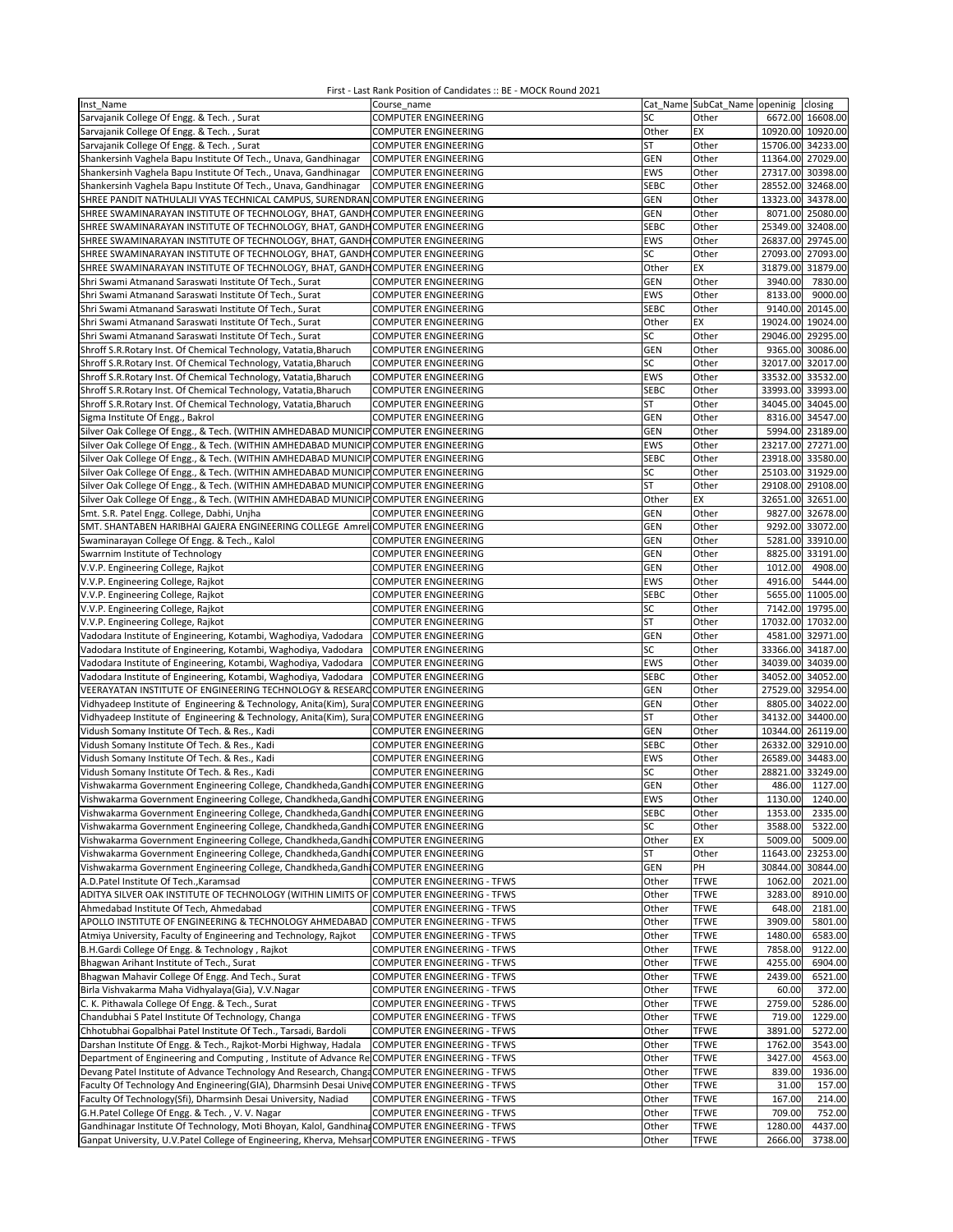| Inst Name                                                                                       | Course name                                  |                    | Cat Name SubCat_Name openinig closing |                   |                                      |
|-------------------------------------------------------------------------------------------------|----------------------------------------------|--------------------|---------------------------------------|-------------------|--------------------------------------|
| Sarvajanik College Of Engg. & Tech., Surat                                                      | COMPUTER ENGINEERING                         | SC                 | Other                                 |                   | 6672.00 16608.00                     |
| Sarvajanik College Of Engg. & Tech., Surat                                                      | <b>COMPUTER ENGINEERING</b>                  | Other              | EX                                    |                   | 10920.00 10920.00                    |
| Sarvajanik College Of Engg. & Tech., Surat                                                      | <b>COMPUTER ENGINEERING</b>                  | <b>ST</b>          | Other                                 |                   | 15706.00 34233.00                    |
| Shankersinh Vaghela Bapu Institute Of Tech., Unava, Gandhinagar                                 | <b>COMPUTER ENGINEERING</b>                  | GEN                | Other                                 | 11364.00 27029.00 |                                      |
| Shankersinh Vaghela Bapu Institute Of Tech., Unava, Gandhinagar                                 | <b>COMPUTER ENGINEERING</b>                  | EWS                | Other                                 |                   | 27317.00 30398.00                    |
| Shankersinh Vaghela Bapu Institute Of Tech., Unava, Gandhinagar                                 | <b>COMPUTER ENGINEERING</b>                  | <b>SEBC</b>        | Other                                 |                   | 28552.00 32468.00                    |
| SHREE PANDIT NATHULALJI VYAS TECHNICAL CAMPUS, SURENDRAN COMPUTER ENGINEERING                   |                                              | GEN                | Other                                 | 13323.00 34378.00 |                                      |
| SHREE SWAMINARAYAN INSTITUTE OF TECHNOLOGY, BHAT, GANDHCOMPUTER ENGINEERING                     |                                              | <b>GEN</b>         | Other                                 |                   | 8071.00 25080.00                     |
| SHREE SWAMINARAYAN INSTITUTE OF TECHNOLOGY, BHAT, GANDH COMPUTER ENGINEERING                    |                                              | <b>SEBC</b>        | Other                                 | 25349.00 32408.00 |                                      |
| SHREE SWAMINARAYAN INSTITUTE OF TECHNOLOGY, BHAT, GANDH COMPUTER ENGINEERING                    |                                              | EWS                | Other                                 |                   | 26837.00 29745.00                    |
| SHREE SWAMINARAYAN INSTITUTE OF TECHNOLOGY, BHAT, GANDH COMPUTER ENGINEERING                    |                                              | SC                 | Other                                 | 27093.00 27093.00 |                                      |
| SHREE SWAMINARAYAN INSTITUTE OF TECHNOLOGY, BHAT, GANDH COMPUTER ENGINEERING                    |                                              | Other              | EX                                    | 31879.00 31879.00 |                                      |
| Shri Swami Atmanand Saraswati Institute Of Tech., Surat                                         | COMPUTER ENGINEERING                         | GEN                | Other                                 | 3940.00           | 7830.00                              |
| Shri Swami Atmanand Saraswati Institute Of Tech., Surat                                         | COMPUTER ENGINEERING                         | <b>EWS</b>         | Other                                 | 8133.00           | 9000.00                              |
| Shri Swami Atmanand Saraswati Institute Of Tech., Surat                                         | COMPUTER ENGINEERING                         | <b>SEBC</b>        | Other                                 |                   | 9140.00 20145.00                     |
| Shri Swami Atmanand Saraswati Institute Of Tech., Surat                                         | COMPUTER ENGINEERING                         | Other              | EX                                    |                   | 19024.00 19024.00                    |
| Shri Swami Atmanand Saraswati Institute Of Tech., Surat                                         | <b>COMPUTER ENGINEERING</b>                  | SC                 | Other                                 |                   | 29046.00 29295.00                    |
| Shroff S.R.Rotary Inst. Of Chemical Technology, Vatatia, Bharuch                                | COMPUTER ENGINEERING                         | <b>GEN</b>         | Other                                 |                   | 9365.00 30086.00                     |
| Shroff S.R. Rotary Inst. Of Chemical Technology, Vatatia, Bharuch                               | COMPUTER ENGINEERING                         | SC                 | Other                                 |                   | 32017.00 32017.00                    |
| Shroff S.R.Rotary Inst. Of Chemical Technology, Vatatia, Bharuch                                | COMPUTER ENGINEERING                         | EWS                | Other                                 |                   | 33532.00 33532.00                    |
| Shroff S.R. Rotary Inst. Of Chemical Technology, Vatatia, Bharuch                               | COMPUTER ENGINEERING                         | <b>SEBC</b>        | Other                                 |                   | 33993.00 33993.00                    |
| Shroff S.R.Rotary Inst. Of Chemical Technology, Vatatia, Bharuch                                | COMPUTER ENGINEERING                         | ST                 | Other                                 |                   | 34045.00 34045.00                    |
| Sigma Institute Of Engg., Bakrol                                                                | COMPUTER ENGINEERING                         | GEN                | Other                                 |                   | 8316.00 34547.00                     |
| Silver Oak College Of Engg., & Tech. (WITHIN AMHEDABAD MUNICIP COMPUTER ENGINEERING             |                                              | GEN                | Other                                 |                   | 5994.00 23189.00                     |
| Silver Oak College Of Engg., & Tech. (WITHIN AMHEDABAD MUNICIP COMPUTER ENGINEERING             |                                              | EWS                | Other                                 |                   | 23217.00 27271.00                    |
| Silver Oak College Of Engg., & Tech. (WITHIN AMHEDABAD MUNICIP COMPUTER ENGINEERING             |                                              | <b>SEBC</b>        | Other                                 |                   | 23918.00 33580.00                    |
| Silver Oak College Of Engg., & Tech. (WITHIN AMHEDABAD MUNICIP COMPUTER ENGINEERING             |                                              | SC                 | Other                                 |                   | 25103.00 31929.00                    |
| Silver Oak College Of Engg., & Tech. (WITHIN AMHEDABAD MUNICIP COMPUTER ENGINEERING             |                                              | <b>ST</b>          | Other                                 | 29108.00 29108.00 |                                      |
| Silver Oak College Of Engg., & Tech. (WITHIN AMHEDABAD MUNICIP COMPUTER ENGINEERING             |                                              | Other              | EX                                    |                   | 32651.00 32651.00                    |
| Smt. S.R. Patel Engg. College, Dabhi, Unjha                                                     | <b>COMPUTER ENGINEERING</b>                  | GEN                | Other                                 |                   | 9827.00 32678.00                     |
| SMT. SHANTABEN HARIBHAI GAJERA ENGINEERING COLLEGE Amrel COMPUTER ENGINEERING                   | <b>COMPUTER ENGINEERING</b>                  | <b>GEN</b>         | Other                                 |                   | 9292.00 33072.00                     |
| Swaminarayan College Of Engg. & Tech., Kalol                                                    |                                              | <b>GEN</b>         | Other                                 |                   | 5281.00 33910.00<br>8825.00 33191.00 |
| Swarrnim Institute of Technology                                                                | COMPUTER ENGINEERING                         | GEN<br>GEN         | Other<br>Other                        | 1012.00           | 4908.00                              |
| V.V.P. Engineering College, Rajkot                                                              | COMPUTER ENGINEERING                         |                    |                                       |                   |                                      |
| V.V.P. Engineering College, Rajkot<br>V.V.P. Engineering College, Rajkot                        | COMPUTER ENGINEERING                         | EWS<br><b>SEBC</b> | Other<br>Other                        | 4916.00           | 5444.00<br>5655.00 11005.00          |
| V.V.P. Engineering College, Rajkot                                                              | COMPUTER ENGINEERING<br>COMPUTER ENGINEERING | SC                 | Other                                 |                   | 7142.00 19795.00                     |
| V.V.P. Engineering College, Rajkot                                                              | COMPUTER ENGINEERING                         | <b>ST</b>          | Other                                 |                   | 17032.00 17032.00                    |
| Vadodara Institute of Engineering, Kotambi, Waghodiya, Vadodara                                 | <b>COMPUTER ENGINEERING</b>                  | <b>GEN</b>         | Other                                 |                   | 4581.00 32971.00                     |
| Vadodara Institute of Engineering, Kotambi, Waghodiya, Vadodara                                 | <b>COMPUTER ENGINEERING</b>                  | SC                 | Other                                 |                   | 33366.00 34187.00                    |
| Vadodara Institute of Engineering, Kotambi, Waghodiya, Vadodara                                 | <b>COMPUTER ENGINEERING</b>                  | EWS                | Other                                 |                   | 34039.00 34039.00                    |
| Vadodara Institute of Engineering, Kotambi, Waghodiya, Vadodara                                 | <b>COMPUTER ENGINEERING</b>                  | <b>SEBC</b>        | Other                                 |                   | 34052.00 34052.00                    |
| VEERAYATAN INSTITUTE OF ENGINEERING TECHNOLOGY & RESEARC COMPUTER ENGINEERING                   |                                              | <b>GEN</b>         | Other                                 |                   | 27529.00 32954.00                    |
| Vidhyadeep Institute of Engineering & Technology, Anita(Kim), Sura COMPUTER ENGINEERING         |                                              | <b>GEN</b>         | Other                                 |                   | 8805.00 34022.00                     |
| Vidhyadeep Institute of Engineering & Technology, Anita(Kim), Sura COMPUTER ENGINEERING         |                                              | <b>ST</b>          | Other                                 |                   | 34132.00 34400.00                    |
| Vidush Somany Institute Of Tech. & Res., Kadi                                                   | COMPUTER ENGINEERING                         | <b>GEN</b>         | Other                                 | 10344.00 26119.00 |                                      |
| Vidush Somany Institute Of Tech. & Res., Kadi                                                   | COMPUTER ENGINEERING                         | <b>SEBC</b>        | Other                                 | 26332.00 32910.00 |                                      |
| Vidush Somany Institute Of Tech. & Res., Kadi                                                   | <b>COMPUTER ENGINEERING</b>                  | EWS                | Other                                 | 26589.00 34483.00 |                                      |
| Vidush Somany Institute Of Tech. & Res., Kadi                                                   | <b>COMPUTER ENGINEERING</b>                  | SC                 | Other                                 |                   | 28821.00 33249.00                    |
| Vishwakarma Government Engineering College, Chandkheda, Gandhi COMPUTER ENGINEERING             |                                              | GEN                | Other                                 | 486.00            | 1127.00                              |
| Vishwakarma Government Engineering College, Chandkheda, Gandhi COMPUTER ENGINEERING             |                                              | EWS                | Other                                 | 1130.00           | 1240.00                              |
| Vishwakarma Government Engineering College, Chandkheda, Gandhi COMPUTER ENGINEERING             |                                              | <b>SEBC</b>        | Other                                 | 1353.00           | 2335.00                              |
| Vishwakarma Government Engineering College, Chandkheda, Gandhi COMPUTER ENGINEERING             |                                              | SC                 | Other                                 | 3588.00           | 5322.00                              |
| Vishwakarma Government Engineering College, Chandkheda, Gandhi COMPUTER ENGINEERING             |                                              | Other              | EX                                    | 5009.00           | 5009.00                              |
| Vishwakarma Government Engineering College, Chandkheda, Gandhi COMPUTER ENGINEERING             |                                              | ST                 | Other                                 |                   | 11643.00 23253.00                    |
| Vishwakarma Government Engineering College, Chandkheda, Gandhi COMPUTER ENGINEERING             |                                              | <b>GEN</b>         | PH                                    |                   | 30844.00 30844.00                    |
| A.D.Patel Institute Of Tech., Karamsad                                                          | COMPUTER ENGINEERING - TFWS                  | Other              | <b>TFWE</b>                           | 1062.00           | 2021.00                              |
| ADITYA SILVER OAK INSTITUTE OF TECHNOLOGY (WITHIN LIMITS OF COMPUTER ENGINEERING - TFWS         |                                              | Other              | <b>TFWE</b>                           | 3283.00           | 8910.00                              |
| Ahmedabad Institute Of Tech, Ahmedabad                                                          | COMPUTER ENGINEERING - TFWS                  | Other              | <b>TFWE</b>                           | 648.00            | 2181.00                              |
| APOLLO INSTITUTE OF ENGINEERING & TECHNOLOGY AHMEDABAD COMPUTER ENGINEERING - TFWS              |                                              | Other              | <b>TFWE</b>                           | 3909.00           | 5801.00                              |
| Atmiya University, Faculty of Engineering and Technology, Rajkot                                | <b>COMPUTER ENGINEERING - TFWS</b>           | Other              | <b>TFWE</b>                           | 1480.00           | 6583.00                              |
| B.H.Gardi College Of Engg. & Technology, Rajkot                                                 | COMPUTER ENGINEERING - TFWS                  | Other              | <b>TFWE</b>                           | 7858.00           | 9122.00                              |
| Bhagwan Arihant Institute of Tech., Surat                                                       | COMPUTER ENGINEERING - TFWS                  | Other              | <b>TFWE</b>                           | 4255.00           | 6904.00                              |
| Bhagwan Mahavir College Of Engg. And Tech., Surat                                               | COMPUTER ENGINEERING - TFWS                  | Other              | <b>TFWE</b>                           | 2439.00           | 6521.00                              |
| Birla Vishvakarma Maha Vidhyalaya(Gia), V.V.Nagar                                               | COMPUTER ENGINEERING - TFWS                  | Other              | <b>TFWE</b>                           | 60.00             | 372.00                               |
| C. K. Pithawala College Of Engg. & Tech., Surat                                                 | COMPUTER ENGINEERING - TFWS                  | Other              | <b>TFWE</b>                           | 2759.00           | 5286.00                              |
| Chandubhai S Patel Institute Of Technology, Changa                                              | COMPUTER ENGINEERING - TFWS                  | Other              | <b>TFWE</b>                           | 719.00            | 1229.00                              |
| Chhotubhai Gopalbhai Patel Institute Of Tech., Tarsadi, Bardoli                                 | COMPUTER ENGINEERING - TFWS                  | Other              | <b>TFWE</b>                           | 3891.00           | 5272.00                              |
| Darshan Institute Of Engg. & Tech., Rajkot-Morbi Highway, Hadala                                | <b>COMPUTER ENGINEERING - TFWS</b>           | Other              | <b>TFWE</b>                           | 1762.00           | 3543.00                              |
| Department of Engineering and Computing, Institute of Advance Re COMPUTER ENGINEERING - TFWS    |                                              | Other              | <b>TFWE</b>                           | 3427.00           | 4563.00                              |
| Devang Patel Institute of Advance Technology And Research, Change COMPUTER ENGINEERING - TFWS   |                                              | Other              | <b>TFWE</b>                           | 839.00            | 1936.00                              |
| Faculty Of Technology And Engineering(GIA), Dharmsinh Desai Unive COMPUTER ENGINEERING - TFWS   |                                              | Other              | <b>TFWE</b>                           | 31.00             | 157.00                               |
| Faculty Of Technology(Sfi), Dharmsinh Desai University, Nadiad                                  | <b>COMPUTER ENGINEERING - TFWS</b>           | Other              | <b>TFWE</b>                           | 167.00            | 214.00                               |
| G.H.Patel College Of Engg. & Tech., V.V. Nagar                                                  | <b>COMPUTER ENGINEERING - TFWS</b>           | Other              | <b>TFWE</b>                           | 709.00            | 752.00                               |
| Gandhinagar Institute Of Technology, Moti Bhoyan, Kalol, Gandhina, COMPUTER ENGINEERING - TFWS  |                                              | Other              | <b>TFWE</b>                           | 1280.00           | 4437.00                              |
| Ganpat University, U.V.Patel College of Engineering, Kherva, Mehsar COMPUTER ENGINEERING - TFWS |                                              | Other              | <b>TFWE</b>                           | 2666.00           | 3738.00                              |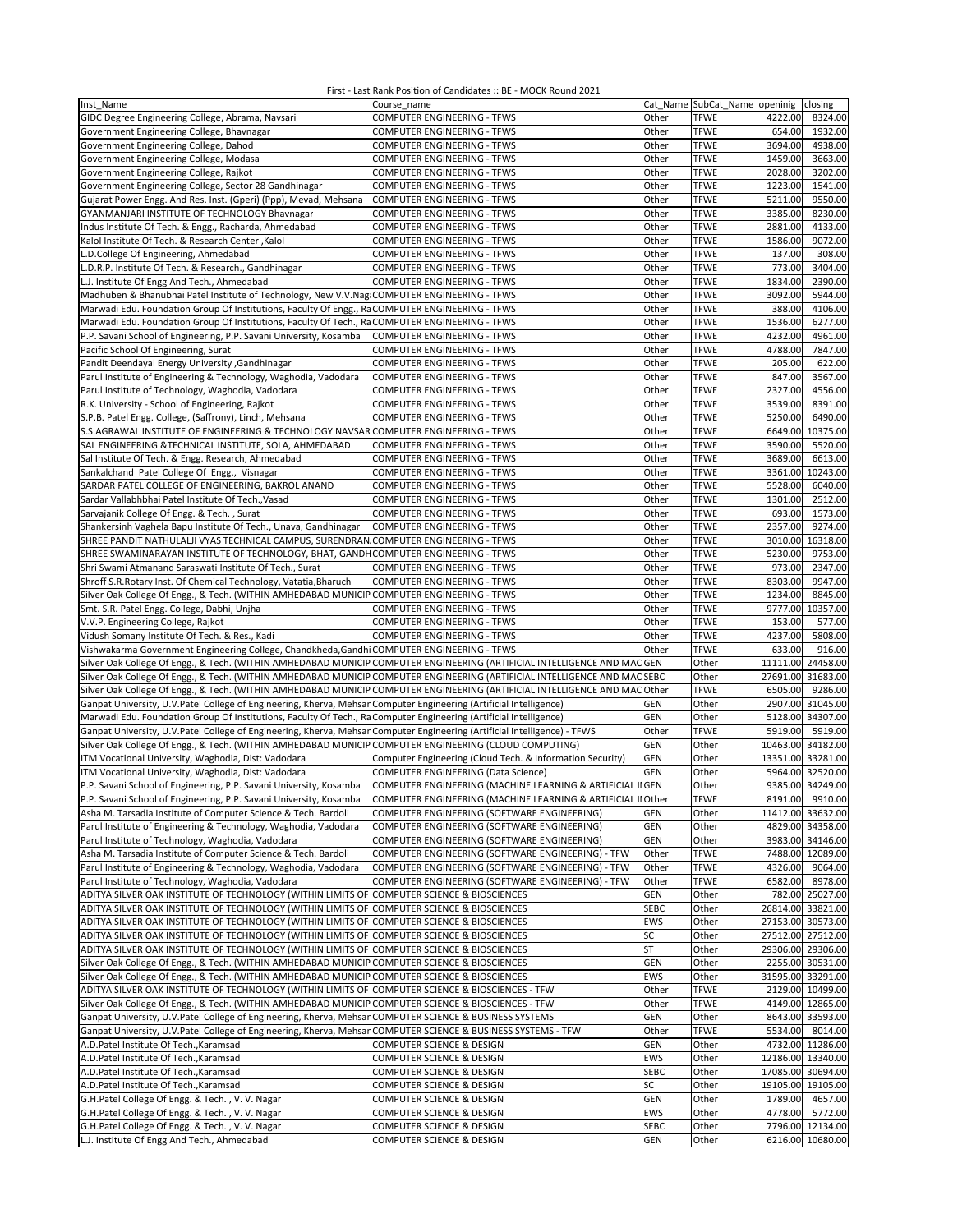| Inst Name                                                                                                                                               | Course name                                                              |                   | Cat Name SubCat_Name openinig | closing                                  |
|---------------------------------------------------------------------------------------------------------------------------------------------------------|--------------------------------------------------------------------------|-------------------|-------------------------------|------------------------------------------|
| GIDC Degree Engineering College, Abrama, Navsari                                                                                                        | COMPUTER ENGINEERING - TFWS                                              | Other             | <b>TFWE</b>                   | 4222.00<br>8324.00                       |
| Government Engineering College, Bhavnagar                                                                                                               | COMPUTER ENGINEERING - TFWS                                              | Other             | <b>TFWE</b>                   | 654.00<br>1932.00                        |
| Government Engineering College, Dahod                                                                                                                   | COMPUTER ENGINEERING - TFWS                                              | Other             | <b>TFWE</b>                   | 4938.00<br>3694.00                       |
| Government Engineering College, Modasa                                                                                                                  | COMPUTER ENGINEERING - TFWS                                              | Other             | <b>TFWE</b>                   | 1459.00<br>3663.00                       |
| Government Engineering College, Rajkot                                                                                                                  | COMPUTER ENGINEERING - TFWS                                              | Other             | <b>TFWE</b>                   | 3202.00<br>2028.00                       |
| Government Engineering College, Sector 28 Gandhinagar                                                                                                   | <b>COMPUTER ENGINEERING - TFWS</b>                                       | Other             | <b>TFWE</b>                   | 1223.00<br>1541.00                       |
| Gujarat Power Engg. And Res. Inst. (Gperi) (Ppp), Mevad, Mehsana                                                                                        | <b>COMPUTER ENGINEERING - TFWS</b>                                       | Other             | <b>TFWE</b>                   | 9550.00<br>5211.00                       |
| GYANMANJARI INSTITUTE OF TECHNOLOGY Bhavnagar                                                                                                           | COMPUTER ENGINEERING - TFWS                                              | Other             | <b>TFWE</b>                   | 8230.00<br>3385.00                       |
| Indus Institute Of Tech. & Engg., Racharda, Ahmedabad                                                                                                   | COMPUTER ENGINEERING - TFWS                                              | Other             | <b>TFWE</b>                   | 2881.00<br>4133.00                       |
| Kalol Institute Of Tech. & Research Center, Kalol                                                                                                       | COMPUTER ENGINEERING - TFWS                                              | Other             | <b>TFWE</b>                   | 9072.00<br>1586.00                       |
| L.D.College Of Engineering, Ahmedabad                                                                                                                   | <b>COMPUTER ENGINEERING - TFWS</b>                                       | Other             | <b>TFWE</b>                   | 137.00<br>308.00                         |
| L.D.R.P. Institute Of Tech. & Research., Gandhinagar                                                                                                    | <b>COMPUTER ENGINEERING - TFWS</b>                                       | Other             | <b>TFWE</b>                   | 773.00<br>3404.00                        |
| L.J. Institute Of Engg And Tech., Ahmedabad                                                                                                             | <b>COMPUTER ENGINEERING - TFWS</b>                                       | Other             | <b>TFWE</b>                   | 1834.00<br>2390.00                       |
| Madhuben & Bhanubhai Patel Institute of Technology, New V.V.Nag COMPUTER ENGINEERING - TFWS                                                             |                                                                          | Other             | <b>TFWE</b>                   | 3092.00<br>5944.00                       |
| Marwadi Edu. Foundation Group Of Institutions, Faculty Of Engg., RaCOMPUTER ENGINEERING - TFWS                                                          |                                                                          | Other             | <b>TFWE</b>                   | 388.00<br>4106.00                        |
| Marwadi Edu. Foundation Group Of Institutions, Faculty Of Tech., RaCOMPUTER ENGINEERING - TFWS                                                          |                                                                          | Other             | <b>TFWE</b>                   | 1536.00<br>6277.00                       |
| P.P. Savani School of Engineering, P.P. Savani University, Kosamba                                                                                      | <b>COMPUTER ENGINEERING - TFWS</b>                                       | Other             | <b>TFWE</b>                   | 4961.00<br>4232.00                       |
| Pacific School Of Engineering, Surat                                                                                                                    | COMPUTER ENGINEERING - TFWS                                              | Other             | <b>TFWE</b>                   | 4788.00<br>7847.00                       |
| Pandit Deendayal Energy University , Gandhinagar                                                                                                        | COMPUTER ENGINEERING - TFWS                                              | Other             | <b>TFWE</b>                   | 205.00<br>622.00                         |
| Parul Institute of Engineering & Technology, Waghodia, Vadodara                                                                                         | COMPUTER ENGINEERING - TFWS                                              | Other             | <b>TFWE</b>                   | 3567.00<br>847.00                        |
| Parul Institute of Technology, Waghodia, Vadodara                                                                                                       | COMPUTER ENGINEERING - TFWS                                              | Other             | <b>TFWE</b>                   | 2327.00<br>4556.00                       |
| R.K. University - School of Engineering, Rajkot                                                                                                         | COMPUTER ENGINEERING - TFWS                                              | Other             | <b>TFWE</b>                   | 3539.00<br>8391.00                       |
| S.P.B. Patel Engg. College, (Saffrony), Linch, Mehsana                                                                                                  | <b>COMPUTER ENGINEERING - TFWS</b>                                       | Other             | <b>TFWE</b>                   | 5250.00<br>6490.00                       |
| S.S.AGRAWAL INSTITUTE OF ENGINEERING & TECHNOLOGY NAVSAR COMPUTER ENGINEERING - TFWS                                                                    |                                                                          | Other             | <b>TFWE</b>                   | 6649.00<br>10375.00                      |
| SAL ENGINEERING & TECHNICAL INSTITUTE, SOLA, AHMEDABAD                                                                                                  | <b>COMPUTER ENGINEERING - TFWS</b>                                       | Other             | <b>TFWE</b>                   | 3590.00<br>5520.00                       |
| Sal Institute Of Tech. & Engg. Research, Ahmedabad                                                                                                      | COMPUTER ENGINEERING - TFWS                                              | Other             | <b>TFWE</b>                   | 3689.00<br>6613.00                       |
| Sankalchand Patel College Of Engg., Visnagar                                                                                                            | COMPUTER ENGINEERING - TFWS                                              | Other             | <b>TFWE</b>                   | 3361.00<br>10243.00                      |
| SARDAR PATEL COLLEGE OF ENGINEERING, BAKROL ANAND                                                                                                       | <b>COMPUTER ENGINEERING - TFWS</b>                                       | Other             | <b>TFWE</b><br><b>TFWE</b>    | 5528.00<br>6040.00<br>2512.00<br>1301.00 |
| Sardar Vallabhbhai Patel Institute Of Tech., Vasad                                                                                                      | COMPUTER ENGINEERING - TFWS                                              | Other             |                               |                                          |
| Sarvajanik College Of Engg. & Tech., Surat                                                                                                              | <b>COMPUTER ENGINEERING - TFWS</b>                                       | Other             | <b>TFWE</b>                   | 1573.00<br>693.00<br>9274.00             |
| Shankersinh Vaghela Bapu Institute Of Tech., Unava, Gandhinagar<br>SHREE PANDIT NATHULALJI VYAS TECHNICAL CAMPUS, SURENDRAN COMPUTER ENGINEERING - TFWS | <b>COMPUTER ENGINEERING - TFWS</b>                                       | Other<br>Other    | <b>TFWE</b><br><b>TFWE</b>    | 2357.00<br>3010.00<br>16318.00           |
|                                                                                                                                                         |                                                                          | Other             | <b>TFWE</b>                   | 5230.00<br>9753.00                       |
| SHREE SWAMINARAYAN INSTITUTE OF TECHNOLOGY, BHAT, GANDH<br>Shri Swami Atmanand Saraswati Institute Of Tech., Surat                                      | <b>COMPUTER ENGINEERING - TFWS</b><br><b>COMPUTER ENGINEERING - TFWS</b> | Other             | <b>TFWE</b>                   | 973.00<br>2347.00                        |
| Shroff S.R. Rotary Inst. Of Chemical Technology, Vatatia, Bharuch                                                                                       | COMPUTER ENGINEERING - TFWS                                              | Other             | <b>TFWE</b>                   | 8303.00<br>9947.00                       |
| Silver Oak College Of Engg., & Tech. (WITHIN AMHEDABAD MUNICIP COMPUTER ENGINEERING - TFWS                                                              |                                                                          | Other             | <b>TFWE</b>                   | 8845.00<br>1234.00                       |
| Smt. S.R. Patel Engg. College, Dabhi, Unjha                                                                                                             | COMPUTER ENGINEERING - TFWS                                              | Other             | <b>TFWE</b>                   | 9777.00<br>10357.00                      |
| V.V.P. Engineering College, Rajkot                                                                                                                      | COMPUTER ENGINEERING - TFWS                                              | Other             | <b>TFWE</b>                   | 153.00<br>577.00                         |
| Vidush Somany Institute Of Tech. & Res., Kadi                                                                                                           | <b>COMPUTER ENGINEERING - TFWS</b>                                       | Other             | <b>TFWE</b>                   | 5808.00<br>4237.00                       |
| Vishwakarma Government Engineering College, Chandkheda, Gandhi COMPUTER ENGINEERING - TFWS                                                              |                                                                          | Other             | <b>TFWE</b>                   | 633.00<br>916.00                         |
| Silver Oak College Of Engg., & Tech. (WITHIN AMHEDABAD MUNICIP COMPUTER ENGINEERING (ARTIFICIAL INTELLIGENCE AND MAC                                    |                                                                          | <b>GEN</b>        | Other                         | 11111.00<br>24458.00                     |
| Silver Oak College Of Engg., & Tech. (WITHIN AMHEDABAD MUNICIP COMPUTER ENGINEERING (ARTIFICIAL INTELLIGENCE AND MACSEBC                                |                                                                          |                   | Other                         | 27691.00 31683.00                        |
| Silver Oak College Of Engg., & Tech. (WITHIN AMHEDABAD MUNICIP COMPUTER ENGINEERING (ARTIFICIAL INTELLIGENCE AND MAC Other                              |                                                                          |                   | <b>TFWE</b>                   | 6505.00<br>9286.00                       |
| Ganpat University, U.V.Patel College of Engineering, Kherva, Mehsan Computer Engineering (Artificial Intelligence)                                      |                                                                          | <b>GEN</b>        | Other                         | 2907.00 31045.00                         |
| Marwadi Edu. Foundation Group Of Institutions, Faculty Of Tech., RaComputer Engineering (Artificial Intelligence)                                       |                                                                          | <b>GEN</b>        | Other                         | 5128.00<br>34307.00                      |
| Ganpat University, U.V.Patel College of Engineering, Kherva, Mehsan Computer Engineering (Artificial Intelligence) - TFWS                               |                                                                          | Other             | <b>TFWE</b>                   | 5919.00<br>5919.00                       |
| Silver Oak College Of Engg., & Tech. (WITHIN AMHEDABAD MUNICIP COMPUTER ENGINEERING (CLOUD COMPUTING)                                                   |                                                                          | GEN               | Other                         | 10463.00<br>34182.00                     |
| ITM Vocational University, Waghodia, Dist: Vadodara                                                                                                     | Computer Engineering (Cloud Tech. & Information Security)                | GEN               | Other                         | 13351.00 33281.00                        |
| ITM Vocational University, Waghodia, Dist: Vadodara                                                                                                     | COMPUTER ENGINEERING (Data Science)                                      | GEN               | Other                         | 5964.00<br>32520.00                      |
| P.P. Savani School of Engineering, P.P. Savani University, Kosamba                                                                                      | COMPUTER ENGINEERING (MACHINE LEARNING & ARTIFICIAL II GEN               |                   | Other                         | 9385.00 34249.00                         |
| P.P. Savani School of Engineering, P.P. Savani University, Kosamba                                                                                      | COMPUTER ENGINEERING (MACHINE LEARNING & ARTIFICIAL II Other             |                   | TFWE                          | 8191.00 9910.00                          |
| Asha M. Tarsadia Institute of Computer Science & Tech. Bardoli                                                                                          | COMPUTER ENGINEERING (SOFTWARE ENGINEERING)                              | GEN               | Other                         | 11412.00 33632.00                        |
| Parul Institute of Engineering & Technology, Waghodia, Vadodara                                                                                         | COMPUTER ENGINEERING (SOFTWARE ENGINEERING)                              | GEN               | Other                         | 4829.00 34358.00                         |
| Parul Institute of Technology, Waghodia, Vadodara                                                                                                       | COMPUTER ENGINEERING (SOFTWARE ENGINEERING)                              | <b>GEN</b>        | Other                         | 3983.00 34146.00                         |
| Asha M. Tarsadia Institute of Computer Science & Tech. Bardoli                                                                                          | COMPUTER ENGINEERING (SOFTWARE ENGINEERING) - TFW                        | Other             | <b>TFWE</b>                   | 7488.00 12089.00                         |
| Parul Institute of Engineering & Technology, Waghodia, Vadodara                                                                                         | COMPUTER ENGINEERING (SOFTWARE ENGINEERING) - TFW                        | Other             | <b>TFWE</b>                   | 4326.00<br>9064.00                       |
| Parul Institute of Technology, Waghodia, Vadodara                                                                                                       | COMPUTER ENGINEERING (SOFTWARE ENGINEERING) - TFW                        | Other             | <b>TFWE</b>                   | 6582.00<br>8978.00                       |
| ADITYA SILVER OAK INSTITUTE OF TECHNOLOGY (WITHIN LIMITS OF COMPUTER SCIENCE & BIOSCIENCES                                                              |                                                                          | GEN               | Other                         | 782.00 25027.00                          |
| ADITYA SILVER OAK INSTITUTE OF TECHNOLOGY (WITHIN LIMITS OF COMPUTER SCIENCE & BIOSCIENCES                                                              |                                                                          | <b>SEBC</b>       | Other                         | 26814.00 33821.00                        |
| ADITYA SILVER OAK INSTITUTE OF TECHNOLOGY (WITHIN LIMITS OF COMPUTER SCIENCE & BIOSCIENCES                                                              |                                                                          | EWS               | Other                         | 27153.00 30573.00                        |
| ADITYA SILVER OAK INSTITUTE OF TECHNOLOGY (WITHIN LIMITS OF COMPUTER SCIENCE & BIOSCIENCES                                                              |                                                                          | SC                | Other                         | 27512.00 27512.00                        |
| ADITYA SILVER OAK INSTITUTE OF TECHNOLOGY (WITHIN LIMITS OF COMPUTER SCIENCE & BIOSCIENCES                                                              |                                                                          | ST                | Other                         | 29306.00 29306.00                        |
| Silver Oak College Of Engg., & Tech. (WITHIN AMHEDABAD MUNICIP COMPUTER SCIENCE & BIOSCIENCES                                                           |                                                                          | <b>GEN</b>        | Other                         | 2255.00 30531.00                         |
| Silver Oak College Of Engg., & Tech. (WITHIN AMHEDABAD MUNICIP COMPUTER SCIENCE & BIOSCIENCES                                                           |                                                                          | EWS               | Other                         | 31595.00 33291.00                        |
| ADITYA SILVER OAK INSTITUTE OF TECHNOLOGY (WITHIN LIMITS OF COMPUTER SCIENCE & BIOSCIENCES - TFW                                                        |                                                                          | Other             | <b>TFWE</b>                   | 2129.00 10499.00                         |
| Silver Oak College Of Engg., & Tech. (WITHIN AMHEDABAD MUNICIP COMPUTER SCIENCE & BIOSCIENCES - TFW                                                     |                                                                          | Other             | <b>TFWE</b>                   | 4149.00 12865.00                         |
| Ganpat University, U.V.Patel College of Engineering, Kherva, Mehsar COMPUTER SCIENCE & BUSINESS SYSTEMS                                                 |                                                                          | GEN               | Other                         | 8643.00 33593.00                         |
| Ganpat University, U.V.Patel College of Engineering, Kherva, Mehsar COMPUTER SCIENCE & BUSINESS SYSTEMS - TFW                                           |                                                                          | Other             | <b>TFWE</b>                   | 5534.00 8014.00                          |
| A.D.Patel Institute Of Tech., Karamsad                                                                                                                  | COMPUTER SCIENCE & DESIGN                                                | <b>GEN</b>        | Other                         | 4732.00 11286.00                         |
| A.D.Patel Institute Of Tech., Karamsad                                                                                                                  | COMPUTER SCIENCE & DESIGN                                                | EWS               | Other                         | 12186.00 13340.00                        |
| A.D.Patel Institute Of Tech., Karamsad                                                                                                                  | COMPUTER SCIENCE & DESIGN                                                | <b>SEBC</b>       | Other                         | 17085.00 30694.00                        |
| A.D.Patel Institute Of Tech., Karamsad                                                                                                                  | COMPUTER SCIENCE & DESIGN                                                | SC                | Other                         | 19105.00 19105.00                        |
| G.H.Patel College Of Engg. & Tech., V. V. Nagar<br>G.H.Patel College Of Engg. & Tech., V. V. Nagar                                                      | COMPUTER SCIENCE & DESIGN                                                | <b>GEN</b><br>EWS | Other<br>Other                | 1789.00<br>4657.00<br>4778.00<br>5772.00 |
| G.H.Patel College Of Engg. & Tech., V. V. Nagar                                                                                                         | COMPUTER SCIENCE & DESIGN<br>COMPUTER SCIENCE & DESIGN                   | <b>SEBC</b>       | Other                         | 7796.00 12134.00                         |
| L.J. Institute Of Engg And Tech., Ahmedabad                                                                                                             | COMPUTER SCIENCE & DESIGN                                                | <b>GEN</b>        | Other                         | 6216.00 10680.00                         |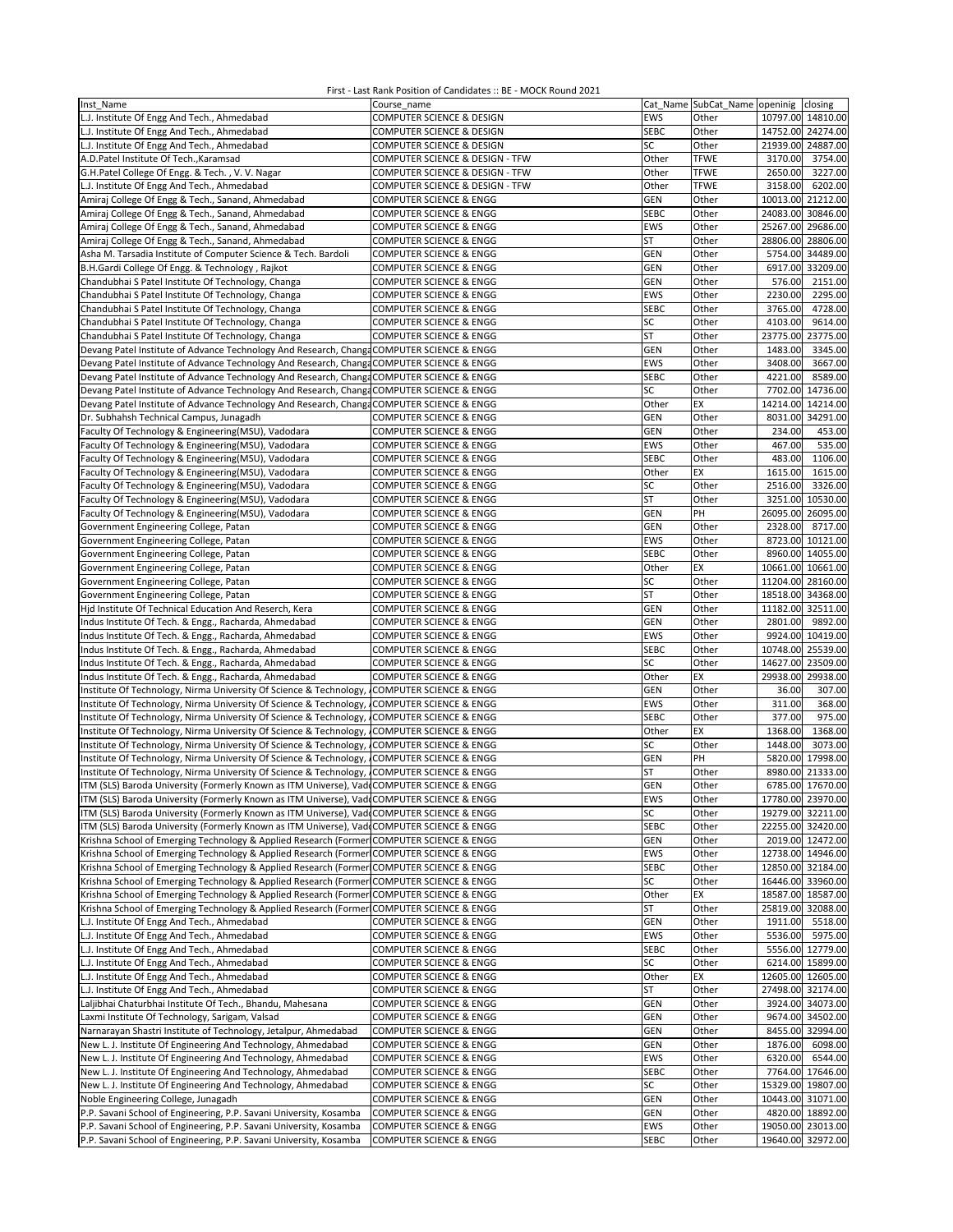| Inst Name                                                                                  | Course name                                        |             | Cat Name SubCat_Name openinig |                   | closing           |
|--------------------------------------------------------------------------------------------|----------------------------------------------------|-------------|-------------------------------|-------------------|-------------------|
| L.J. Institute Of Engg And Tech., Ahmedabad                                                | COMPUTER SCIENCE & DESIGN                          | EWS         | Other                         |                   | 10797.00 14810.00 |
| L.J. Institute Of Engg And Tech., Ahmedabad                                                | COMPUTER SCIENCE & DESIGN                          | <b>SEBC</b> | Other                         |                   | 14752.00 24274.00 |
| L.J. Institute Of Engg And Tech., Ahmedabad                                                | COMPUTER SCIENCE & DESIGN                          | SC          | Other                         |                   | 21939.00 24887.00 |
| A.D.Patel Institute Of Tech., Karamsad                                                     | COMPUTER SCIENCE & DESIGN - TFW                    | Other       | <b>TFWE</b>                   | 3170.00           | 3754.00           |
| G.H.Patel College Of Engg. & Tech., V.V. Nagar                                             | COMPUTER SCIENCE & DESIGN - TFW                    | Other       | <b>TFWE</b>                   | 2650.00           | 3227.00           |
| L.J. Institute Of Engg And Tech., Ahmedabad                                                | COMPUTER SCIENCE & DESIGN - TFW                    | Other       | <b>TFWE</b>                   | 3158.00           | 6202.00           |
| Amiraj College Of Engg & Tech., Sanand, Ahmedabad                                          | COMPUTER SCIENCE & ENGG                            | <b>GEN</b>  | Other                         |                   | 10013.00 21212.00 |
| Amiraj College Of Engg & Tech., Sanand, Ahmedabad                                          | COMPUTER SCIENCE & ENGG                            | <b>SEBC</b> | Other                         | 24083.00          | 30846.00          |
| Amiraj College Of Engg & Tech., Sanand, Ahmedabad                                          | COMPUTER SCIENCE & ENGG                            | EWS         | Other                         |                   | 25267.00 29686.00 |
|                                                                                            |                                                    | <b>ST</b>   | Other                         |                   | 28806.00 28806.00 |
| Amiraj College Of Engg & Tech., Sanand, Ahmedabad                                          | COMPUTER SCIENCE & ENGG                            | GEN         | Other                         |                   | 5754.00 34489.00  |
| Asha M. Tarsadia Institute of Computer Science & Tech. Bardoli                             | COMPUTER SCIENCE & ENGG<br>COMPUTER SCIENCE & ENGG | GEN         | Other                         |                   | 6917.00 33209.00  |
| B.H.Gardi College Of Engg. & Technology, Rajkot                                            |                                                    |             |                               |                   |                   |
| Chandubhai S Patel Institute Of Technology, Changa                                         | COMPUTER SCIENCE & ENGG                            | GEN         | Other                         | 576.00            | 2151.00           |
| Chandubhai S Patel Institute Of Technology, Changa                                         | COMPUTER SCIENCE & ENGG                            | EWS         | Other                         | 2230.00           | 2295.00           |
| Chandubhai S Patel Institute Of Technology, Changa                                         | <b>COMPUTER SCIENCE &amp; ENGG</b>                 | <b>SEBC</b> | Other                         | 3765.00           | 4728.00           |
| Chandubhai S Patel Institute Of Technology, Changa                                         | <b>COMPUTER SCIENCE &amp; ENGG</b>                 | SC          | Other                         | 4103.00           | 9614.00           |
| Chandubhai S Patel Institute Of Technology, Changa                                         | COMPUTER SCIENCE & ENGG                            | <b>ST</b>   | Other                         |                   | 23775.00 23775.00 |
| Devang Patel Institute of Advance Technology And Research, Changa COMPUTER SCIENCE & ENGG  |                                                    | <b>GEN</b>  | Other                         | 1483.00           | 3345.00           |
| Devang Patel Institute of Advance Technology And Research, Changa COMPUTER SCIENCE & ENGG  |                                                    | EWS         | Other                         | 3408.00           | 3667.00           |
| Devang Patel Institute of Advance Technology And Research, Changa COMPUTER SCIENCE & ENGG  |                                                    | <b>SEBC</b> | Other                         | 4221.00           | 8589.00           |
| Devang Patel Institute of Advance Technology And Research, Change COMPUTER SCIENCE & ENGG  |                                                    | SC          | Other                         | 7702.00           | 14736.00          |
| Devang Patel Institute of Advance Technology And Research, Change COMPUTER SCIENCE & ENGG  |                                                    | Other       | EX                            |                   | 14214.00 14214.00 |
| Dr. Subhahsh Technical Campus, Junagadh                                                    | COMPUTER SCIENCE & ENGG                            | <b>GEN</b>  | Other                         |                   | 8031.00 34291.00  |
| Faculty Of Technology & Engineering(MSU), Vadodara                                         | <b>COMPUTER SCIENCE &amp; ENGG</b>                 | GEN         | Other                         | 234.00            | 453.00            |
| Faculty Of Technology & Engineering(MSU), Vadodara                                         | COMPUTER SCIENCE & ENGG                            | EWS         | Other                         | 467.00            | 535.00            |
| Faculty Of Technology & Engineering(MSU), Vadodara                                         | <b>COMPUTER SCIENCE &amp; ENGG</b>                 | <b>SEBC</b> | Other                         | 483.00            | 1106.00           |
| Faculty Of Technology & Engineering(MSU), Vadodara                                         | <b>COMPUTER SCIENCE &amp; ENGG</b>                 | Other       | EX                            | 1615.00           | 1615.00           |
| Faculty Of Technology & Engineering(MSU), Vadodara                                         | COMPUTER SCIENCE & ENGG                            | SC          | Other                         | 2516.00           | 3326.00           |
| Faculty Of Technology & Engineering(MSU), Vadodara                                         | COMPUTER SCIENCE & ENGG                            | <b>ST</b>   | Other                         |                   | 3251.00 10530.00  |
| Faculty Of Technology & Engineering(MSU), Vadodara                                         | <b>COMPUTER SCIENCE &amp; ENGG</b>                 | <b>GEN</b>  | PH                            |                   | 26095.00 26095.00 |
| Government Engineering College, Patan                                                      | COMPUTER SCIENCE & ENGG                            | <b>GEN</b>  | Other                         | 2328.00           | 8717.00           |
| Government Engineering College, Patan                                                      | COMPUTER SCIENCE & ENGG                            | EWS         | Other                         | 8723.00           | 10121.00          |
| Government Engineering College, Patan                                                      | COMPUTER SCIENCE & ENGG                            | <b>SEBC</b> | Other                         |                   | 8960.00 14055.00  |
| Government Engineering College, Patan                                                      | COMPUTER SCIENCE & ENGG                            | Other       | EX                            |                   | 10661.00 10661.00 |
| Government Engineering College, Patan                                                      | <b>COMPUTER SCIENCE &amp; ENGG</b>                 | SC          | Other                         | 11204.00 28160.00 |                   |
| Government Engineering College, Patan                                                      | COMPUTER SCIENCE & ENGG                            | <b>ST</b>   | Other                         | 18518.00 34368.00 |                   |
| Hjd Institute Of Technical Education And Reserch, Kera                                     | COMPUTER SCIENCE & ENGG                            | GEN         | Other                         |                   | 11182.00 32511.00 |
| Indus Institute Of Tech. & Engg., Racharda, Ahmedabad                                      | COMPUTER SCIENCE & ENGG                            | GEN         | Other                         | 2801.00           | 9892.00           |
| Indus Institute Of Tech. & Engg., Racharda, Ahmedabad                                      | <b>COMPUTER SCIENCE &amp; ENGG</b>                 | EWS         | Other                         |                   | 9924.00 10419.00  |
| Indus Institute Of Tech. & Engg., Racharda, Ahmedabad                                      | COMPUTER SCIENCE & ENGG                            | <b>SEBC</b> | Other                         |                   | 10748.00 25539.00 |
| Indus Institute Of Tech. & Engg., Racharda, Ahmedabad                                      | COMPUTER SCIENCE & ENGG                            | SC          | Other                         |                   | 14627.00 23509.00 |
| Indus Institute Of Tech. & Engg., Racharda, Ahmedabad                                      | COMPUTER SCIENCE & ENGG                            | Other       | ЕX                            |                   | 29938.00 29938.00 |
| Institute Of Technology, Nirma University Of Science & Technology, COMPUTER SCIENCE & ENGG |                                                    | <b>GEN</b>  | Other                         | 36.00             | 307.00            |
| Institute Of Technology, Nirma University Of Science & Technology, COMPUTER SCIENCE & ENGG |                                                    | EWS         | Other                         | 311.00            | 368.00            |
| Institute Of Technology, Nirma University Of Science & Technology, COMPUTER SCIENCE & ENGG |                                                    | <b>SEBC</b> | Other                         | 377.00            | 975.00            |
| Institute Of Technology, Nirma University Of Science & Technology, COMPUTER SCIENCE & ENGG |                                                    | Other       | EX                            | 1368.00           | 1368.00           |
| Institute Of Technology, Nirma University Of Science & Technology, COMPUTER SCIENCE & ENGG |                                                    | SC          | Other                         | 1448.00           | 3073.00           |
| Institute Of Technology, Nirma University Of Science & Technology,                         | <b>COMPUTER SCIENCE &amp; ENGG</b>                 | <b>GEN</b>  | PH                            |                   | 5820.00 17998.00  |
| Institute Of Technology, Nirma University Of Science & Technology,                         | <b>COMPUTER SCIENCE &amp; ENGG</b>                 | ST          | Other                         |                   | 8980.00 21333.00  |
| ITM (SLS) Baroda University (Formerly Known as ITM Universe), VadeCOMPUTER SCIENCE & ENGG  |                                                    | GEN         | Other                         |                   | 6785.00 17670.00  |
| ITM (SLS) Baroda University (Formerly Known as ITM Universe), Vad COMPUTER SCIENCE & ENGG  |                                                    | EWS         | Other                         |                   | 17780.00 23970.00 |
| ITM (SLS) Baroda University (Formerly Known as ITM Universe), Vad COMPUTER SCIENCE & ENGG  |                                                    | SC          | Other                         |                   | 19279.00 32211.00 |
| ITM (SLS) Baroda University (Formerly Known as ITM Universe), Vad COMPUTER SCIENCE & ENGG  |                                                    | <b>SEBC</b> | Other                         |                   | 22255.00 32420.00 |
| Krishna School of Emerging Technology & Applied Research (Former COMPUTER SCIENCE & ENGG   |                                                    | <b>GEN</b>  | Other                         |                   | 2019.00 12472.00  |
| Krishna School of Emerging Technology & Applied Research (Former COMPUTER SCIENCE & ENGG   |                                                    | EWS         | Other                         |                   | 12738.00 14946.00 |
| Krishna School of Emerging Technology & Applied Research (Former COMPUTER SCIENCE & ENGG   |                                                    | <b>SEBC</b> | Other                         |                   | 12850.00 32184.00 |
| Krishna School of Emerging Technology & Applied Research (Former COMPUTER SCIENCE & ENGG   |                                                    | SC          | Other                         |                   | 16446.00 33960.00 |
| Krishna School of Emerging Technology & Applied Research (Former COMPUTER SCIENCE & ENGG   |                                                    | Other       | EX                            |                   | 18587.00 18587.00 |
| Krishna School of Emerging Technology & Applied Research (Former COMPUTER SCIENCE & ENGG   |                                                    | ST          | Other                         |                   | 25819.00 32088.00 |
| L.J. Institute Of Engg And Tech., Ahmedabad                                                | COMPUTER SCIENCE & ENGG                            | <b>GEN</b>  | Other                         | 1911.00           | 5518.00           |
| L.J. Institute Of Engg And Tech., Ahmedabad                                                | <b>COMPUTER SCIENCE &amp; ENGG</b>                 | <b>EWS</b>  | Other                         | 5536.00           | 5975.00           |
| L.J. Institute Of Engg And Tech., Ahmedabad                                                | <b>COMPUTER SCIENCE &amp; ENGG</b>                 | <b>SEBC</b> | Other                         |                   | 5556.00 12779.00  |
| L.J. Institute Of Engg And Tech., Ahmedabad                                                | COMPUTER SCIENCE & ENGG                            | SC          | Other                         |                   | 6214.00 15899.00  |
| L.J. Institute Of Engg And Tech., Ahmedabad                                                | COMPUTER SCIENCE & ENGG                            | Other       | EX                            |                   | 12605.00 12605.00 |
| L.J. Institute Of Engg And Tech., Ahmedabad                                                | COMPUTER SCIENCE & ENGG                            | ST          | Other                         |                   | 27498.00 32174.00 |
| Laljibhai Chaturbhai Institute Of Tech., Bhandu, Mahesana                                  | <b>COMPUTER SCIENCE &amp; ENGG</b>                 | GEN         | Other                         |                   | 3924.00 34073.00  |
| Laxmi Institute Of Technology, Sarigam, Valsad                                             | <b>COMPUTER SCIENCE &amp; ENGG</b>                 | <b>GEN</b>  | Other                         |                   | 9674.00 34502.00  |
| Narnarayan Shastri Institute of Technology, Jetalpur, Ahmedabad                            | COMPUTER SCIENCE & ENGG                            | <b>GEN</b>  | Other                         |                   | 8455.00 32994.00  |
| New L. J. Institute Of Engineering And Technology, Ahmedabad                               | <b>COMPUTER SCIENCE &amp; ENGG</b>                 | <b>GEN</b>  | Other                         |                   | 1876.00 6098.00   |
| New L. J. Institute Of Engineering And Technology, Ahmedabad                               | COMPUTER SCIENCE & ENGG                            | <b>EWS</b>  | Other                         | 6320.00           | 6544.00           |
| New L. J. Institute Of Engineering And Technology, Ahmedabad                               | COMPUTER SCIENCE & ENGG                            | <b>SEBC</b> | Other                         |                   | 7764.00 17646.00  |
| New L. J. Institute Of Engineering And Technology, Ahmedabad                               | COMPUTER SCIENCE & ENGG                            | SC          | Other                         |                   | 15329.00 19807.00 |
| Noble Engineering College, Junagadh                                                        | COMPUTER SCIENCE & ENGG                            | GEN         | Other                         |                   | 10443.00 31071.00 |
| P.P. Savani School of Engineering, P.P. Savani University, Kosamba                         | COMPUTER SCIENCE & ENGG                            | GEN         | Other                         |                   | 4820.00 18892.00  |
| P.P. Savani School of Engineering, P.P. Savani University, Kosamba                         | COMPUTER SCIENCE & ENGG                            | EWS         | Other                         |                   | 19050.00 23013.00 |
| P.P. Savani School of Engineering, P.P. Savani University, Kosamba                         | COMPUTER SCIENCE & ENGG                            | <b>SEBC</b> | Other                         |                   | 19640.00 32972.00 |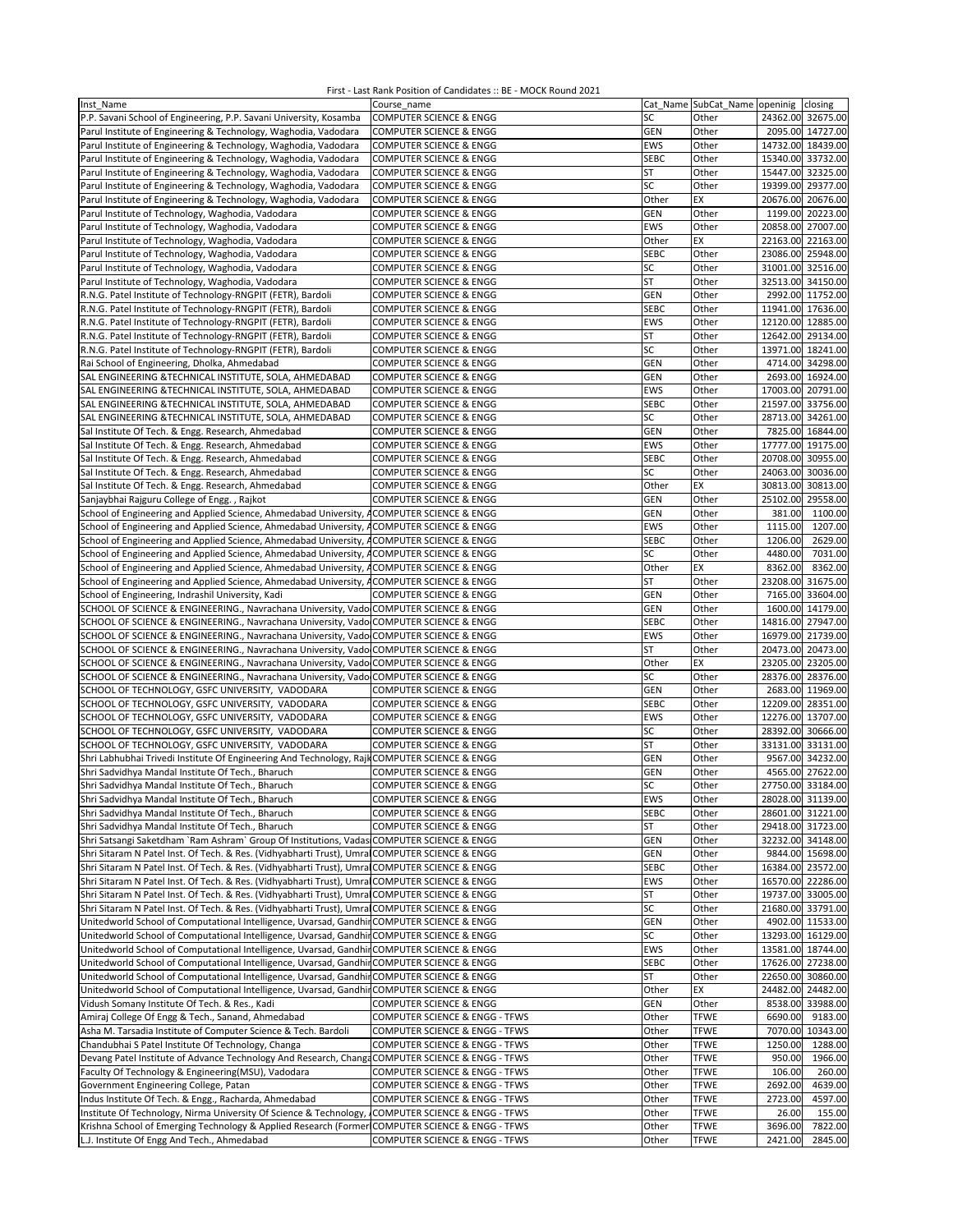| Inst Name                                                                                        | Course_name                        |             | Cat Name SubCat Name openinig closing |                   |                   |
|--------------------------------------------------------------------------------------------------|------------------------------------|-------------|---------------------------------------|-------------------|-------------------|
| P.P. Savani School of Engineering, P.P. Savani University, Kosamba                               | <b>COMPUTER SCIENCE &amp; ENGG</b> | SC          | Other                                 |                   | 24362.00 32675.00 |
| Parul Institute of Engineering & Technology, Waghodia, Vadodara                                  | <b>COMPUTER SCIENCE &amp; ENGG</b> | GEN         | Other                                 |                   | 2095.00 14727.00  |
| Parul Institute of Engineering & Technology, Waghodia, Vadodara                                  | COMPUTER SCIENCE & ENGG            | EWS         | Other                                 |                   | 14732.00 18439.00 |
|                                                                                                  |                                    |             |                                       |                   |                   |
| Parul Institute of Engineering & Technology, Waghodia, Vadodara                                  | <b>COMPUTER SCIENCE &amp; ENGG</b> | <b>SEBC</b> | Other                                 |                   | 15340.00 33732.00 |
| Parul Institute of Engineering & Technology, Waghodia, Vadodara                                  | COMPUTER SCIENCE & ENGG            | ST          | Other                                 |                   | 15447.00 32325.00 |
| Parul Institute of Engineering & Technology, Waghodia, Vadodara                                  | <b>COMPUTER SCIENCE &amp; ENGG</b> | SC          | Other                                 |                   | 19399.00 29377.00 |
| Parul Institute of Engineering & Technology, Waghodia, Vadodara                                  | COMPUTER SCIENCE & ENGG            | Other       | EX                                    |                   | 20676.00 20676.00 |
| Parul Institute of Technology, Waghodia, Vadodara                                                | COMPUTER SCIENCE & ENGG            | <b>GEN</b>  | Other                                 |                   | 1199.00 20223.00  |
| Parul Institute of Technology, Waghodia, Vadodara                                                | COMPUTER SCIENCE & ENGG            | EWS         | Other                                 |                   | 20858.00 27007.00 |
| Parul Institute of Technology, Waghodia, Vadodara                                                | COMPUTER SCIENCE & ENGG            | Other       | EX                                    |                   | 22163.00 22163.00 |
| Parul Institute of Technology, Waghodia, Vadodara                                                | COMPUTER SCIENCE & ENGG            | SEBC        | Other                                 |                   | 23086.00 25948.00 |
| Parul Institute of Technology, Waghodia, Vadodara                                                | COMPUTER SCIENCE & ENGG            | SC          | Other                                 |                   | 31001.00 32516.00 |
| Parul Institute of Technology, Waghodia, Vadodara                                                | COMPUTER SCIENCE & ENGG            | <b>ST</b>   | Other                                 |                   | 32513.00 34150.00 |
| R.N.G. Patel Institute of Technology-RNGPIT (FETR), Bardoli                                      | <b>COMPUTER SCIENCE &amp; ENGG</b> | <b>GEN</b>  | Other                                 |                   | 2992.00 11752.00  |
| R.N.G. Patel Institute of Technology-RNGPIT (FETR), Bardoli                                      | COMPUTER SCIENCE & ENGG            | <b>SEBC</b> | Other                                 | 11941.00 17636.00 |                   |
|                                                                                                  |                                    | EWS         |                                       |                   | 12120.00 12885.00 |
| R.N.G. Patel Institute of Technology-RNGPIT (FETR), Bardoli                                      | COMPUTER SCIENCE & ENGG            |             | Other                                 |                   |                   |
| R.N.G. Patel Institute of Technology-RNGPIT (FETR), Bardoli                                      | COMPUTER SCIENCE & ENGG            | <b>ST</b>   | Other                                 |                   | 12642.00 29134.00 |
| R.N.G. Patel Institute of Technology-RNGPIT (FETR), Bardoli                                      | COMPUTER SCIENCE & ENGG            | SC          | Other                                 |                   | 13971.00 18241.00 |
| Rai School of Engineering, Dholka, Ahmedabad                                                     | COMPUTER SCIENCE & ENGG            | GEN         | Other                                 |                   | 4714.00 34298.00  |
| SAL ENGINEERING & TECHNICAL INSTITUTE, SOLA, AHMEDABAD                                           | COMPUTER SCIENCE & ENGG            | <b>GEN</b>  | Other                                 |                   | 2693.00 16924.00  |
| SAL ENGINEERING & TECHNICAL INSTITUTE, SOLA, AHMEDABAD                                           | COMPUTER SCIENCE & ENGG            | EWS         | Other                                 |                   | 17003.00 20791.00 |
| SAL ENGINEERING &TECHNICAL INSTITUTE, SOLA, AHMEDABAD                                            | COMPUTER SCIENCE & ENGG            | <b>SEBC</b> | Other                                 |                   | 21597.00 33756.00 |
| SAL ENGINEERING &TECHNICAL INSTITUTE, SOLA, AHMEDABAD                                            | COMPUTER SCIENCE & ENGG            | SC          | Other                                 |                   | 28713.00 34261.00 |
| Sal Institute Of Tech. & Engg. Research, Ahmedabad                                               | COMPUTER SCIENCE & ENGG            | GEN         | Other                                 |                   | 7825.00 16844.00  |
| Sal Institute Of Tech. & Engg. Research, Ahmedabad                                               | COMPUTER SCIENCE & ENGG            | EWS         | Other                                 |                   | 17777.00 19175.00 |
|                                                                                                  |                                    | <b>SEBC</b> | Other                                 |                   | 20708.00 30955.00 |
| Sal Institute Of Tech. & Engg. Research, Ahmedabad                                               | COMPUTER SCIENCE & ENGG            |             |                                       |                   |                   |
| Sal Institute Of Tech. & Engg. Research, Ahmedabad                                               | <b>COMPUTER SCIENCE &amp; ENGG</b> | SC          | Other                                 |                   | 24063.00 30036.00 |
| Sal Institute Of Tech. & Engg. Research, Ahmedabad                                               | <b>COMPUTER SCIENCE &amp; ENGG</b> | Other       | EX                                    |                   | 30813.00 30813.00 |
| Sanjaybhai Rajguru College of Engg., Rajkot                                                      | COMPUTER SCIENCE & ENGG            | <b>GEN</b>  | Other                                 |                   | 25102.00 29558.00 |
| School of Engineering and Applied Science, Ahmedabad University, ACOMPUTER SCIENCE & ENGG        |                                    | <b>GEN</b>  | Other                                 | 381.00            | 1100.00           |
| School of Engineering and Applied Science, Ahmedabad University, ACOMPUTER SCIENCE & ENGG        |                                    | EWS         | Other                                 | 1115.00           | 1207.00           |
| School of Engineering and Applied Science, Ahmedabad University, ACOMPUTER SCIENCE & ENGG        |                                    | <b>SEBC</b> | Other                                 | 1206.00           | 2629.00           |
| School of Engineering and Applied Science, Ahmedabad University, ACOMPUTER SCIENCE & ENGG        |                                    | SC          | Other                                 | 4480.00           | 7031.00           |
| School of Engineering and Applied Science, Ahmedabad University, ACOMPUTER SCIENCE & ENGG        |                                    | Other       | EX                                    | 8362.00           | 8362.00           |
| School of Engineering and Applied Science, Ahmedabad University, ACOMPUTER SCIENCE & ENGG        |                                    | ST          | Other                                 |                   | 23208.00 31675.00 |
|                                                                                                  |                                    |             |                                       |                   |                   |
| School of Engineering, Indrashil University, Kadi                                                | COMPUTER SCIENCE & ENGG            | GEN         | Other                                 |                   | 7165.00 33604.00  |
| SCHOOL OF SCIENCE & ENGINEERING., Navrachana University, Vado COMPUTER SCIENCE & ENGG            |                                    | GEN         | Other                                 |                   | 1600.00 14179.00  |
| SCHOOL OF SCIENCE & ENGINEERING., Navrachana University, Vado COMPUTER SCIENCE & ENGG            |                                    | <b>SEBC</b> | Other                                 |                   | 14816.00 27947.00 |
| SCHOOL OF SCIENCE & ENGINEERING., Navrachana University, Vado COMPUTER SCIENCE & ENGG            |                                    | EWS         | Other                                 | 16979.00 21739.00 |                   |
| SCHOOL OF SCIENCE & ENGINEERING., Navrachana University, Vado COMPUTER SCIENCE & ENGG            |                                    | ST          | Other                                 |                   | 20473.00 20473.00 |
| SCHOOL OF SCIENCE & ENGINEERING., Navrachana University, Vado COMPUTER SCIENCE & ENGG            |                                    | Other       | EX                                    |                   | 23205.00 23205.00 |
| SCHOOL OF SCIENCE & ENGINEERING., Navrachana University, Vado COMPUTER SCIENCE & ENGG            |                                    | SC          | Other                                 |                   | 28376.00 28376.00 |
| SCHOOL OF TECHNOLOGY, GSFC UNIVERSITY, VADODARA                                                  | COMPUTER SCIENCE & ENGG            | <b>GEN</b>  | Other                                 |                   | 2683.00 11969.00  |
| SCHOOL OF TECHNOLOGY, GSFC UNIVERSITY, VADODARA                                                  | COMPUTER SCIENCE & ENGG            | <b>SEBC</b> | Other                                 |                   | 12209.00 28351.00 |
| SCHOOL OF TECHNOLOGY, GSFC UNIVERSITY, VADODARA                                                  | COMPUTER SCIENCE & ENGG            | EWS         | Other                                 |                   | 12276.00 13707.00 |
| SCHOOL OF TECHNOLOGY, GSFC UNIVERSITY, VADODARA                                                  | COMPUTER SCIENCE & ENGG            | SC          | Other                                 |                   | 28392.00 30666.00 |
|                                                                                                  |                                    |             |                                       |                   |                   |
| SCHOOL OF TECHNOLOGY, GSFC UNIVERSITY, VADODARA                                                  | <b>COMPUTER SCIENCE &amp; ENGG</b> | <b>ST</b>   | Other                                 |                   | 33131.00 33131.00 |
| Shri Labhubhai Trivedi Institute Of Engineering And Technology, Rajl COMPUTER SCIENCE & ENGG     |                                    | <b>GEN</b>  | Other                                 |                   | 9567.00 34232.00  |
| Shri Sadvidhya Mandal Institute Of Tech., Bharuch                                                | COMPUTER SCIENCE & ENGG            | <b>GEN</b>  | Other                                 |                   | 4565.00 27622.00  |
| Shri Sadvidhya Mandal Institute Of Tech., Bharuch                                                | <b>COMPUTER SCIENCE &amp; ENGG</b> | SC          | Other                                 |                   | 27750.00 33184.00 |
| Shri Sadvidhya Mandal Institute Of Tech., Bharuch                                                | COMPUTER SCIENCE & ENGG            | EWS         | Other                                 |                   | 28028.00 31139.00 |
| Shri Sadvidhya Mandal Institute Of Tech., Bharuch                                                | <b>COMPUTER SCIENCE &amp; ENGG</b> | <b>SEBC</b> | Other                                 |                   | 28601.00 31221.00 |
| Shri Sadvidhya Mandal Institute Of Tech., Bharuch                                                | COMPUTER SCIENCE & ENGG            | ST          | Other                                 |                   | 29418.00 31723.00 |
| Shri Satsangi Saketdham `Ram Ashram` Group Of Institutions, Vadas COMPUTER SCIENCE & ENGG        |                                    | <b>GEN</b>  | Other                                 |                   | 32232.00 34148.00 |
| Shri Sitaram N Patel Inst. Of Tech. & Res. (Vidhyabharti Trust), Umra COMPUTER SCIENCE & ENGG    |                                    | GEN         | Other                                 |                   | 9844.00 15698.00  |
| Shri Sitaram N Patel Inst. Of Tech. & Res. (Vidhyabharti Trust), Umral COMPUTER SCIENCE & ENGG   |                                    | <b>SEBC</b> | Other                                 |                   | 16384.00 23572.00 |
|                                                                                                  |                                    | EWS         |                                       |                   |                   |
| Shri Sitaram N Patel Inst. Of Tech. & Res. (Vidhyabharti Trust), Umra COMPUTER SCIENCE & ENGG    |                                    |             | Other                                 |                   | 16570.00 22286.00 |
| Shri Sitaram N Patel Inst. Of Tech. & Res. (Vidhyabharti Trust), Umral COMPUTER SCIENCE & ENGG   |                                    | ST          | Other                                 |                   | 19737.00 33005.00 |
| Shri Sitaram N Patel Inst. Of Tech. & Res. (Vidhyabharti Trust), Umra COMPUTER SCIENCE & ENGG    |                                    | SC          | Other                                 |                   | 21680.00 33791.00 |
| Unitedworld School of Computational Intelligence, Uvarsad, Gandhir COMPUTER SCIENCE & ENGG       |                                    | GEN         | Other                                 |                   | 4902.00 11533.00  |
| Unitedworld School of Computational Intelligence, Uvarsad, Gandhir COMPUTER SCIENCE & ENGG       |                                    | SC          | Other                                 |                   | 13293.00 16129.00 |
| Unitedworld School of Computational Intelligence, Uvarsad, Gandhir COMPUTER SCIENCE & ENGG       |                                    | EWS         | Other                                 |                   | 13581.00 18744.00 |
| Unitedworld School of Computational Intelligence, Uvarsad, GandhinCOMPUTER SCIENCE & ENGG        |                                    | <b>SEBC</b> | Other                                 |                   | 17626.00 27238.00 |
| Unitedworld School of Computational Intelligence, Uvarsad, Gandhir COMPUTER SCIENCE & ENGG       |                                    | ST          | Other                                 |                   | 22650.00 30860.00 |
| Unitedworld School of Computational Intelligence, Uvarsad, Gandhir COMPUTER SCIENCE & ENGG       |                                    | Other       | EX                                    |                   | 24482.00 24482.00 |
| Vidush Somany Institute Of Tech. & Res., Kadi                                                    | <b>COMPUTER SCIENCE &amp; ENGG</b> | GEN         | Other                                 |                   | 8538.00 33988.00  |
|                                                                                                  |                                    |             |                                       |                   |                   |
| Amiraj College Of Engg & Tech., Sanand, Ahmedabad                                                | COMPUTER SCIENCE & ENGG - TFWS     | Other       | <b>TFWE</b>                           | 6690.00           | 9183.00           |
| Asha M. Tarsadia Institute of Computer Science & Tech. Bardoli                                   | COMPUTER SCIENCE & ENGG - TFWS     | Other       | <b>TFWE</b>                           |                   | 7070.00 10343.00  |
| Chandubhai S Patel Institute Of Technology, Changa                                               | COMPUTER SCIENCE & ENGG - TFWS     | Other       | <b>TFWE</b>                           | 1250.00           | 1288.00           |
| Devang Patel Institute of Advance Technology And Research, Change COMPUTER SCIENCE & ENGG - TFWS |                                    | Other       | <b>TFWE</b>                           | 950.00            | 1966.00           |
| Faculty Of Technology & Engineering(MSU), Vadodara                                               | COMPUTER SCIENCE & ENGG - TFWS     | Other       | <b>TFWE</b>                           | 106.00            | 260.00            |
| Government Engineering College, Patan                                                            | COMPUTER SCIENCE & ENGG - TFWS     | Other       | <b>TFWE</b>                           | 2692.00           | 4639.00           |
| Indus Institute Of Tech. & Engg., Racharda, Ahmedabad                                            | COMPUTER SCIENCE & ENGG - TFWS     | Other       | <b>TFWE</b>                           | 2723.00           | 4597.00           |
| Institute Of Technology, Nirma University Of Science & Technology,                               | COMPUTER SCIENCE & ENGG - TFWS     | Other       | <b>TFWE</b>                           | 26.00             | 155.00            |
| Krishna School of Emerging Technology & Applied Research (Former COMPUTER SCIENCE & ENGG - TFWS  |                                    | Other       | <b>TFWE</b>                           | 3696.00           | 7822.00           |
|                                                                                                  |                                    |             |                                       |                   |                   |
| L.J. Institute Of Engg And Tech., Ahmedabad                                                      | COMPUTER SCIENCE & ENGG - TFWS     | Other       | <b>TFWE</b>                           | 2421.00           | 2845.00           |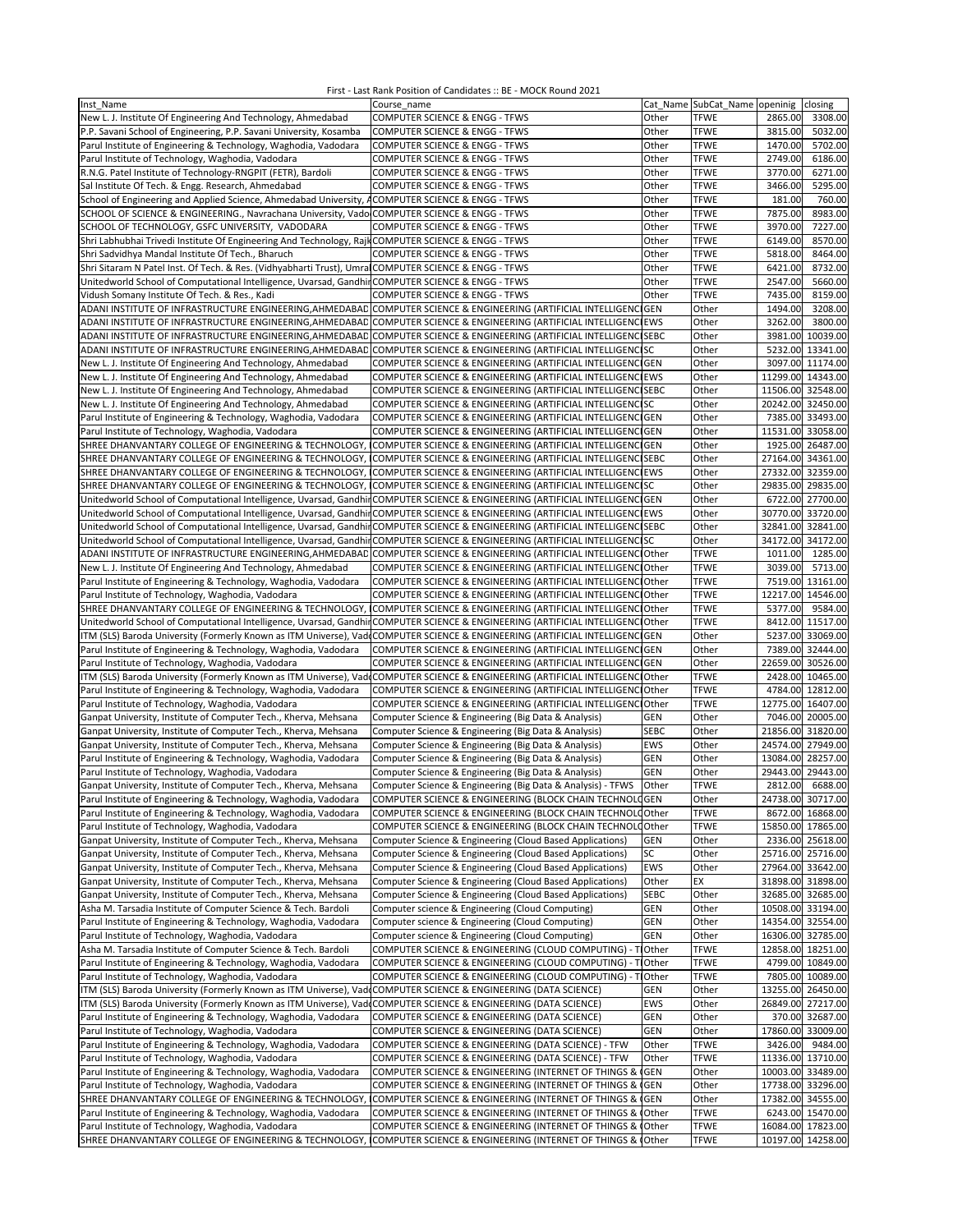| Inst Name                                                                                                                      | Course name                                                   |                | Cat_Name SubCat_Name openinig |         | closing           |
|--------------------------------------------------------------------------------------------------------------------------------|---------------------------------------------------------------|----------------|-------------------------------|---------|-------------------|
| New L. J. Institute Of Engineering And Technology, Ahmedabad                                                                   | COMPUTER SCIENCE & ENGG - TFWS                                | Other          | TFWE                          | 2865.00 | 3308.00           |
| P.P. Savani School of Engineering, P.P. Savani University, Kosamba                                                             | COMPUTER SCIENCE & ENGG - TFWS                                | Other          | <b>TFWE</b>                   | 3815.00 | 5032.00           |
| Parul Institute of Engineering & Technology, Waghodia, Vadodara                                                                | COMPUTER SCIENCE & ENGG - TFWS                                | Other          | <b>TFWE</b>                   | 1470.00 | 5702.00           |
| Parul Institute of Technology, Waghodia, Vadodara                                                                              | COMPUTER SCIENCE & ENGG - TFWS                                | Other          | <b>TFWE</b>                   | 2749.00 | 6186.00           |
| R.N.G. Patel Institute of Technology-RNGPIT (FETR), Bardoli                                                                    | COMPUTER SCIENCE & ENGG - TFWS                                | Other          | <b>TFWE</b>                   | 3770.00 | 6271.00           |
| Sal Institute Of Tech. & Engg. Research, Ahmedabad                                                                             | COMPUTER SCIENCE & ENGG - TFWS                                | Other          | <b>TFWE</b>                   | 3466.00 | 5295.00           |
| School of Engineering and Applied Science, Ahmedabad University, ACOMPUTER SCIENCE & ENGG - TFWS                               |                                                               | Other          | <b>TFWE</b>                   | 181.00  | 760.00            |
| SCHOOL OF SCIENCE & ENGINEERING., Navrachana University, Vado COMPUTER SCIENCE & ENGG - TFWS                                   |                                                               | Other          | <b>TFWE</b>                   | 7875.00 | 8983.00           |
| SCHOOL OF TECHNOLOGY, GSFC UNIVERSITY, VADODARA                                                                                | COMPUTER SCIENCE & ENGG - TFWS                                | Other          | <b>TFWE</b>                   | 3970.00 | 7227.00           |
|                                                                                                                                |                                                               |                |                               |         |                   |
| Shri Labhubhai Trivedi Institute Of Engineering And Technology, Rajl COMPUTER SCIENCE & ENGG - TFWS                            |                                                               | Other          | <b>TFWE</b>                   | 6149.00 | 8570.00           |
| Shri Sadvidhya Mandal Institute Of Tech., Bharuch                                                                              | COMPUTER SCIENCE & ENGG - TFWS                                | Other          | <b>TFWE</b>                   | 5818.00 | 8464.00           |
| Shri Sitaram N Patel Inst. Of Tech. & Res. (Vidhyabharti Trust), Umra COMPUTER SCIENCE & ENGG - TFWS                           |                                                               | Other          | <b>TFWE</b>                   | 6421.00 | 8732.00           |
| Unitedworld School of Computational Intelligence, Uvarsad, Gandhir COMPUTER SCIENCE & ENGG - TFWS                              |                                                               | Other          | <b>TFWE</b>                   | 2547.00 | 5660.00           |
| Vidush Somany Institute Of Tech. & Res., Kadi                                                                                  | COMPUTER SCIENCE & ENGG - TFWS                                | Other          | <b>TFWE</b>                   | 7435.00 | 8159.00           |
| ADANI INSTITUTE OF INFRASTRUCTURE ENGINEERING, AHMEDABAD COMPUTER SCIENCE & ENGINEERING (ARTIFICIAL INTELLIGENCIGEN            |                                                               |                | Other                         | 1494.00 | 3208.00           |
| ADANI INSTITUTE OF INFRASTRUCTURE ENGINEERING, AHMEDABAD COMPUTER SCIENCE & ENGINEERING (ARTIFICIAL INTELLIGENCIEWS            |                                                               |                | Other                         | 3262.00 | 3800.00           |
| ADANI INSTITUTE OF INFRASTRUCTURE ENGINEERING, AHMEDABAD COMPUTER SCIENCE & ENGINEERING (ARTIFICIAL INTELLIGENC SEBC           |                                                               |                | Other                         |         | 3981.00 10039.00  |
| ADANI INSTITUTE OF INFRASTRUCTURE ENGINEERING, AHMEDABAD COMPUTER SCIENCE & ENGINEERING (ARTIFICIAL INTELLIGENCISC             |                                                               |                | Other                         |         | 5232.00 13341.00  |
| New L. J. Institute Of Engineering And Technology, Ahmedabad                                                                   | COMPUTER SCIENCE & ENGINEERING (ARTIFICIAL INTELLIGENCI GEN   |                | Other                         |         | 3097.00 11174.00  |
| New L. J. Institute Of Engineering And Technology, Ahmedabad                                                                   | COMPUTER SCIENCE & ENGINEERING (ARTIFICIAL INTELLIGENCIEWS    |                | Other                         |         | 11299.00 14343.00 |
| New L. J. Institute Of Engineering And Technology, Ahmedabad                                                                   | COMPUTER SCIENCE & ENGINEERING (ARTIFICIAL INTELLIGENCISEBC   |                | Other                         |         | 11506.00 32548.00 |
|                                                                                                                                |                                                               |                |                               |         |                   |
| New L. J. Institute Of Engineering And Technology, Ahmedabad                                                                   | COMPUTER SCIENCE & ENGINEERING (ARTIFICIAL INTELLIGENCISC     |                | Other                         |         | 20242.00 32450.00 |
| Parul Institute of Engineering & Technology, Waghodia, Vadodara                                                                | COMPUTER SCIENCE & ENGINEERING (ARTIFICIAL INTELLIGENCI GEN   |                | Other                         |         | 7385.00 33493.00  |
| Parul Institute of Technology, Waghodia, Vadodara                                                                              | COMPUTER SCIENCE & ENGINEERING (ARTIFICIAL INTELLIGENCI GEN   |                | Other                         |         | 11531.00 33058.00 |
| SHREE DHANVANTARY COLLEGE OF ENGINEERING & TECHNOLOGY,                                                                         | COMPUTER SCIENCE & ENGINEERING (ARTIFICIAL INTELLIGENC GEN    |                | Other                         |         | 1925.00 26487.00  |
| SHREE DHANVANTARY COLLEGE OF ENGINEERING & TECHNOLOGY, ICOMPUTER SCIENCE & ENGINEERING (ARTIFICIAL INTELLIGENCISEBC            |                                                               |                | Other                         |         | 27164.00 34361.00 |
| SHREE DHANVANTARY COLLEGE OF ENGINEERING & TECHNOLOGY,                                                                         | COMPUTER SCIENCE & ENGINEERING (ARTIFICIAL INTELLIGENCIEWS    |                | Other                         |         | 27332.00 32359.00 |
| SHREE DHANVANTARY COLLEGE OF ENGINEERING & TECHNOLOGY, ICOMPUTER SCIENCE & ENGINEERING (ARTIFICIAL INTELLIGENCISC              |                                                               |                | Other                         |         | 29835.00 29835.00 |
| Unitedworld School of Computational Intelligence, Uvarsad, Gandhir COMPUTER SCIENCE & ENGINEERING (ARTIFICIAL INTELLIGENCIGEN  |                                                               |                | Other                         |         | 6722.00 27700.00  |
| Unitedworld School of Computational Intelligence, Uvarsad, Gandhir COMPUTER SCIENCE & ENGINEERING (ARTIFICIAL INTELLIGENCIEWS  |                                                               |                | Other                         |         | 30770.00 33720.00 |
| Unitedworld School of Computational Intelligence, Uvarsad, Gandhir COMPUTER SCIENCE & ENGINEERING (ARTIFICIAL INTELLIGENC SEBC |                                                               |                | Other                         |         | 32841.00 32841.00 |
| Unitedworld School of Computational Intelligence, Uvarsad, GandhinCOMPUTER SCIENCE & ENGINEERING (ARTIFICIAL INTELLIGENCISC    |                                                               |                | Other                         |         | 34172.00 34172.00 |
|                                                                                                                                |                                                               |                | <b>TFWE</b>                   |         |                   |
| ADANI INSTITUTE OF INFRASTRUCTURE ENGINEERING, AHMEDABAD COMPUTER SCIENCE & ENGINEERING (ARTIFICIAL INTELLIGENCIOther          |                                                               |                |                               | 1011.00 | 1285.00           |
| New L. J. Institute Of Engineering And Technology, Ahmedabad                                                                   | COMPUTER SCIENCE & ENGINEERING (ARTIFICIAL INTELLIGENCIOther  |                | <b>TFWE</b>                   | 3039.00 | 5713.00           |
| Parul Institute of Engineering & Technology, Waghodia, Vadodara                                                                | COMPUTER SCIENCE & ENGINEERING (ARTIFICIAL INTELLIGENCIOther  |                | <b>TFWE</b>                   |         | 7519.00 13161.00  |
| Parul Institute of Technology, Waghodia, Vadodara                                                                              | COMPUTER SCIENCE & ENGINEERING (ARTIFICIAL INTELLIGENCIOther  |                | <b>TFWE</b>                   |         | 12217.00 14546.00 |
| SHREE DHANVANTARY COLLEGE OF ENGINEERING & TECHNOLOGY,                                                                         | COMPUTER SCIENCE & ENGINEERING (ARTIFICIAL INTELLIGENCI Other |                | <b>TFWE</b>                   | 5377.00 | 9584.00           |
| Unitedworld School of Computational Intelligence, Uvarsad, GandhinCOMPUTER SCIENCE & ENGINEERING (ARTIFICIAL INTELLIGENCTOther |                                                               |                | <b>TFWE</b>                   |         | 8412.00 11517.00  |
| ITM (SLS) Baroda University (Formerly Known as ITM Universe), Vad COMPUTER SCIENCE & ENGINEERING (ARTIFICIAL INTELLIGENCIGEN   |                                                               |                | Other                         |         | 5237.00 33069.00  |
| Parul Institute of Engineering & Technology, Waghodia, Vadodara                                                                | COMPUTER SCIENCE & ENGINEERING (ARTIFICIAL INTELLIGENC GEN    |                | Other                         |         | 7389.00 32444.00  |
| Parul Institute of Technology, Waghodia, Vadodara                                                                              | COMPUTER SCIENCE & ENGINEERING (ARTIFICIAL INTELLIGENCIGEN    |                | Other                         |         | 22659.00 30526.00 |
| ITM (SLS) Baroda University (Formerly Known as ITM Universe), Vad COMPUTER SCIENCE & ENGINEERING (ARTIFICIAL INTELLIGENC Other |                                                               |                | <b>TFWE</b>                   |         | 2428.00 10465.00  |
| Parul Institute of Engineering & Technology, Waghodia, Vadodara                                                                | COMPUTER SCIENCE & ENGINEERING (ARTIFICIAL INTELLIGENCIOther  |                | <b>TFWE</b>                   |         | 4784.00 12812.00  |
|                                                                                                                                | COMPUTER SCIENCE & ENGINEERING (ARTIFICIAL INTELLIGENCI Other |                | <b>TFWE</b>                   |         | 12775.00 16407.00 |
| Parul Institute of Technology, Waghodia, Vadodara<br>Ganpat University, Institute of Computer Tech., Kherva, Mehsana           |                                                               |                |                               |         |                   |
|                                                                                                                                | Computer Science & Engineering (Big Data & Analysis)          | GEN            | Other                         |         | 7046.00 20005.00  |
| Ganpat University, Institute of Computer Tech., Kherva, Mehsana                                                                | Computer Science & Engineering (Big Data & Analysis)          | <b>SEBC</b>    | Other                         |         | 21856.00 31820.00 |
| Ganpat University, Institute of Computer Tech., Kherva, Mehsana                                                                | Computer Science & Engineering (Big Data & Analysis)          | EWS            | Other                         |         | 24574.00 27949.00 |
| Parul Institute of Engineering & Technology, Waghodia, Vadodara                                                                | Computer Science & Engineering (Big Data & Analysis)          | GEN            | Other                         |         | 13084.00 28257.00 |
| Parul Institute of Technology, Waghodia, Vadodara                                                                              | Computer Science & Engineering (Big Data & Analysis)          | GEN            | Other                         |         | 29443.00 29443.00 |
| Ganpat University, Institute of Computer Tech., Kherva, Mehsana                                                                | Computer Science & Engineering (Big Data & Analysis) - TFWS   | Other          | <b>TFWE</b>                   | 2812.00 | 6688.00           |
| Parul Institute of Engineering & Technology, Waghodia, Vadodara                                                                | COMPUTER SCIENCE & ENGINEERING (BLOCK CHAIN TECHNOLOGEN       |                | Other                         |         | 24738.00 30717.00 |
| Parul Institute of Engineering & Technology, Waghodia, Vadodara                                                                | COMPUTER SCIENCE & ENGINEERING (BLOCK CHAIN TECHNOLO Other    |                | TFWE                          |         | 8672.00 16868.00  |
| Parul Institute of Technology, Waghodia, Vadodara                                                                              | COMPUTER SCIENCE & ENGINEERING (BLOCK CHAIN TECHNOLO Other    |                | TFWE                          |         | 15850.00 17865.00 |
| Ganpat University, Institute of Computer Tech., Kherva, Mehsana                                                                | Computer Science & Engineering (Cloud Based Applications)     | GEN            | Other                         |         | 2336.00 25618.00  |
| Ganpat University, Institute of Computer Tech., Kherva, Mehsana                                                                | Computer Science & Engineering (Cloud Based Applications)     | SC             | Other                         |         | 25716.00 25716.00 |
| Ganpat University, Institute of Computer Tech., Kherva, Mehsana                                                                | Computer Science & Engineering (Cloud Based Applications)     | EWS            | Other                         |         | 27964.00 33642.00 |
| Ganpat University, Institute of Computer Tech., Kherva, Mehsana                                                                | Computer Science & Engineering (Cloud Based Applications)     | Other          | EX                            |         | 31898.00 31898.00 |
|                                                                                                                                |                                                               |                |                               |         |                   |
| Ganpat University, Institute of Computer Tech., Kherva, Mehsana                                                                | Computer Science & Engineering (Cloud Based Applications)     | <b>SEBC</b>    | Other                         |         | 32685.00 32685.00 |
| Asha M. Tarsadia Institute of Computer Science & Tech. Bardoli                                                                 | Computer science & Engineering (Cloud Computing)              | <b>GEN</b>     | Other                         |         | 10508.00 33194.00 |
| Parul Institute of Engineering & Technology, Waghodia, Vadodara                                                                | Computer science & Engineering (Cloud Computing)              | <b>GEN</b>     | Other                         |         | 14354.00 32554.00 |
| Parul Institute of Technology, Waghodia, Vadodara                                                                              | Computer science & Engineering (Cloud Computing)              | GEN            | Other                         |         | 16306.00 32785.00 |
| Asha M. Tarsadia Institute of Computer Science & Tech. Bardoli                                                                 | COMPUTER SCIENCE & ENGINEERING (CLOUD COMPUTING) - T          | <b>I</b> Other | <b>TFWE</b>                   |         | 12858.00 18251.00 |
| Parul Institute of Engineering & Technology, Waghodia, Vadodara                                                                | COMPUTER SCIENCE & ENGINEERING (CLOUD COMPUTING) - TIOther    |                | <b>TFWE</b>                   |         | 4799.00 10849.00  |
| Parul Institute of Technology, Waghodia, Vadodara                                                                              | COMPUTER SCIENCE & ENGINEERING (CLOUD COMPUTING) - T          | <b>I</b> Other | <b>TFWE</b>                   |         | 7805.00 10089.00  |
| ITM (SLS) Baroda University (Formerly Known as ITM Universe), Vad COMPUTER SCIENCE & ENGINEERING (DATA SCIENCE)                |                                                               | GEN            | Other                         |         | 13255.00 26450.00 |
| ITM (SLS) Baroda University (Formerly Known as ITM Universe), Vad COMPUTER SCIENCE & ENGINEERING (DATA SCIENCE)                |                                                               | EWS            | Other                         |         | 26849.00 27217.00 |
| Parul Institute of Engineering & Technology, Waghodia, Vadodara                                                                | COMPUTER SCIENCE & ENGINEERING (DATA SCIENCE)                 | GEN            | Other                         |         | 370.00 32687.00   |
| Parul Institute of Technology, Waghodia, Vadodara                                                                              | COMPUTER SCIENCE & ENGINEERING (DATA SCIENCE)                 | GEN            | Other                         |         | 17860.00 33009.00 |
|                                                                                                                                |                                                               |                |                               |         |                   |
| Parul Institute of Engineering & Technology, Waghodia, Vadodara                                                                | COMPUTER SCIENCE & ENGINEERING (DATA SCIENCE) - TFW           | Other          | <b>TFWE</b>                   | 3426.00 | 9484.00           |
| Parul Institute of Technology, Waghodia, Vadodara                                                                              | COMPUTER SCIENCE & ENGINEERING (DATA SCIENCE) - TFW           | Other          | <b>TFWE</b>                   |         | 11336.00 13710.00 |
| Parul Institute of Engineering & Technology, Waghodia, Vadodara                                                                | COMPUTER SCIENCE & ENGINEERING (INTERNET OF THINGS &          | <b>GEN</b>     | Other                         |         | 10003.00 33489.00 |
| Parul Institute of Technology, Waghodia, Vadodara                                                                              | COMPUTER SCIENCE & ENGINEERING (INTERNET OF THINGS & GEN      |                | Other                         |         | 17738.00 33296.00 |
| SHREE DHANVANTARY COLLEGE OF ENGINEERING & TECHNOLOGY,                                                                         | COMPUTER SCIENCE & ENGINEERING (INTERNET OF THINGS & GEN      |                | Other                         |         | 17382.00 34555.00 |
| Parul Institute of Engineering & Technology, Waghodia, Vadodara                                                                | COMPUTER SCIENCE & ENGINEERING (INTERNET OF THINGS & Other    |                | <b>TFWE</b>                   |         | 6243.00 15470.00  |
| Parul Institute of Technology, Waghodia, Vadodara                                                                              | COMPUTER SCIENCE & ENGINEERING (INTERNET OF THINGS & Other    |                | <b>TFWE</b>                   |         | 16084.00 17823.00 |
| SHREE DHANVANTARY COLLEGE OF ENGINEERING & TECHNOLOGY, ICOMPUTER SCIENCE & ENGINEERING (INTERNET OF THINGS & Other             |                                                               |                | TFWE                          |         | 10197.00 14258.00 |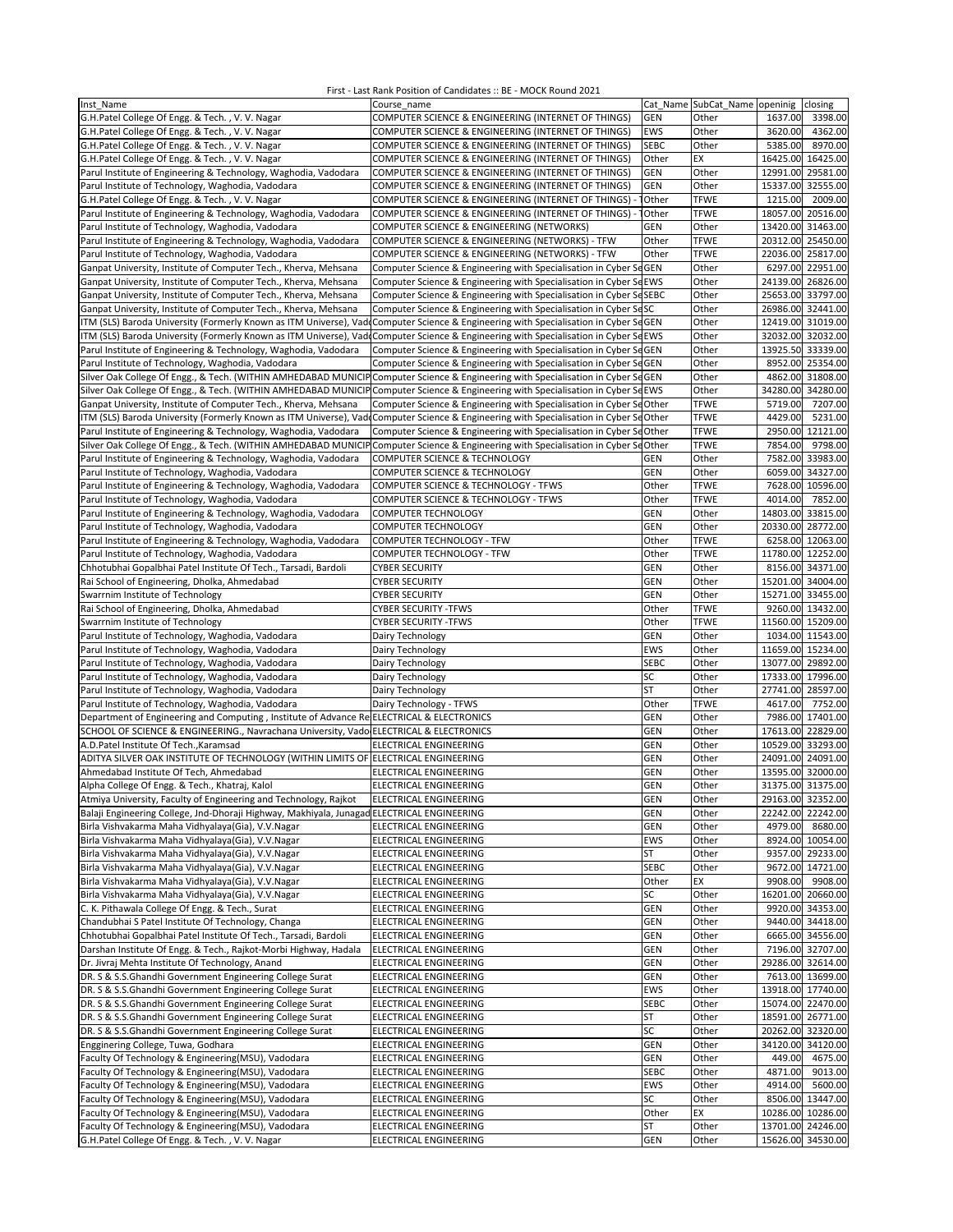| Inst Name                                                                                                                             | Course name                                                         |             |             | Cat Name SubCat_Name openinig closing |
|---------------------------------------------------------------------------------------------------------------------------------------|---------------------------------------------------------------------|-------------|-------------|---------------------------------------|
| G.H.Patel College Of Engg. & Tech., V.V. Nagar                                                                                        | COMPUTER SCIENCE & ENGINEERING (INTERNET OF THINGS)                 | <b>GEN</b>  | Other       | 1637.00<br>3398.00                    |
| G.H.Patel College Of Engg. & Tech., V. V. Nagar                                                                                       | COMPUTER SCIENCE & ENGINEERING (INTERNET OF THINGS)                 | <b>EWS</b>  | Other       | 3620.00<br>4362.00                    |
|                                                                                                                                       |                                                                     |             |             |                                       |
| G.H.Patel College Of Engg. & Tech., V. V. Nagar                                                                                       | COMPUTER SCIENCE & ENGINEERING (INTERNET OF THINGS)                 | <b>SEBC</b> | Other       | 5385.00<br>8970.00                    |
| G.H.Patel College Of Engg. & Tech., V.V. Nagar                                                                                        | COMPUTER SCIENCE & ENGINEERING (INTERNET OF THINGS)                 | Other       | EX          | 16425.00 16425.00                     |
| Parul Institute of Engineering & Technology, Waghodia, Vadodara                                                                       | COMPUTER SCIENCE & ENGINEERING (INTERNET OF THINGS)                 | <b>GEN</b>  | Other       | 12991.00 29581.00                     |
| Parul Institute of Technology, Waghodia, Vadodara                                                                                     | COMPUTER SCIENCE & ENGINEERING (INTERNET OF THINGS)                 | <b>GEN</b>  | Other       | 15337.00 32555.00                     |
| G.H.Patel College Of Engg. & Tech., V. V. Nagar                                                                                       | COMPUTER SCIENCE & ENGINEERING (INTERNET OF THINGS)                 | Other       | <b>TFWE</b> | 1215.00<br>2009.00                    |
| Parul Institute of Engineering & Technology, Waghodia, Vadodara                                                                       | COMPUTER SCIENCE & ENGINEERING (INTERNET OF THINGS)                 | Other       | <b>TFWE</b> | 18057.00 20516.00                     |
| Parul Institute of Technology, Waghodia, Vadodara                                                                                     | COMPUTER SCIENCE & ENGINEERING (NETWORKS)                           | <b>GEN</b>  | Other       | 13420.00 31463.00                     |
|                                                                                                                                       | COMPUTER SCIENCE & ENGINEERING (NETWORKS) - TFW                     | Other       | <b>TFWE</b> | 20312.00 25450.00                     |
| Parul Institute of Engineering & Technology, Waghodia, Vadodara                                                                       |                                                                     |             |             | 22036.00 25817.00                     |
| Parul Institute of Technology, Waghodia, Vadodara                                                                                     | COMPUTER SCIENCE & ENGINEERING (NETWORKS) - TFW                     | Other       | <b>TFWE</b> |                                       |
| Ganpat University, Institute of Computer Tech., Kherva, Mehsana                                                                       | Computer Science & Engineering with Specialisation in Cyber SeGEN   |             | Other       | 6297.00 22951.00                      |
| Ganpat University, Institute of Computer Tech., Kherva, Mehsana                                                                       | Computer Science & Engineering with Specialisation in Cyber SeEWS   |             | Other       | 24139.00 26826.00                     |
| Ganpat University, Institute of Computer Tech., Kherva, Mehsana                                                                       | Computer Science & Engineering with Specialisation in Cyber SeSEBC  |             | Other       | 25653.00 33797.00                     |
| Ganpat University, Institute of Computer Tech., Kherva, Mehsana                                                                       | Computer Science & Engineering with Specialisation in Cyber SeSC    |             | Other       | 26986.00 32441.00                     |
| ITM (SLS) Baroda University (Formerly Known as ITM Universe), Vad                                                                     | Computer Science & Engineering with Specialisation in Cyber SeGEN   |             | Other       | 12419.00 31019.00                     |
| ITM (SLS) Baroda University (Formerly Known as ITM Universe), Vad Computer Science & Engineering with Specialisation in Cyber SeEWS   |                                                                     |             | Other       | 32032.00 32032.00                     |
| Parul Institute of Engineering & Technology, Waghodia, Vadodara                                                                       | Computer Science & Engineering with Specialisation in Cyber SeGEN   |             | Other       | 13925.50 33339.00                     |
| Parul Institute of Technology, Waghodia, Vadodara                                                                                     | Computer Science & Engineering with Specialisation in Cyber SeGEN   |             | Other       | 8952.00 25354.00                      |
|                                                                                                                                       |                                                                     |             | Other       |                                       |
| Silver Oak College Of Engg., & Tech. (WITHIN AMHEDABAD MUNICIP Computer Science & Engineering with Specialisation in Cyber SeGEN      |                                                                     |             |             | 4862.00 31808.00                      |
| Silver Oak College Of Engg., & Tech. (WITHIN AMHEDABAD MUNICIP Computer Science & Engineering with Specialisation in Cyber SeEWS      |                                                                     |             | Other       | 34280.00 34280.00                     |
| Ganpat University, Institute of Computer Tech., Kherva, Mehsana                                                                       | Computer Science & Engineering with Specialisation in Cyber ScOther |             | <b>TFWE</b> | 5719.00<br>7207.00                    |
| ITM (SLS) Baroda University (Formerly Known as ITM Universe), Vad Computer Science & Engineering with Specialisation in Cyber SdOther |                                                                     |             | <b>TFWE</b> | 5231.00<br>4429.00                    |
| Parul Institute of Engineering & Technology, Waghodia, Vadodara                                                                       | Computer Science & Engineering with Specialisation in Cyber ScOther |             | <b>TFWE</b> | 2950.00 12121.00                      |
| Silver Oak College Of Engg., & Tech. (WITHIN AMHEDABAD MUNICIP                                                                        | Computer Science & Engineering with Specialisation in Cyber ScOther |             | <b>TFWE</b> | 7854.00<br>9798.00                    |
| Parul Institute of Engineering & Technology, Waghodia, Vadodara                                                                       | COMPUTER SCIENCE & TECHNOLOGY                                       | GEN         | Other       | 7582.00 33983.00                      |
| Parul Institute of Technology, Waghodia, Vadodara                                                                                     | COMPUTER SCIENCE & TECHNOLOGY                                       | <b>GEN</b>  | Other       | 6059.00 34327.00                      |
| Parul Institute of Engineering & Technology, Waghodia, Vadodara                                                                       | COMPUTER SCIENCE & TECHNOLOGY - TFWS                                | Other       | <b>TFWE</b> | 7628.00 10596.00                      |
| Parul Institute of Technology, Waghodia, Vadodara                                                                                     | COMPUTER SCIENCE & TECHNOLOGY - TFWS                                | Other       | <b>TFWE</b> | 4014.00<br>7852.00                    |
| Parul Institute of Engineering & Technology, Waghodia, Vadodara                                                                       | COMPUTER TECHNOLOGY                                                 | GEN         | Other       | 14803.00 33815.00                     |
|                                                                                                                                       | <b>COMPUTER TECHNOLOGY</b>                                          |             |             |                                       |
| Parul Institute of Technology, Waghodia, Vadodara                                                                                     |                                                                     | GEN         | Other       | 20330.00 28772.00                     |
| Parul Institute of Engineering & Technology, Waghodia, Vadodara                                                                       | COMPUTER TECHNOLOGY - TFW                                           | Other       | <b>TFWE</b> | 6258.00 12063.00                      |
| Parul Institute of Technology, Waghodia, Vadodara                                                                                     | COMPUTER TECHNOLOGY - TFW                                           | Other       | <b>TFWE</b> | 11780.00 12252.00                     |
| Chhotubhai Gopalbhai Patel Institute Of Tech., Tarsadi, Bardoli                                                                       | <b>CYBER SECURITY</b>                                               | GEN         | Other       | 8156.00 34371.00                      |
| Rai School of Engineering, Dholka, Ahmedabad                                                                                          | <b>CYBER SECURITY</b>                                               | GEN         | Other       | 15201.00 34004.00                     |
| Swarrnim Institute of Technology                                                                                                      | <b>CYBER SECURITY</b>                                               | GEN         | Other       | 15271.00 33455.00                     |
| Rai School of Engineering, Dholka, Ahmedabad                                                                                          | <b>CYBER SECURITY -TFWS</b>                                         | Other       | <b>TFWE</b> | 9260.00 13432.00                      |
| Swarrnim Institute of Technology                                                                                                      | <b>CYBER SECURITY -TFWS</b>                                         | Other       | <b>TFWE</b> | 11560.00 15209.00                     |
| Parul Institute of Technology, Waghodia, Vadodara                                                                                     | Dairy Technology                                                    | <b>GEN</b>  | Other       | 1034.00 11543.00                      |
| Parul Institute of Technology, Waghodia, Vadodara                                                                                     | Dairy Technology                                                    | <b>EWS</b>  | Other       | 11659.00 15234.00                     |
|                                                                                                                                       |                                                                     | <b>SEBC</b> | Other       | 13077.00 29892.00                     |
| Parul Institute of Technology, Waghodia, Vadodara                                                                                     | Dairy Technology                                                    |             |             |                                       |
| Parul Institute of Technology, Waghodia, Vadodara                                                                                     | Dairy Technology                                                    | SC          | Other       | 17333.00 17996.00                     |
| Parul Institute of Technology, Waghodia, Vadodara                                                                                     | Dairy Technology                                                    | <b>ST</b>   | Other       | 27741.00 28597.00                     |
| Parul Institute of Technology, Waghodia, Vadodara                                                                                     | Dairy Technology - TFWS                                             | Other       | <b>TFWE</b> | 4617.00<br>7752.00                    |
| Department of Engineering and Computing, Institute of Advance Re ELECTRICAL & ELECTRONICS                                             |                                                                     | GEN         | Other       | 7986.00 17401.00                      |
| SCHOOL OF SCIENCE & ENGINEERING., Navrachana University, Vado ELECTRICAL & ELECTRONICS                                                |                                                                     | <b>GEN</b>  | Other       | 17613.00 22829.00                     |
| A.D.Patel Institute Of Tech., Karamsad                                                                                                | ELECTRICAL ENGINEERING                                              | GEN         | Other       | 10529.00 33293.00                     |
| ADITYA SILVER OAK INSTITUTE OF TECHNOLOGY (WITHIN LIMITS OF ELECTRICAL ENGINEERING                                                    |                                                                     | <b>GEN</b>  | Other       | 24091.00 24091.00                     |
| Ahmedabad Institute Of Tech, Ahmedabad                                                                                                | ELECTRICAL ENGINEERING                                              | <b>GEN</b>  | Other       | 13595.00 32000.00                     |
| Alpha College Of Engg. & Tech., Khatraj, Kalol                                                                                        | ELECTRICAL ENGINEERING                                              | <b>GEN</b>  | Other       | 31375.00 31375.00                     |
| Atmiya University, Faculty of Engineering and Technology, Rajkot                                                                      | ELECTRICAL ENGINEERING                                              | GEN         | Other       | 29163.00 32352.00                     |
|                                                                                                                                       |                                                                     | <b>GEN</b>  |             | 22242.00 22242.00                     |
| Balaji Engineering College, Jnd-Dhoraji Highway, Makhiyala, Junagad ELECTRICAL ENGINEERING                                            |                                                                     |             | Other       |                                       |
| Birla Vishvakarma Maha Vidhyalaya(Gia), V.V.Nagar                                                                                     | ELECTRICAL ENGINEERING                                              | <b>GEN</b>  | Other       | 4979.00<br>8680.00                    |
| Birla Vishvakarma Maha Vidhyalaya(Gia), V.V.Nagar                                                                                     | ELECTRICAL ENGINEERING                                              | <b>EWS</b>  | Other       | 8924.00 10054.00                      |
| Birla Vishvakarma Maha Vidhyalaya(Gia), V.V.Nagar                                                                                     | ELECTRICAL ENGINEERING                                              | <b>ST</b>   | Other       | 9357.00 29233.00                      |
| Birla Vishvakarma Maha Vidhyalaya(Gia), V.V.Nagar                                                                                     | ELECTRICAL ENGINEERING                                              | <b>SEBC</b> | Other       | 9672.00 14721.00                      |
| Birla Vishvakarma Maha Vidhyalaya(Gia), V.V.Nagar                                                                                     | ELECTRICAL ENGINEERING                                              | Other       | EX          | 9908.00<br>9908.00                    |
| Birla Vishvakarma Maha Vidhyalaya(Gia), V.V.Nagar                                                                                     | ELECTRICAL ENGINEERING                                              | SC          | Other       | 16201.00 20660.00                     |
| C. K. Pithawala College Of Engg. & Tech., Surat                                                                                       | ELECTRICAL ENGINEERING                                              | <b>GEN</b>  | Other       | 9920.00 34353.00                      |
| Chandubhai S Patel Institute Of Technology, Changa                                                                                    | ELECTRICAL ENGINEERING                                              | GEN         | Other       | 9440.00 34418.00                      |
| Chhotubhai Gopalbhai Patel Institute Of Tech., Tarsadi, Bardoli                                                                       | ELECTRICAL ENGINEERING                                              | <b>GEN</b>  | Other       | 6665.00 34556.00                      |
| Darshan Institute Of Engg. & Tech., Rajkot-Morbi Highway, Hadala                                                                      | ELECTRICAL ENGINEERING                                              | <b>GEN</b>  | Other       | 7196.00 32707.00                      |
| Dr. Jivraj Mehta Institute Of Technology, Anand                                                                                       | ELECTRICAL ENGINEERING                                              | <b>GEN</b>  | Other       | 29286.00 32614.00                     |
| DR. S & S.S.Ghandhi Government Engineering College Surat                                                                              | ELECTRICAL ENGINEERING                                              | GEN         | Other       | 7613.00 13699.00                      |
| DR. S & S.S.Ghandhi Government Engineering College Surat                                                                              |                                                                     | EWS         | Other       | 13918.00 17740.00                     |
|                                                                                                                                       | ELECTRICAL ENGINEERING                                              |             |             |                                       |
| DR. S & S.S.Ghandhi Government Engineering College Surat                                                                              | ELECTRICAL ENGINEERING                                              | <b>SEBC</b> | Other       | 15074.00 22470.00                     |
| DR. S & S.S.Ghandhi Government Engineering College Surat                                                                              | ELECTRICAL ENGINEERING                                              | ST          | Other       | 18591.00 26771.00                     |
| DR. S & S.S.Ghandhi Government Engineering College Surat                                                                              | ELECTRICAL ENGINEERING                                              | SC          | Other       | 20262.00 32320.00                     |
| Engginering College, Tuwa, Godhara                                                                                                    | ELECTRICAL ENGINEERING                                              | GEN         | Other       | 34120.00 34120.00                     |
| Faculty Of Technology & Engineering(MSU), Vadodara                                                                                    | ELECTRICAL ENGINEERING                                              | <b>GEN</b>  | Other       | 449.00<br>4675.00                     |
| Faculty Of Technology & Engineering(MSU), Vadodara                                                                                    | ELECTRICAL ENGINEERING                                              | <b>SEBC</b> | Other       | 4871.00<br>9013.00                    |
| Faculty Of Technology & Engineering(MSU), Vadodara                                                                                    | ELECTRICAL ENGINEERING                                              | EWS         | Other       | 4914.00<br>5600.00                    |
| Faculty Of Technology & Engineering(MSU), Vadodara                                                                                    | ELECTRICAL ENGINEERING                                              | SC          | Other       | 8506.00 13447.00                      |
| Faculty Of Technology & Engineering(MSU), Vadodara                                                                                    | ELECTRICAL ENGINEERING                                              | Other       | EX          | 10286.00 10286.00                     |
| Faculty Of Technology & Engineering(MSU), Vadodara                                                                                    | ELECTRICAL ENGINEERING                                              | ST          | Other       | 13701.00 24246.00                     |
| G.H.Patel College Of Engg. & Tech., V.V. Nagar                                                                                        | ELECTRICAL ENGINEERING                                              | GEN         | Other       | 15626.00 34530.00                     |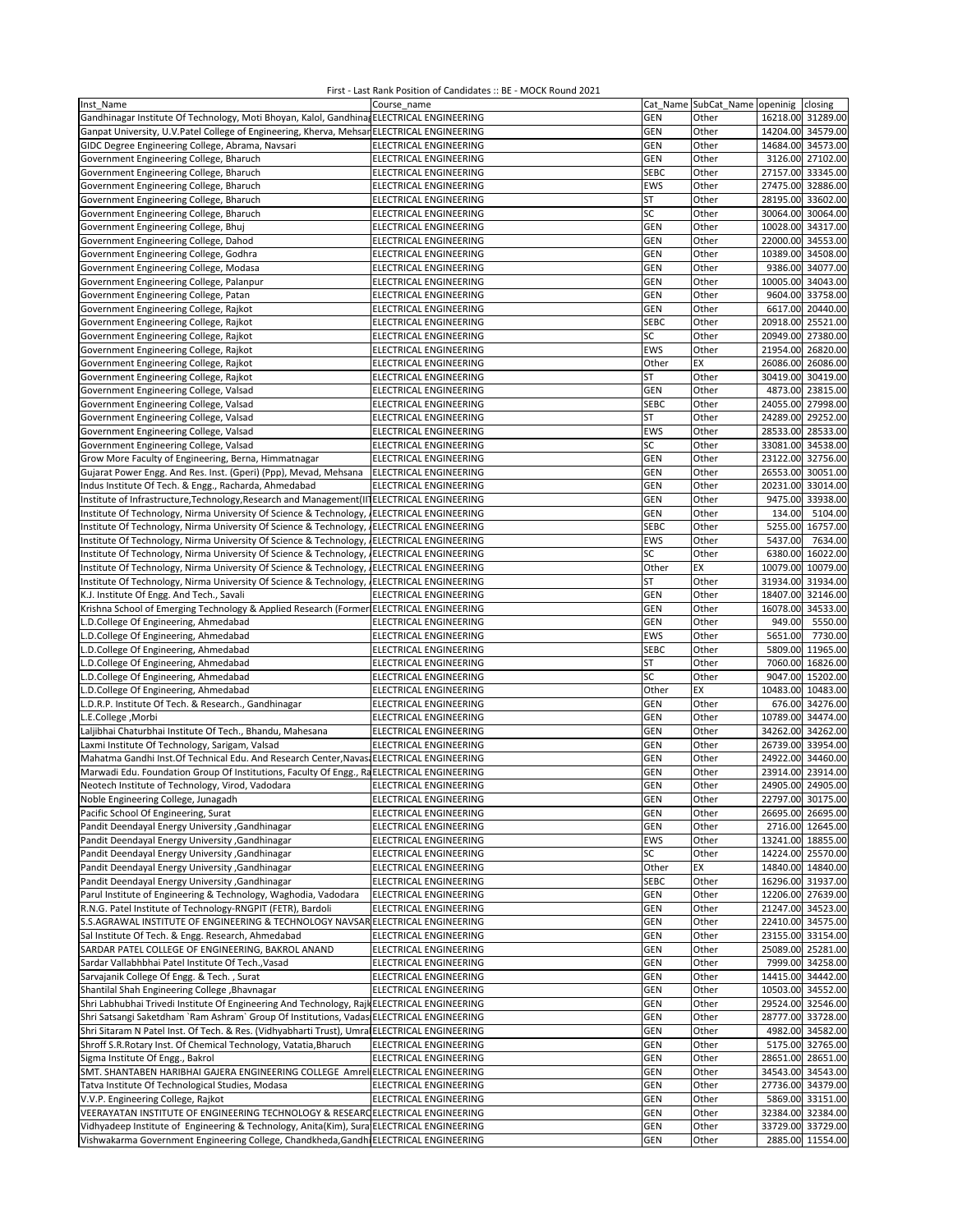| Inst Name                                                                                    | Course name                   |             | Cat Name SubCat_Name openinig closing |                   |                   |
|----------------------------------------------------------------------------------------------|-------------------------------|-------------|---------------------------------------|-------------------|-------------------|
| Gandhinagar Institute Of Technology, Moti Bhoyan, Kalol, Gandhina, ELECTRICAL ENGINEERING    |                               | GEN         | Other                                 |                   | 16218.00 31289.00 |
| Ganpat University, U.V.Patel College of Engineering, Kherva, Mehsar ELECTRICAL ENGINEERING   |                               | GEN         | Other                                 |                   | 14204.00 34579.00 |
| GIDC Degree Engineering College, Abrama, Navsari                                             | ELECTRICAL ENGINEERING        | GEN         | Other                                 | 14684.00 34573.00 |                   |
| Government Engineering College, Bharuch                                                      | ELECTRICAL ENGINEERING        | <b>GEN</b>  | Other                                 |                   | 3126.00 27102.00  |
| Government Engineering College, Bharuch                                                      | ELECTRICAL ENGINEERING        | <b>SEBC</b> | Other                                 | 27157.00 33345.00 |                   |
| Government Engineering College, Bharuch                                                      | ELECTRICAL ENGINEERING        | EWS         | Other                                 | 27475.00 32886.00 |                   |
| Government Engineering College, Bharuch                                                      | ELECTRICAL ENGINEERING        | ST          | Other                                 | 28195.00          | 33602.00          |
| Government Engineering College, Bharuch                                                      | <b>ELECTRICAL ENGINEERING</b> | SC          | Other                                 | 30064.00          | 30064.00          |
| Government Engineering College, Bhuj                                                         | ELECTRICAL ENGINEERING        | GEN         | Other                                 |                   | 10028.00 34317.00 |
| Government Engineering College, Dahod                                                        | <b>ELECTRICAL ENGINEERING</b> | GEN         | Other                                 | 22000.00 34553.00 |                   |
| Government Engineering College, Godhra                                                       | ELECTRICAL ENGINEERING        | GEN         | Other                                 | 10389.00 34508.00 |                   |
|                                                                                              |                               | GEN         | Other                                 |                   | 9386.00 34077.00  |
| Government Engineering College, Modasa                                                       | ELECTRICAL ENGINEERING        |             |                                       |                   |                   |
| Government Engineering College, Palanpur                                                     | ELECTRICAL ENGINEERING        | GEN         | Other                                 |                   | 10005.00 34043.00 |
| Government Engineering College, Patan                                                        | ELECTRICAL ENGINEERING        | GEN         | Other                                 |                   | 9604.00 33758.00  |
| Government Engineering College, Rajkot                                                       | ELECTRICAL ENGINEERING        | GEN         | Other                                 |                   | 6617.00 20440.00  |
| Government Engineering College, Rajkot                                                       | ELECTRICAL ENGINEERING        | <b>SEBC</b> | Other                                 |                   | 20918.00 25521.00 |
| Government Engineering College, Rajkot                                                       | ELECTRICAL ENGINEERING        | SC          | Other                                 |                   | 20949.00 27380.00 |
| Government Engineering College, Rajkot                                                       | ELECTRICAL ENGINEERING        | EWS         | Other                                 |                   | 21954.00 26820.00 |
| Government Engineering College, Rajkot                                                       | <b>ELECTRICAL ENGINEERING</b> | Other       | EX                                    |                   | 26086.00 26086.00 |
| Government Engineering College, Rajkot                                                       | <b>ELECTRICAL ENGINEERING</b> | ST          | Other                                 |                   | 30419.00 30419.00 |
| Government Engineering College, Valsad                                                       | ELECTRICAL ENGINEERING        | GEN         | Other                                 |                   | 4873.00 23815.00  |
| Government Engineering College, Valsad                                                       | ELECTRICAL ENGINEERING        | <b>SEBC</b> | Other                                 |                   | 24055.00 27998.00 |
| Government Engineering College, Valsad                                                       | ELECTRICAL ENGINEERING        | ST          | Other                                 | 24289.00 29252.00 |                   |
| Government Engineering College, Valsad                                                       | ELECTRICAL ENGINEERING        | <b>EWS</b>  | Other                                 | 28533.00 28533.00 |                   |
| Government Engineering College, Valsad                                                       | ELECTRICAL ENGINEERING        | SC          | Other                                 | 33081.00          | 34538.00          |
| Grow More Faculty of Engineering, Berna, Himmatnagar                                         | ELECTRICAL ENGINEERING        | GEN         | Other                                 |                   | 23122.00 32756.00 |
| Gujarat Power Engg. And Res. Inst. (Gperi) (Ppp), Mevad, Mehsana                             | <b>ELECTRICAL ENGINEERING</b> | GEN         | Other                                 |                   | 26553.00 30051.00 |
| Indus Institute Of Tech. & Engg., Racharda, Ahmedabad                                        | ELECTRICAL ENGINEERING        | GEN         | Other                                 | 20231.00 33014.00 |                   |
| Institute of Infrastructure, Technology, Research and Management (II] ELECTRICAL ENGINEERING |                               | GEN         | Other                                 |                   | 9475.00 33938.00  |
| Institute Of Technology, Nirma University Of Science & Technology, JELECTRICAL ENGINEERING   |                               | <b>GEN</b>  | Other                                 | 134.00            | 5104.00           |
| Institute Of Technology, Nirma University Of Science & Technology, JELECTRICAL ENGINEERING   |                               | <b>SEBC</b> | Other                                 |                   | 5255.00 16757.00  |
| Institute Of Technology, Nirma University Of Science & Technology, ¿ELECTRICAL ENGINEERING   |                               | EWS         | Other                                 | 5437.00           | 7634.00           |
| Institute Of Technology, Nirma University Of Science & Technology, JELECTRICAL ENGINEERING   |                               | SC          | Other                                 | 6380.00           | 16022.00          |
| Institute Of Technology, Nirma University Of Science & Technology, JELECTRICAL ENGINEERING   |                               | Other       | EX                                    | 10079.00          | 10079.00          |
| Institute Of Technology, Nirma University Of Science & Technology, JELECTRICAL ENGINEERING   |                               | ST          | Other                                 | 31934.00 31934.00 |                   |
| K.J. Institute Of Engg. And Tech., Savali                                                    | ELECTRICAL ENGINEERING        | GEN         | Other                                 | 18407.00 32146.00 |                   |
| Krishna School of Emerging Technology & Applied Research (Former ELECTRICAL ENGINEERING      |                               | GEN         | Other                                 | 16078.00 34533.00 |                   |
| L.D.College Of Engineering, Ahmedabad                                                        | ELECTRICAL ENGINEERING        | GEN         | Other                                 | 949.00            | 5550.00           |
| L.D.College Of Engineering, Ahmedabad                                                        | ELECTRICAL ENGINEERING        | EWS         | Other                                 | 5651.00           | 7730.00           |
| L.D.College Of Engineering, Ahmedabad                                                        | ELECTRICAL ENGINEERING        | <b>SEBC</b> | Other                                 |                   | 5809.00 11965.00  |
| L.D.College Of Engineering, Ahmedabad                                                        | ELECTRICAL ENGINEERING        | ST          | Other                                 |                   | 7060.00 16826.00  |
| L.D.College Of Engineering, Ahmedabad                                                        | ELECTRICAL ENGINEERING        | SC          | Other                                 |                   | 9047.00 15202.00  |
| L.D.College Of Engineering, Ahmedabad                                                        | ELECTRICAL ENGINEERING        | Other       | EX                                    |                   | 10483.00 10483.00 |
| L.D.R.P. Institute Of Tech. & Research., Gandhinagar                                         | ELECTRICAL ENGINEERING        | GEN         | Other                                 |                   | 676.00 34276.00   |
| L.E.College, Morbi                                                                           | <b>ELECTRICAL ENGINEERING</b> | <b>GEN</b>  | Other                                 | 10789.00          | 34474.00          |
| Laljibhai Chaturbhai Institute Of Tech., Bhandu, Mahesana                                    | <b>ELECTRICAL ENGINEERING</b> | GEN         | Other                                 |                   | 34262.00 34262.00 |
| Laxmi Institute Of Technology, Sarigam, Valsad                                               | <b>ELECTRICAL ENGINEERING</b> | GEN         | Other                                 | 26739.00          | 33954.00          |
| Mahatma Gandhi Inst.Of Technical Edu. And Research Center, Navas, ELECTRICAL ENGINEERING     |                               | GEN         | Other                                 | 24922.00 34460.00 |                   |
| Marwadi Edu. Foundation Group Of Institutions, Faculty Of Engg., RaELECTRICAL ENGINEERING    |                               | GEN         | Other                                 | 23914.00          | 23914.00          |
| Neotech Institute of Technology, Virod, Vadodara                                             | ELECTRICAL ENGINEERING        | GEN         | Other                                 |                   | 24905.00 24905.00 |
| Noble Engineering College, Junagadh                                                          | ELECTRICAL ENGINEERING        | GEN         | Other                                 |                   | 22797.00 30175.00 |
| Pacific School Of Engineering, Surat                                                         | ELECTRICAL ENGINEERING        | GEN         | Other                                 |                   | 26695.00 26695.00 |
| Pandit Deendayal Energy University , Gandhinagar                                             | ELECTRICAL ENGINEERING        | <b>GEN</b>  | Other                                 |                   | 2716.00 12645.00  |
| Pandit Deendayal Energy University , Gandhinagar                                             | ELECTRICAL ENGINEERING        | EWS         | Other                                 | 13241.00 18855.00 |                   |
| Pandit Deendayal Energy University , Gandhinagar                                             | ELECTRICAL ENGINEERING        | SC          | Other                                 |                   | 14224.00 25570.00 |
| Pandit Deendayal Energy University , Gandhinagar                                             | ELECTRICAL ENGINEERING        | Other       | EX                                    |                   | 14840.00 14840.00 |
| Pandit Deendayal Energy University , Gandhinagar                                             | ELECTRICAL ENGINEERING        | SEBC        | Other                                 |                   | 16296.00 31937.00 |
| Parul Institute of Engineering & Technology, Waghodia, Vadodara                              | ELECTRICAL ENGINEERING        | <b>GEN</b>  | Other                                 |                   | 12206.00 27639.00 |
| R.N.G. Patel Institute of Technology-RNGPIT (FETR), Bardoli                                  | ELECTRICAL ENGINEERING        | GEN         | Other                                 | 21247.00 34523.00 |                   |
| S.S.AGRAWAL INSTITUTE OF ENGINEERING & TECHNOLOGY NAVSAR ELECTRICAL ENGINEERING              |                               | GEN         | Other                                 | 22410.00 34575.00 |                   |
| Sal Institute Of Tech. & Engg. Research, Ahmedabad                                           | ELECTRICAL ENGINEERING        | GEN         | Other                                 |                   | 23155.00 33154.00 |
| SARDAR PATEL COLLEGE OF ENGINEERING, BAKROL ANAND                                            | ELECTRICAL ENGINEERING        | <b>GEN</b>  | Other                                 |                   | 25089.00 25281.00 |
| Sardar Vallabhbhai Patel Institute Of Tech., Vasad                                           | ELECTRICAL ENGINEERING        | <b>GEN</b>  | Other                                 |                   | 7999.00 34258.00  |
| Sarvajanik College Of Engg. & Tech., Surat                                                   | ELECTRICAL ENGINEERING        | GEN         | Other                                 |                   | 14415.00 34442.00 |
| Shantilal Shah Engineering College, Bhavnagar                                                | ELECTRICAL ENGINEERING        | GEN         | Other                                 |                   | 10503.00 34552.00 |
| Shri Labhubhai Trivedi Institute Of Engineering And Technology, Rajk ELECTRICAL ENGINEERING  |                               | <b>GEN</b>  | Other                                 |                   | 29524.00 32546.00 |
| Shri Satsangi Saketdham `Ram Ashram` Group Of Institutions, Vadas ELECTRICAL ENGINEERING     |                               | GEN         | Other                                 |                   | 28777.00 33728.00 |
| Shri Sitaram N Patel Inst. Of Tech. & Res. (Vidhyabharti Trust), Umra ELECTRICAL ENGINEERING |                               | GEN         | Other                                 |                   | 4982.00 34582.00  |
| Shroff S.R.Rotary Inst. Of Chemical Technology, Vatatia, Bharuch                             | ELECTRICAL ENGINEERING        | GEN         | Other                                 |                   | 5175.00 32765.00  |
| Sigma Institute Of Engg., Bakrol                                                             | ELECTRICAL ENGINEERING        | <b>GEN</b>  | Other                                 |                   | 28651.00 28651.00 |
| SMT. SHANTABEN HARIBHAI GAJERA ENGINEERING COLLEGE Amrel ELECTRICAL ENGINEERING              |                               | GEN         | Other                                 |                   | 34543.00 34543.00 |
| Tatva Institute Of Technological Studies, Modasa                                             | ELECTRICAL ENGINEERING        | GEN         | Other                                 |                   | 27736.00 34379.00 |
| V.V.P. Engineering College, Rajkot                                                           | ELECTRICAL ENGINEERING        | GEN         | Other                                 |                   | 5869.00 33151.00  |
| VEERAYATAN INSTITUTE OF ENGINEERING TECHNOLOGY & RESEARCELECTRICAL ENGINEERING               |                               | GEN         | Other                                 |                   | 32384.00 32384.00 |
| Vidhyadeep Institute of Engineering & Technology, Anita(Kim), Sura ELECTRICAL ENGINEERING    |                               | <b>GEN</b>  | Other                                 |                   | 33729.00 33729.00 |
| Vishwakarma Government Engineering College, Chandkheda, Gandhi ELECTRICAL ENGINEERING        |                               | GEN         | Other                                 |                   | 2885.00 11554.00  |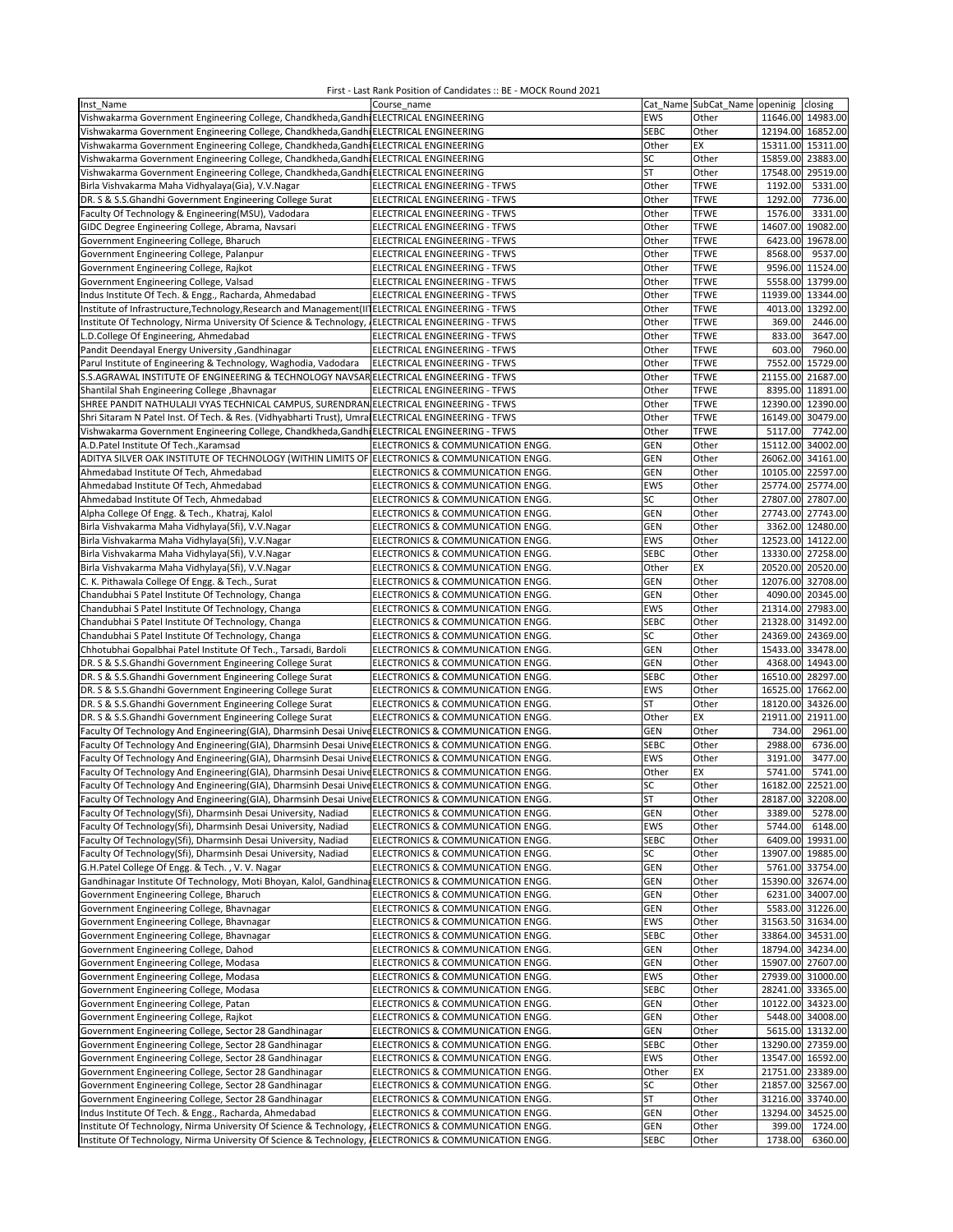| Inst Name                                                                                             | Course name                       |             | Cat_Name SubCat_Name openinig closing |                                        |                   |
|-------------------------------------------------------------------------------------------------------|-----------------------------------|-------------|---------------------------------------|----------------------------------------|-------------------|
| Vishwakarma Government Engineering College, Chandkheda, Gandhi ELECTRICAL ENGINEERING                 |                                   | EWS         | Other                                 | 11646.00 14983.00                      |                   |
| Vishwakarma Government Engineering College, Chandkheda, Gandhi ELECTRICAL ENGINEERING                 |                                   | <b>SEBC</b> | Other                                 | 12194.00 16852.00                      |                   |
| Vishwakarma Government Engineering College, Chandkheda, Gandhi ELECTRICAL ENGINEERING                 |                                   | Other       | EX                                    | 15311.00 15311.00                      |                   |
| Vishwakarma Government Engineering College, Chandkheda, Gandhi ELECTRICAL ENGINEERING                 |                                   | SC          | Other                                 | 15859.00 23883.00                      |                   |
| Vishwakarma Government Engineering College, Chandkheda, Gandhi ELECTRICAL ENGINEERING                 |                                   | ST          | Other                                 | 17548.00 29519.00                      |                   |
| Birla Vishvakarma Maha Vidhyalaya(Gia), V.V.Nagar                                                     | ELECTRICAL ENGINEERING - TFWS     | Other       | <b>TFWE</b>                           | 1192.00                                | 5331.00           |
| DR. S & S.S.Ghandhi Government Engineering College Surat                                              | ELECTRICAL ENGINEERING - TFWS     | Other       | <b>TFWE</b>                           | 1292.00                                | 7736.00           |
| Faculty Of Technology & Engineering(MSU), Vadodara                                                    | ELECTRICAL ENGINEERING - TFWS     | Other       | <b>TFWE</b>                           | 1576.00                                | 3331.00           |
| GIDC Degree Engineering College, Abrama, Navsari                                                      | ELECTRICAL ENGINEERING - TFWS     | Other       | <b>TFWE</b>                           | 14607.00 19082.00                      |                   |
| Government Engineering College, Bharuch                                                               | ELECTRICAL ENGINEERING - TFWS     | Other       | <b>TFWE</b>                           | 6423.00                                | 19678.00          |
|                                                                                                       |                                   |             |                                       | 8568.00                                | 9537.00           |
| Government Engineering College, Palanpur                                                              | ELECTRICAL ENGINEERING - TFWS     | Other       | <b>TFWE</b>                           |                                        |                   |
| Government Engineering College, Rajkot                                                                | ELECTRICAL ENGINEERING - TFWS     | Other       | <b>TFWE</b>                           |                                        | 9596.00 11524.00  |
| Government Engineering College, Valsad                                                                | ELECTRICAL ENGINEERING - TFWS     | Other       | <b>TFWE</b>                           |                                        | 5558.00 13799.00  |
| Indus Institute Of Tech. & Engg., Racharda, Ahmedabad                                                 | ELECTRICAL ENGINEERING - TFWS     | Other       | <b>TFWE</b>                           | 11939.00 13344.00                      |                   |
| Institute of Infrastructure, Technology, Research and Management (II] ELECTRICAL ENGINEERING - TFWS   |                                   | Other       | <b>TFWE</b>                           |                                        | 4013.00 13292.00  |
| Institute Of Technology, Nirma University Of Science & Technology,                                    | ELECTRICAL ENGINEERING - TFWS     | Other       | <b>TFWE</b>                           | 369.00                                 | 2446.00           |
| L.D.College Of Engineering, Ahmedabad                                                                 | ELECTRICAL ENGINEERING - TFWS     | Other       | <b>TFWE</b>                           | 833.00                                 | 3647.00           |
| Pandit Deendayal Energy University , Gandhinagar                                                      | ELECTRICAL ENGINEERING - TFWS     | Other       | <b>TFWE</b>                           | 603.00                                 | 7960.00           |
| Parul Institute of Engineering & Technology, Waghodia, Vadodara                                       | ELECTRICAL ENGINEERING - TFWS     | Other       | <b>TFWE</b>                           | 7552.00                                | 15729.00          |
| S.S.AGRAWAL INSTITUTE OF ENGINEERING & TECHNOLOGY NAVSAR ELECTRICAL ENGINEERING - TFWS                |                                   | Other       | <b>TFWE</b>                           | 21155.00 21687.00                      |                   |
| Shantilal Shah Engineering College , Bhavnagar                                                        | ELECTRICAL ENGINEERING - TFWS     | Other       | <b>TFWE</b>                           |                                        | 8395.00 11891.00  |
| SHREE PANDIT NATHULALJI VYAS TECHNICAL CAMPUS, SURENDRAN ELECTRICAL ENGINEERING - TFWS                |                                   | Other       | <b>TFWE</b>                           | 12390.00 12390.00                      |                   |
| Shri Sitaram N Patel Inst. Of Tech. & Res. (Vidhyabharti Trust), Umral                                | ELECTRICAL ENGINEERING - TFWS     | Other       | <b>TFWE</b>                           | 16149.00                               | 30479.00          |
| Vishwakarma Government Engineering College, Chandkheda, Gandhi ELECTRICAL ENGINEERING - TFWS          |                                   | Other       | <b>TFWE</b>                           | 5117.00                                | 7742.00           |
| A.D.Patel Institute Of Tech., Karamsad                                                                | ELECTRONICS & COMMUNICATION ENGG. | <b>GEN</b>  | Other                                 | 15112.00                               | 34002.00          |
| ADITYA SILVER OAK INSTITUTE OF TECHNOLOGY (WITHIN LIMITS OF ELECTRONICS & COMMUNICATION ENGG.         |                                   | GEN         | Other                                 | 26062.00                               | 34161.00          |
|                                                                                                       |                                   |             |                                       |                                        |                   |
| Ahmedabad Institute Of Tech, Ahmedabad<br>Ahmedabad Institute Of Tech, Ahmedabad                      | ELECTRONICS & COMMUNICATION ENGG. | GEN<br>EWS  | Other                                 | 10105.00 22597.00<br>25774.00 25774.00 |                   |
|                                                                                                       | ELECTRONICS & COMMUNICATION ENGG. |             | Other                                 |                                        |                   |
| Ahmedabad Institute Of Tech, Ahmedabad                                                                | ELECTRONICS & COMMUNICATION ENGG. | SC          | Other                                 | 27807.00 27807.00                      |                   |
| Alpha College Of Engg. & Tech., Khatraj, Kalol                                                        | ELECTRONICS & COMMUNICATION ENGG. | <b>GEN</b>  | Other                                 | 27743.00 27743.00                      |                   |
| Birla Vishvakarma Maha Vidhylaya(Sfi), V.V.Nagar                                                      | ELECTRONICS & COMMUNICATION ENGG. | GEN         | Other                                 |                                        | 3362.00 12480.00  |
| Birla Vishvakarma Maha Vidhylaya(Sfi), V.V.Nagar                                                      | ELECTRONICS & COMMUNICATION ENGG. | EWS         | Other                                 | 12523.00 14122.00                      |                   |
| Birla Vishvakarma Maha Vidhylaya(Sfi), V.V.Nagar                                                      | ELECTRONICS & COMMUNICATION ENGG. | <b>SEBC</b> | Other                                 | 13330.00 27258.00                      |                   |
| Birla Vishvakarma Maha Vidhylaya(Sfi), V.V.Nagar                                                      | ELECTRONICS & COMMUNICATION ENGG. | Other       | EX                                    | 20520.00 20520.00                      |                   |
| C. K. Pithawala College Of Engg. & Tech., Surat                                                       | ELECTRONICS & COMMUNICATION ENGG. | GEN         | Other                                 | 12076.00                               | 32708.00          |
| Chandubhai S Patel Institute Of Technology, Changa                                                    | ELECTRONICS & COMMUNICATION ENGG. | GEN         | Other                                 |                                        | 4090.00 20345.00  |
| Chandubhai S Patel Institute Of Technology, Changa                                                    | ELECTRONICS & COMMUNICATION ENGG. | <b>EWS</b>  | Other                                 | 21314.00 27983.00                      |                   |
| Chandubhai S Patel Institute Of Technology, Changa                                                    | ELECTRONICS & COMMUNICATION ENGG. | <b>SEBC</b> | Other                                 | 21328.00 31492.00                      |                   |
| Chandubhai S Patel Institute Of Technology, Changa                                                    | ELECTRONICS & COMMUNICATION ENGG. | SC          | Other                                 | 24369.00 24369.00                      |                   |
| Chhotubhai Gopalbhai Patel Institute Of Tech., Tarsadi, Bardoli                                       | ELECTRONICS & COMMUNICATION ENGG. | <b>GEN</b>  | Other                                 | 15433.00 33478.00                      |                   |
| DR. S & S.S.Ghandhi Government Engineering College Surat                                              | ELECTRONICS & COMMUNICATION ENGG. | GEN         | Other                                 |                                        | 4368.00 14943.00  |
| DR. S & S.S.Ghandhi Government Engineering College Surat                                              | ELECTRONICS & COMMUNICATION ENGG. | <b>SEBC</b> | Other                                 | 16510.00                               | 28297.00          |
|                                                                                                       |                                   | EWS         | Other                                 | 16525.00                               | 17662.00          |
| DR. S & S.S.Ghandhi Government Engineering College Surat                                              | ELECTRONICS & COMMUNICATION ENGG. |             |                                       |                                        |                   |
| DR. S & S.S.Ghandhi Government Engineering College Surat                                              | ELECTRONICS & COMMUNICATION ENGG. | <b>ST</b>   | Other                                 | 18120.00 34326.00                      |                   |
| DR. S & S.S.Ghandhi Government Engineering College Surat                                              | ELECTRONICS & COMMUNICATION ENGG. | Other       | EX                                    | 21911.00                               | 21911.00          |
| Faculty Of Technology And Engineering(GIA), Dharmsinh Desai Unive ELECTRONICS & COMMUNICATION ENGG.   |                                   | GEN         | Other                                 | 734.00                                 | 2961.00           |
| Faculty Of Technology And Engineering(GIA), Dharmsinh Desai Unive ELECTRONICS & COMMUNICATION ENGG.   |                                   | <b>SEBC</b> | Other                                 | 2988.00                                | 6736.00           |
| Faculty Of Technology And Engineering(GIA), Dharmsinh Desai Unive ELECTRONICS & COMMUNICATION ENGG.   |                                   | EWS         | Other                                 | 3191.00                                | 3477.00           |
| Faculty Of Technology And Engineering(GIA), Dharmsinh Desai Unive ELECTRONICS & COMMUNICATION ENGG.   |                                   | Other       | EX                                    | 5741.00                                | 5741.00           |
| Faculty Of Technology And Engineering(GIA), Dharmsinh Desai Unive ELECTRONICS & COMMUNICATION ENGG.   |                                   | SC          | Other                                 | 16182.00 22521.00                      |                   |
| Faculty Of Technology And Engineering(GIA), Dharmsinh Desai Unive ELECTRONICS & COMMUNICATION ENGG.   |                                   | ST          | Other                                 | 28187.00 32208.00                      |                   |
| Faculty Of Technology(Sfi), Dharmsinh Desai University, Nadiad                                        | ELECTRONICS & COMMUNICATION ENGG. | <b>GEN</b>  | Other                                 | 3389.00                                | 5278.00           |
| Faculty Of Technology(Sfi), Dharmsinh Desai University, Nadiad                                        | ELECTRONICS & COMMUNICATION ENGG. | EWS         | Other                                 | 5744.00                                | 6148.00           |
| Faculty Of Technology(Sfi), Dharmsinh Desai University, Nadiad                                        | ELECTRONICS & COMMUNICATION ENGG. | <b>SEBC</b> | Other                                 |                                        | 6409.00 19931.00  |
| Faculty Of Technology(Sfi), Dharmsinh Desai University, Nadiad                                        | ELECTRONICS & COMMUNICATION ENGG. | SC          | Other                                 | 13907.00 19885.00                      |                   |
| G.H.Patel College Of Engg. & Tech., V.V. Nagar                                                        | ELECTRONICS & COMMUNICATION ENGG. | <b>GEN</b>  | Other                                 |                                        | 5761.00 33754.00  |
| Gandhinagar Institute Of Technology, Moti Bhoyan, Kalol, Gandhina                                     | ELECTRONICS & COMMUNICATION ENGG. | GEN         | Other                                 |                                        | 15390.00 32674.00 |
| Government Engineering College, Bharuch                                                               | ELECTRONICS & COMMUNICATION ENGG. | GEN         | Other                                 |                                        | 6231.00 34007.00  |
| Government Engineering College, Bhavnagar                                                             | ELECTRONICS & COMMUNICATION ENGG. | GEN         | Other                                 |                                        | 5583.00 31226.00  |
| Government Engineering College, Bhavnagar                                                             | ELECTRONICS & COMMUNICATION ENGG. | EWS         | Other                                 | 31563.50 31634.00                      |                   |
| Government Engineering College, Bhavnagar                                                             | ELECTRONICS & COMMUNICATION ENGG. | <b>SEBC</b> | Other                                 | 33864.00 34531.00                      |                   |
| Government Engineering College, Dahod                                                                 | ELECTRONICS & COMMUNICATION ENGG. |             | Other                                 |                                        |                   |
|                                                                                                       |                                   | <b>GEN</b>  |                                       | 18794.00 34234.00                      |                   |
| Government Engineering College, Modasa                                                                | ELECTRONICS & COMMUNICATION ENGG. | <b>GEN</b>  | Other                                 | 15907.00 27607.00                      |                   |
| Government Engineering College, Modasa                                                                | ELECTRONICS & COMMUNICATION ENGG. | EWS         | Other                                 | 27939.00 31000.00                      |                   |
| Government Engineering College, Modasa                                                                | ELECTRONICS & COMMUNICATION ENGG. | <b>SEBC</b> | Other                                 | 28241.00 33365.00                      |                   |
| Government Engineering College, Patan                                                                 | ELECTRONICS & COMMUNICATION ENGG. | GEN         | Other                                 | 10122.00 34323.00                      |                   |
| Government Engineering College, Rajkot                                                                | ELECTRONICS & COMMUNICATION ENGG. | <b>GEN</b>  | Other                                 |                                        | 5448.00 34008.00  |
| Government Engineering College, Sector 28 Gandhinagar                                                 | ELECTRONICS & COMMUNICATION ENGG. | <b>GEN</b>  | Other                                 |                                        | 5615.00 13132.00  |
| Government Engineering College, Sector 28 Gandhinagar                                                 | ELECTRONICS & COMMUNICATION ENGG. | <b>SEBC</b> | Other                                 | 13290.00 27359.00                      |                   |
| Government Engineering College, Sector 28 Gandhinagar                                                 | ELECTRONICS & COMMUNICATION ENGG. | EWS         | Other                                 | 13547.00 16592.00                      |                   |
| Government Engineering College, Sector 28 Gandhinagar                                                 | ELECTRONICS & COMMUNICATION ENGG. | Other       | EX                                    | 21751.00 23389.00                      |                   |
| Government Engineering College, Sector 28 Gandhinagar                                                 | ELECTRONICS & COMMUNICATION ENGG. | SC          | Other                                 | 21857.00 32567.00                      |                   |
| Government Engineering College, Sector 28 Gandhinagar                                                 | ELECTRONICS & COMMUNICATION ENGG. | ST          | Other                                 | 31216.00 33740.00                      |                   |
| Indus Institute Of Tech. & Engg., Racharda, Ahmedabad                                                 | ELECTRONICS & COMMUNICATION ENGG. | <b>GEN</b>  | Other                                 | 13294.00 34525.00                      |                   |
| Institute Of Technology, Nirma University Of Science & Technology,                                    | ELECTRONICS & COMMUNICATION ENGG. | <b>GEN</b>  | Other                                 | 399.00                                 | 1724.00           |
| Institute Of Technology, Nirma University Of Science & Technology, JELECTRONICS & COMMUNICATION ENGG. |                                   | <b>SEBC</b> | Other                                 | 1738.00                                | 6360.00           |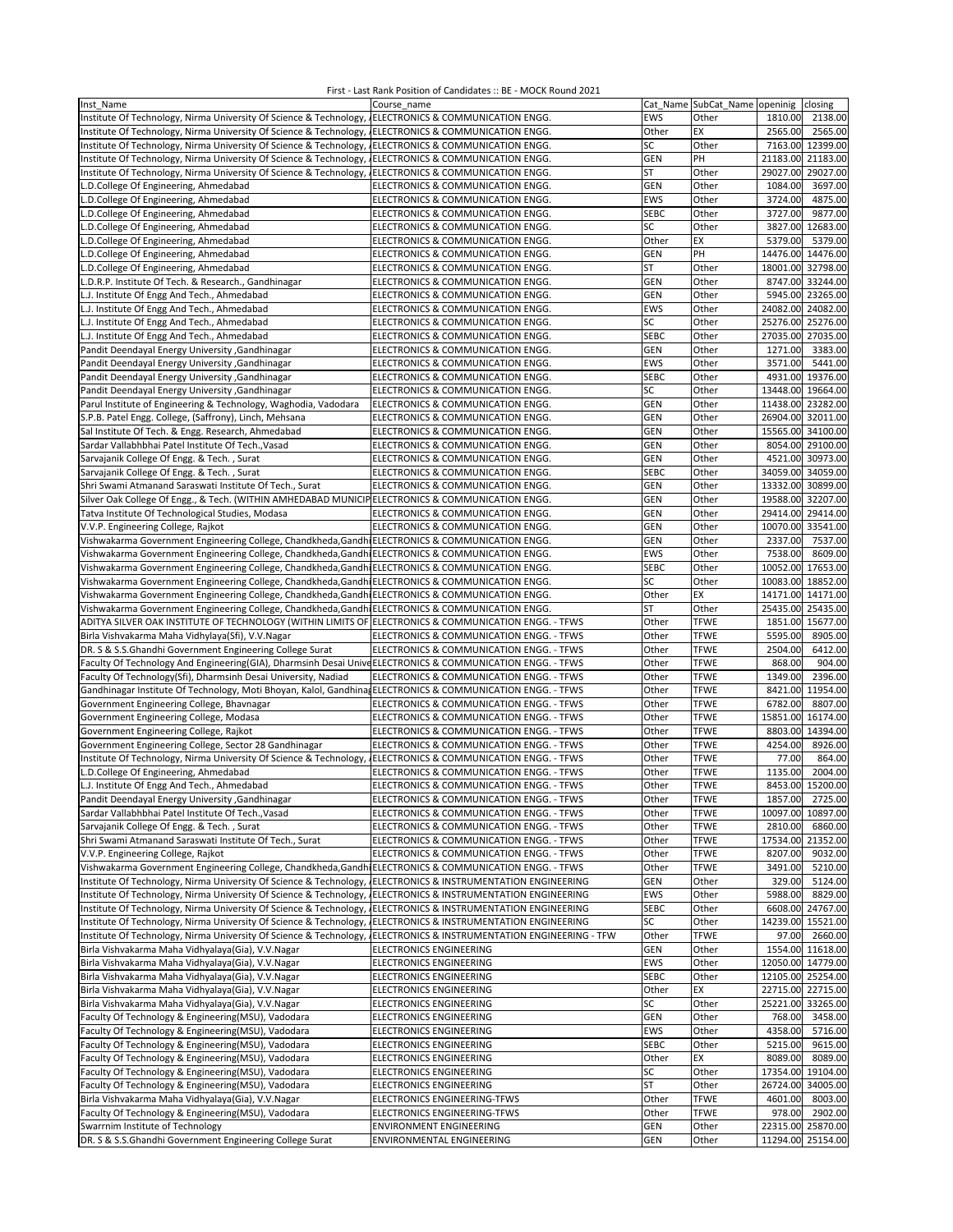| Inst Name                                                                                                     | Course name                                     |             | Cat Name SubCat_Name openinig | closing              |
|---------------------------------------------------------------------------------------------------------------|-------------------------------------------------|-------------|-------------------------------|----------------------|
| Institute Of Technology, Nirma University Of Science & Technology,                                            | ELECTRONICS & COMMUNICATION ENGG.               | <b>EWS</b>  | Other                         | 1810.00<br>2138.00   |
| Institute Of Technology, Nirma University Of Science & Technology,                                            | ELECTRONICS & COMMUNICATION ENGG.               | Other       | EX                            | 2565.00<br>2565.00   |
| Institute Of Technology, Nirma University Of Science & Technology,                                            | ELECTRONICS & COMMUNICATION ENGG.               | SC          | Other                         | 7163.00 12399.00     |
|                                                                                                               |                                                 |             |                               |                      |
| Institute Of Technology, Nirma University Of Science & Technology,                                            | ELECTRONICS & COMMUNICATION ENGG.               | <b>GEN</b>  | PH                            | 21183.00 21183.00    |
| Institute Of Technology, Nirma University Of Science & Technology,                                            | ELECTRONICS & COMMUNICATION ENGG.               | ST          | Other                         | 29027.00<br>29027.00 |
| L.D.College Of Engineering, Ahmedabad                                                                         | ELECTRONICS & COMMUNICATION ENGG.               | GEN         | Other                         | 1084.00<br>3697.00   |
| L.D.College Of Engineering, Ahmedabad                                                                         | ELECTRONICS & COMMUNICATION ENGG.               | EWS         | Other                         | 3724.00<br>4875.00   |
| L.D.College Of Engineering, Ahmedabad                                                                         | ELECTRONICS & COMMUNICATION ENGG.               | <b>SEBC</b> | Other                         | 3727.00<br>9877.00   |
| L.D.College Of Engineering, Ahmedabad                                                                         | ELECTRONICS & COMMUNICATION ENGG.               | SC          | Other                         | 3827.00<br>12683.00  |
| L.D.College Of Engineering, Ahmedabad                                                                         | ELECTRONICS & COMMUNICATION ENGG.               | Other       | EX                            | 5379.00<br>5379.00   |
| L.D.College Of Engineering, Ahmedabad                                                                         | ELECTRONICS & COMMUNICATION ENGG.               | GEN         | PH                            | 14476.00<br>14476.00 |
| L.D.College Of Engineering, Ahmedabad                                                                         | ELECTRONICS & COMMUNICATION ENGG.               | ST          | Other                         | 32798.00<br>18001.00 |
|                                                                                                               |                                                 |             |                               |                      |
| L.D.R.P. Institute Of Tech. & Research., Gandhinagar                                                          | ELECTRONICS & COMMUNICATION ENGG.               | GEN         | Other                         | 8747.00<br>33244.00  |
| L.J. Institute Of Engg And Tech., Ahmedabad                                                                   | ELECTRONICS & COMMUNICATION ENGG.               | GEN         | Other                         | 5945.00 23265.00     |
| L.J. Institute Of Engg And Tech., Ahmedabad                                                                   | ELECTRONICS & COMMUNICATION ENGG.               | EWS         | Other                         | 24082.00 24082.00    |
| L.J. Institute Of Engg And Tech., Ahmedabad                                                                   | ELECTRONICS & COMMUNICATION ENGG.               | SC          | Other                         | 25276.00 25276.00    |
| L.J. Institute Of Engg And Tech., Ahmedabad                                                                   | ELECTRONICS & COMMUNICATION ENGG.               | <b>SEBC</b> | Other                         | 27035.00 27035.00    |
| Pandit Deendayal Energy University , Gandhinagar                                                              | ELECTRONICS & COMMUNICATION ENGG.               | <b>GEN</b>  | Other                         | 1271.00<br>3383.00   |
| Pandit Deendayal Energy University , Gandhinagar                                                              | ELECTRONICS & COMMUNICATION ENGG.               | <b>EWS</b>  | Other                         | 3571.00<br>5441.00   |
| Pandit Deendayal Energy University , Gandhinagar                                                              | ELECTRONICS & COMMUNICATION ENGG.               | <b>SEBC</b> | Other                         | 4931.00 19376.00     |
|                                                                                                               |                                                 | SC          |                               |                      |
| Pandit Deendayal Energy University , Gandhinagar                                                              | ELECTRONICS & COMMUNICATION ENGG.               |             | Other                         | 13448.00 19664.00    |
| Parul Institute of Engineering & Technology, Waghodia, Vadodara                                               | ELECTRONICS & COMMUNICATION ENGG.               | GEN         | Other                         | 11438.00 23282.00    |
| S.P.B. Patel Engg. College, (Saffrony), Linch, Mehsana                                                        | ELECTRONICS & COMMUNICATION ENGG.               | GEN         | Other                         | 26904.00<br>32011.00 |
| Sal Institute Of Tech. & Engg. Research, Ahmedabad                                                            | ELECTRONICS & COMMUNICATION ENGG.               | GEN         | Other                         | 15565.00<br>34100.00 |
| Sardar Vallabhbhai Patel Institute Of Tech., Vasad                                                            | ELECTRONICS & COMMUNICATION ENGG.               | GEN         | Other                         | 29100.00<br>8054.00  |
| Sarvajanik College Of Engg. & Tech., Surat                                                                    | ELECTRONICS & COMMUNICATION ENGG.               | GEN         | Other                         | 4521.00 30973.00     |
| Sarvajanik College Of Engg. & Tech., Surat                                                                    | ELECTRONICS & COMMUNICATION ENGG.               | <b>SEBC</b> | Other                         | 34059.00 34059.00    |
| Shri Swami Atmanand Saraswati Institute Of Tech., Surat                                                       | ELECTRONICS & COMMUNICATION ENGG.               | GEN         | Other                         | 13332.00<br>30899.00 |
| Silver Oak College Of Engg., & Tech. (WITHIN AMHEDABAD MUNICIP ELECTRONICS & COMMUNICATION ENGG.              |                                                 | GEN         | Other                         | 19588.00<br>32207.00 |
| Tatva Institute Of Technological Studies, Modasa                                                              | ELECTRONICS & COMMUNICATION ENGG.               | GEN         | Other                         | 29414.00 29414.00    |
| V.V.P. Engineering College, Rajkot                                                                            | ELECTRONICS & COMMUNICATION ENGG.               | <b>GEN</b>  | Other                         | 10070.00<br>33541.00 |
| Vishwakarma Government Engineering College, Chandkheda, Gandhi ELECTRONICS & COMMUNICATION ENGG.              |                                                 | <b>GEN</b>  | Other                         | 2337.00<br>7537.00   |
|                                                                                                               |                                                 |             |                               |                      |
| Vishwakarma Government Engineering College, Chandkheda, Gandhi ELECTRONICS & COMMUNICATION ENGG.              |                                                 | <b>EWS</b>  | Other                         | 7538.00<br>8609.00   |
| Vishwakarma Government Engineering College, Chandkheda, Gandhi ELECTRONICS & COMMUNICATION ENGG.              |                                                 | <b>SEBC</b> | Other                         | 10052.00 17653.00    |
| Vishwakarma Government Engineering College, Chandkheda, Gandhi ELECTRONICS & COMMUNICATION ENGG.              |                                                 | SC          | Other                         | 10083.00 18852.00    |
| Vishwakarma Government Engineering College, Chandkheda, Gandh ELECTRONICS & COMMUNICATION ENGG.               |                                                 | Other       | EX                            | 14171.00<br>14171.00 |
| Vishwakarma Government Engineering College, Chandkheda, Gandhi ELECTRONICS & COMMUNICATION ENGG.              |                                                 | ST          | Other                         | 25435.00<br>25435.00 |
| ADITYA SILVER OAK INSTITUTE OF TECHNOLOGY (WITHIN LIMITS OF                                                   | ELECTRONICS & COMMUNICATION ENGG. - TFWS        | Other       | <b>TFWE</b>                   | 1851.00<br>15677.00  |
| Birla Vishvakarma Maha Vidhylaya(Sfi), V.V.Nagar                                                              | ELECTRONICS & COMMUNICATION ENGG. - TFWS        | Other       | <b>TFWE</b>                   | 5595.00<br>8905.00   |
| DR. S & S.S.Ghandhi Government Engineering College Surat                                                      | ELECTRONICS & COMMUNICATION ENGG. - TFWS        | Other       | <b>TFWE</b>                   | 2504.00<br>6412.00   |
| Faculty Of Technology And Engineering(GIA), Dharmsinh Desai Unive ELECTRONICS & COMMUNICATION ENGG. - TFWS    |                                                 | Other       | <b>TFWE</b>                   | 868.00<br>904.00     |
| Faculty Of Technology(Sfi), Dharmsinh Desai University, Nadiad                                                | ELECTRONICS & COMMUNICATION ENGG. - TFWS        | Other       | <b>TFWE</b>                   | 1349.00<br>2396.00   |
|                                                                                                               |                                                 |             | <b>TFWE</b>                   | 8421.00 11954.00     |
| Gandhinagar Institute Of Technology, Moti Bhoyan, Kalol, Gandhina ELECTRONICS & COMMUNICATION ENGG. - TFWS    |                                                 | Other       |                               |                      |
| Government Engineering College, Bhavnagar                                                                     | ELECTRONICS & COMMUNICATION ENGG. - TFWS        | Other       | <b>TFWE</b>                   | 6782.00<br>8807.00   |
| Government Engineering College, Modasa                                                                        | ELECTRONICS & COMMUNICATION ENGG. - TFWS        | Other       | <b>TFWE</b>                   | 15851.00 16174.00    |
| Government Engineering College, Rajkot                                                                        | ELECTRONICS & COMMUNICATION ENGG. - TFWS        | Other       | <b>TFWE</b>                   | 8803.00<br>14394.00  |
| Government Engineering College, Sector 28 Gandhinagar                                                         | ELECTRONICS & COMMUNICATION ENGG. - TFWS        | Other       | <b>TFWE</b>                   | 4254.00<br>8926.00   |
| Institute Of Technology, Nirma University Of Science & Technology,                                            | ELECTRONICS & COMMUNICATION ENGG. - TFWS        | Other       | <b>TFWE</b>                   | 77.00<br>864.00      |
| L.D.College Of Engineering, Ahmedabad                                                                         | ELECTRONICS & COMMUNICATION ENGG. - TFWS        | Other       | <b>TFWE</b>                   | 1135.00<br>2004.00   |
| L.J. Institute Of Engg And Tech., Ahmedabad                                                                   | ELECTRONICS & COMMUNICATION ENGG. - TFWS        | Other       | <b>TFWE</b>                   | 8453.00 15200.00     |
| Pandit Deendayal Energy University , Gandhinagar                                                              | ELECTRONICS & COMMUNICATION ENGG. - TFWS        | Other       | <b>TFWE</b>                   | 1857.00 2725.00      |
| Sardar Vallabhbhai Patel Institute Of Tech., Vasad                                                            | ELECTRONICS & COMMUNICATION ENGG. - TFWS        | Other       | <b>TFWE</b>                   | 10097.00 10897.00    |
| Sarvajanik College Of Engg. & Tech., Surat                                                                    | ELECTRONICS & COMMUNICATION ENGG. - TFWS        |             |                               | 2810.00              |
|                                                                                                               |                                                 | Other       | <b>TFWE</b>                   | 6860.00              |
| Shri Swami Atmanand Saraswati Institute Of Tech., Surat                                                       | ELECTRONICS & COMMUNICATION ENGG. - TFWS        | Other       | <b>TFWE</b>                   | 17534.00 21352.00    |
| V.V.P. Engineering College, Rajkot                                                                            | ELECTRONICS & COMMUNICATION ENGG. - TFWS        | Other       | <b>TFWE</b>                   | 9032.00<br>8207.00   |
| Vishwakarma Government Engineering College, Chandkheda, Gandhi ELECTRONICS & COMMUNICATION ENGG. - TFWS       |                                                 | Other       | <b>TFWE</b>                   | 3491.00<br>5210.00   |
| Institute Of Technology, Nirma University Of Science & Technology,                                            | ELECTRONICS & INSTRUMENTATION ENGINEERING       | <b>GEN</b>  | Other                         | 5124.00<br>329.00    |
| Institute Of Technology, Nirma University Of Science & Technology, JELECTRONICS & INSTRUMENTATION ENGINEERING |                                                 | EWS         | Other                         | 8829.00<br>5988.00   |
| Institute Of Technology, Nirma University Of Science & Technology, JELECTRONICS & INSTRUMENTATION ENGINEERING |                                                 | <b>SEBC</b> | Other                         | 6608.00 24767.00     |
| Institute Of Technology, Nirma University Of Science & Technology,                                            | ELECTRONICS & INSTRUMENTATION ENGINEERING       | SC          | Other                         | 14239.00 15521.00    |
| Institute Of Technology, Nirma University Of Science & Technology,                                            | ELECTRONICS & INSTRUMENTATION ENGINEERING - TFW | Other       | <b>TFWE</b>                   | 2660.00<br>97.00     |
| Birla Vishvakarma Maha Vidhyalaya(Gia), V.V.Nagar                                                             | ELECTRONICS ENGINEERING                         | GEN         | Other                         | 1554.00<br>11618.00  |
| Birla Vishvakarma Maha Vidhyalaya(Gia), V.V.Nagar                                                             | ELECTRONICS ENGINEERING                         | <b>EWS</b>  | Other                         | 12050.00 14779.00    |
| Birla Vishvakarma Maha Vidhyalaya(Gia), V.V.Nagar                                                             | ELECTRONICS ENGINEERING                         | <b>SEBC</b> | Other                         | 12105.00 25254.00    |
| Birla Vishvakarma Maha Vidhyalaya(Gia), V.V.Nagar                                                             | ELECTRONICS ENGINEERING                         | Other       | EX                            | 22715.00 22715.00    |
| Birla Vishvakarma Maha Vidhyalaya(Gia), V.V.Nagar                                                             |                                                 | SC          |                               |                      |
|                                                                                                               | ELECTRONICS ENGINEERING                         |             | Other                         | 25221.00 33265.00    |
| Faculty Of Technology & Engineering(MSU), Vadodara                                                            | ELECTRONICS ENGINEERING                         | <b>GEN</b>  | Other                         | 768.00<br>3458.00    |
| Faculty Of Technology & Engineering(MSU), Vadodara                                                            | ELECTRONICS ENGINEERING                         | EWS         | Other                         | 4358.00<br>5716.00   |
| Faculty Of Technology & Engineering(MSU), Vadodara                                                            | ELECTRONICS ENGINEERING                         | <b>SEBC</b> | Other                         | 5215.00<br>9615.00   |
| Faculty Of Technology & Engineering(MSU), Vadodara                                                            | ELECTRONICS ENGINEERING                         | Other       | EX                            | 8089.00<br>8089.00   |
| Faculty Of Technology & Engineering(MSU), Vadodara                                                            | ELECTRONICS ENGINEERING                         | SC          | Other                         | 17354.00 19104.00    |
| Faculty Of Technology & Engineering(MSU), Vadodara                                                            | ELECTRONICS ENGINEERING                         | ST          | Other                         | 26724.00<br>34005.00 |
| Birla Vishvakarma Maha Vidhyalaya(Gia), V.V.Nagar                                                             | ELECTRONICS ENGINEERING-TFWS                    | Other       | <b>TFWE</b>                   | 4601.00<br>8003.00   |
| Faculty Of Technology & Engineering(MSU), Vadodara                                                            | ELECTRONICS ENGINEERING-TFWS                    | Other       | <b>TFWE</b>                   | 978.00<br>2902.00    |
| Swarrnim Institute of Technology                                                                              | ENVIRONMENT ENGINEERING                         | <b>GEN</b>  | Other                         | 22315.00<br>25870.00 |
| DR. S & S.S.Ghandhi Government Engineering College Surat                                                      | ENVIRONMENTAL ENGINEERING                       | <b>GEN</b>  | Other                         | 11294.00 25154.00    |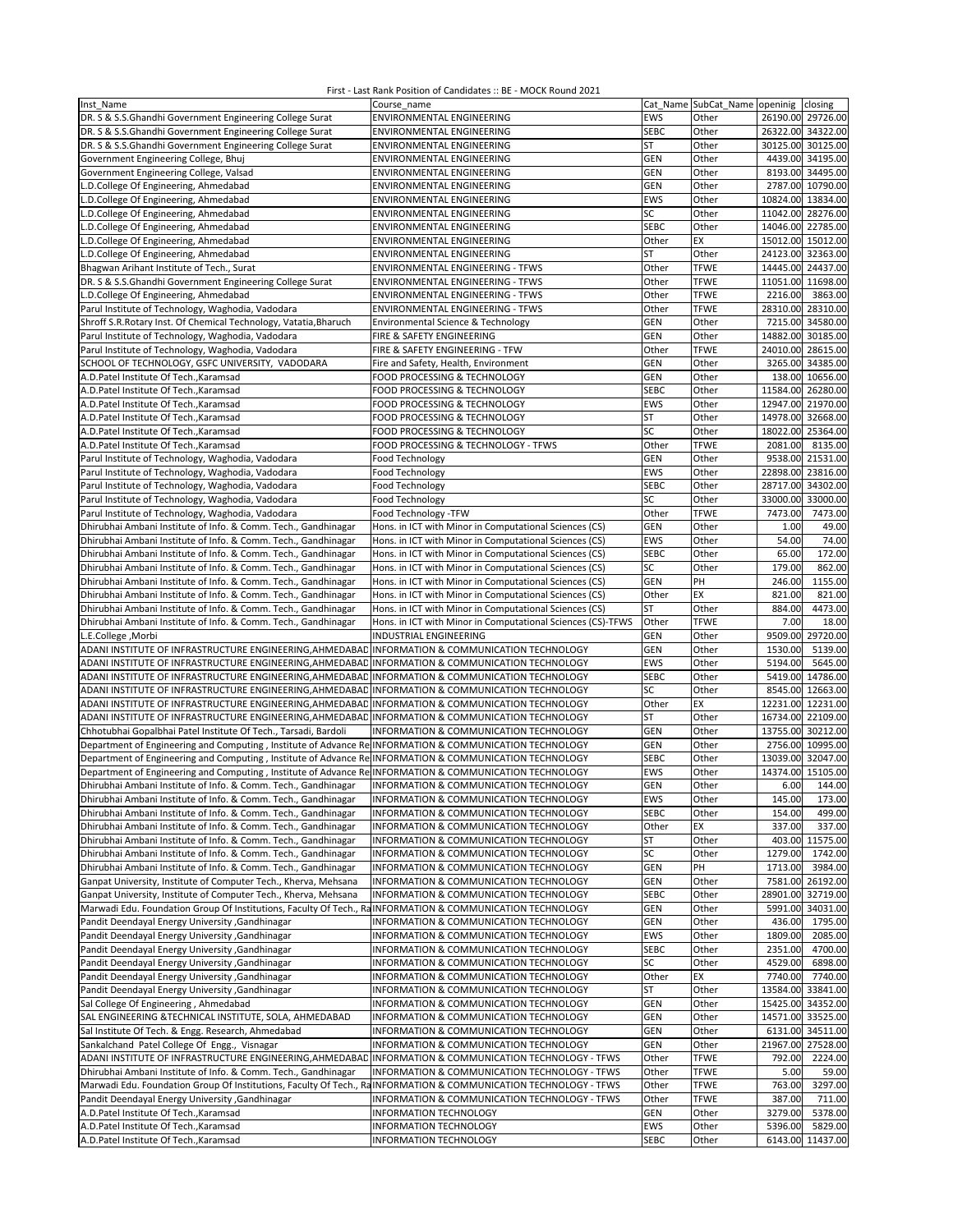| Inst Name                                                                                                        | Course_name                                                 |             | Cat Name SubCat_Name openinig |                   | closing           |
|------------------------------------------------------------------------------------------------------------------|-------------------------------------------------------------|-------------|-------------------------------|-------------------|-------------------|
| DR. S & S.S.Ghandhi Government Engineering College Surat                                                         | ENVIRONMENTAL ENGINEERING                                   | EWS         | Other                         | 26190.00 29726.00 |                   |
|                                                                                                                  |                                                             |             |                               |                   |                   |
| DR. S & S.S.Ghandhi Government Engineering College Surat                                                         | ENVIRONMENTAL ENGINEERING                                   | <b>SEBC</b> | Other                         | 26322.00 34322.00 |                   |
| DR. S & S.S.Ghandhi Government Engineering College Surat                                                         | ENVIRONMENTAL ENGINEERING                                   | <b>ST</b>   | Other                         |                   | 30125.00 30125.00 |
| Government Engineering College, Bhuj                                                                             | ENVIRONMENTAL ENGINEERING                                   | <b>GEN</b>  | Other                         |                   | 4439.00 34195.00  |
| Government Engineering College, Valsad                                                                           |                                                             | GEN         |                               |                   | 8193.00 34495.00  |
|                                                                                                                  | ENVIRONMENTAL ENGINEERING                                   |             | Other                         |                   |                   |
| L.D.College Of Engineering, Ahmedabad                                                                            | ENVIRONMENTAL ENGINEERING                                   | GEN         | Other                         |                   | 2787.00 10790.00  |
| L.D.College Of Engineering, Ahmedabad                                                                            | ENVIRONMENTAL ENGINEERING                                   | EWS         | Other                         | 10824.00 13834.00 |                   |
| L.D.College Of Engineering, Ahmedabad                                                                            | ENVIRONMENTAL ENGINEERING                                   | SC          | Other                         | 11042.00 28276.00 |                   |
| L.D.College Of Engineering, Ahmedabad                                                                            | ENVIRONMENTAL ENGINEERING                                   | <b>SEBC</b> | Other                         | 14046.00 22785.00 |                   |
|                                                                                                                  |                                                             |             |                               |                   |                   |
| L.D.College Of Engineering, Ahmedabad                                                                            | ENVIRONMENTAL ENGINEERING                                   | Other       | EX                            | 15012.00 15012.00 |                   |
| L.D.College Of Engineering, Ahmedabad                                                                            | ENVIRONMENTAL ENGINEERING                                   | <b>ST</b>   | Other                         | 24123.00 32363.00 |                   |
| Bhagwan Arihant Institute of Tech., Surat                                                                        | ENVIRONMENTAL ENGINEERING - TFWS                            | Other       | <b>TFWE</b>                   | 14445.00 24437.00 |                   |
| DR. S & S.S.Ghandhi Government Engineering College Surat                                                         | ENVIRONMENTAL ENGINEERING - TFWS                            | Other       | <b>TFWE</b>                   | 11051.00 11698.00 |                   |
| L.D.College Of Engineering, Ahmedabad                                                                            | ENVIRONMENTAL ENGINEERING - TFWS                            | Other       | <b>TFWE</b>                   | 2216.00           | 3863.00           |
|                                                                                                                  |                                                             |             | <b>TFWE</b>                   | 28310.00 28310.00 |                   |
| Parul Institute of Technology, Waghodia, Vadodara                                                                | <b>ENVIRONMENTAL ENGINEERING - TFWS</b>                     | Other       |                               |                   |                   |
| Shroff S.R.Rotary Inst. Of Chemical Technology, Vatatia, Bharuch                                                 | Environmental Science & Technology                          | <b>GEN</b>  | Other                         |                   | 7215.00 34580.00  |
| Parul Institute of Technology, Waghodia, Vadodara                                                                | FIRE & SAFETY ENGINEERING                                   | <b>GEN</b>  | Other                         | 14882.00 30185.00 |                   |
| Parul Institute of Technology, Waghodia, Vadodara                                                                | FIRE & SAFETY ENGINEERING - TFW                             | Other       | <b>TFWE</b>                   | 24010.00 28615.00 |                   |
| SCHOOL OF TECHNOLOGY, GSFC UNIVERSITY, VADODARA                                                                  | Fire and Safety, Health, Environment                        | <b>GEN</b>  | Other                         |                   | 3265.00 34385.00  |
|                                                                                                                  |                                                             |             |                               |                   |                   |
| A.D.Patel Institute Of Tech., Karamsad                                                                           | FOOD PROCESSING & TECHNOLOGY                                | <b>GEN</b>  | Other                         |                   | 138.00 10656.00   |
| A.D.Patel Institute Of Tech., Karamsad                                                                           | FOOD PROCESSING & TECHNOLOGY                                | <b>SEBC</b> | Other                         | 11584.00 26280.00 |                   |
| A.D.Patel Institute Of Tech., Karamsad                                                                           | FOOD PROCESSING & TECHNOLOGY                                | EWS         | Other                         | 12947.00 21970.00 |                   |
| A.D.Patel Institute Of TechKaramsad                                                                              | FOOD PROCESSING & TECHNOLOGY                                | <b>ST</b>   | Other                         | 14978.00 32668.00 |                   |
| A.D.Patel Institute Of Tech., Karamsad                                                                           | FOOD PROCESSING & TECHNOLOGY                                | SC          | Other                         | 18022.00 25364.00 |                   |
|                                                                                                                  |                                                             |             |                               |                   |                   |
| A.D.Patel Institute Of Tech., Karamsad                                                                           | FOOD PROCESSING & TECHNOLOGY - TFWS                         | Other       | <b>TFWE</b>                   | 2081.00           | 8135.00           |
| Parul Institute of Technology, Waghodia, Vadodara                                                                | Food Technology                                             | <b>GEN</b>  | Other                         |                   | 9538.00 21531.00  |
| Parul Institute of Technology, Waghodia, Vadodara                                                                | Food Technology                                             | EWS         | Other                         | 22898.00 23816.00 |                   |
| Parul Institute of Technology, Waghodia, Vadodara                                                                | Food Technology                                             | <b>SEBC</b> | Other                         | 28717.00          | 34302.00          |
| Parul Institute of Technology, Waghodia, Vadodara                                                                | Food Technology                                             | SC          | Other                         | 33000.00 33000.00 |                   |
|                                                                                                                  |                                                             |             |                               | 7473.00           | 7473.00           |
| Parul Institute of Technology, Waghodia, Vadodara                                                                | Food Technology -TFW                                        | Other       | <b>TFWE</b>                   |                   |                   |
| Dhirubhai Ambani Institute of Info. & Comm. Tech., Gandhinagar                                                   | Hons. in ICT with Minor in Computational Sciences (CS)      | <b>GEN</b>  | Other                         | 1.00              | 49.00             |
| Dhirubhai Ambani Institute of Info. & Comm. Tech., Gandhinagar                                                   | Hons. in ICT with Minor in Computational Sciences (CS)      | EWS         | Other                         | 54.00             | 74.00             |
| Dhirubhai Ambani Institute of Info. & Comm. Tech., Gandhinagar                                                   | Hons. in ICT with Minor in Computational Sciences (CS)      | <b>SEBC</b> | Other                         | 65.00             | 172.00            |
| Dhirubhai Ambani Institute of Info. & Comm. Tech., Gandhinagar                                                   | Hons. in ICT with Minor in Computational Sciences (CS)      | SC          | Other                         | 179.00            | 862.00            |
| Dhirubhai Ambani Institute of Info. & Comm. Tech., Gandhinagar                                                   | Hons. in ICT with Minor in Computational Sciences (CS)      | <b>GEN</b>  | PH                            | 246.00            | 1155.00           |
| Dhirubhai Ambani Institute of Info. & Comm. Tech., Gandhinagar                                                   |                                                             | Other       | EX                            | 821.00            | 821.00            |
|                                                                                                                  | Hons. in ICT with Minor in Computational Sciences (CS)      |             |                               |                   |                   |
| Dhirubhai Ambani Institute of Info. & Comm. Tech., Gandhinagar                                                   | Hons. in ICT with Minor in Computational Sciences (CS)      | <b>ST</b>   | Other                         | 884.00            | 4473.00           |
| Dhirubhai Ambani Institute of Info. & Comm. Tech., Gandhinagar                                                   | Hons. in ICT with Minor in Computational Sciences (CS)-TFWS | Other       | <b>TFWE</b>                   | 7.00              | 18.00             |
| L.E.College, Morbi                                                                                               | INDUSTRIAL ENGINEERING                                      | GEN         | Other                         | 9509.00           | 29720.00          |
| ADANI INSTITUTE OF INFRASTRUCTURE ENGINEERING, AHMEDABAD INFORMATION & COMMUNICATION TECHNOLOGY                  |                                                             | <b>GEN</b>  | Other                         | 1530.00           | 5139.00           |
| ADANI INSTITUTE OF INFRASTRUCTURE ENGINEERING, AHMEDABAD INFORMATION & COMMUNICATION TECHNOLOGY                  |                                                             | EWS         | Other                         | 5194.00           | 5645.00           |
| ADANI INSTITUTE OF INFRASTRUCTURE ENGINEERING, AHMEDABAD                                                         | INFORMATION & COMMUNICATION TECHNOLOGY                      | <b>SEBC</b> | Other                         |                   | 5419.00 14786.00  |
|                                                                                                                  |                                                             | SC          |                               |                   | 8545.00 12663.00  |
| ADANI INSTITUTE OF INFRASTRUCTURE ENGINEERING, AHMEDABAD INFORMATION & COMMUNICATION TECHNOLOGY                  |                                                             |             | Other                         |                   |                   |
| ADANI INSTITUTE OF INFRASTRUCTURE ENGINEERING, AHMEDABAD                                                         | INFORMATION & COMMUNICATION TECHNOLOGY                      | Other       | EX                            | 12231.00 12231.00 |                   |
| ADANI INSTITUTE OF INFRASTRUCTURE ENGINEERING, AHMEDABAD                                                         | INFORMATION & COMMUNICATION TECHNOLOGY                      | <b>ST</b>   | Other                         | 16734.00 22109.00 |                   |
| Chhotubhai Gopalbhai Patel Institute Of Tech., Tarsadi, Bardoli                                                  | <b>INFORMATION &amp; COMMUNICATION TECHNOLOGY</b>           | <b>GEN</b>  | Other                         | 13755.00 30212.00 |                   |
| Department of Engineering and Computing, Institute of Advance Re INFORMATION & COMMUNICATION TECHNOLOGY          |                                                             | GEN         | Other                         | 2756.00           | 10995.00          |
| Department of Engineering and Computing, Institute of Advance Re INFORMATION & COMMUNICATION TECHNOLOGY          |                                                             | <b>SEBC</b> | Other                         | 13039.00 32047.00 |                   |
|                                                                                                                  |                                                             |             |                               |                   |                   |
| Department of Engineering and Computing, Institute of Advance Re INFORMATION & COMMUNICATION TECHNOLOGY          |                                                             | EWS         | Other                         | 14374.00          | 15105.00          |
| Dhirubhai Ambani Institute of Info. & Comm. Tech., Gandhinagar                                                   | <b>INFORMATION &amp; COMMUNICATION TECHNOLOGY</b>           | GEN         | Other                         | 6.00              | 144.00            |
| Dhirubhai Ambani Institute of Info. & Comm. Tech., Gandhinagar                                                   | INFORMATION & COMMUNICATION TECHNOLOGY                      | EWS         | Other                         | 145.00            | 173.00            |
| Dhirubhai Ambani Institute of Info. & Comm. Tech., Gandhinagar                                                   | INFORMATION & COMMUNICATION TECHNOLOGY                      | <b>SEBC</b> | Other                         | 154.00            | 499.00            |
| Dhirubhai Ambani Institute of Info. & Comm. Tech., Gandhinagar                                                   | INFORMATION & COMMUNICATION TECHNOLOGY                      | Other       | EX                            | 337.00            | 337.00            |
| Dhirubhai Ambani Institute of Info. & Comm. Tech., Gandhinagar                                                   | INFORMATION & COMMUNICATION TECHNOLOGY                      | ST          | Other                         |                   | 403.00 11575.00   |
|                                                                                                                  |                                                             |             |                               |                   |                   |
| Dhirubhai Ambani Institute of Info. & Comm. Tech., Gandhinagar                                                   | INFORMATION & COMMUNICATION TECHNOLOGY                      | SC          | Other                         | 1279.00           | 1742.00           |
| Dhirubhai Ambani Institute of Info. & Comm. Tech., Gandhinagar                                                   | INFORMATION & COMMUNICATION TECHNOLOGY                      | GEN         | PH                            | 1713.00           | 3984.00           |
| Ganpat University, Institute of Computer Tech., Kherva, Mehsana                                                  | INFORMATION & COMMUNICATION TECHNOLOGY                      | <b>GEN</b>  | Other                         |                   | 7581.00 26192.00  |
| Ganpat University, Institute of Computer Tech., Kherva, Mehsana                                                  | INFORMATION & COMMUNICATION TECHNOLOGY                      | <b>SEBC</b> | Other                         |                   | 28901.00 32719.00 |
| Marwadi Edu. Foundation Group Of Institutions, Faculty Of Tech., RaINFORMATION & COMMUNICATION TECHNOLOGY        |                                                             | <b>GEN</b>  | Other                         |                   | 5991.00 34031.00  |
| Pandit Deendayal Energy University , Gandhinagar                                                                 | INFORMATION & COMMUNICATION TECHNOLOGY                      | <b>GEN</b>  | Other                         | 436.00            | 1795.00           |
| Pandit Deendayal Energy University , Gandhinagar                                                                 | INFORMATION & COMMUNICATION TECHNOLOGY                      | EWS         | Other                         | 1809.00           | 2085.00           |
|                                                                                                                  |                                                             |             |                               |                   |                   |
| Pandit Deendayal Energy University , Gandhinagar                                                                 | INFORMATION & COMMUNICATION TECHNOLOGY                      | <b>SEBC</b> | Other                         | 2351.00           | 4700.00           |
| Pandit Deendayal Energy University , Gandhinagar                                                                 | INFORMATION & COMMUNICATION TECHNOLOGY                      | SC          | Other                         | 4529.00           | 6898.00           |
| Pandit Deendayal Energy University , Gandhinagar                                                                 | INFORMATION & COMMUNICATION TECHNOLOGY                      | Other       | EX                            | 7740.00           | 7740.00           |
| Pandit Deendayal Energy University , Gandhinagar                                                                 | INFORMATION & COMMUNICATION TECHNOLOGY                      | <b>ST</b>   | Other                         |                   | 13584.00 33841.00 |
| Sal College Of Engineering, Ahmedabad                                                                            | INFORMATION & COMMUNICATION TECHNOLOGY                      | <b>GEN</b>  | Other                         |                   | 15425.00 34352.00 |
| SAL ENGINEERING & TECHNICAL INSTITUTE, SOLA, AHMEDABAD                                                           | INFORMATION & COMMUNICATION TECHNOLOGY                      | GEN         | Other                         |                   | 14571.00 33525.00 |
|                                                                                                                  |                                                             |             |                               |                   |                   |
| Sal Institute Of Tech. & Engg. Research, Ahmedabad                                                               | INFORMATION & COMMUNICATION TECHNOLOGY                      | GEN         | Other                         |                   | 6131.00 34511.00  |
| Sankalchand Patel College Of Engg., Visnagar                                                                     | INFORMATION & COMMUNICATION TECHNOLOGY                      | <b>GEN</b>  | Other                         |                   | 21967.00 27528.00 |
| ADANI INSTITUTE OF INFRASTRUCTURE ENGINEERING, AHMEDABAD INFORMATION & COMMUNICATION TECHNOLOGY - TFWS           |                                                             | Other       | <b>TFWE</b>                   | 792.00            | 2224.00           |
| Dhirubhai Ambani Institute of Info. & Comm. Tech., Gandhinagar                                                   | INFORMATION & COMMUNICATION TECHNOLOGY - TFWS               | Other       | <b>TFWE</b>                   | 5.00              | 59.00             |
| Marwadi Edu. Foundation Group Of Institutions, Faculty Of Tech., RaINFORMATION & COMMUNICATION TECHNOLOGY - TFWS |                                                             | Other       | <b>TFWE</b>                   | 763.00            | 3297.00           |
| Pandit Deendayal Energy University , Gandhinagar                                                                 | INFORMATION & COMMUNICATION TECHNOLOGY - TFWS               | Other       | <b>TFWE</b>                   | 387.00            | 711.00            |
| A.D.Patel Institute Of Tech., Karamsad                                                                           | INFORMATION TECHNOLOGY                                      | <b>GEN</b>  | Other                         | 3279.00           | 5378.00           |
|                                                                                                                  |                                                             |             |                               |                   |                   |
| A.D.Patel Institute Of Tech., Karamsad                                                                           | <b>INFORMATION TECHNOLOGY</b>                               | EWS         | Other                         | 5396.00           | 5829.00           |
| A.D.Patel Institute Of Tech., Karamsad                                                                           | INFORMATION TECHNOLOGY                                      | <b>SEBC</b> | Other                         |                   | 6143.00 11437.00  |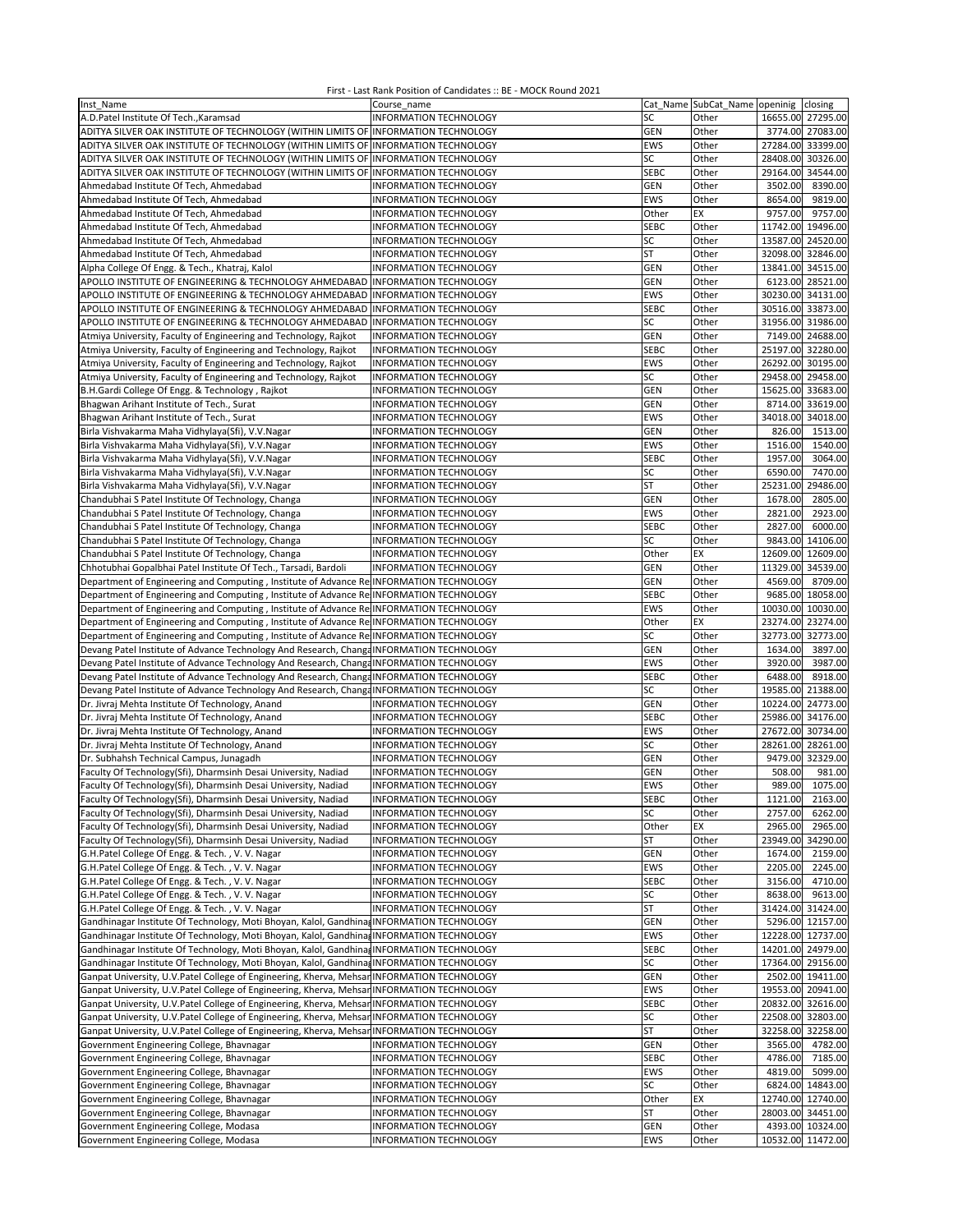| Inst Name                                                                                                                        | Course name                                             |                   | Cat_Name SubCat_Name openinig closing |                     |                     |
|----------------------------------------------------------------------------------------------------------------------------------|---------------------------------------------------------|-------------------|---------------------------------------|---------------------|---------------------|
| A.D.Patel Institute Of Tech., Karamsad                                                                                           | <b>INFORMATION TECHNOLOGY</b>                           | SC                | Other                                 | 16655.00 27295.00   |                     |
| ADITYA SILVER OAK INSTITUTE OF TECHNOLOGY (WITHIN LIMITS OF INFORMATION TECHNOLOGY                                               |                                                         | <b>GEN</b>        | Other                                 |                     | 3774.00 27083.00    |
| ADITYA SILVER OAK INSTITUTE OF TECHNOLOGY (WITHIN LIMITS OF INFORMATION TECHNOLOGY                                               |                                                         | <b>EWS</b>        | Other                                 | 27284.00 33399.00   |                     |
| ADITYA SILVER OAK INSTITUTE OF TECHNOLOGY (WITHIN LIMITS OF INFORMATION TECHNOLOGY                                               |                                                         | SC                | Other                                 | 28408.00            | 30326.00            |
| ADITYA SILVER OAK INSTITUTE OF TECHNOLOGY (WITHIN LIMITS OF INFORMATION TECHNOLOGY                                               |                                                         | <b>SEBC</b>       | Other                                 | 29164.00            | 34544.00            |
| Ahmedabad Institute Of Tech, Ahmedabad                                                                                           | INFORMATION TECHNOLOGY                                  | <b>GEN</b>        | Other                                 | 3502.00             | 8390.00             |
| Ahmedabad Institute Of Tech, Ahmedabad                                                                                           | INFORMATION TECHNOLOGY                                  | EWS               | Other                                 | 8654.00             | 9819.00             |
| Ahmedabad Institute Of Tech, Ahmedabad                                                                                           | INFORMATION TECHNOLOGY                                  | Other             | EX                                    | 9757.00             | 9757.00             |
| Ahmedabad Institute Of Tech, Ahmedabad                                                                                           | INFORMATION TECHNOLOGY                                  | <b>SEBC</b>       | Other                                 | 11742.00 19496.00   |                     |
| Ahmedabad Institute Of Tech, Ahmedabad                                                                                           | INFORMATION TECHNOLOGY                                  | SC                | Other                                 | 13587.00 24520.00   |                     |
|                                                                                                                                  |                                                         | <b>ST</b>         |                                       | 32098.00            |                     |
| Ahmedabad Institute Of Tech, Ahmedabad                                                                                           | INFORMATION TECHNOLOGY                                  |                   | Other                                 |                     | 32846.00            |
| Alpha College Of Engg. & Tech., Khatraj, Kalol                                                                                   | INFORMATION TECHNOLOGY                                  | GEN               | Other                                 | 13841.00 34515.00   |                     |
| APOLLO INSTITUTE OF ENGINEERING & TECHNOLOGY AHMEDABAD INFORMATION TECHNOLOGY                                                    |                                                         | <b>GEN</b>        | Other                                 |                     | 6123.00 28521.00    |
| APOLLO INSTITUTE OF ENGINEERING & TECHNOLOGY AHMEDABAD INFORMATION TECHNOLOGY                                                    |                                                         | EWS               | Other                                 | 30230.00 34131.00   |                     |
| APOLLO INSTITUTE OF ENGINEERING & TECHNOLOGY AHMEDABAD INFORMATION TECHNOLOGY                                                    |                                                         | <b>SEBC</b>       | Other                                 | 30516.00 33873.00   |                     |
| APOLLO INSTITUTE OF ENGINEERING & TECHNOLOGY AHMEDABAD INFORMATION TECHNOLOGY                                                    |                                                         | SC                | Other                                 | 31956.00 31986.00   |                     |
| Atmiya University, Faculty of Engineering and Technology, Rajkot                                                                 | <b>INFORMATION TECHNOLOGY</b>                           | <b>GEN</b>        | Other                                 | 7149.00             | 24688.00            |
| Atmiya University, Faculty of Engineering and Technology, Rajkot                                                                 | INFORMATION TECHNOLOGY                                  | <b>SEBC</b>       | Other                                 | 25197.00 32280.00   |                     |
| Atmiya University, Faculty of Engineering and Technology, Rajkot                                                                 | <b>INFORMATION TECHNOLOGY</b>                           | <b>EWS</b>        | Other                                 | 26292.00            | 30195.00            |
| Atmiya University, Faculty of Engineering and Technology, Rajkot                                                                 | INFORMATION TECHNOLOGY                                  | SC                | Other                                 | 29458.00 29458.00   |                     |
| B.H.Gardi College Of Engg. & Technology, Rajkot                                                                                  | <b>INFORMATION TECHNOLOGY</b>                           | <b>GEN</b>        | Other                                 | 15625.00 33683.00   |                     |
| Bhagwan Arihant Institute of Tech., Surat                                                                                        | INFORMATION TECHNOLOGY                                  | <b>GEN</b>        | Other                                 | 8714.00             | 33619.00            |
| Bhagwan Arihant Institute of Tech., Surat                                                                                        | <b>INFORMATION TECHNOLOGY</b>                           | <b>EWS</b>        | Other                                 | 34018.00 34018.00   |                     |
| Birla Vishvakarma Maha Vidhylaya(Sfi), V.V.Nagar                                                                                 | INFORMATION TECHNOLOGY                                  | <b>GEN</b>        | Other                                 | 826.00              | 1513.00             |
| Birla Vishvakarma Maha Vidhylaya(Sfi), V.V.Nagar                                                                                 | INFORMATION TECHNOLOGY                                  | EWS               | Other                                 | 1516.00             | 1540.00             |
| Birla Vishvakarma Maha Vidhylaya(Sfi), V.V.Nagar                                                                                 | INFORMATION TECHNOLOGY                                  | <b>SEBC</b>       | Other                                 | 1957.00             | 3064.00             |
| Birla Vishvakarma Maha Vidhylaya(Sfi), V.V.Nagar                                                                                 | <b>INFORMATION TECHNOLOGY</b>                           | SC                | Other                                 | 6590.00             | 7470.00             |
| Birla Vishvakarma Maha Vidhylaya(Sfi), V.V.Nagar                                                                                 | INFORMATION TECHNOLOGY                                  | <b>ST</b>         | Other                                 | 25231.00            | 29486.00            |
|                                                                                                                                  | INFORMATION TECHNOLOGY                                  | <b>GEN</b>        | Other                                 | 1678.00             | 2805.00             |
| Chandubhai S Patel Institute Of Technology, Changa                                                                               |                                                         |                   |                                       |                     |                     |
| Chandubhai S Patel Institute Of Technology, Changa                                                                               | <b>INFORMATION TECHNOLOGY</b>                           | EWS               | Other                                 | 2821.00             | 2923.00             |
| Chandubhai S Patel Institute Of Technology, Changa                                                                               | <b>INFORMATION TECHNOLOGY</b>                           | <b>SEBC</b>       | Other                                 | 2827.00             | 6000.00             |
| Chandubhai S Patel Institute Of Technology, Changa                                                                               | INFORMATION TECHNOLOGY                                  | SC                | Other                                 | 9843.00             | 14106.00            |
| Chandubhai S Patel Institute Of Technology, Changa                                                                               | INFORMATION TECHNOLOGY                                  | Other             | EX                                    | 12609.00            | 12609.00            |
| Chhotubhai Gopalbhai Patel Institute Of Tech., Tarsadi, Bardoli                                                                  | INFORMATION TECHNOLOGY                                  | <b>GEN</b>        | Other                                 | 11329.00            | 34539.00            |
| Department of Engineering and Computing, Institute of Advance Re INFORMATION TECHNOLOGY                                          |                                                         | <b>GEN</b>        | Other                                 | 4569.00             | 8709.00             |
| Department of Engineering and Computing, Institute of Advance Re INFORMATION TECHNOLOGY                                          |                                                         | <b>SEBC</b>       | Other                                 |                     | 9685.00 18058.00    |
| Department of Engineering and Computing, Institute of Advance Re INFORMATION TECHNOLOGY                                          |                                                         | <b>EWS</b>        | Other                                 | 10030.00 10030.00   |                     |
| Department of Engineering and Computing, Institute of Advance Re INFORMATION TECHNOLOGY                                          |                                                         | Other             | EX                                    | 23274.00 23274.00   |                     |
| Department of Engineering and Computing, Institute of Advance Re INFORMATION TECHNOLOGY                                          |                                                         | SC                | Other                                 | 32773.00 32773.00   |                     |
| Devang Patel Institute of Advance Technology And Research, Changa INFORMATION TECHNOLOGY                                         |                                                         | <b>GEN</b>        | Other                                 | 1634.00             | 3897.00             |
| Devang Patel Institute of Advance Technology And Research, ChangeINFORMATION TECHNOLOGY                                          |                                                         | EWS               | Other                                 | 3920.00             | 3987.00             |
| Devang Patel Institute of Advance Technology And Research, ChangeINFORMATION TECHNOLOGY                                          |                                                         | <b>SEBC</b>       | Other                                 | 6488.00             | 8918.00             |
| Devang Patel Institute of Advance Technology And Research, Change INFORMATION TECHNOLOGY                                         |                                                         | SC                | Other                                 | 19585.00            | 21388.00            |
| Dr. Jivraj Mehta Institute Of Technology, Anand                                                                                  | <b>INFORMATION TECHNOLOGY</b>                           | <b>GEN</b>        | Other                                 | 10224.00            | 24773.00            |
| Dr. Jivraj Mehta Institute Of Technology, Anand                                                                                  | <b>INFORMATION TECHNOLOGY</b>                           | <b>SEBC</b>       | Other                                 | 25986.00 34176.00   |                     |
| Dr. Jivraj Mehta Institute Of Technology, Anand                                                                                  | <b>INFORMATION TECHNOLOGY</b>                           | EWS               | Other                                 | 27672.00 30734.00   |                     |
| Dr. Jivraj Mehta Institute Of Technology, Anand                                                                                  | INFORMATION TECHNOLOGY                                  | SC                | Other                                 | 28261.00            | 28261.00            |
| Dr. Subhahsh Technical Campus, Junagadh                                                                                          | INFORMATION TECHNOLOGY                                  | <b>GEN</b>        | Other                                 |                     | 9479.00 32329.00    |
| Faculty Of Technology(Sfi), Dharmsinh Desai University, Nadiad                                                                   | INFORMATION TECHNOLOGY                                  | GEN               | Other                                 | 508.00              | 981.00              |
| Faculty Of Technology(Sfi), Dharmsinh Desai University, Nadiad                                                                   | INFORMATION TECHNOLOGY                                  | <b>EWS</b>        | Other                                 | 989.00              | 1075.00             |
|                                                                                                                                  |                                                         |                   | Other                                 |                     |                     |
| Faculty Of Technology(Sfi), Dharmsinh Desai University, Nadiad<br>Faculty Of Technology(Sfi), Dharmsinh Desai University, Nadiad | INFORMATION TECHNOLOGY                                  | <b>SFRC</b><br>SC |                                       | 1121.00             | 2163.00             |
|                                                                                                                                  | INFORMATION TECHNOLOGY<br><b>INFORMATION TECHNOLOGY</b> |                   | Other                                 | 2757.00             | 6262.00             |
| Faculty Of Technology(Sfi), Dharmsinh Desai University, Nadiad                                                                   | INFORMATION TECHNOLOGY                                  | Other             | ЕX                                    | 2965.00<br>23949.00 | 2965.00<br>34290.00 |
| Faculty Of Technology(Sfi), Dharmsinh Desai University, Nadiad                                                                   |                                                         | ST                | Other                                 | 1674.00             |                     |
| G.H.Patel College Of Engg. & Tech., V. V. Nagar                                                                                  | <b>INFORMATION TECHNOLOGY</b>                           | <b>GEN</b>        | Other                                 |                     | 2159.00             |
| G.H.Patel College Of Engg. & Tech., V.V. Nagar                                                                                   | INFORMATION TECHNOLOGY                                  | <b>EWS</b>        | Other                                 | 2205.00             | 2245.00             |
| G.H.Patel College Of Engg. & Tech., V.V. Nagar                                                                                   | INFORMATION TECHNOLOGY                                  | <b>SEBC</b>       | Other                                 | 3156.00             | 4710.00             |
| G.H.Patel College Of Engg. & Tech., V. V. Nagar                                                                                  | INFORMATION TECHNOLOGY                                  | SC                | Other                                 | 8638.00             | 9613.00             |
| G.H.Patel College Of Engg. & Tech., V.V. Nagar                                                                                   | INFORMATION TECHNOLOGY                                  | ST                | Other                                 |                     | 31424.00 31424.00   |
| Gandhinagar Institute Of Technology, Moti Bhoyan, Kalol, Gandhina, INFORMATION TECHNOLOGY                                        |                                                         | <b>GEN</b>        | Other                                 |                     | 5296.00 12157.00    |
| Gandhinagar Institute Of Technology, Moti Bhoyan, Kalol, Gandhina, INFORMATION TECHNOLOGY                                        |                                                         | <b>EWS</b>        | Other                                 | 12228.00 12737.00   |                     |
| Gandhinagar Institute Of Technology, Moti Bhoyan, Kalol, Gandhina, INFORMATION TECHNOLOGY                                        |                                                         | SEBC              | Other                                 |                     | 14201.00 24979.00   |
| Gandhinagar Institute Of Technology, Moti Bhoyan, Kalol, Gandhina, INFORMATION TECHNOLOGY                                        |                                                         | SC                | Other                                 | 17364.00 29156.00   |                     |
| Ganpat University, U.V.Patel College of Engineering, Kherva, Mehsar INFORMATION TECHNOLOGY                                       |                                                         | GEN               | Other                                 |                     | 2502.00 19411.00    |
| Ganpat University, U.V.Patel College of Engineering, Kherva, Mehsar INFORMATION TECHNOLOGY                                       |                                                         | EWS               | Other                                 |                     | 19553.00 20941.00   |
| Ganpat University, U.V.Patel College of Engineering, Kherva, Mehsar INFORMATION TECHNOLOGY                                       |                                                         | <b>SEBC</b>       | Other                                 | 20832.00 32616.00   |                     |
| Ganpat University, U.V.Patel College of Engineering, Kherva, Mehsar INFORMATION TECHNOLOGY                                       |                                                         | SC                | Other                                 |                     | 22508.00 32803.00   |
| Ganpat University, U.V.Patel College of Engineering, Kherva, Mehsar INFORMATION TECHNOLOGY                                       |                                                         | ST                | Other                                 | 32258.00 32258.00   |                     |
| Government Engineering College, Bhavnagar                                                                                        | INFORMATION TECHNOLOGY                                  | <b>GEN</b>        | Other                                 | 3565.00             | 4782.00             |
| Government Engineering College, Bhavnagar                                                                                        | INFORMATION TECHNOLOGY                                  | <b>SEBC</b>       | Other                                 | 4786.00             | 7185.00             |
| Government Engineering College, Bhavnagar                                                                                        | INFORMATION TECHNOLOGY                                  | EWS               | Other                                 | 4819.00             | 5099.00             |
| Government Engineering College, Bhavnagar                                                                                        | INFORMATION TECHNOLOGY                                  | SC                | Other                                 |                     | 6824.00 14843.00    |
| Government Engineering College, Bhavnagar                                                                                        | INFORMATION TECHNOLOGY                                  | Other             | EХ                                    |                     | 12740.00 12740.00   |
| Government Engineering College, Bhavnagar                                                                                        | INFORMATION TECHNOLOGY                                  | ST                | Other                                 |                     | 28003.00 34451.00   |
| Government Engineering College, Modasa                                                                                           | INFORMATION TECHNOLOGY                                  | GEN               | Other                                 |                     | 4393.00 10324.00    |
| Government Engineering College, Modasa                                                                                           | INFORMATION TECHNOLOGY                                  | EWS               | Other                                 |                     | 10532.00 11472.00   |
|                                                                                                                                  |                                                         |                   |                                       |                     |                     |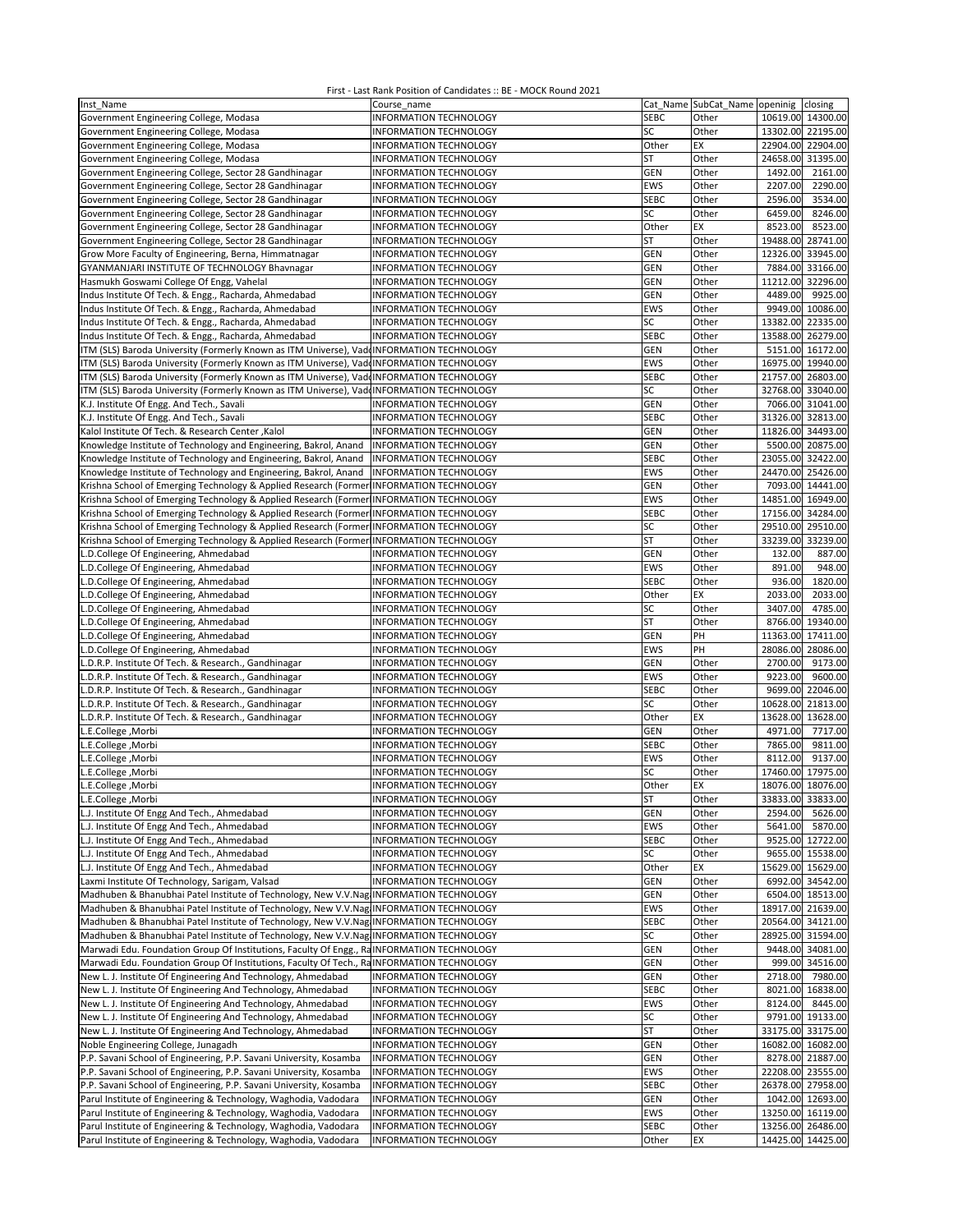| Inst Name                                                                                 | Course name                                             |             | Cat Name SubCat_Name openinig |                   | closing           |
|-------------------------------------------------------------------------------------------|---------------------------------------------------------|-------------|-------------------------------|-------------------|-------------------|
| Government Engineering College, Modasa                                                    | <b>INFORMATION TECHNOLOGY</b>                           | <b>SEBC</b> | Other                         | 10619.00 14300.00 |                   |
| Government Engineering College, Modasa                                                    | INFORMATION TECHNOLOGY                                  | SC          | Other                         | 13302.00 22195.00 |                   |
| Government Engineering College, Modasa                                                    | INFORMATION TECHNOLOGY                                  | Other       | ЕX                            | 22904.00 22904.00 |                   |
| Government Engineering College, Modasa                                                    | INFORMATION TECHNOLOGY                                  | ST          | Other                         | 24658.00 31395.00 |                   |
| Government Engineering College, Sector 28 Gandhinagar                                     | INFORMATION TECHNOLOGY                                  | <b>GEN</b>  | Other                         | 1492.00           | 2161.00           |
| Government Engineering College, Sector 28 Gandhinagar                                     | INFORMATION TECHNOLOGY                                  | EWS         | Other                         | 2207.00           | 2290.00           |
| Government Engineering College, Sector 28 Gandhinagar                                     | INFORMATION TECHNOLOGY                                  | <b>SEBC</b> | Other                         | 2596.00           | 3534.00           |
| Government Engineering College, Sector 28 Gandhinagar                                     | <b>INFORMATION TECHNOLOGY</b>                           | SC          | Other                         | 6459.00           | 8246.00           |
| Government Engineering College, Sector 28 Gandhinagar                                     | INFORMATION TECHNOLOGY                                  | Other       | EX                            | 8523.00           | 8523.00           |
|                                                                                           |                                                         | <b>ST</b>   | Other                         | 19488.00          | 28741.00          |
| Government Engineering College, Sector 28 Gandhinagar                                     | INFORMATION TECHNOLOGY<br><b>INFORMATION TECHNOLOGY</b> |             |                               | 12326.00 33945.00 |                   |
| Grow More Faculty of Engineering, Berna, Himmatnagar                                      |                                                         | GEN         | Other                         |                   |                   |
| GYANMANJARI INSTITUTE OF TECHNOLOGY Bhavnagar                                             | INFORMATION TECHNOLOGY                                  | GEN         | Other                         |                   | 7884.00 33166.00  |
| Hasmukh Goswami College Of Engg, Vahelal                                                  | <b>INFORMATION TECHNOLOGY</b>                           | GEN         | Other                         | 11212.00 32296.00 |                   |
| Indus Institute Of Tech. & Engg., Racharda, Ahmedabad                                     | INFORMATION TECHNOLOGY                                  | <b>GEN</b>  | Other                         | 4489.00           | 9925.00           |
| Indus Institute Of Tech. & Engg., Racharda, Ahmedabad                                     | <b>INFORMATION TECHNOLOGY</b>                           | EWS         | Other                         |                   | 9949.00 10086.00  |
| Indus Institute Of Tech. & Engg., Racharda, Ahmedabad                                     | INFORMATION TECHNOLOGY                                  | SC          | Other                         | 13382.00 22335.00 |                   |
| Indus Institute Of Tech. & Engg., Racharda, Ahmedabad                                     | INFORMATION TECHNOLOGY                                  | <b>SEBC</b> | Other                         | 13588.00 26279.00 |                   |
| ITM (SLS) Baroda University (Formerly Known as ITM Universe), Vad INFORMATION TECHNOLOGY  |                                                         | <b>GEN</b>  | Other                         |                   | 5151.00 16172.00  |
| ITM (SLS) Baroda University (Formerly Known as ITM Universe), VaddINFORMATION TECHNOLOGY  |                                                         | EWS         | Other                         | 16975.00 19940.00 |                   |
| ITM (SLS) Baroda University (Formerly Known as ITM Universe), Vad INFORMATION TECHNOLOGY  |                                                         | <b>SEBC</b> | Other                         | 21757.00 26803.00 |                   |
| ITM (SLS) Baroda University (Formerly Known as ITM Universe), Vad INFORMATION TECHNOLOGY  |                                                         | SC          | Other                         | 32768.00 33040.00 |                   |
| K.J. Institute Of Engg. And Tech., Savali                                                 | INFORMATION TECHNOLOGY                                  | GEN         | Other                         |                   | 7066.00 31041.00  |
| K.J. Institute Of Engg. And Tech., Savali                                                 | INFORMATION TECHNOLOGY                                  | <b>SEBC</b> | Other                         | 31326.00 32813.00 |                   |
| Kalol Institute Of Tech. & Research Center, Kalol                                         | INFORMATION TECHNOLOGY                                  | GEN         | Other                         | 11826.00 34493.00 |                   |
| Knowledge Institute of Technology and Engineering, Bakrol, Anand                          | <b>INFORMATION TECHNOLOGY</b>                           | GEN         | Other                         |                   | 5500.00 20875.00  |
| Knowledge Institute of Technology and Engineering, Bakrol, Anand                          | INFORMATION TECHNOLOGY                                  | <b>SEBC</b> | Other                         |                   | 23055.00 32422.00 |
| Knowledge Institute of Technology and Engineering, Bakrol, Anand                          | <b>INFORMATION TECHNOLOGY</b>                           | EWS         | Other                         |                   | 24470.00 25426.00 |
| Krishna School of Emerging Technology & Applied Research (Former INFORMATION TECHNOLOGY   |                                                         | <b>GEN</b>  | Other                         |                   | 7093.00 14441.00  |
| Krishna School of Emerging Technology & Applied Research (Former INFORMATION TECHNOLOGY   |                                                         | EWS         | Other                         | 14851.00 16949.00 |                   |
| Krishna School of Emerging Technology & Applied Research (Former INFORMATION TECHNOLOGY   |                                                         | <b>SEBC</b> | Other                         | 17156.00 34284.00 |                   |
| Krishna School of Emerging Technology & Applied Research (Former INFORMATION TECHNOLOGY   |                                                         | SC          | Other                         | 29510.00 29510.00 |                   |
| Krishna School of Emerging Technology & Applied Research (Former INFORMATION TECHNOLOGY   |                                                         | <b>ST</b>   | Other                         | 33239.00          | 33239.00          |
| L.D.College Of Engineering, Ahmedabad                                                     | <b>INFORMATION TECHNOLOGY</b>                           | GEN         | Other                         | 132.00            | 887.00            |
| L.D.College Of Engineering, Ahmedabad                                                     | <b>INFORMATION TECHNOLOGY</b>                           | EWS         | Other                         | 891.00            | 948.00            |
| L.D.College Of Engineering, Ahmedabad                                                     | <b>INFORMATION TECHNOLOGY</b>                           | <b>SEBC</b> | Other                         | 936.00            | 1820.00           |
| L.D.College Of Engineering, Ahmedabad                                                     | INFORMATION TECHNOLOGY                                  | Other       | EX                            | 2033.00           | 2033.00           |
| L.D.College Of Engineering, Ahmedabad                                                     | INFORMATION TECHNOLOGY                                  | SC          | Other                         | 3407.00           | 4785.00           |
| L.D.College Of Engineering, Ahmedabad                                                     | INFORMATION TECHNOLOGY                                  | ST          | Other                         |                   | 8766.00 19340.00  |
| L.D.College Of Engineering, Ahmedabad                                                     | INFORMATION TECHNOLOGY                                  | <b>GEN</b>  | PH                            |                   | 11363.00 17411.00 |
| L.D.College Of Engineering, Ahmedabad                                                     | INFORMATION TECHNOLOGY                                  | EWS         | PH                            | 28086.00 28086.00 |                   |
| L.D.R.P. Institute Of Tech. & Research., Gandhinagar                                      | INFORMATION TECHNOLOGY                                  | <b>GEN</b>  | Other                         | 2700.00           | 9173.00           |
| L.D.R.P. Institute Of Tech. & Research., Gandhinagar                                      | INFORMATION TECHNOLOGY                                  | EWS         | Other                         | 9223.00           | 9600.00           |
| L.D.R.P. Institute Of Tech. & Research., Gandhinagar                                      | INFORMATION TECHNOLOGY                                  | <b>SEBC</b> | Other                         |                   | 9699.00 22046.00  |
| L.D.R.P. Institute Of Tech. & Research., Gandhinagar                                      | INFORMATION TECHNOLOGY                                  | SC          | Other                         | 10628.00 21813.00 |                   |
| L.D.R.P. Institute Of Tech. & Research., Gandhinagar                                      | INFORMATION TECHNOLOGY                                  | Other       | EX                            | 13628.00          | 13628.00          |
| L.E.College, Morbi                                                                        | <b>INFORMATION TECHNOLOGY</b>                           | <b>GEN</b>  | Other                         | 4971.00           | 7717.00           |
| L.E.College, Morbi                                                                        | INFORMATION TECHNOLOGY                                  | <b>SEBC</b> | Other                         | 7865.00           | 9811.00           |
| L.E.College, Morbi                                                                        | INFORMATION TECHNOLOGY                                  | <b>EWS</b>  | Other                         | 8112.00           | 9137.00           |
| L.E.College, Morbi                                                                        | INFORMATION TECHNOLOGY                                  | SC          | Other                         |                   | 17460.00 17975.00 |
| L.E.College, Morbi                                                                        | <b>INFORMATION TECHNOLOGY</b>                           | Other       | EX                            | 18076.00 18076.00 |                   |
| L.E.College, Morbi                                                                        | INFORMATION TECHNOLOGY                                  | ST          | Other                         |                   | 33833.00 33833.00 |
| L.J. Institute Of Engg And Tech., Ahmedabad                                               | INFORMATION TECHNOLOGY                                  | GEN         | Other                         | 2594.00           | 5626.00           |
| L.J. Institute Of Engg And Tech., Ahmedabad                                               | <b>INFORMATION TECHNOLOGY</b>                           | EWS         | Other                         | 5641.00           | 5870.00           |
| L.J. Institute Of Engg And Tech., Ahmedabad                                               | <b>INFORMATION TECHNOLOGY</b>                           | <b>SEBC</b> | Other                         |                   | 9525.00 12722.00  |
| L.J. Institute Of Engg And Tech., Ahmedabad                                               | <b>INFORMATION TECHNOLOGY</b>                           | SC          | Other                         |                   | 9655.00 15538.00  |
| L.J. Institute Of Engg And Tech., Ahmedabad                                               | INFORMATION TECHNOLOGY                                  | Other       | EX                            |                   | 15629.00 15629.00 |
| Laxmi Institute Of Technology, Sarigam, Valsad                                            | <b>INFORMATION TECHNOLOGY</b>                           | <b>GEN</b>  | Other                         |                   | 6992.00 34542.00  |
|                                                                                           |                                                         |             |                               |                   | 6504.00 18513.00  |
| Madhuben & Bhanubhai Patel Institute of Technology, New V.V.Nag INFORMATION TECHNOLOGY    |                                                         | <b>GEN</b>  | Other                         |                   |                   |
| Madhuben & Bhanubhai Patel Institute of Technology, New V.V.Nag INFORMATION TECHNOLOGY    |                                                         | EWS         | Other                         |                   | 18917.00 21639.00 |
| Madhuben & Bhanubhai Patel Institute of Technology, New V.V.Nag INFORMATION TECHNOLOGY    |                                                         | <b>SEBC</b> | Other                         |                   | 20564.00 34121.00 |
| Madhuben & Bhanubhai Patel Institute of Technology, New V.V.Nag INFORMATION TECHNOLOGY    |                                                         | SC          | Other                         |                   | 28925.00 31594.00 |
| Marwadi Edu. Foundation Group Of Institutions, Faculty Of Engg., RaINFORMATION TECHNOLOGY |                                                         | <b>GEN</b>  | Other                         |                   | 9448.00 34081.00  |
| Marwadi Edu. Foundation Group Of Institutions, Faculty Of Tech., RaINFORMATION TECHNOLOGY |                                                         | <b>GEN</b>  | Other                         |                   | 999.00 34516.00   |
| New L. J. Institute Of Engineering And Technology, Ahmedabad                              | <b>INFORMATION TECHNOLOGY</b>                           | <b>GEN</b>  | Other                         |                   | 2718.00 7980.00   |
| New L. J. Institute Of Engineering And Technology, Ahmedabad                              | INFORMATION TECHNOLOGY                                  | <b>SEBC</b> | Other                         |                   | 8021.00 16838.00  |
| New L. J. Institute Of Engineering And Technology, Ahmedabad                              | INFORMATION TECHNOLOGY                                  | EWS         | Other                         | 8124.00           | 8445.00           |
| New L. J. Institute Of Engineering And Technology, Ahmedabad                              | INFORMATION TECHNOLOGY                                  | SC          | Other                         |                   | 9791.00 19133.00  |
| New L. J. Institute Of Engineering And Technology, Ahmedabad                              | INFORMATION TECHNOLOGY                                  | ST          | Other                         |                   | 33175.00 33175.00 |
| Noble Engineering College, Junagadh                                                       | INFORMATION TECHNOLOGY                                  | <b>GEN</b>  | Other                         |                   | 16082.00 16082.00 |
| P.P. Savani School of Engineering, P.P. Savani University, Kosamba                        | INFORMATION TECHNOLOGY                                  | GEN         | Other                         |                   | 8278.00 21887.00  |
| P.P. Savani School of Engineering, P.P. Savani University, Kosamba                        | <b>INFORMATION TECHNOLOGY</b>                           | EWS         | Other                         |                   | 22208.00 23555.00 |
| P.P. Savani School of Engineering, P.P. Savani University, Kosamba                        | INFORMATION TECHNOLOGY                                  | <b>SEBC</b> | Other                         |                   | 26378.00 27958.00 |
| Parul Institute of Engineering & Technology, Waghodia, Vadodara                           | INFORMATION TECHNOLOGY                                  | <b>GEN</b>  | Other                         |                   | 1042.00 12693.00  |
| Parul Institute of Engineering & Technology, Waghodia, Vadodara                           | INFORMATION TECHNOLOGY                                  | EWS         | Other                         |                   | 13250.00 16119.00 |
| Parul Institute of Engineering & Technology, Waghodia, Vadodara                           | INFORMATION TECHNOLOGY                                  | <b>SEBC</b> | Other                         |                   | 13256.00 26486.00 |
| Parul Institute of Engineering & Technology, Waghodia, Vadodara                           | INFORMATION TECHNOLOGY                                  | Other       | EX                            |                   | 14425.00 14425.00 |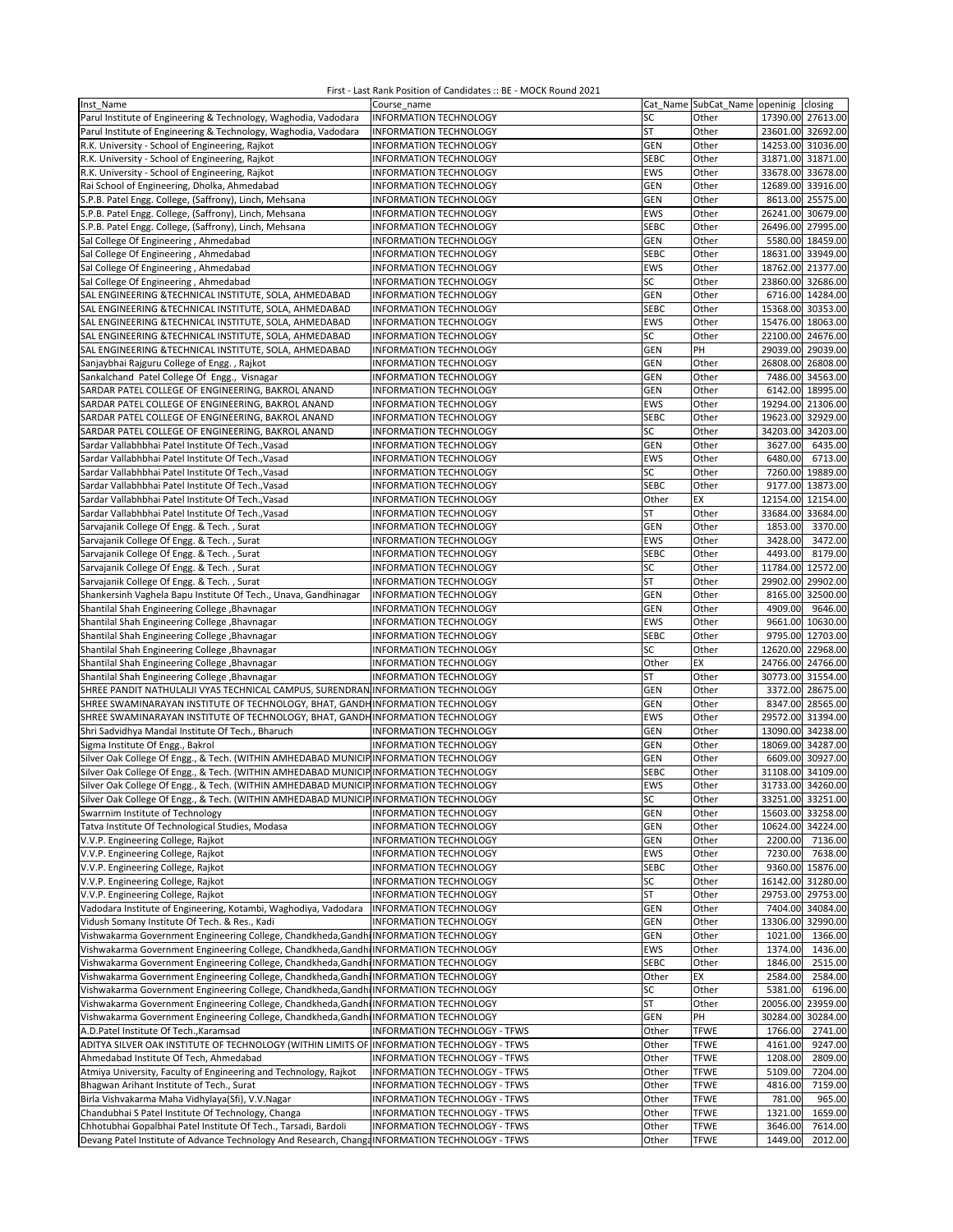| Inst Name                                                                                      | Course name                   |             | Cat_Name SubCat_Name openinig closing |                   |                   |
|------------------------------------------------------------------------------------------------|-------------------------------|-------------|---------------------------------------|-------------------|-------------------|
| Parul Institute of Engineering & Technology, Waghodia, Vadodara                                | INFORMATION TECHNOLOGY        | SC          | Other                                 | 17390.00 27613.00 |                   |
| Parul Institute of Engineering & Technology, Waghodia, Vadodara                                | INFORMATION TECHNOLOGY        | <b>ST</b>   | Other                                 | 23601.00 32692.00 |                   |
| R.K. University - School of Engineering, Rajkot                                                | INFORMATION TECHNOLOGY        | <b>GEN</b>  | Other                                 | 14253.00 31036.00 |                   |
| R.K. University - School of Engineering, Rajkot                                                | INFORMATION TECHNOLOGY        | <b>SEBC</b> | Other                                 | 31871.00 31871.00 |                   |
| R.K. University - School of Engineering, Rajkot                                                | <b>INFORMATION TECHNOLOGY</b> | <b>EWS</b>  | Other                                 | 33678.00 33678.00 |                   |
| Rai School of Engineering, Dholka, Ahmedabad                                                   | <b>INFORMATION TECHNOLOGY</b> | GEN         | Other                                 |                   | 12689.00 33916.00 |
|                                                                                                |                               |             | Other                                 |                   |                   |
| S.P.B. Patel Engg. College, (Saffrony), Linch, Mehsana                                         | INFORMATION TECHNOLOGY        | GEN         |                                       |                   | 8613.00 25575.00  |
| S.P.B. Patel Engg. College, (Saffrony), Linch, Mehsana                                         | <b>INFORMATION TECHNOLOGY</b> | EWS         | Other                                 | 26241.00          | 30679.00          |
| S.P.B. Patel Engg. College, (Saffrony), Linch, Mehsana                                         | INFORMATION TECHNOLOGY        | <b>SEBC</b> | Other                                 | 26496.00 27995.00 |                   |
| Sal College Of Engineering, Ahmedabad                                                          | INFORMATION TECHNOLOGY        | GEN         | Other                                 |                   | 5580.00 18459.00  |
| Sal College Of Engineering, Ahmedabad                                                          | <b>INFORMATION TECHNOLOGY</b> | <b>SEBC</b> | Other                                 | 18631.00 33949.00 |                   |
| Sal College Of Engineering, Ahmedabad                                                          | <b>INFORMATION TECHNOLOGY</b> | <b>EWS</b>  | Other                                 | 18762.00 21377.00 |                   |
| Sal College Of Engineering, Ahmedabad                                                          | INFORMATION TECHNOLOGY        | SC          | Other                                 | 23860.00 32686.00 |                   |
| SAL ENGINEERING &TECHNICAL INSTITUTE, SOLA, AHMEDABAD                                          | INFORMATION TECHNOLOGY        | GEN         | Other                                 |                   | 6716.00 14284.00  |
| SAL ENGINEERING & TECHNICAL INSTITUTE, SOLA, AHMEDABAD                                         | INFORMATION TECHNOLOGY        | <b>SEBC</b> | Other                                 | 15368.00 30353.00 |                   |
| SAL ENGINEERING & TECHNICAL INSTITUTE, SOLA, AHMEDABAD                                         | <b>INFORMATION TECHNOLOGY</b> | EWS         | Other                                 | 15476.00 18063.00 |                   |
| SAL ENGINEERING & TECHNICAL INSTITUTE, SOLA, AHMEDABAD                                         | INFORMATION TECHNOLOGY        | SC          | Other                                 | 22100.00 24676.00 |                   |
| SAL ENGINEERING & TECHNICAL INSTITUTE, SOLA, AHMEDABAD                                         | INFORMATION TECHNOLOGY        | GEN         | PH                                    | 29039.00          | 29039.00          |
|                                                                                                |                               |             |                                       |                   |                   |
| Sanjaybhai Rajguru College of Engg., Rajkot                                                    | <b>INFORMATION TECHNOLOGY</b> | GEN         | Other                                 | 26808.00          | 26808.00          |
| Sankalchand Patel College Of Engg., Visnagar                                                   | INFORMATION TECHNOLOGY        | GEN         | Other                                 |                   | 7486.00 34563.00  |
| SARDAR PATEL COLLEGE OF ENGINEERING, BAKROL ANAND                                              | <b>INFORMATION TECHNOLOGY</b> | GEN         | Other                                 |                   | 6142.00 18995.00  |
| SARDAR PATEL COLLEGE OF ENGINEERING, BAKROL ANAND                                              | INFORMATION TECHNOLOGY        | EWS         | Other                                 | 19294.00 21306.00 |                   |
| SARDAR PATEL COLLEGE OF ENGINEERING, BAKROL ANAND                                              | INFORMATION TECHNOLOGY        | <b>SEBC</b> | Other                                 | 19623.00 32929.00 |                   |
| SARDAR PATEL COLLEGE OF ENGINEERING, BAKROL ANAND                                              | <b>INFORMATION TECHNOLOGY</b> | SC          | Other                                 | 34203.00 34203.00 |                   |
| Sardar Vallabhbhai Patel Institute Of Tech., Vasad                                             | <b>INFORMATION TECHNOLOGY</b> | GEN         | Other                                 | 3627.00           | 6435.00           |
| Sardar Vallabhbhai Patel Institute Of Tech., Vasad                                             | INFORMATION TECHNOLOGY        | <b>EWS</b>  | Other                                 | 6480.00           | 6713.00           |
| Sardar Vallabhbhai Patel Institute Of Tech., Vasad                                             | <b>INFORMATION TECHNOLOGY</b> | SC          | Other                                 |                   | 7260.00 19889.00  |
| Sardar Vallabhbhai Patel Institute Of Tech., Vasad                                             | INFORMATION TECHNOLOGY        | <b>SEBC</b> | Other                                 |                   | 9177.00 13873.00  |
| Sardar Vallabhbhai Patel Institute Of Tech., Vasad                                             | INFORMATION TECHNOLOGY        | Other       | EX                                    | 12154.00 12154.00 |                   |
| Sardar Vallabhbhai Patel Institute Of Tech., Vasad                                             | INFORMATION TECHNOLOGY        | ST          | Other                                 |                   | 33684.00 33684.00 |
|                                                                                                | <b>INFORMATION TECHNOLOGY</b> |             |                                       |                   |                   |
| Sarvajanik College Of Engg. & Tech., Surat                                                     |                               | GEN         | Other                                 | 1853.00           | 3370.00           |
| Sarvajanik College Of Engg. & Tech., Surat                                                     | <b>INFORMATION TECHNOLOGY</b> | EWS         | Other                                 | 3428.00           | 3472.00           |
| Sarvajanik College Of Engg. & Tech., Surat                                                     | INFORMATION TECHNOLOGY        | <b>SEBC</b> | Other                                 | 4493.00           | 8179.00           |
| Sarvajanik College Of Engg. & Tech., Surat                                                     | INFORMATION TECHNOLOGY        | SC          | Other                                 | 11784.00 12572.00 |                   |
| Sarvajanik College Of Engg. & Tech., Surat                                                     | <b>INFORMATION TECHNOLOGY</b> | <b>ST</b>   | Other                                 | 29902.00          | 29902.00          |
| Shankersinh Vaghela Bapu Institute Of Tech., Unava, Gandhinagar                                | INFORMATION TECHNOLOGY        | GEN         | Other                                 | 8165.00           | 32500.00          |
| Shantilal Shah Engineering College , Bhavnagar                                                 | INFORMATION TECHNOLOGY        | GEN         | Other                                 | 4909.00           | 9646.00           |
| Shantilal Shah Engineering College, Bhavnagar                                                  | INFORMATION TECHNOLOGY        | <b>EWS</b>  | Other                                 |                   | 9661.00 10630.00  |
| Shantilal Shah Engineering College, Bhavnagar                                                  | INFORMATION TECHNOLOGY        | <b>SEBC</b> | Other                                 |                   | 9795.00 12703.00  |
| Shantilal Shah Engineering College , Bhavnagar                                                 | INFORMATION TECHNOLOGY        | SC          | Other                                 | 12620.00 22968.00 |                   |
| Shantilal Shah Engineering College , Bhavnagar                                                 | INFORMATION TECHNOLOGY        | Other       | EX                                    | 24766.00 24766.00 |                   |
| Shantilal Shah Engineering College , Bhavnagar                                                 | INFORMATION TECHNOLOGY        | ST          | Other                                 |                   | 30773.00 31554.00 |
| SHREE PANDIT NATHULALJI VYAS TECHNICAL CAMPUS, SURENDRAN INFORMATION TECHNOLOGY                |                               | <b>GEN</b>  | Other                                 | 3372.00           | 28675.00          |
|                                                                                                |                               |             |                                       |                   |                   |
| SHREE SWAMINARAYAN INSTITUTE OF TECHNOLOGY, BHAT, GANDHINFORMATION TECHNOLOGY                  |                               | GEN         | Other                                 |                   | 8347.00 28565.00  |
| SHREE SWAMINARAYAN INSTITUTE OF TECHNOLOGY, BHAT, GANDHINFORMATION TECHNOLOGY                  |                               | <b>EWS</b>  | Other                                 | 29572.00 31394.00 |                   |
| Shri Sadvidhya Mandal Institute Of Tech., Bharuch                                              | <b>INFORMATION TECHNOLOGY</b> | GEN         | Other                                 | 13090.00 34238.00 |                   |
| Sigma Institute Of Engg., Bakrol                                                               | INFORMATION TECHNOLOGY        | GEN         | Other                                 | 18069.00 34287.00 |                   |
| Silver Oak College Of Engg., & Tech. (WITHIN AMHEDABAD MUNICIP INFORMATION TECHNOLOGY          |                               | GEN         | Other                                 |                   | 6609.00 30927.00  |
| Silver Oak College Of Engg., & Tech. (WITHIN AMHEDABAD MUNICIPINFORMATION TECHNOLOGY           |                               | <b>SEBC</b> | Other                                 | 31108.00          | 34109.00          |
| Silver Oak College Of Engg., & Tech. (WITHIN AMHEDABAD MUNICIP INFORMATION TECHNOLOGY          |                               | EWS         | Other                                 | 31733.00 34260.00 |                   |
| Silver Oak College Of Engg., & Tech. (WITHIN AMHEDABAD MUNICIP INFORMATION TECHNOLOGY          |                               | SC          | Other                                 |                   | 33251.00 33251.00 |
| Swarrnim Institute of Technology                                                               | INFORMATION TECHNOLOGY        | <b>GEN</b>  | Other                                 | 15603.00 33258.00 |                   |
| Tatva Institute Of Technological Studies, Modasa                                               | INFORMATION TECHNOLOGY        | <b>GEN</b>  | Other                                 | 10624.00 34224.00 |                   |
| V.V.P. Engineering College, Rajkot                                                             | INFORMATION TECHNOLOGY        | <b>GEN</b>  | Other                                 |                   | 2200.00 7136.00   |
| V.V.P. Engineering College, Rajkot                                                             | INFORMATION TECHNOLOGY        | EWS         | Other                                 |                   | 7230.00 7638.00   |
| V.V.P. Engineering College, Rajkot                                                             | INFORMATION TECHNOLOGY        | SEBC        | Other                                 |                   | 9360.00 15876.00  |
|                                                                                                |                               |             |                                       |                   | 16142.00 31280.00 |
| V.V.P. Engineering College, Rajkot                                                             | INFORMATION TECHNOLOGY        | SC          | Other                                 |                   |                   |
| V.V.P. Engineering College, Rajkot                                                             | INFORMATION TECHNOLOGY        | <b>ST</b>   | Other                                 | 29753.00          | 29753.00          |
| Vadodara Institute of Engineering, Kotambi, Waghodiya, Vadodara                                | <b>INFORMATION TECHNOLOGY</b> | GEN         | Other                                 |                   | 7404.00 34084.00  |
| Vidush Somany Institute Of Tech. & Res., Kadi                                                  | INFORMATION TECHNOLOGY        | <b>GEN</b>  | Other                                 | 13306.00 32990.00 |                   |
| Vishwakarma Government Engineering College, Chandkheda, Gandhi INFORMATION TECHNOLOGY          |                               | <b>GEN</b>  | Other                                 | 1021.00           | 1366.00           |
| Vishwakarma Government Engineering College, Chandkheda, Gandhi INFORMATION TECHNOLOGY          |                               | EWS         | Other                                 | 1374.00           | 1436.00           |
| Vishwakarma Government Engineering College, Chandkheda, Gandh INFORMATION TECHNOLOGY           |                               | <b>SEBC</b> | Other                                 | 1846.00           | 2515.00           |
| Vishwakarma Government Engineering College, Chandkheda, Gandhi INFORMATION TECHNOLOGY          |                               | Other       | EX                                    | 2584.00           | 2584.00           |
| Vishwakarma Government Engineering College, Chandkheda, Gandhi                                 | <b>INFORMATION TECHNOLOGY</b> | SC          | Other                                 | 5381.00           | 6196.00           |
| Vishwakarma Government Engineering College, Chandkheda, Gandhi INFORMATION TECHNOLOGY          |                               | ST          | Other                                 | 20056.00 23959.00 |                   |
| Vishwakarma Government Engineering College, Chandkheda, Gandhi INFORMATION TECHNOLOGY          |                               | <b>GEN</b>  | PH                                    | 30284.00          | 30284.00          |
| A.D.Patel Institute Of Tech., Karamsad                                                         | INFORMATION TECHNOLOGY - TFWS | Other       | <b>TFWE</b>                           | 1766.00           | 2741.00           |
|                                                                                                |                               |             |                                       |                   |                   |
| ADITYA SILVER OAK INSTITUTE OF TECHNOLOGY (WITHIN LIMITS OF INFORMATION TECHNOLOGY - TFWS      |                               | Other       | <b>TFWE</b>                           | 4161.00           | 9247.00           |
| Ahmedabad Institute Of Tech, Ahmedabad                                                         | INFORMATION TECHNOLOGY - TFWS | Other       | <b>TFWE</b>                           | 1208.00           | 2809.00           |
| Atmiya University, Faculty of Engineering and Technology, Rajkot                               | INFORMATION TECHNOLOGY - TFWS | Other       | <b>TFWE</b>                           | 5109.00           | 7204.00           |
| Bhagwan Arihant Institute of Tech., Surat                                                      | INFORMATION TECHNOLOGY - TFWS | Other       | <b>TFWE</b>                           | 4816.00           | 7159.00           |
| Birla Vishvakarma Maha Vidhylaya(Sfi), V.V.Nagar                                               | INFORMATION TECHNOLOGY - TFWS | Other       | <b>TFWE</b>                           | 781.00            | 965.00            |
| Chandubhai S Patel Institute Of Technology, Changa                                             | INFORMATION TECHNOLOGY - TFWS | Other       | <b>TFWE</b>                           | 1321.00           | 1659.00           |
| Chhotubhai Gopalbhai Patel Institute Of Tech., Tarsadi, Bardoli                                | INFORMATION TECHNOLOGY - TFWS | Other       | <b>TFWE</b>                           | 3646.00           | 7614.00           |
| Devang Patel Institute of Advance Technology And Research, ChangaINFORMATION TECHNOLOGY - TFWS |                               | Other       | <b>TFWE</b>                           | 1449.00           | 2012.00           |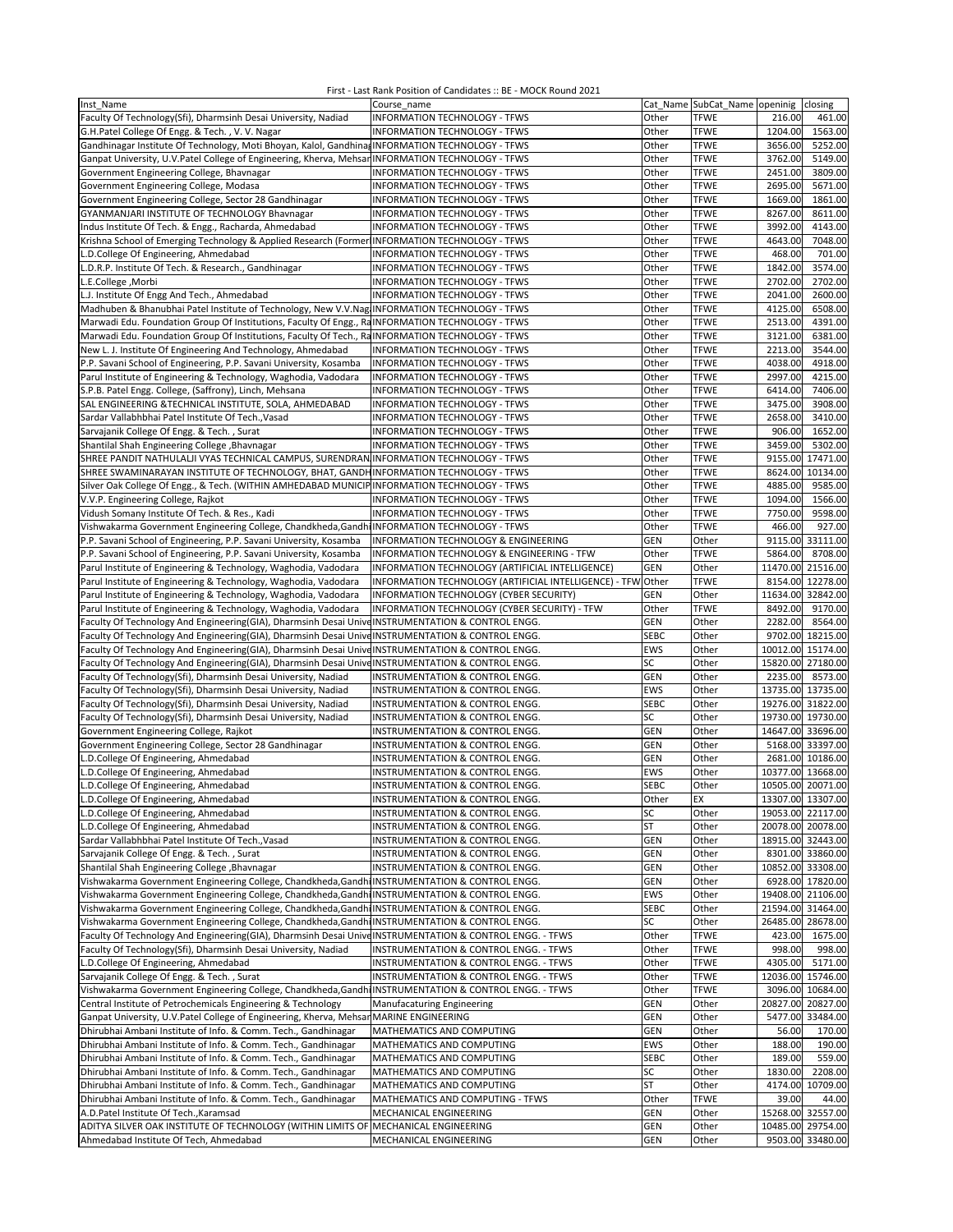| Inst Name                                                                                                | Course name                                                  |             | Cat Name SubCat Name openinig | closing              |
|----------------------------------------------------------------------------------------------------------|--------------------------------------------------------------|-------------|-------------------------------|----------------------|
|                                                                                                          |                                                              |             |                               |                      |
| Faculty Of Technology(Sfi), Dharmsinh Desai University, Nadiad                                           | INFORMATION TECHNOLOGY - TFWS                                | Other       | <b>TFWE</b>                   | 216.00<br>461.00     |
| G.H.Patel College Of Engg. & Tech., V.V. Nagar                                                           | INFORMATION TECHNOLOGY - TFWS                                | Other       | <b>TFWE</b>                   | 1204.00<br>1563.00   |
| Gandhinagar Institute Of Technology, Moti Bhoyan, Kalol, Gandhina, INFORMATION TECHNOLOGY - TFWS         |                                                              | Other       | <b>TFWE</b>                   | 3656.00<br>5252.00   |
|                                                                                                          |                                                              |             |                               |                      |
| Ganpat University, U.V.Patel College of Engineering, Kherva, Mehsar INFORMATION TECHNOLOGY - TFWS        |                                                              | Other       | <b>TFWE</b>                   | 3762.00<br>5149.00   |
| Government Engineering College, Bhavnagar                                                                | INFORMATION TECHNOLOGY - TFWS                                | Other       | <b>TFWE</b>                   | 2451.00<br>3809.00   |
| Government Engineering College, Modasa                                                                   | INFORMATION TECHNOLOGY - TFWS                                | Other       | <b>TFWE</b>                   | 2695.00<br>5671.00   |
|                                                                                                          |                                                              |             | <b>TFWE</b>                   |                      |
| Government Engineering College, Sector 28 Gandhinagar                                                    | INFORMATION TECHNOLOGY - TFWS                                | Other       |                               | 1861.00<br>1669.00   |
| GYANMANJARI INSTITUTE OF TECHNOLOGY Bhavnagar                                                            | INFORMATION TECHNOLOGY - TFWS                                | Other       | <b>TFWE</b>                   | 8267.00<br>8611.00   |
| Indus Institute Of Tech. & Engg., Racharda, Ahmedabad                                                    | INFORMATION TECHNOLOGY - TFWS                                | Other       | <b>TFWE</b>                   | 3992.00<br>4143.00   |
|                                                                                                          |                                                              |             |                               |                      |
| Krishna School of Emerging Technology & Applied Research (Former INFORMATION TECHNOLOGY - TFWS           |                                                              | Other       | <b>TFWE</b>                   | 4643.00<br>7048.00   |
| L.D.College Of Engineering, Ahmedabad                                                                    | INFORMATION TECHNOLOGY - TFWS                                | Other       | <b>TFWE</b>                   | 468.00<br>701.00     |
| L.D.R.P. Institute Of Tech. & Research., Gandhinagar                                                     | INFORMATION TECHNOLOGY - TFWS                                | Other       | <b>TFWE</b>                   | 1842.00<br>3574.00   |
|                                                                                                          |                                                              |             | <b>TFWE</b>                   | 2702.00              |
| L.E.College, Morbi                                                                                       | INFORMATION TECHNOLOGY - TFWS                                | Other       |                               | 2702.00              |
| L.J. Institute Of Engg And Tech., Ahmedabad                                                              | INFORMATION TECHNOLOGY - TFWS                                | Other       | <b>TFWE</b>                   | 2041.00<br>2600.00   |
| Madhuben & Bhanubhai Patel Institute of Technology, New V.V.Nag INFORMATION TECHNOLOGY - TFWS            |                                                              | Other       | <b>TFWE</b>                   | 4125.00<br>6508.00   |
|                                                                                                          |                                                              | Other       | <b>TFWE</b>                   | 4391.00<br>2513.00   |
| Marwadi Edu. Foundation Group Of Institutions, Faculty Of Engg., RaINFORMATION TECHNOLOGY - TFWS         |                                                              |             |                               |                      |
| Marwadi Edu. Foundation Group Of Institutions, Faculty Of Tech., RaINFORMATION TECHNOLOGY - TFWS         |                                                              | Other       | <b>TFWE</b>                   | 3121.00<br>6381.00   |
| New L. J. Institute Of Engineering And Technology, Ahmedabad                                             | <b>INFORMATION TECHNOLOGY - TFWS</b>                         | Other       | <b>TFWE</b>                   | 2213.00<br>3544.00   |
|                                                                                                          |                                                              | Other       | <b>TFWE</b>                   | 4038.00<br>4918.00   |
| P.P. Savani School of Engineering, P.P. Savani University, Kosamba                                       | INFORMATION TECHNOLOGY - TFWS                                |             |                               |                      |
| Parul Institute of Engineering & Technology, Waghodia, Vadodara                                          | INFORMATION TECHNOLOGY - TFWS                                | Other       | <b>TFWE</b>                   | 2997.00<br>4215.00   |
| S.P.B. Patel Engg. College, (Saffrony), Linch, Mehsana                                                   | INFORMATION TECHNOLOGY - TFWS                                | Other       | <b>TFWE</b>                   | 6414.00<br>7406.00   |
| SAL ENGINEERING & TECHNICAL INSTITUTE, SOLA, AHMEDABAD                                                   | INFORMATION TECHNOLOGY - TFWS                                | Other       | <b>TFWE</b>                   | 3475.00<br>3908.00   |
|                                                                                                          |                                                              |             |                               |                      |
| Sardar Vallabhbhai Patel Institute Of Tech., Vasad                                                       | INFORMATION TECHNOLOGY - TFWS                                | Other       | <b>TFWE</b>                   | 2658.00<br>3410.00   |
| Sarvajanik College Of Engg. & Tech., Surat                                                               | INFORMATION TECHNOLOGY - TFWS                                | Other       | <b>TFWE</b>                   | 906.00<br>1652.00    |
|                                                                                                          |                                                              |             | <b>TFWE</b>                   | 3459.00<br>5302.00   |
| Shantilal Shah Engineering College , Bhavnagar                                                           | INFORMATION TECHNOLOGY - TFWS                                | Other       |                               |                      |
| SHREE PANDIT NATHULALJI VYAS TECHNICAL CAMPUS, SURENDRAN INFORMATION TECHNOLOGY - TFWS                   |                                                              | Other       | <b>TFWE</b>                   | 9155.00<br>17471.00  |
| SHREE SWAMINARAYAN INSTITUTE OF TECHNOLOGY, BHAT, GANDHINFORMATION TECHNOLOGY - TFWS                     |                                                              | Other       | <b>TFWE</b>                   | 8624.00<br>10134.00  |
| Silver Oak College Of Engg., & Tech. (WITHIN AMHEDABAD MUNICIP INFORMATION TECHNOLOGY - TFWS             |                                                              | Other       | <b>TFWE</b>                   | 4885.00<br>9585.00   |
|                                                                                                          |                                                              |             |                               |                      |
| V.V.P. Engineering College, Rajkot                                                                       | INFORMATION TECHNOLOGY - TFWS                                | Other       | <b>TFWE</b>                   | 1094.00<br>1566.00   |
| Vidush Somany Institute Of Tech. & Res., Kadi                                                            | INFORMATION TECHNOLOGY - TFWS                                | Other       | <b>TFWE</b>                   | 7750.00<br>9598.00   |
| Vishwakarma Government Engineering College, Chandkheda, Gandh INFORMATION TECHNOLOGY - TFWS              |                                                              | Other       | <b>TFWE</b>                   | 466.00<br>927.00     |
|                                                                                                          |                                                              |             |                               |                      |
| P.P. Savani School of Engineering, P.P. Savani University, Kosamba                                       | INFORMATION TECHNOLOGY & ENGINEERING                         | GEN         | Other                         | 9115.00 33111.00     |
| P.P. Savani School of Engineering, P.P. Savani University, Kosamba                                       | INFORMATION TECHNOLOGY & ENGINEERING - TFW                   | Other       | <b>TFWE</b>                   | 8708.00<br>5864.00   |
| Parul Institute of Engineering & Technology, Waghodia, Vadodara                                          | INFORMATION TECHNOLOGY (ARTIFICIAL INTELLIGENCE)             | <b>GEN</b>  | Other                         | 11470.00 21516.00    |
|                                                                                                          |                                                              |             |                               |                      |
| Parul Institute of Engineering & Technology, Waghodia, Vadodara                                          | INFORMATION TECHNOLOGY (ARTIFICIAL INTELLIGENCE) - TFW Other |             | <b>TFWE</b>                   | 8154.00 12278.00     |
| Parul Institute of Engineering & Technology, Waghodia, Vadodara                                          | INFORMATION TECHNOLOGY (CYBER SECURITY)                      | <b>GEN</b>  | Other                         | 11634.00<br>32842.00 |
| Parul Institute of Engineering & Technology, Waghodia, Vadodara                                          | INFORMATION TECHNOLOGY (CYBER SECURITY) - TFW                | Other       | <b>TFWE</b>                   | 8492.00<br>9170.00   |
|                                                                                                          |                                                              |             |                               |                      |
| Faculty Of Technology And Engineering(GIA), Dharmsinh Desai Unive INSTRUMENTATION & CONTROL ENGG.        |                                                              | <b>GEN</b>  | Other                         | 2282.00<br>8564.00   |
| Faculty Of Technology And Engineering(GIA), Dharmsinh Desai Unive INSTRUMENTATION & CONTROL ENGG.        |                                                              | <b>SEBC</b> | Other                         | 9702.00 18215.00     |
| Faculty Of Technology And Engineering(GIA), Dharmsinh Desai Unive INSTRUMENTATION & CONTROL ENGG.        |                                                              | <b>EWS</b>  | Other                         | 10012.00 15174.00    |
|                                                                                                          |                                                              |             |                               |                      |
| Faculty Of Technology And Engineering(GIA), Dharmsinh Desai Unive INSTRUMENTATION & CONTROL ENGG.        |                                                              | SC          | Other                         | 15820.00 27180.00    |
| Faculty Of Technology(Sfi), Dharmsinh Desai University, Nadiad                                           | INSTRUMENTATION & CONTROL ENGG.                              | GEN         | Other                         | 2235.00<br>8573.00   |
| Faculty Of Technology(Sfi), Dharmsinh Desai University, Nadiad                                           | INSTRUMENTATION & CONTROL ENGG.                              | <b>EWS</b>  | Other                         | 13735.00 13735.00    |
|                                                                                                          |                                                              |             |                               |                      |
| Faculty Of Technology(Sfi), Dharmsinh Desai University, Nadiad                                           | INSTRUMENTATION & CONTROL ENGG.                              | <b>SEBC</b> | Other                         | 19276.00 31822.00    |
| Faculty Of Technology(Sfi), Dharmsinh Desai University, Nadiad                                           | INSTRUMENTATION & CONTROL ENGG.                              | SC          | Other                         | 19730.00 19730.00    |
| Government Engineering College, Rajkot                                                                   | INSTRUMENTATION & CONTROL ENGG.                              | GEN         | Other                         | 14647.00 33696.00    |
|                                                                                                          |                                                              |             |                               |                      |
| Government Engineering College, Sector 28 Gandhinagar                                                    | INSTRUMENTATION & CONTROL ENGG.                              | <b>GEN</b>  | Other                         | 5168.00 33397.00     |
| L.D.College Of Engineering, Ahmedabad                                                                    | INSTRUMENTATION & CONTROL ENGG.                              | GEN         | Other                         | 2681.00 10186.00     |
| L.D.College Of Engineering, Ahmedabad                                                                    | INSTRUMENTATION & CONTROL ENGG.                              | <b>EWS</b>  | Other                         | 10377.00 13668.00    |
|                                                                                                          |                                                              |             |                               |                      |
| L.D.College Of Engineering, Ahmedabad                                                                    | INSTRUMENTATION & CONTROL ENGG.                              | <b>SEBC</b> | Other                         | 10505.00 20071.00    |
| L.D.College Of Engineering, Ahmedabad                                                                    | INSTRUMENTATION & CONTROL ENGG.                              | Other       | EX                            | 13307.00 13307.00    |
| L.D.College Of Engineering, Ahmedabad                                                                    | INSTRUMENTATION & CONTROL ENGG.                              | SC          | Other                         | 19053.00 22117.00    |
| L.D.College Of Engineering, Ahmedabad                                                                    | INSTRUMENTATION & CONTROL ENGG.                              | ST          | Other                         | 20078.00 20078.00    |
|                                                                                                          |                                                              |             |                               |                      |
| Sardar Vallabhbhai Patel Institute Of Tech., Vasad                                                       | INSTRUMENTATION & CONTROL ENGG.                              | GEN         | Other                         | 18915.00 32443.00    |
| Sarvajanik College Of Engg. & Tech., Surat                                                               | INSTRUMENTATION & CONTROL ENGG.                              | <b>GEN</b>  | Other                         | 8301.00 33860.00     |
| Shantilal Shah Engineering College , Bhavnagar                                                           | INSTRUMENTATION & CONTROL ENGG.                              | GEN         | Other                         | 10852.00 33308.00    |
|                                                                                                          |                                                              |             |                               |                      |
| Vishwakarma Government Engineering College, Chandkheda, Gandhi INSTRUMENTATION & CONTROL ENGG.           |                                                              | GEN         | Other                         | 6928.00 17820.00     |
| Vishwakarma Government Engineering College, Chandkheda, Gandhi INSTRUMENTATION & CONTROL ENGG.           |                                                              | EWS         | Other                         | 19408.00 21106.00    |
| Vishwakarma Government Engineering College, Chandkheda, Gandh INSTRUMENTATION & CONTROL ENGG.            |                                                              | <b>SEBC</b> | Other                         | 21594.00 31464.00    |
|                                                                                                          |                                                              |             |                               |                      |
| Vishwakarma Government Engineering College, Chandkheda, Gandh INSTRUMENTATION & CONTROL ENGG.            |                                                              | SC          | Other                         | 26485.00 28678.00    |
| Faculty Of Technology And Engineering(GIA), Dharmsinh Desai Unive INSTRUMENTATION & CONTROL ENGG. - TFWS |                                                              | Other       | <b>TFWE</b>                   | 423.00<br>1675.00    |
| Faculty Of Technology(Sfi), Dharmsinh Desai University, Nadiad                                           | INSTRUMENTATION & CONTROL ENGG. - TFWS                       | Other       | <b>TFWE</b>                   | 998.00<br>998.00     |
|                                                                                                          |                                                              |             |                               |                      |
| L.D.College Of Engineering, Ahmedabad                                                                    | INSTRUMENTATION & CONTROL ENGG. - TFWS                       | Other       | <b>TFWE</b>                   | 5171.00<br>4305.00   |
| Sarvajanik College Of Engg. & Tech., Surat                                                               | <b>INSTRUMENTATION &amp; CONTROL ENGG. - TFWS</b>            | Other       | <b>TFWE</b>                   | 12036.00<br>15746.00 |
| Vishwakarma Government Engineering College, Chandkheda, Gandhi INSTRUMENTATION & CONTROL ENGG. - TFWS    |                                                              | Other       | <b>TFWE</b>                   | 3096.00 10684.00     |
|                                                                                                          |                                                              |             |                               |                      |
| Central Institute of Petrochemicals Engineering & Technology                                             | Manufacaturing Engineering                                   | GEN         | Other                         | 20827.00 20827.00    |
| Ganpat University, U.V.Patel College of Engineering, Kherva, Mehsar MARINE ENGINEERING                   |                                                              | GEN         | Other                         | 5477.00 33484.00     |
| Dhirubhai Ambani Institute of Info. & Comm. Tech., Gandhinagar                                           | MATHEMATICS AND COMPUTING                                    | GEN         | Other                         | 56.00<br>170.00      |
|                                                                                                          |                                                              |             |                               |                      |
| Dhirubhai Ambani Institute of Info. & Comm. Tech., Gandhinagar                                           | MATHEMATICS AND COMPUTING                                    | EWS         | Other                         | 188.00<br>190.00     |
| Dhirubhai Ambani Institute of Info. & Comm. Tech., Gandhinagar                                           | MATHEMATICS AND COMPUTING                                    | SEBC        | Other                         | 559.00<br>189.00     |
| Dhirubhai Ambani Institute of Info. & Comm. Tech., Gandhinagar                                           | MATHEMATICS AND COMPUTING                                    | SC          | Other                         | 1830.00<br>2208.00   |
|                                                                                                          |                                                              |             |                               |                      |
| Dhirubhai Ambani Institute of Info. & Comm. Tech., Gandhinagar                                           | MATHEMATICS AND COMPUTING                                    | ST          | Other                         | 4174.00 10709.00     |
| Dhirubhai Ambani Institute of Info. & Comm. Tech., Gandhinagar                                           | MATHEMATICS AND COMPUTING - TFWS                             | Other       | <b>TFWE</b>                   | 39.00<br>44.00       |
| A.D.Patel Institute Of Tech., Karamsad                                                                   | MECHANICAL ENGINEERING                                       | GEN         | Other                         | 15268.00 32557.00    |
| ADITYA SILVER OAK INSTITUTE OF TECHNOLOGY (WITHIN LIMITS OF MECHANICAL ENGINEERING                       |                                                              | GEN         |                               | 10485.00<br>29754.00 |
|                                                                                                          |                                                              |             | Other                         |                      |
| Ahmedabad Institute Of Tech, Ahmedabad                                                                   | MECHANICAL ENGINEERING                                       | GEN         | Other                         | 9503.00 33480.00     |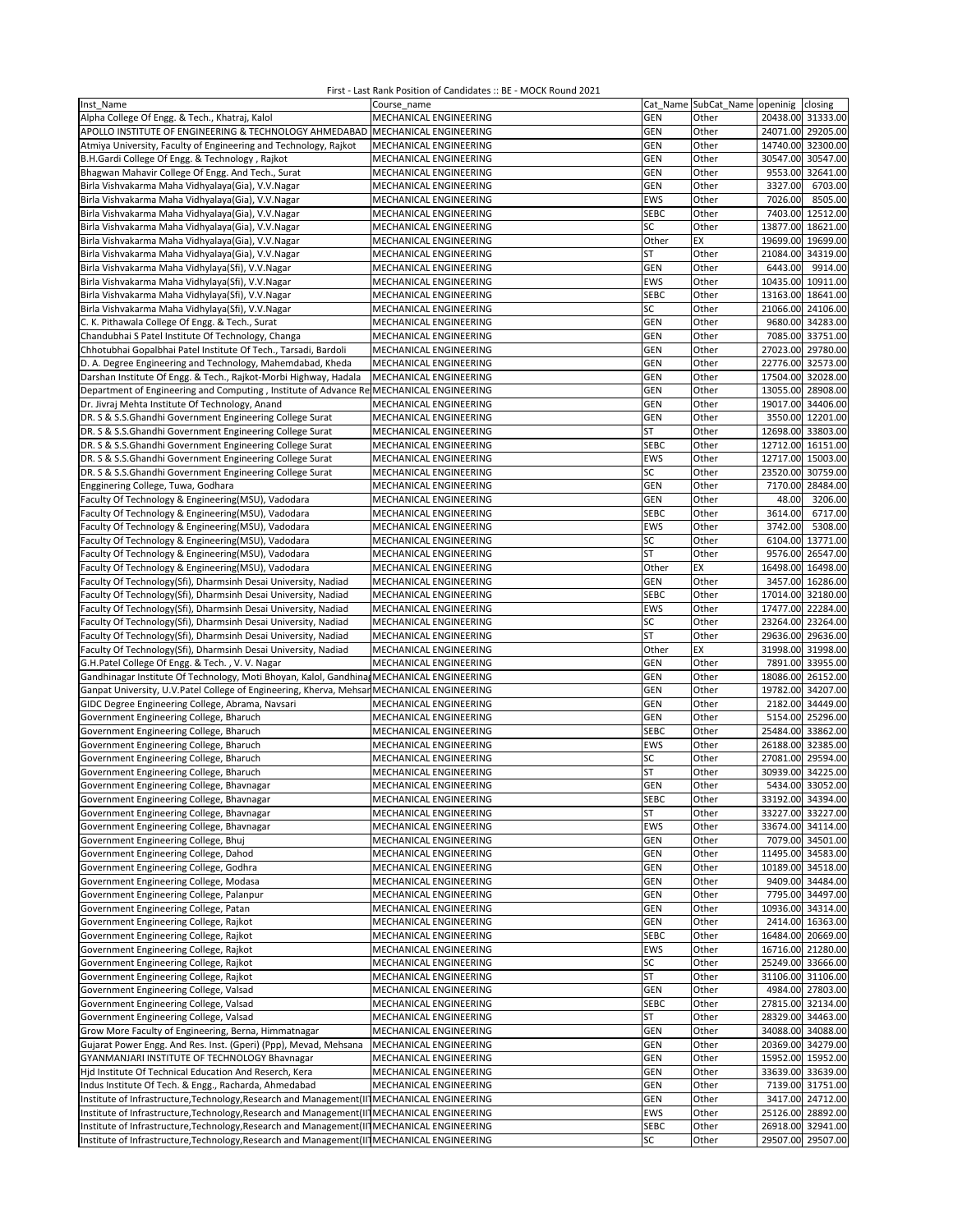| Inst Name                                                                                    | Course name            |             | Cat_Name SubCat_Name openinig closing |                   |                  |
|----------------------------------------------------------------------------------------------|------------------------|-------------|---------------------------------------|-------------------|------------------|
| Alpha College Of Engg. & Tech., Khatraj, Kalol                                               | MECHANICAL ENGINEERING | <b>GEN</b>  | Other                                 | 20438.00 31333.00 |                  |
| APOLLO INSTITUTE OF ENGINEERING & TECHNOLOGY AHMEDABAD MECHANICAL ENGINEERING                |                        | GEN         | Other                                 | 24071.00 29205.00 |                  |
| Atmiya University, Faculty of Engineering and Technology, Rajkot                             | MECHANICAL ENGINEERING | GEN         | Other                                 | 14740.00 32300.00 |                  |
| B.H.Gardi College Of Engg. & Technology, Rajkot                                              | MECHANICAL ENGINEERING | GEN         | Other                                 | 30547.00 30547.00 |                  |
| Bhagwan Mahavir College Of Engg. And Tech., Surat                                            | MECHANICAL ENGINEERING | <b>GEN</b>  | Other                                 | 9553.00 32641.00  |                  |
| Birla Vishvakarma Maha Vidhyalaya(Gia), V.V.Nagar                                            | MECHANICAL ENGINEERING | <b>GEN</b>  | Other                                 | 3327.00           | 6703.00          |
| Birla Vishvakarma Maha Vidhyalaya(Gia), V.V.Nagar                                            | MECHANICAL ENGINEERING | EWS         | Other                                 | 7026.00           | 8505.00          |
| Birla Vishvakarma Maha Vidhyalaya(Gia), V.V.Nagar                                            | MECHANICAL ENGINEERING | <b>SEBC</b> | Other                                 | 7403.00           | 12512.00         |
| Birla Vishvakarma Maha Vidhyalaya(Gia), V.V.Nagar                                            | MECHANICAL ENGINEERING | SC          | Other                                 | 13877.00 18621.00 |                  |
| Birla Vishvakarma Maha Vidhyalaya(Gia), V.V.Nagar                                            | MECHANICAL ENGINEERING | Other       | EX                                    | 19699.00          | 19699.00         |
| Birla Vishvakarma Maha Vidhyalaya(Gia), V.V.Nagar                                            | MECHANICAL ENGINEERING | ST          | Other                                 | 21084.00 34319.00 |                  |
| Birla Vishvakarma Maha Vidhylaya(Sfi), V.V.Nagar                                             | MECHANICAL ENGINEERING | GEN         | Other                                 | 6443.00           | 9914.00          |
| Birla Vishvakarma Maha Vidhylaya(Sfi), V.V.Nagar                                             | MECHANICAL ENGINEERING | EWS         | Other                                 | 10435.00 10911.00 |                  |
| Birla Vishvakarma Maha Vidhylaya(Sfi), V.V.Nagar                                             | MECHANICAL ENGINEERING | <b>SEBC</b> | Other                                 | 13163.00 18641.00 |                  |
| Birla Vishvakarma Maha Vidhylaya(Sfi), V.V.Nagar                                             | MECHANICAL ENGINEERING | SC          | Other                                 | 21066.00 24106.00 |                  |
| C. K. Pithawala College Of Engg. & Tech., Surat                                              | MECHANICAL ENGINEERING | GEN         | Other                                 | 9680.00 34283.00  |                  |
| Chandubhai S Patel Institute Of Technology, Changa                                           | MECHANICAL ENGINEERING | GEN         | Other                                 | 7085.00 33751.00  |                  |
| Chhotubhai Gopalbhai Patel Institute Of Tech., Tarsadi, Bardoli                              | MECHANICAL ENGINEERING | <b>GEN</b>  | Other                                 | 27023.00 29780.00 |                  |
| D. A. Degree Engineering and Technology, Mahemdabad, Kheda                                   | MECHANICAL ENGINEERING | <b>GEN</b>  | Other                                 | 22776.00 32573.00 |                  |
| Darshan Institute Of Engg. & Tech., Rajkot-Morbi Highway, Hadala                             | MECHANICAL ENGINEERING | GEN         | Other                                 | 17504.00 32028.00 |                  |
| Department of Engineering and Computing, Institute of Advance Re MECHANICAL ENGINEERING      |                        | GEN         | Other                                 | 13055.00          | 28908.00         |
| Dr. Jivraj Mehta Institute Of Technology, Anand                                              | MECHANICAL ENGINEERING | GEN         | Other                                 | 19017.00 34406.00 |                  |
| DR. S & S.S.Ghandhi Government Engineering College Surat                                     | MECHANICAL ENGINEERING | <b>GEN</b>  | Other                                 | 3550.00 12201.00  |                  |
| DR. S & S.S.Ghandhi Government Engineering College Surat                                     | MECHANICAL ENGINEERING | <b>ST</b>   | Other                                 | 12698.00 33803.00 |                  |
| DR. S & S.S.Ghandhi Government Engineering College Surat                                     | MECHANICAL ENGINEERING | <b>SEBC</b> | Other                                 | 12712.00 16151.00 |                  |
| DR. S & S.S.Ghandhi Government Engineering College Surat                                     | MECHANICAL ENGINEERING | EWS         | Other                                 | 12717.00 15003.00 |                  |
| DR. S & S.S.Ghandhi Government Engineering College Surat                                     | MECHANICAL ENGINEERING | SC          | Other                                 | 23520.00 30759.00 |                  |
| Engginering College, Tuwa, Godhara                                                           | MECHANICAL ENGINEERING | GEN         | Other                                 | 7170.00 28484.00  |                  |
| Faculty Of Technology & Engineering(MSU), Vadodara                                           | MECHANICAL ENGINEERING | GEN         | Other                                 | 48.00             | 3206.00          |
| Faculty Of Technology & Engineering(MSU), Vadodara                                           | MECHANICAL ENGINEERING | <b>SEBC</b> | Other                                 | 3614.00           | 6717.00          |
| Faculty Of Technology & Engineering(MSU), Vadodara                                           | MECHANICAL ENGINEERING | <b>EWS</b>  | Other                                 | 3742.00           | 5308.00          |
| Faculty Of Technology & Engineering(MSU), Vadodara                                           | MECHANICAL ENGINEERING | SC          | Other                                 | 6104.00           | 13771.00         |
| Faculty Of Technology & Engineering(MSU), Vadodara                                           | MECHANICAL ENGINEERING | <b>ST</b>   | Other                                 | 9576.00 26547.00  |                  |
| Faculty Of Technology & Engineering(MSU), Vadodara                                           | MECHANICAL ENGINEERING | Other       | EX                                    | 16498.00 16498.00 |                  |
| Faculty Of Technology(Sfi), Dharmsinh Desai University, Nadiad                               | MECHANICAL ENGINEERING | GEN         | Other                                 | 3457.00 16286.00  |                  |
| Faculty Of Technology(Sfi), Dharmsinh Desai University, Nadiad                               | MECHANICAL ENGINEERING | <b>SEBC</b> | Other                                 | 17014.00 32180.00 |                  |
| Faculty Of Technology(Sfi), Dharmsinh Desai University, Nadiad                               | MECHANICAL ENGINEERING | EWS         | Other                                 | 17477.00 22284.00 |                  |
| Faculty Of Technology(Sfi), Dharmsinh Desai University, Nadiad                               | MECHANICAL ENGINEERING | SC          | Other                                 | 23264.00 23264.00 |                  |
| Faculty Of Technology(Sfi), Dharmsinh Desai University, Nadiad                               | MECHANICAL ENGINEERING | <b>ST</b>   | Other                                 | 29636.00 29636.00 |                  |
| Faculty Of Technology(Sfi), Dharmsinh Desai University, Nadiad                               | MECHANICAL ENGINEERING | Other       | EX                                    | 31998.00 31998.00 |                  |
| G.H.Patel College Of Engg. & Tech., V.V. Nagar                                               | MECHANICAL ENGINEERING | GEN         | Other                                 | 7891.00 33955.00  |                  |
| Gandhinagar Institute Of Technology, Moti Bhoyan, Kalol, Gandhina, MECHANICAL ENGINEERING    |                        | <b>GEN</b>  | Other                                 | 18086.00 26152.00 |                  |
| Ganpat University, U.V.Patel College of Engineering, Kherva, Mehsar MECHANICAL ENGINEERING   |                        | <b>GEN</b>  | Other                                 | 19782.00 34207.00 |                  |
| GIDC Degree Engineering College, Abrama, Navsari                                             | MECHANICAL ENGINEERING | <b>GEN</b>  | Other                                 | 2182.00 34449.00  |                  |
| Government Engineering College, Bharuch                                                      | MECHANICAL ENGINEERING | GEN         | Other                                 | 5154.00 25296.00  |                  |
| Government Engineering College, Bharuch                                                      | MECHANICAL ENGINEERING | <b>SEBC</b> | Other                                 | 25484.00 33862.00 |                  |
| Government Engineering College, Bharuch                                                      | MECHANICAL ENGINEERING | EWS         | Other                                 | 26188.00          | 32385.00         |
| Government Engineering College, Bharuch                                                      | MECHANICAL ENGINEERING | SC          | Other                                 | 27081.00 29594.00 |                  |
| Government Engineering College, Bharuch                                                      | MECHANICAL ENGINEERING | <b>ST</b>   | Other                                 | 30939.00 34225.00 |                  |
| Government Engineering College, Bhavnagar                                                    | MECHANICAL ENGINEERING | GEN         | Other                                 | 5434.00 33052.00  |                  |
| Government Engineering College, Bhavnagar                                                    | MECHANICAL ENGINEERING | SEBC        | Other                                 | 33192.00 34394.00 |                  |
| Government Engineering College, Bhavnagar                                                    | MECHANICAL ENGINEERING | <b>ST</b>   | Other                                 | 33227.00 33227.00 |                  |
| Government Engineering College, Bhavnagar                                                    | MECHANICAL ENGINEERING | EWS         | Other                                 | 33674.00 34114.00 |                  |
| Government Engineering College, Bhuj                                                         | MECHANICAL ENGINEERING | GEN         | Other                                 | 7079.00 34501.00  |                  |
| Government Engineering College, Dahod                                                        | MECHANICAL ENGINEERING | <b>GEN</b>  | Other                                 | 11495.00 34583.00 |                  |
| Government Engineering College, Godhra                                                       | MECHANICAL ENGINEERING | <b>GEN</b>  | Other                                 | 10189.00 34518.00 |                  |
| Government Engineering College, Modasa                                                       | MECHANICAL ENGINEERING | GEN         | Other                                 | 9409.00 34484.00  |                  |
| Government Engineering College, Palanpur                                                     | MECHANICAL ENGINEERING | <b>GEN</b>  | Other                                 |                   | 7795.00 34497.00 |
| Government Engineering College, Patan                                                        | MECHANICAL ENGINEERING | <b>GEN</b>  | Other                                 | 10936.00 34314.00 |                  |
| Government Engineering College, Rajkot                                                       | MECHANICAL ENGINEERING | GEN         | Other                                 | 2414.00 16363.00  |                  |
| Government Engineering College, Rajkot                                                       | MECHANICAL ENGINEERING | <b>SEBC</b> | Other                                 | 16484.00 20669.00 |                  |
| Government Engineering College, Rajkot                                                       | MECHANICAL ENGINEERING | EWS         | Other                                 | 16716.00 21280.00 |                  |
| Government Engineering College, Rajkot                                                       | MECHANICAL ENGINEERING | SC          | Other                                 | 25249.00 33666.00 |                  |
| Government Engineering College, Rajkot                                                       | MECHANICAL ENGINEERING | <b>ST</b>   | Other                                 | 31106.00 31106.00 |                  |
| Government Engineering College, Valsad                                                       | MECHANICAL ENGINEERING | <b>GEN</b>  | Other                                 | 4984.00 27803.00  |                  |
| Government Engineering College, Valsad                                                       | MECHANICAL ENGINEERING | <b>SEBC</b> | Other                                 | 27815.00 32134.00 |                  |
| Government Engineering College, Valsad                                                       | MECHANICAL ENGINEERING | ST          | Other                                 | 28329.00 34463.00 |                  |
| Grow More Faculty of Engineering, Berna, Himmatnagar                                         | MECHANICAL ENGINEERING | <b>GEN</b>  | Other                                 | 34088.00 34088.00 |                  |
| Gujarat Power Engg. And Res. Inst. (Gperi) (Ppp), Mevad, Mehsana                             | MECHANICAL ENGINEERING | <b>GEN</b>  | Other                                 | 20369.00 34279.00 |                  |
| GYANMANJARI INSTITUTE OF TECHNOLOGY Bhavnagar                                                | MECHANICAL ENGINEERING | GEN         | Other                                 | 15952.00 15952.00 |                  |
| Hjd Institute Of Technical Education And Reserch, Kera                                       | MECHANICAL ENGINEERING | <b>GEN</b>  | Other                                 | 33639.00 33639.00 |                  |
| Indus Institute Of Tech. & Engg., Racharda, Ahmedabad                                        | MECHANICAL ENGINEERING | <b>GEN</b>  | Other                                 | 7139.00 31751.00  |                  |
| Institute of Infrastructure, Technology, Research and Management (II] MECHANICAL ENGINEERING |                        | <b>GEN</b>  | Other                                 |                   | 3417.00 24712.00 |
| Institute of Infrastructure, Technology, Research and Management (II] MECHANICAL ENGINEERING |                        | EWS         | Other                                 | 25126.00 28892.00 |                  |
| Institute of Infrastructure, Technology, Research and Management (II MECHANICAL ENGINEERING  |                        | <b>SEBC</b> | Other                                 | 26918.00 32941.00 |                  |
| Institute of Infrastructure, Technology, Research and Management (II MECHANICAL ENGINEERING  |                        | SC          | Other                                 | 29507.00 29507.00 |                  |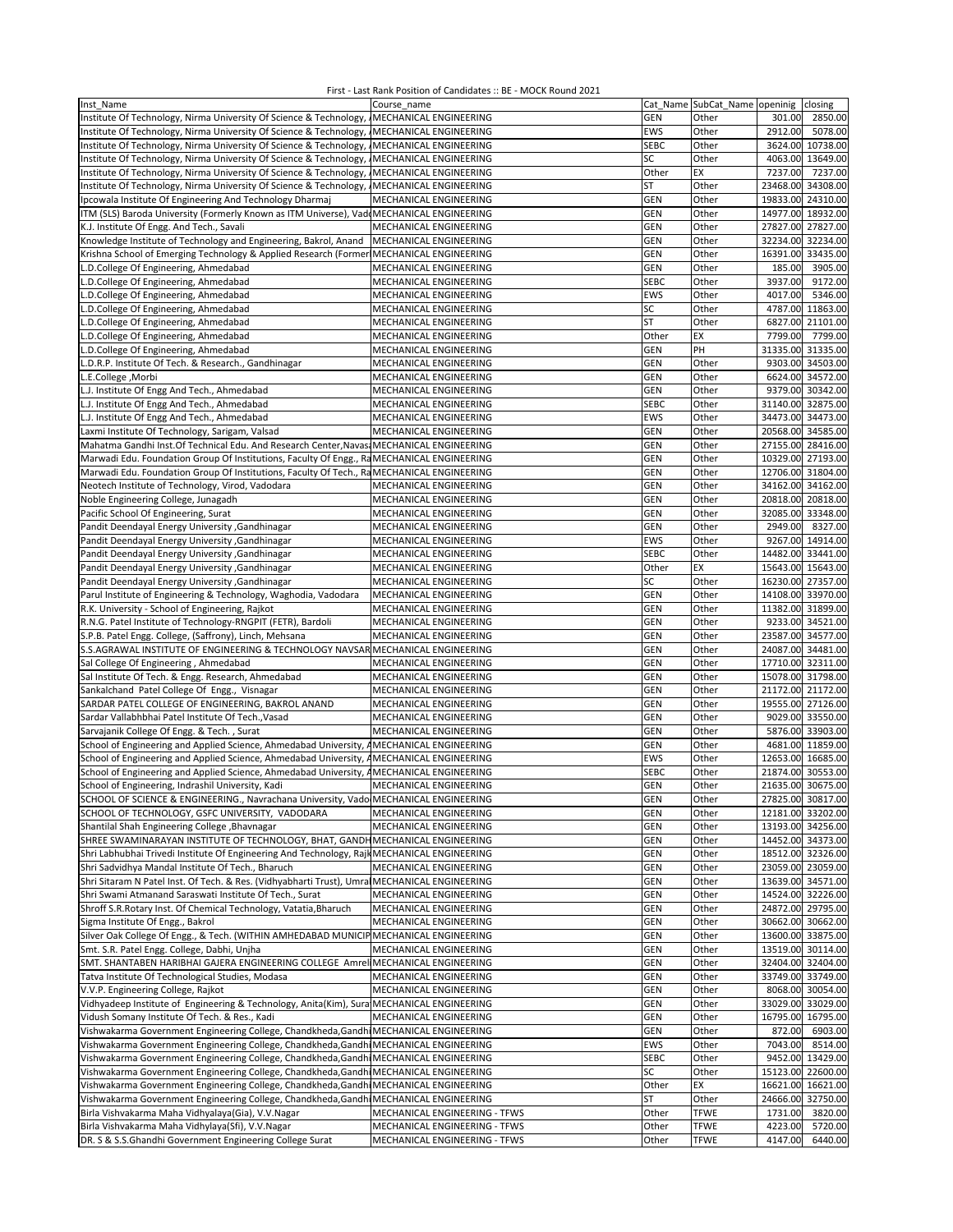| Inst Name                                                                                    | Course name                                      |             | Cat_Name SubCat_Name openinig closing |                   |                  |
|----------------------------------------------------------------------------------------------|--------------------------------------------------|-------------|---------------------------------------|-------------------|------------------|
| Institute Of Technology, Nirma University Of Science & Technology, IMECHANICAL ENGINEERING   |                                                  | <b>GEN</b>  | Other                                 | 301.00            | 2850.00          |
| Institute Of Technology, Nirma University Of Science & Technology, IMECHANICAL ENGINEERING   |                                                  | <b>EWS</b>  | Other                                 | 2912.00           | 5078.00          |
| Institute Of Technology, Nirma University Of Science & Technology, MECHANICAL ENGINEERING    |                                                  | <b>SEBC</b> | Other                                 | 3624.00 10738.00  |                  |
| Institute Of Technology, Nirma University Of Science & Technology, IMECHANICAL ENGINEERING   |                                                  | SC          | Other                                 | 4063.00 13649.00  |                  |
| Institute Of Technology, Nirma University Of Science & Technology, IMECHANICAL ENGINEERING   |                                                  | Other       | EX                                    | 7237.00           | 7237.00          |
| Institute Of Technology, Nirma University Of Science & Technology,                           | MECHANICAL ENGINEERING                           | <b>ST</b>   | Other                                 | 23468.00          | 34308.00         |
| Ipcowala Institute Of Engineering And Technology Dharmaj                                     | MECHANICAL ENGINEERING                           | GEN         | Other                                 | 19833.00 24310.00 |                  |
| ITM (SLS) Baroda University (Formerly Known as ITM Universe), Vadd MECHANICAL ENGINEERING    |                                                  | GEN         | Other                                 | 14977.00          | 18932.00         |
| K.J. Institute Of Engg. And Tech., Savali                                                    | MECHANICAL ENGINEERING                           | GEN         | Other                                 | 27827.00 27827.00 |                  |
| Knowledge Institute of Technology and Engineering, Bakrol, Anand                             | MECHANICAL ENGINEERING                           | <b>GEN</b>  | Other                                 | 32234.00          | 32234.00         |
| Krishna School of Emerging Technology & Applied Research (Former                             |                                                  | GEN         | Other                                 | 16391.00 33435.00 |                  |
|                                                                                              | MECHANICAL ENGINEERING<br>MECHANICAL ENGINEERING |             |                                       |                   |                  |
| L.D.College Of Engineering, Ahmedabad                                                        |                                                  | GEN         | Other                                 | 185.00            | 3905.00          |
| L.D.College Of Engineering, Ahmedabad                                                        | MECHANICAL ENGINEERING                           | <b>SEBC</b> | Other                                 | 3937.00           | 9172.00          |
| L.D.College Of Engineering, Ahmedabad                                                        | MECHANICAL ENGINEERING                           | <b>EWS</b>  | Other                                 | 4017.00           | 5346.00          |
| L.D.College Of Engineering, Ahmedabad                                                        | MECHANICAL ENGINEERING                           | SC          | Other                                 | 4787.00 11863.00  |                  |
| L.D.College Of Engineering, Ahmedabad                                                        | MECHANICAL ENGINEERING                           | <b>ST</b>   | Other                                 | 6827.00 21101.00  |                  |
| L.D.College Of Engineering, Ahmedabad                                                        | MECHANICAL ENGINEERING                           | Other       | EX                                    | 7799.00           | 7799.00          |
| L.D.College Of Engineering, Ahmedabad                                                        | MECHANICAL ENGINEERING                           | GEN         | PH                                    | 31335.00          | 31335.00         |
| L.D.R.P. Institute Of Tech. & Research., Gandhinagar                                         | MECHANICAL ENGINEERING                           | GEN         | Other                                 | 9303.00           | 34503.00         |
| L.E.College, Morbi                                                                           | MECHANICAL ENGINEERING                           | GEN         | Other                                 | 6624.00 34572.00  |                  |
| L.J. Institute Of Engg And Tech., Ahmedabad                                                  | MECHANICAL ENGINEERING                           | GEN         | Other                                 | 9379.00 30342.00  |                  |
| L.J. Institute Of Engg And Tech., Ahmedabad                                                  | MECHANICAL ENGINEERING                           | <b>SEBC</b> | Other                                 | 31140.00 32875.00 |                  |
| L.J. Institute Of Engg And Tech., Ahmedabad                                                  | MECHANICAL ENGINEERING                           | <b>EWS</b>  | Other                                 | 34473.00 34473.00 |                  |
| Laxmi Institute Of Technology, Sarigam, Valsad                                               | MECHANICAL ENGINEERING                           | GEN         | Other                                 | 20568.00 34585.00 |                  |
| Mahatma Gandhi Inst.Of Technical Edu. And Research Center, Navasi MECHANICAL ENGINEERING     |                                                  | GEN         | Other                                 | 27155.00 28416.00 |                  |
| Marwadi Edu. Foundation Group Of Institutions, Faculty Of Engg., RaMECHANICAL ENGINEERING    |                                                  | GEN         | Other                                 | 10329.00 27193.00 |                  |
| Marwadi Edu. Foundation Group Of Institutions, Faculty Of Tech., RaMECHANICAL ENGINEERING    |                                                  | GEN         | Other                                 | 12706.00 31804.00 |                  |
| Neotech Institute of Technology, Virod, Vadodara                                             | MECHANICAL ENGINEERING                           | GEN         | Other                                 | 34162.00 34162.00 |                  |
| Noble Engineering College, Junagadh                                                          | MECHANICAL ENGINEERING                           | <b>GEN</b>  | Other                                 | 20818.00 20818.00 |                  |
| Pacific School Of Engineering, Surat                                                         | MECHANICAL ENGINEERING                           | <b>GEN</b>  | Other                                 | 32085.00 33348.00 |                  |
| Pandit Deendayal Energy University , Gandhinagar                                             | MECHANICAL ENGINEERING                           | GEN         | Other                                 | 2949.00           | 8327.00          |
| Pandit Deendayal Energy University , Gandhinagar                                             | MECHANICAL ENGINEERING                           | EWS         | Other                                 | 9267.00 14914.00  |                  |
| Pandit Deendayal Energy University , Gandhinagar                                             | MECHANICAL ENGINEERING                           | <b>SEBC</b> | Other                                 | 14482.00 33441.00 |                  |
| Pandit Deendayal Energy University , Gandhinagar                                             | MECHANICAL ENGINEERING                           | Other       | EX                                    | 15643.00 15643.00 |                  |
| Pandit Deendayal Energy University , Gandhinagar                                             | MECHANICAL ENGINEERING                           | SC          | Other                                 | 16230.00 27357.00 |                  |
| Parul Institute of Engineering & Technology, Waghodia, Vadodara                              | MECHANICAL ENGINEERING                           | GEN         | Other                                 | 14108.00 33970.00 |                  |
|                                                                                              |                                                  | GEN         | Other                                 | 11382.00 31899.00 |                  |
| R.K. University - School of Engineering, Rajkot                                              | MECHANICAL ENGINEERING                           |             |                                       |                   |                  |
| R.N.G. Patel Institute of Technology-RNGPIT (FETR), Bardoli                                  | MECHANICAL ENGINEERING                           | GEN         | Other                                 | 9233.00 34521.00  |                  |
| S.P.B. Patel Engg. College, (Saffrony), Linch, Mehsana                                       | MECHANICAL ENGINEERING                           | GEN         | Other                                 | 23587.00 34577.00 |                  |
| S.S.AGRAWAL INSTITUTE OF ENGINEERING & TECHNOLOGY NAVSAR MECHANICAL ENGINEERING              |                                                  | <b>GEN</b>  | Other                                 | 24087.00 34481.00 |                  |
| Sal College Of Engineering, Ahmedabad                                                        | MECHANICAL ENGINEERING                           | GEN         | Other                                 | 17710.00 32311.00 |                  |
| Sal Institute Of Tech. & Engg. Research, Ahmedabad                                           | MECHANICAL ENGINEERING                           | GEN         | Other                                 | 15078.00 31798.00 |                  |
| Sankalchand Patel College Of Engg., Visnagar                                                 | MECHANICAL ENGINEERING                           | GEN         | Other                                 | 21172.00 21172.00 |                  |
| SARDAR PATEL COLLEGE OF ENGINEERING, BAKROL ANAND                                            | MECHANICAL ENGINEERING                           | GEN         | Other                                 | 19555.00 27126.00 |                  |
| Sardar Vallabhbhai Patel Institute Of Tech., Vasad                                           | MECHANICAL ENGINEERING                           | GEN         | Other                                 | 9029.00 33550.00  |                  |
| Sarvajanik College Of Engg. & Tech., Surat                                                   | MECHANICAL ENGINEERING                           | GEN         | Other                                 | 5876.00 33903.00  |                  |
| School of Engineering and Applied Science, Ahmedabad University, AMECHANICAL ENGINEERING     |                                                  | GEN         | Other                                 | 4681.00 11859.00  |                  |
| School of Engineering and Applied Science, Ahmedabad University, AMECHANICAL ENGINEERING     |                                                  | <b>EWS</b>  | Other                                 | 12653.00 16685.00 |                  |
| School of Engineering and Applied Science, Ahmedabad University, AMECHANICAL ENGINEERING     |                                                  | <b>SEBC</b> | Other                                 | 21874.00          | 30553.00         |
| School of Engineering, Indrashil University, Kadi                                            | MECHANICAL ENGINEERING                           | <b>GEN</b>  | Other                                 | 21635.00 30675.00 |                  |
| SCHOOL OF SCIENCE & ENGINEERING., Navrachana University, Vado MECHANICAL ENGINEERING         |                                                  | GEN         | Other                                 | 27825.00 30817.00 |                  |
| SCHOOL OF TECHNOLOGY, GSFC UNIVERSITY, VADODARA                                              | MECHANICAL ENGINEERING                           | <b>GEN</b>  | Other                                 | 12181.00 33202.00 |                  |
| Shantilal Shah Engineering College , Bhavnagar                                               | MECHANICAL ENGINEERING                           | <b>GEN</b>  | Other                                 | 13193.00 34256.00 |                  |
| SHREE SWAMINARAYAN INSTITUTE OF TECHNOLOGY, BHAT, GANDH MECHANICAL ENGINEERING               |                                                  | <b>GEN</b>  | Other                                 | 14452.00 34373.00 |                  |
| Shri Labhubhai Trivedi Institute Of Engineering And Technology, Rajk MECHANICAL ENGINEERING  |                                                  | <b>GEN</b>  | Other                                 | 18512.00 32326.00 |                  |
| Shri Sadvidhya Mandal Institute Of Tech., Bharuch                                            | MECHANICAL ENGINEERING                           | <b>GEN</b>  | Other                                 | 23059.00 23059.00 |                  |
| Shri Sitaram N Patel Inst. Of Tech. & Res. (Vidhyabharti Trust), Umra MECHANICAL ENGINEERING |                                                  | GEN         | Other                                 | 13639.00 34571.00 |                  |
| Shri Swami Atmanand Saraswati Institute Of Tech., Surat                                      | MECHANICAL ENGINEERING                           | GEN         | Other                                 | 14524.00 32226.00 |                  |
| Shroff S.R.Rotary Inst. Of Chemical Technology, Vatatia, Bharuch                             | MECHANICAL ENGINEERING                           | <b>GEN</b>  | Other                                 | 24872.00 29795.00 |                  |
| Sigma Institute Of Engg., Bakrol                                                             | MECHANICAL ENGINEERING                           | <b>GEN</b>  | Other                                 | 30662.00 30662.00 |                  |
| Silver Oak College Of Engg., & Tech. (WITHIN AMHEDABAD MUNICIP MECHANICAL ENGINEERING        |                                                  | <b>GEN</b>  | Other                                 | 13600.00 33875.00 |                  |
| Smt. S.R. Patel Engg. College, Dabhi, Unjha                                                  | MECHANICAL ENGINEERING                           | GEN         | Other                                 | 13519.00 30114.00 |                  |
| SMT. SHANTABEN HARIBHAI GAJERA ENGINEERING COLLEGE Amrel MECHANICAL ENGINEERING              |                                                  | <b>GEN</b>  | Other                                 | 32404.00 32404.00 |                  |
| Tatva Institute Of Technological Studies, Modasa                                             | MECHANICAL ENGINEERING                           | GEN         | Other                                 | 33749.00 33749.00 |                  |
| V.V.P. Engineering College, Rajkot                                                           | MECHANICAL ENGINEERING                           | <b>GEN</b>  | Other                                 | 8068.00 30054.00  |                  |
| Vidhyadeep Institute of Engineering & Technology, Anita(Kim), Sura MECHANICAL ENGINEERING    |                                                  | <b>GEN</b>  | Other                                 | 33029.00 33029.00 |                  |
| Vidush Somany Institute Of Tech. & Res., Kadi                                                | MECHANICAL ENGINEERING                           | <b>GEN</b>  | Other                                 | 16795.00 16795.00 |                  |
| Vishwakarma Government Engineering College, Chandkheda, Gandhi MECHANICAL ENGINEERING        |                                                  | <b>GEN</b>  | Other                                 | 872.00            | 6903.00          |
| Vishwakarma Government Engineering College, Chandkheda, Gandhi MECHANICAL ENGINEERING        |                                                  | EWS         | Other                                 | 7043.00           | 8514.00          |
| Vishwakarma Government Engineering College, Chandkheda, Gandhi MECHANICAL ENGINEERING        |                                                  | <b>SEBC</b> | Other                                 |                   | 9452.00 13429.00 |
| Vishwakarma Government Engineering College, Chandkheda, Gandhi MECHANICAL ENGINEERING        |                                                  | SC          | Other                                 | 15123.00 22600.00 |                  |
| Vishwakarma Government Engineering College, Chandkheda, Gandhi MECHANICAL ENGINEERING        |                                                  | Other       | EX                                    | 16621.00 16621.00 |                  |
| Vishwakarma Government Engineering College, Chandkheda, Gandhi MECHANICAL ENGINEERING        |                                                  | ST          | Other                                 | 24666.00 32750.00 |                  |
|                                                                                              |                                                  |             |                                       |                   |                  |
| Birla Vishvakarma Maha Vidhyalaya(Gia), V.V.Nagar                                            | MECHANICAL ENGINEERING - TFWS                    | Other       | <b>TFWE</b>                           | 1731.00           | 3820.00          |
| Birla Vishvakarma Maha Vidhylaya(Sfi), V.V.Nagar                                             | MECHANICAL ENGINEERING - TFWS                    | Other       | <b>TFWE</b>                           | 4223.00           | 5720.00          |
| DR. S & S.S.Ghandhi Government Engineering College Surat                                     | MECHANICAL ENGINEERING - TFWS                    | Other       | <b>TFWE</b>                           | 4147.00           | 6440.00          |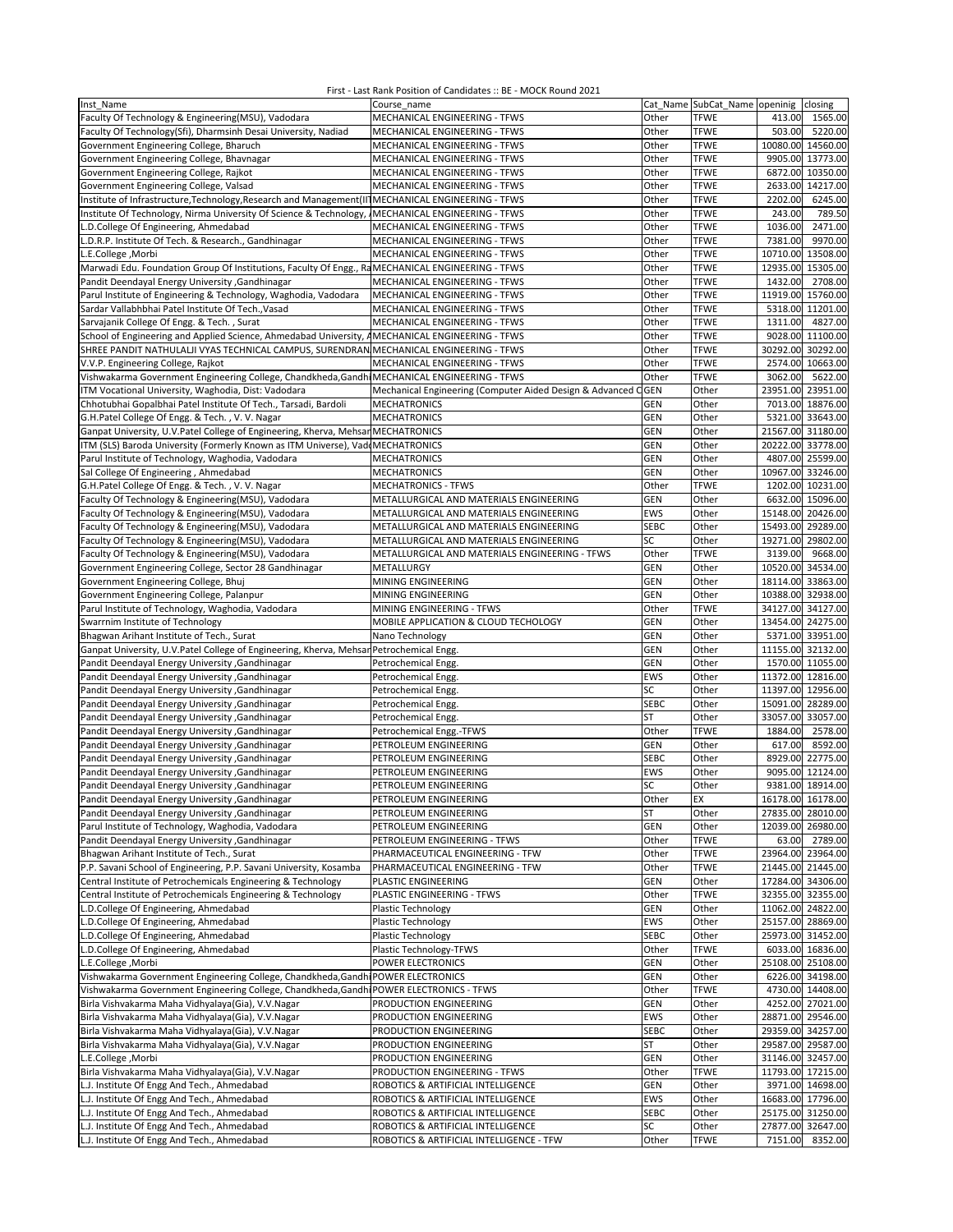| Inst Name                                                                                           | Course name                                                   |             | Cat Name SubCat Name openinig |                   | closing           |
|-----------------------------------------------------------------------------------------------------|---------------------------------------------------------------|-------------|-------------------------------|-------------------|-------------------|
| Faculty Of Technology & Engineering(MSU), Vadodara                                                  | MECHANICAL ENGINEERING - TFWS                                 | Other       | <b>TFWE</b>                   | 413.00            | 1565.00           |
|                                                                                                     |                                                               |             |                               |                   |                   |
| Faculty Of Technology(Sfi), Dharmsinh Desai University, Nadiad                                      | MECHANICAL ENGINEERING - TFWS                                 | Other       | <b>TFWE</b>                   | 503.00            | 5220.00           |
| Government Engineering College, Bharuch                                                             | MECHANICAL ENGINEERING - TFWS                                 | Other       | <b>TFWE</b>                   |                   | 10080.00 14560.00 |
| Government Engineering College, Bhavnagar                                                           | MECHANICAL ENGINEERING - TFWS                                 | Other       | <b>TFWE</b>                   |                   | 9905.00 13773.00  |
| Government Engineering College, Rajkot                                                              | MECHANICAL ENGINEERING - TFWS                                 | Other       | <b>TFWE</b>                   |                   | 6872.00 10350.00  |
| Government Engineering College, Valsad                                                              | MECHANICAL ENGINEERING - TFWS                                 | Other       | <b>TFWE</b>                   |                   | 2633.00 14217.00  |
| Institute of Infrastructure, Technology, Research and Management (II] MECHANICAL ENGINEERING - TFWS |                                                               | Other       | <b>TFWE</b>                   | 2202.00           | 6245.00           |
|                                                                                                     |                                                               |             |                               |                   |                   |
| Institute Of Technology, Nirma University Of Science & Technology,                                  | MECHANICAL ENGINEERING - TFWS                                 | Other       | <b>TFWE</b>                   | 243.00            | 789.50            |
| L.D.College Of Engineering, Ahmedabad                                                               | MECHANICAL ENGINEERING - TFWS                                 | Other       | <b>TFWE</b>                   | 1036.00           | 2471.00           |
| L.D.R.P. Institute Of Tech. & Research., Gandhinagar                                                | MECHANICAL ENGINEERING - TFWS                                 | Other       | <b>TFWE</b>                   | 7381.00           | 9970.00           |
| L.E.College, Morbi                                                                                  | MECHANICAL ENGINEERING - TFWS                                 | Other       | <b>TFWE</b>                   | 10710.00          | 13508.00          |
| Marwadi Edu. Foundation Group Of Institutions, Faculty Of Engg., RaMECHANICAL ENGINEERING - TFWS    |                                                               | Other       | <b>TFWE</b>                   |                   |                   |
|                                                                                                     |                                                               |             |                               | 12935.00 15305.00 |                   |
| Pandit Deendayal Energy University , Gandhinagar                                                    | MECHANICAL ENGINEERING - TFWS                                 | Other       | <b>TFWE</b>                   | 1432.00           | 2708.00           |
| Parul Institute of Engineering & Technology, Waghodia, Vadodara                                     | MECHANICAL ENGINEERING - TFWS                                 | Other       | <b>TFWE</b>                   | 11919.00 15760.00 |                   |
| Sardar Vallabhbhai Patel Institute Of Tech., Vasad                                                  | MECHANICAL ENGINEERING - TFWS                                 | Other       | <b>TFWE</b>                   |                   | 5318.00 11201.00  |
| Sarvajanik College Of Engg. & Tech., Surat                                                          | MECHANICAL ENGINEERING - TFWS                                 | Other       | <b>TFWE</b>                   | 1311.00           | 4827.00           |
|                                                                                                     |                                                               |             |                               |                   |                   |
| School of Engineering and Applied Science, Ahmedabad University, AMECHANICAL ENGINEERING - TFWS     |                                                               | Other       | <b>TFWE</b>                   |                   | 9028.00 11100.00  |
| SHREE PANDIT NATHULALJI VYAS TECHNICAL CAMPUS, SURENDRAN MECHANICAL ENGINEERING - TFWS              |                                                               | Other       | <b>TFWE</b>                   | 30292.00 30292.00 |                   |
| V.V.P. Engineering College, Rajkot                                                                  | MECHANICAL ENGINEERING - TFWS                                 | Other       | <b>TFWE</b>                   |                   | 2574.00 10663.00  |
| Vishwakarma Government Engineering College, Chandkheda, Gandhi MECHANICAL ENGINEERING - TFWS        |                                                               | Other       | <b>TFWE</b>                   | 3062.00           | 5622.00           |
| ITM Vocational University, Waghodia, Dist: Vadodara                                                 | Mechanical Engineering (Computer Aided Design & Advanced CGEN |             | Other                         |                   | 23951.00 23951.00 |
|                                                                                                     |                                                               |             |                               |                   |                   |
| Chhotubhai Gopalbhai Patel Institute Of Tech., Tarsadi, Bardoli                                     | <b>MECHATRONICS</b>                                           | GEN         | Other                         |                   | 7013.00 18876.00  |
| G.H.Patel College Of Engg. & Tech., V. V. Nagar                                                     | <b>MECHATRONICS</b>                                           | GEN         | Other                         |                   | 5321.00 33643.00  |
| Ganpat University, U.V.Patel College of Engineering, Kherva, Mehsan MECHATRONICS                    |                                                               | GEN         | Other                         | 21567.00 31180.00 |                   |
| ITM (SLS) Baroda University (Formerly Known as ITM Universe), VaddMECHATRONICS                      |                                                               | GEN         | Other                         | 20222.00 33778.00 |                   |
| Parul Institute of Technology, Waghodia, Vadodara                                                   | <b>MECHATRONICS</b>                                           | GEN         | Other                         |                   | 4807.00 25599.00  |
|                                                                                                     |                                                               |             |                               |                   |                   |
| Sal College Of Engineering, Ahmedabad                                                               | <b>MECHATRONICS</b>                                           | GEN         | Other                         | 10967.00 33246.00 |                   |
| G.H.Patel College Of Engg. & Tech., V.V. Nagar                                                      | <b>MECHATRONICS - TFWS</b>                                    | Other       | <b>TFWE</b>                   |                   | 1202.00 10231.00  |
| Faculty Of Technology & Engineering(MSU), Vadodara                                                  | METALLURGICAL AND MATERIALS ENGINEERING                       | <b>GEN</b>  | Other                         |                   | 6632.00 15096.00  |
| Faculty Of Technology & Engineering(MSU), Vadodara                                                  | METALLURGICAL AND MATERIALS ENGINEERING                       | EWS         | Other                         | 15148.00 20426.00 |                   |
|                                                                                                     |                                                               | <b>SEBC</b> |                               |                   |                   |
| Faculty Of Technology & Engineering(MSU), Vadodara                                                  | METALLURGICAL AND MATERIALS ENGINEERING                       |             | Other                         | 15493.00 29289.00 |                   |
| Faculty Of Technology & Engineering(MSU), Vadodara                                                  | METALLURGICAL AND MATERIALS ENGINEERING                       | SC          | Other                         | 19271.00 29802.00 |                   |
| Faculty Of Technology & Engineering(MSU), Vadodara                                                  | METALLURGICAL AND MATERIALS ENGINEERING - TFWS                | Other       | <b>TFWE</b>                   | 3139.00           | 9668.00           |
| Government Engineering College, Sector 28 Gandhinagar                                               | METALLURGY                                                    | <b>GEN</b>  | Other                         |                   | 10520.00 34534.00 |
| Government Engineering College, Bhuj                                                                | MINING ENGINEERING                                            | GEN         | Other                         | 18114.00 33863.00 |                   |
|                                                                                                     |                                                               | GEN         |                               | 10388.00 32938.00 |                   |
| Government Engineering College, Palanpur                                                            | MINING ENGINEERING                                            |             | Other                         |                   |                   |
| Parul Institute of Technology, Waghodia, Vadodara                                                   | MINING ENGINEERING - TFWS                                     | Other       | <b>TFWE</b>                   | 34127.00 34127.00 |                   |
| Swarrnim Institute of Technology                                                                    | MOBILE APPLICATION & CLOUD TECHOLOGY                          | <b>GEN</b>  | Other                         | 13454.00 24275.00 |                   |
| Bhagwan Arihant Institute of Tech., Surat                                                           | Nano Technology                                               | GEN         | Other                         |                   | 5371.00 33951.00  |
| Ganpat University, U.V.Patel College of Engineering, Kherva, Mehsan Petrochemical Engg.             |                                                               | GEN         | Other                         | 11155.00 32132.00 |                   |
| Pandit Deendayal Energy University , Gandhinagar                                                    |                                                               | GEN         | Other                         |                   | 1570.00 11055.00  |
|                                                                                                     | Petrochemical Engg.                                           |             |                               |                   |                   |
| Pandit Deendayal Energy University , Gandhinagar                                                    | Petrochemical Engg.                                           | <b>EWS</b>  | Other                         | 11372.00 12816.00 |                   |
| Pandit Deendayal Energy University , Gandhinagar                                                    | Petrochemical Engg.                                           | SC          | Other                         | 11397.00 12956.00 |                   |
| Pandit Deendayal Energy University , Gandhinagar                                                    | Petrochemical Engg.                                           | <b>SEBC</b> | Other                         | 15091.00 28289.00 |                   |
| Pandit Deendayal Energy University , Gandhinagar                                                    | Petrochemical Engg.                                           | ST          | Other                         |                   | 33057.00 33057.00 |
| Pandit Deendayal Energy University , Gandhinagar                                                    |                                                               | Other       | <b>TFWE</b>                   | 1884.00           | 2578.00           |
|                                                                                                     | Petrochemical Engg.-TFWS                                      |             |                               |                   |                   |
| Pandit Deendayal Energy University , Gandhinagar                                                    | PETROLEUM ENGINEERING                                         | <b>GEN</b>  | Other                         | 617.00            | 8592.00           |
| Pandit Deendayal Energy University , Gandhinagar                                                    | PETROLEUM ENGINEERING                                         | <b>SEBC</b> | Other                         |                   | 8929.00 22775.00  |
| Pandit Deendayal Energy University , Gandhinagar                                                    | PETROLEUM ENGINEERING                                         | EWS         | Other                         |                   | 9095.00 12124.00  |
| Pandit Deendayal Energy University , Gandhinagar                                                    | PETROLEUM ENGINEERING                                         | SC          | Other                         |                   | 9381.00 18914.00  |
| Pandit Deendayal Energy University , Gandhinagar                                                    | PETROLEUM ENGINEERING                                         | Other       | EX                            |                   | 16178.00 16178.00 |
|                                                                                                     |                                                               |             |                               |                   |                   |
| Pandit Deendayal Energy University , Gandhinagar                                                    | PETROLEUM ENGINEERING                                         | <b>ST</b>   | Other                         |                   | 27835.00 28010.00 |
| Parul Institute of Technology, Waghodia, Vadodara                                                   | PETROLEUM ENGINEERING                                         | <b>GEN</b>  | Other                         |                   | 12039.00 26980.00 |
| Pandit Deendayal Energy University , Gandhinagar                                                    | PETROLEUM ENGINEERING - TFWS                                  | Other       | <b>TFWE</b>                   |                   | 63.00 2789.00     |
| Bhagwan Arihant Institute of Tech., Surat                                                           | PHARMACEUTICAL ENGINEERING - TFW                              | Other       | <b>TFWE</b>                   |                   | 23964.00 23964.00 |
| P.P. Savani School of Engineering, P.P. Savani University, Kosamba                                  | PHARMACEUTICAL ENGINEERING - TFW                              | Other       | <b>TFWE</b>                   |                   | 21445.00 21445.00 |
| Central Institute of Petrochemicals Engineering & Technology                                        | PLASTIC ENGINEERING                                           | GEN         | Other                         | 17284.00 34306.00 |                   |
|                                                                                                     |                                                               |             |                               |                   |                   |
| Central Institute of Petrochemicals Engineering & Technology                                        | PLASTIC ENGINEERING - TFWS                                    | Other       | <b>TFWE</b>                   |                   | 32355.00 32355.00 |
| L.D.College Of Engineering, Ahmedabad                                                               | Plastic Technology                                            | <b>GEN</b>  | Other                         |                   | 11062.00 24822.00 |
| L.D.College Of Engineering, Ahmedabad                                                               | Plastic Technology                                            | <b>EWS</b>  | Other                         |                   | 25157.00 28869.00 |
| L.D.College Of Engineering, Ahmedabad                                                               | Plastic Technology                                            | <b>SEBC</b> | Other                         |                   | 25973.00 31452.00 |
| L.D.College Of Engineering, Ahmedabad                                                               |                                                               |             |                               |                   | 6033.00 16836.00  |
|                                                                                                     | Plastic Technology-TFWS                                       | Other       | <b>TFWE</b>                   |                   |                   |
| L.E.College, Morbi                                                                                  | POWER ELECTRONICS                                             | <b>GEN</b>  | Other                         |                   | 25108.00 25108.00 |
| Vishwakarma Government Engineering College, Chandkheda, Gandhi POWER ELECTRONICS                    |                                                               | <b>GEN</b>  | Other                         |                   | 6226.00 34198.00  |
| Vishwakarma Government Engineering College, Chandkheda, Gandhi POWER ELECTRONICS - TFWS             |                                                               | Other       | <b>TFWE</b>                   |                   | 4730.00 14408.00  |
| Birla Vishvakarma Maha Vidhyalaya(Gia), V.V.Nagar                                                   | PRODUCTION ENGINEERING                                        | <b>GEN</b>  | Other                         |                   | 4252.00 27021.00  |
| Birla Vishvakarma Maha Vidhyalaya(Gia), V.V.Nagar                                                   | PRODUCTION ENGINEERING                                        | EWS         | Other                         |                   | 28871.00 29546.00 |
|                                                                                                     |                                                               |             |                               |                   |                   |
| Birla Vishvakarma Maha Vidhyalaya(Gia), V.V.Nagar                                                   | PRODUCTION ENGINEERING                                        | <b>SEBC</b> | Other                         |                   | 29359.00 34257.00 |
| Birla Vishvakarma Maha Vidhyalaya(Gia), V.V.Nagar                                                   | PRODUCTION ENGINEERING                                        | <b>ST</b>   | Other                         |                   | 29587.00 29587.00 |
| L.E.College, Morbi                                                                                  | PRODUCTION ENGINEERING                                        | GEN         | Other                         |                   | 31146.00 32457.00 |
| Birla Vishvakarma Maha Vidhyalaya(Gia), V.V.Nagar                                                   | PRODUCTION ENGINEERING - TFWS                                 | Other       | <b>TFWE</b>                   |                   | 11793.00 17215.00 |
|                                                                                                     |                                                               | <b>GEN</b>  |                               |                   |                   |
| L.J. Institute Of Engg And Tech., Ahmedabad                                                         | ROBOTICS & ARTIFICIAL INTELLIGENCE                            |             | Other                         |                   | 3971.00 14698.00  |
| L.J. Institute Of Engg And Tech., Ahmedabad                                                         | ROBOTICS & ARTIFICIAL INTELLIGENCE                            | EWS         | Other                         |                   | 16683.00 17796.00 |
| L.J. Institute Of Engg And Tech., Ahmedabad                                                         | ROBOTICS & ARTIFICIAL INTELLIGENCE                            | <b>SEBC</b> | Other                         |                   | 25175.00 31250.00 |
| L.J. Institute Of Engg And Tech., Ahmedabad                                                         | ROBOTICS & ARTIFICIAL INTELLIGENCE                            | SC          | Other                         |                   | 27877.00 32647.00 |
| L.J. Institute Of Engg And Tech., Ahmedabad                                                         | ROBOTICS & ARTIFICIAL INTELLIGENCE - TFW                      | Other       | <b>TFWE</b>                   |                   | 7151.00 8352.00   |